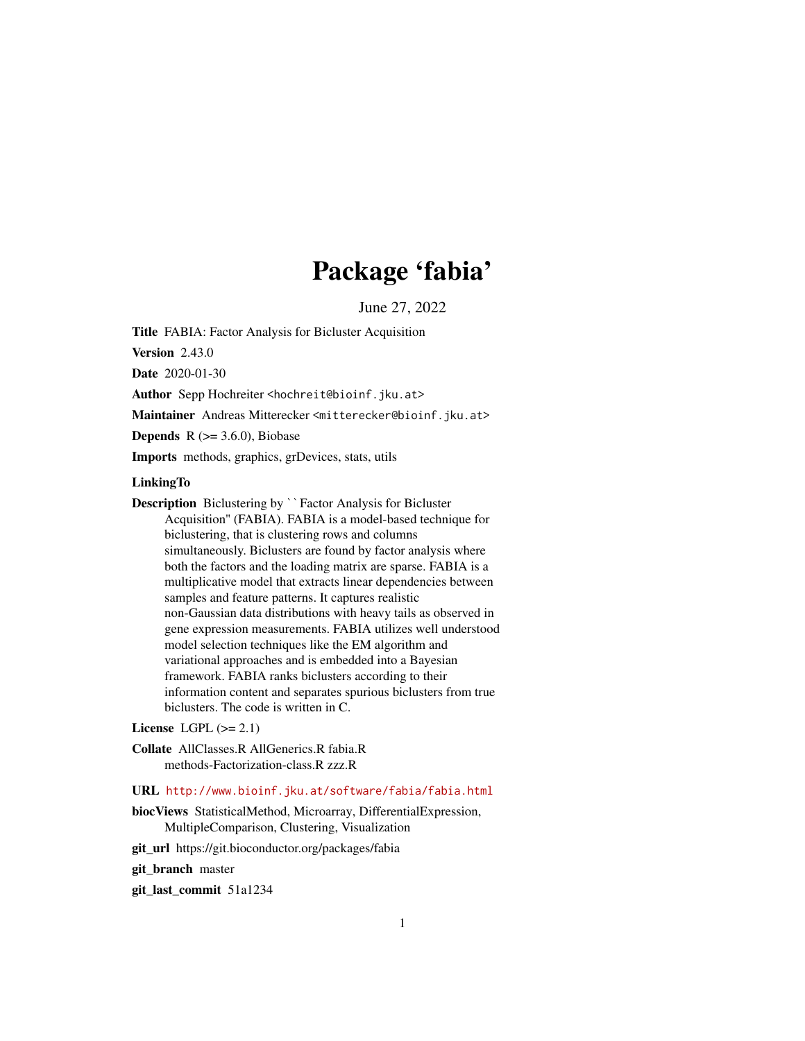# Package 'fabia'

June 27, 2022

Title FABIA: Factor Analysis for Bicluster Acquisition

Version 2.43.0

Date 2020-01-30

Author Sepp Hochreiter <hochreit@bioinf.jku.at>

Maintainer Andreas Mitterecker <mitterecker@bioinf.jku.at>

**Depends**  $R$  ( $>= 3.6.0$ ), Biobase

Imports methods, graphics, grDevices, stats, utils

#### LinkingTo

Description Biclustering by ``Factor Analysis for Bicluster Acquisition'' (FABIA). FABIA is a model-based technique for biclustering, that is clustering rows and columns simultaneously. Biclusters are found by factor analysis where both the factors and the loading matrix are sparse. FABIA is a multiplicative model that extracts linear dependencies between samples and feature patterns. It captures realistic non-Gaussian data distributions with heavy tails as observed in gene expression measurements. FABIA utilizes well understood model selection techniques like the EM algorithm and variational approaches and is embedded into a Bayesian framework. FABIA ranks biclusters according to their information content and separates spurious biclusters from true biclusters. The code is written in C.

# License LGPL  $(>= 2.1)$

Collate AllClasses.R AllGenerics.R fabia.R methods-Factorization-class.R zzz.R

#### URL <http://www.bioinf.jku.at/software/fabia/fabia.html>

biocViews StatisticalMethod, Microarray, DifferentialExpression, MultipleComparison, Clustering, Visualization

git\_url https://git.bioconductor.org/packages/fabia

git branch master

git\_last\_commit 51a1234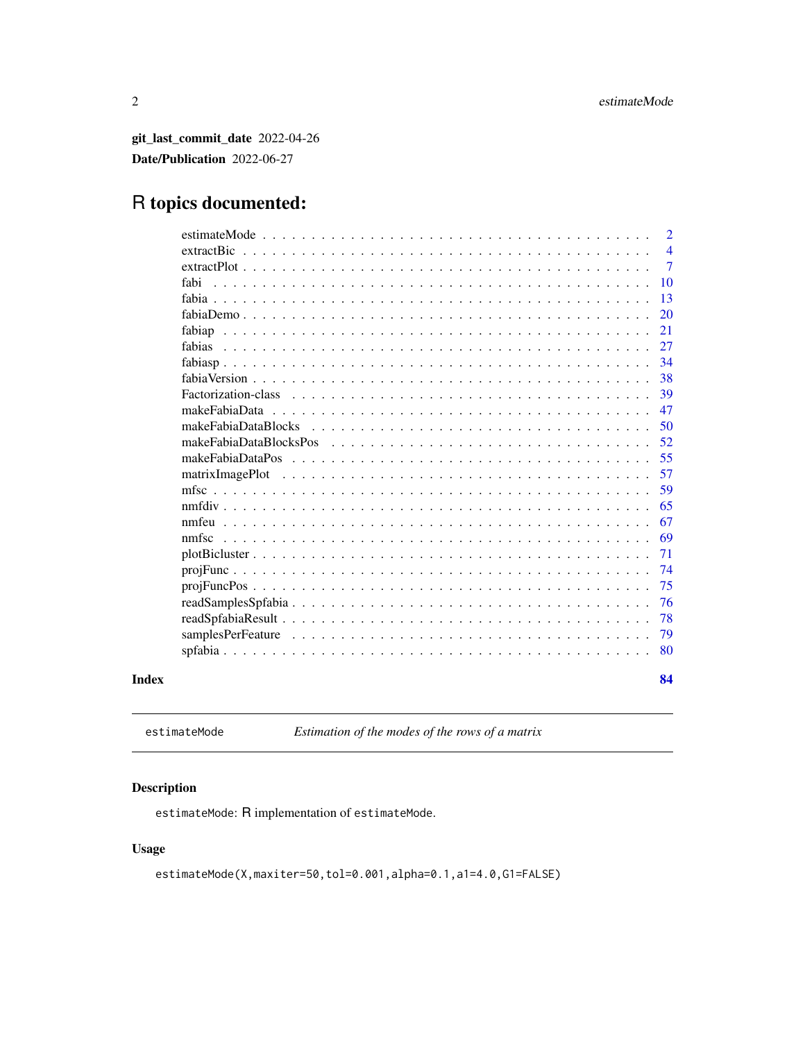<span id="page-1-0"></span>git\_last\_commit\_date 2022-04-26 Date/Publication 2022-06-27

# R topics documented:

|       | estimateMode                                                                                                                   | $\overline{2}$ |
|-------|--------------------------------------------------------------------------------------------------------------------------------|----------------|
|       |                                                                                                                                | $\overline{4}$ |
|       |                                                                                                                                | $\overline{7}$ |
|       | fabi                                                                                                                           | 10             |
|       |                                                                                                                                | 13             |
|       |                                                                                                                                | 20             |
|       |                                                                                                                                | 21             |
|       | fabias<br><u>. De la caractería de la caractería de la caractería de la caractería de la caractería de la caractería de la</u> | 27             |
|       |                                                                                                                                | 34             |
|       |                                                                                                                                | 38             |
|       | Factorization-class                                                                                                            | 39             |
|       | makeFabiaData                                                                                                                  | 47             |
|       | makeFabiaDataBlocks                                                                                                            | 50             |
|       |                                                                                                                                | 52             |
|       | makeFabiaDataPos                                                                                                               | 55             |
|       | matrixImagePlot                                                                                                                | 57             |
|       |                                                                                                                                | 59             |
|       |                                                                                                                                | 65             |
|       |                                                                                                                                | 67             |
|       | nmfsc                                                                                                                          | 69             |
|       |                                                                                                                                | 71             |
|       |                                                                                                                                | 74             |
|       |                                                                                                                                | 75             |
|       |                                                                                                                                | 76             |
|       |                                                                                                                                | 78             |
|       |                                                                                                                                | 79             |
|       |                                                                                                                                | 80             |
| Index |                                                                                                                                | 84             |

<span id="page-1-1"></span>estimateMode *Estimation of the modes of the rows of a matrix*

# Description

estimateMode: R implementation of estimateMode.

# Usage

estimateMode(X,maxiter=50,tol=0.001,alpha=0.1,a1=4.0,G1=FALSE)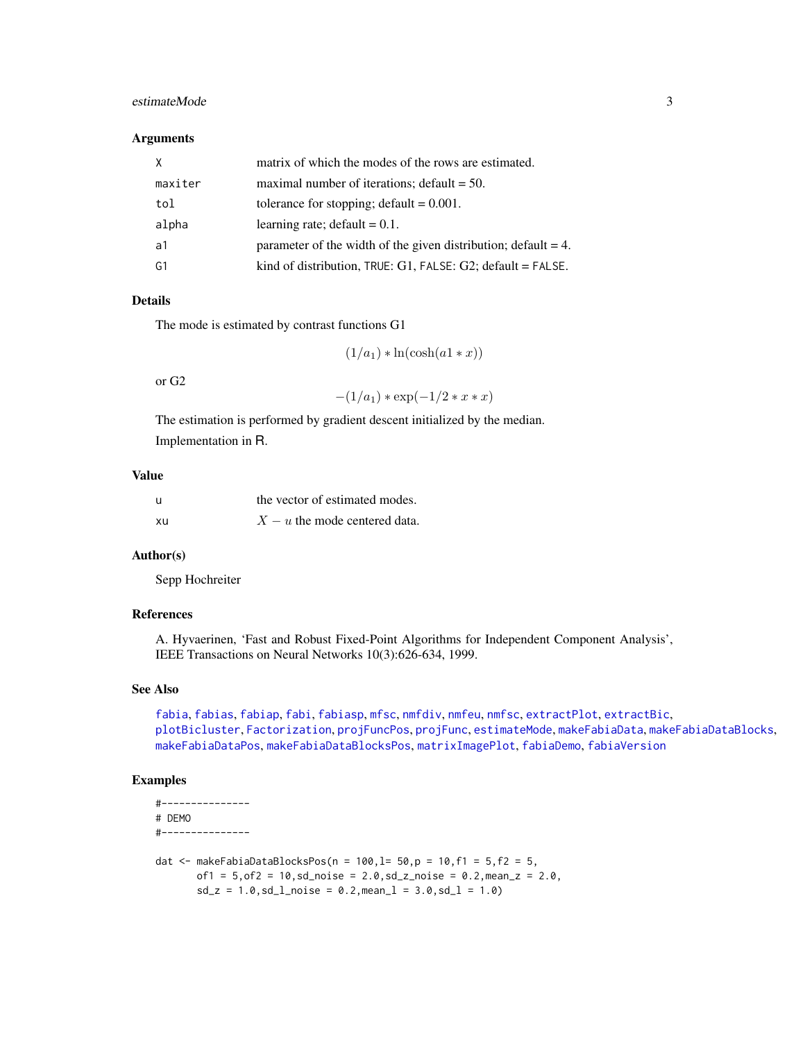# estimateMode 3

#### **Arguments**

| X       | matrix of which the modes of the rows are estimated.                 |
|---------|----------------------------------------------------------------------|
| maxiter | maximal number of iterations; $\delta$ default = 50.                 |
| tol     | tolerance for stopping; $default = 0.001$ .                          |
| alpha   | learning rate; default $= 0.1$ .                                     |
| ้ ล1    | parameter of the width of the given distribution; $default = 4$ .    |
| G1      | kind of distribution, $TRUE: G1$ , $FALSE: G2$ ; $default = FALSE$ . |

# Details

The mode is estimated by contrast functions G1

 $(1/a_1) * ln(cosh(a1 * x))$ 

or G2

$$
-(1/a_1) * exp(-1/2 * x * x)
$$

The estimation is performed by gradient descent initialized by the median. Implementation in R.

# Value

| $\mathbf{u}$ | the vector of estimated modes.  |
|--------------|---------------------------------|
| xu           | $X - u$ the mode centered data. |

# Author(s)

Sepp Hochreiter

# References

A. Hyvaerinen, 'Fast and Robust Fixed-Point Algorithms for Independent Component Analysis', IEEE Transactions on Neural Networks 10(3):626-634, 1999.

# See Also

[fabia](#page-12-1), [fabias](#page-26-1), [fabiap](#page-20-1), [fabi](#page-9-1), [fabiasp](#page-33-1), [mfsc](#page-58-1), [nmfdiv](#page-64-1), [nmfeu](#page-66-1), [nmfsc](#page-68-1), [extractPlot](#page-6-1), [extractBic](#page-3-1), [plotBicluster](#page-70-1), [Factorization](#page-38-1), [projFuncPos](#page-74-1), [projFunc](#page-73-1), [estimateMode](#page-1-1), [makeFabiaData](#page-46-1), [makeFabiaDataBlocks](#page-49-1), [makeFabiaDataPos](#page-54-1), [makeFabiaDataBlocksPos](#page-51-1), [matrixImagePlot](#page-56-1), [fabiaDemo](#page-19-1), [fabiaVersion](#page-37-1)

```
#---------------
# DEMO
#---------------
```

```
dat <- makeFabiaDataBlocksPos(n = 100, l= 50, p = 10, f1 = 5, f2 = 5,
       of1 = 5, of2 = 10, sd\_noise = 2.0, sd\_z\_noise = 0.2, mean\_z = 2.0,sd_z = 1.0, sd_l<sub>no</sub>ise = 0.2, meanl = 3.0, sd_l = 1.0)
```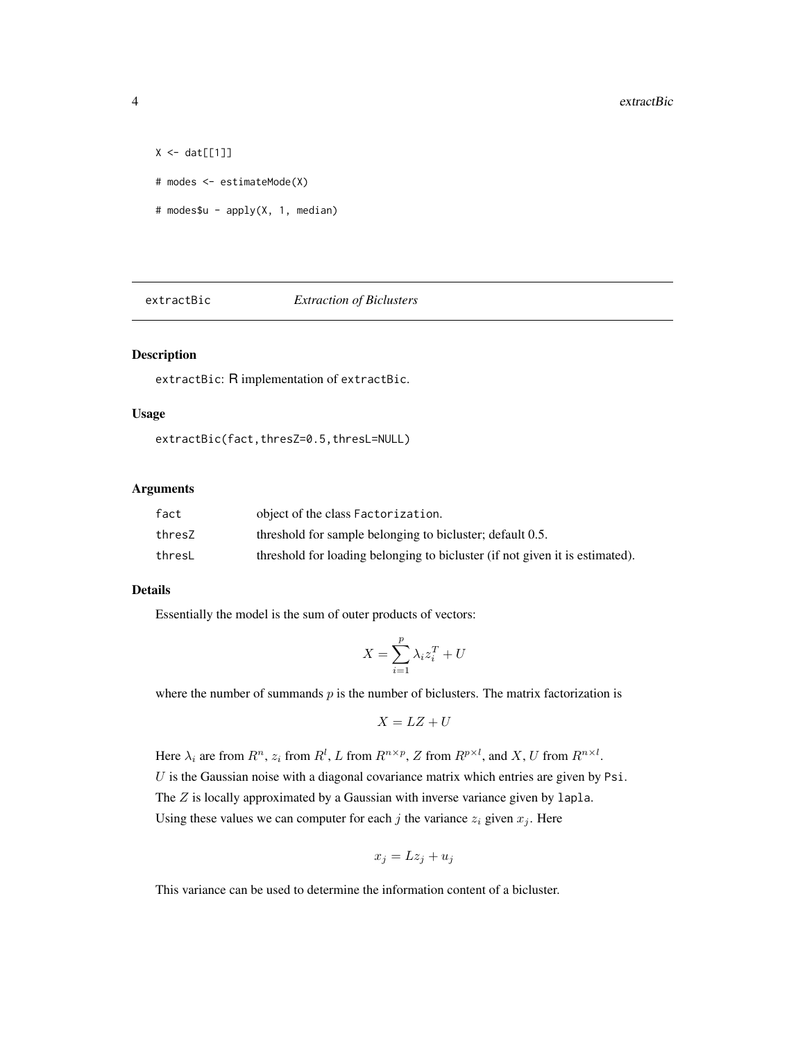```
X \leftarrow \text{dat}[[1]]# modes <- estimateMode(X)
# modes$u - apply(X, 1, median)
```
<span id="page-3-1"></span>extractBic *Extraction of Biclusters*

# Description

extractBic: R implementation of extractBic.

# Usage

extractBic(fact,thresZ=0.5,thresL=NULL)

#### Arguments

| fact   | object of the class Factorization.                                           |
|--------|------------------------------------------------------------------------------|
| thresZ | threshold for sample belonging to bicluster; default 0.5.                    |
| thresL | threshold for loading belonging to bicluster (if not given it is estimated). |

#### Details

Essentially the model is the sum of outer products of vectors:

$$
X = \sum_{i=1}^{p} \lambda_i z_i^T + U
$$

where the number of summands  $p$  is the number of biclusters. The matrix factorization is

$$
X = LZ + U
$$

Here  $\lambda_i$  are from  $R^n$ ,  $z_i$  from  $R^l$ , L from  $R^{n \times p}$ , Z from  $R^{p \times l}$ , and X, U from  $R^{n \times l}$ .  $U$  is the Gaussian noise with a diagonal covariance matrix which entries are given by Psi. The Z is locally approximated by a Gaussian with inverse variance given by lapla. Using these values we can computer for each j the variance  $z_i$  given  $x_j$ . Here

$$
x_j = Lz_j + u_j
$$

This variance can be used to determine the information content of a bicluster.

<span id="page-3-0"></span>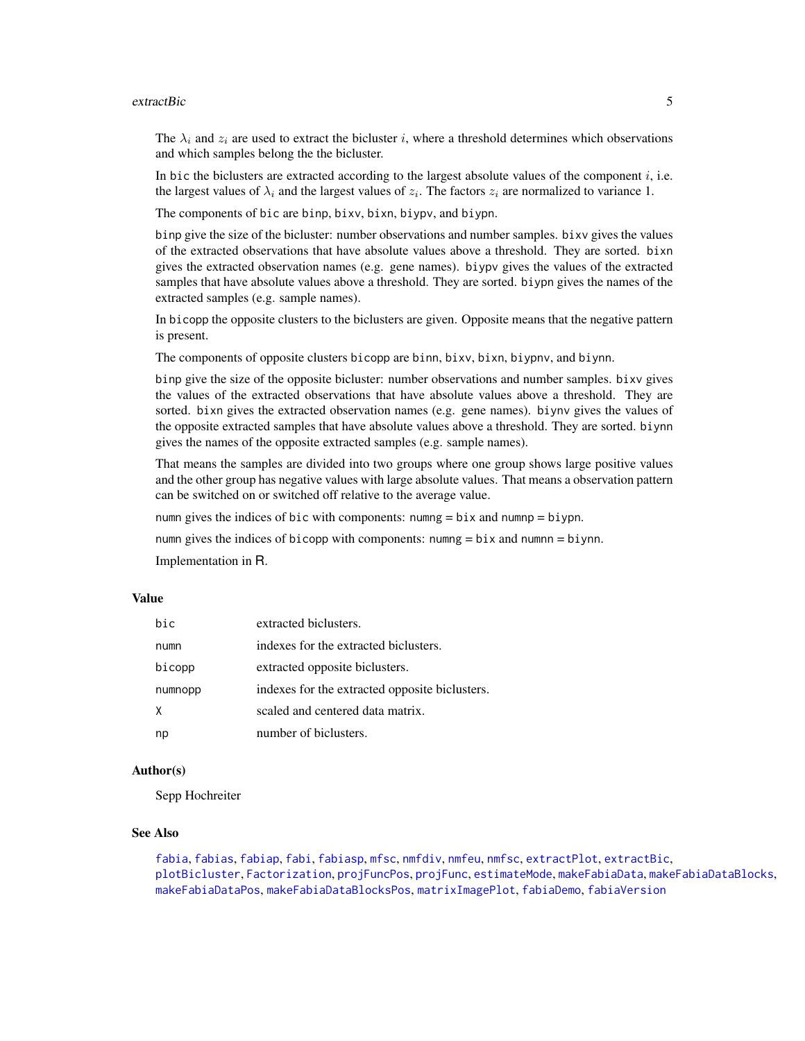#### extractBic 5

The  $\lambda_i$  and  $z_i$  are used to extract the bicluster i, where a threshold determines which observations and which samples belong the the bicluster.

In bic the biclusters are extracted according to the largest absolute values of the component  $i$ , i.e. the largest values of  $\lambda_i$  and the largest values of  $z_i$ . The factors  $z_i$  are normalized to variance 1.

The components of bic are binp, bixv, bixn, biypv, and biypn.

binp give the size of the bicluster: number observations and number samples. bixv gives the values of the extracted observations that have absolute values above a threshold. They are sorted. bixn gives the extracted observation names (e.g. gene names). biypv gives the values of the extracted samples that have absolute values above a threshold. They are sorted. biypn gives the names of the extracted samples (e.g. sample names).

In bicopp the opposite clusters to the biclusters are given. Opposite means that the negative pattern is present.

The components of opposite clusters bicopp are binn, bixv, bixn, biypnv, and biynn.

binp give the size of the opposite bicluster: number observations and number samples. bixv gives the values of the extracted observations that have absolute values above a threshold. They are sorted. bixn gives the extracted observation names (e.g. gene names). biynv gives the values of the opposite extracted samples that have absolute values above a threshold. They are sorted. biynn gives the names of the opposite extracted samples (e.g. sample names).

That means the samples are divided into two groups where one group shows large positive values and the other group has negative values with large absolute values. That means a observation pattern can be switched on or switched off relative to the average value.

numn gives the indices of bic with components: numng  $= bix$  and numnp  $= biy$ pn.

numn gives the indices of bicopp with components: numng = bix and numnn = biynn.

Implementation in R.

#### Value

| hic     | extracted biclusters.                          |
|---------|------------------------------------------------|
| numn    | indexes for the extracted biclusters.          |
| bicopp  | extracted opposite biclusters.                 |
| numnopp | indexes for the extracted opposite biclusters. |
| X       | scaled and centered data matrix.               |
| np      | number of biclusters.                          |

# Author(s)

Sepp Hochreiter

#### See Also

[fabia](#page-12-1), [fabias](#page-26-1), [fabiap](#page-20-1), [fabi](#page-9-1), [fabiasp](#page-33-1), [mfsc](#page-58-1), [nmfdiv](#page-64-1), [nmfeu](#page-66-1), [nmfsc](#page-68-1), [extractPlot](#page-6-1), [extractBic](#page-3-1), [plotBicluster](#page-70-1), [Factorization](#page-38-1), [projFuncPos](#page-74-1), [projFunc](#page-73-1), [estimateMode](#page-1-1), [makeFabiaData](#page-46-1), [makeFabiaDataBlocks](#page-49-1), [makeFabiaDataPos](#page-54-1), [makeFabiaDataBlocksPos](#page-51-1), [matrixImagePlot](#page-56-1), [fabiaDemo](#page-19-1), [fabiaVersion](#page-37-1)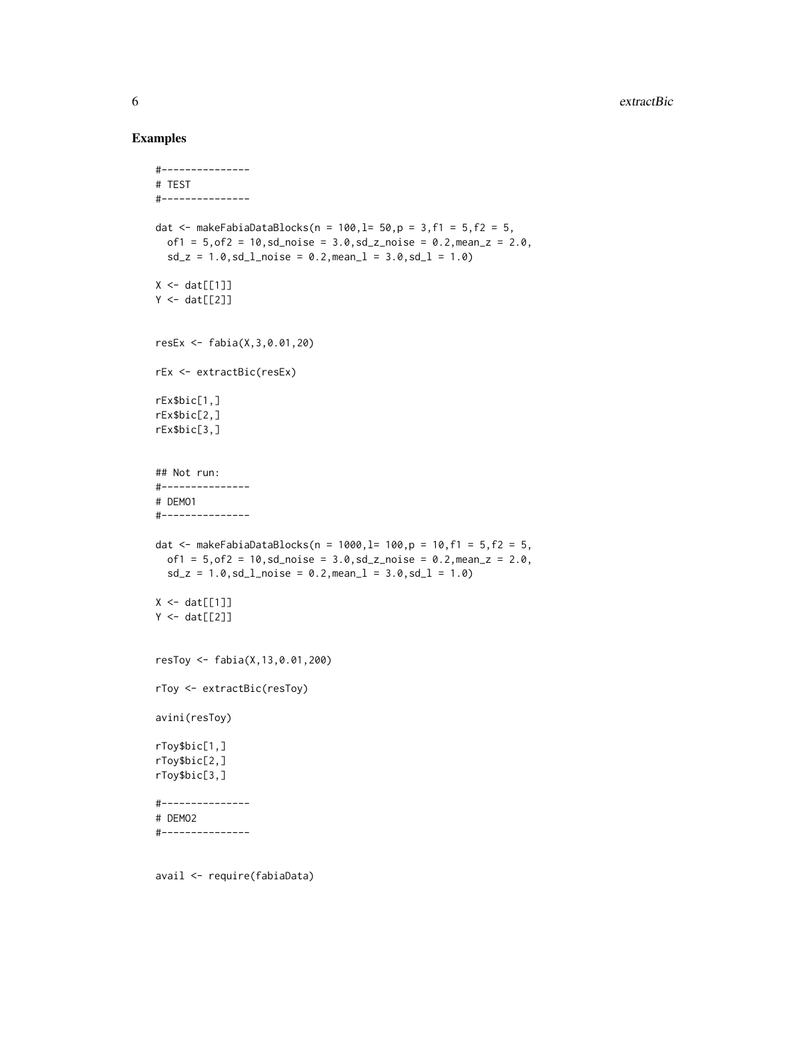#### Examples

```
#---------------
# TEST
#---------------
dat <- makeFabiaDataBlocks(n = 100, l = 50, p = 3, f1 = 5, f2 = 5,
  of1 = 5, of2 = 10, sd\_noise = 3.0, sd\_z\_noise = 0.2, mean_z = 2.0,sd_z = 1.0, sd_lnoise = 0.2, meanl = 3.0, sd_l = 1.0X \leftarrow \text{dat}[[1]]Y \leftarrow \text{dat}[[2]]resEx <- fabia(X,3,0.01,20)
rEx <- extractBic(resEx)
rEx$bic[1,]
rEx$bic[2,]
rEx$bic[3,]
## Not run:
#---------------
# DEMO1
#---------------
dat <- makeFabiaDataBlocks(n = 1000, l= 100, p = 10, f1 = 5, f2 = 5,
 of1 = 5, of2 = 10, sd\_noise = 3.0, sd\_z\_noise = 0.2, mean\_z = 2.0,sd_z = 1.0, sd_l_{\text{noise}} = 0.2, mean_l = 3.0, sd_l = 1.0X \leftarrow \text{dat}[[1]]Y \leftarrow \text{dat}[[2]]resToy <- fabia(X,13,0.01,200)
rToy <- extractBic(resToy)
avini(resToy)
rToy$bic[1,]
rToy$bic[2,]
rToy$bic[3,]
#---------------
# DEMO2
#---------------
```
avail <- require(fabiaData)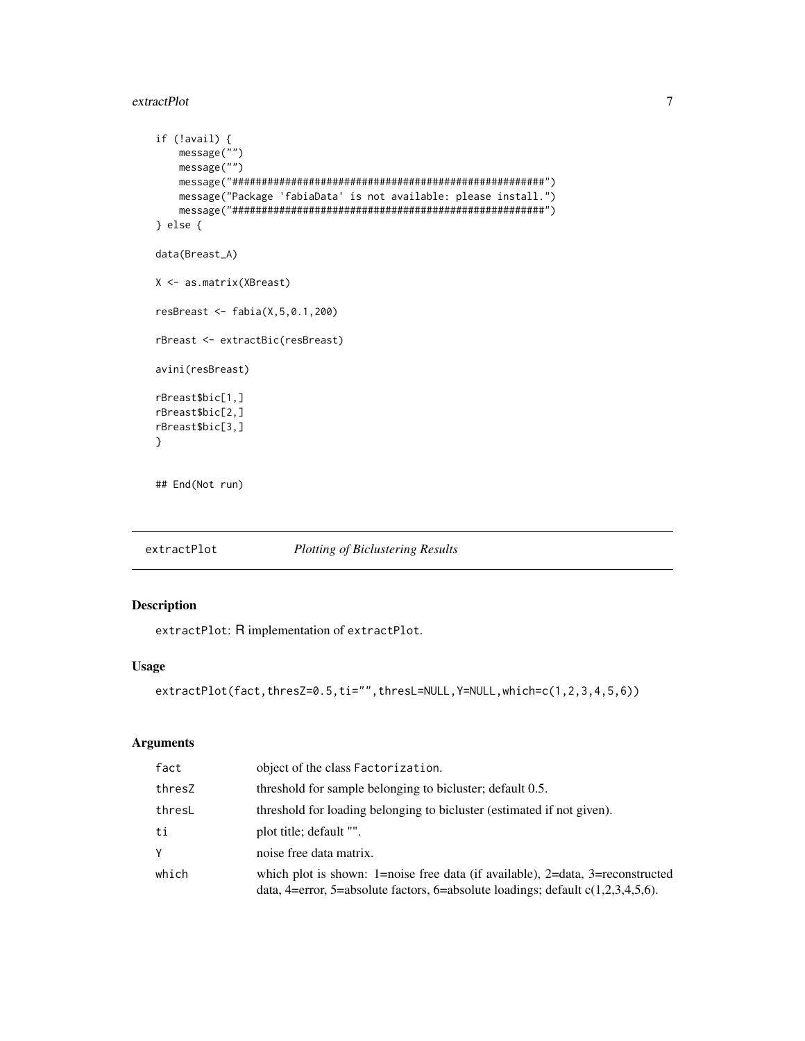#### <span id="page-6-0"></span>extractPlot 7

```
if (!avail) {
   message("")
   message("")
   message("#####################################################")
   message("Package 'fabiaData' is not available: please install.")
   message("#####################################################")
} else {
data(Breast_A)
X <- as.matrix(XBreast)
resBreast <- fabia(X,5,0.1,200)
rBreast <- extractBic(resBreast)
avini(resBreast)
rBreast$bic[1,]
rBreast$bic[2,]
rBreast$bic[3,]
}
## End(Not run)
```
<span id="page-6-1"></span>extractPlot *Plotting of Biclustering Results*

# Description

extractPlot: R implementation of extractPlot.

# Usage

```
extractPlot(fact,thresZ=0.5,ti="",thresL=NULL,Y=NULL,which=c(1,2,3,4,5,6))
```
#### Arguments

| fact   | object of the class Factorization.                                                                                                                                   |
|--------|----------------------------------------------------------------------------------------------------------------------------------------------------------------------|
| thresZ | threshold for sample belonging to bicluster; default 0.5.                                                                                                            |
| thresL | threshold for loading belonging to bicluster (estimated if not given).                                                                                               |
| ti     | plot title; default "".                                                                                                                                              |
| Υ      | noise free data matrix.                                                                                                                                              |
| which  | which plot is shown: 1=noise free data (if available), 2=data, 3=reconstructed<br>data, 4=error, 5=absolute factors, 6=absolute loadings; default $c(1,2,3,4,5,6)$ . |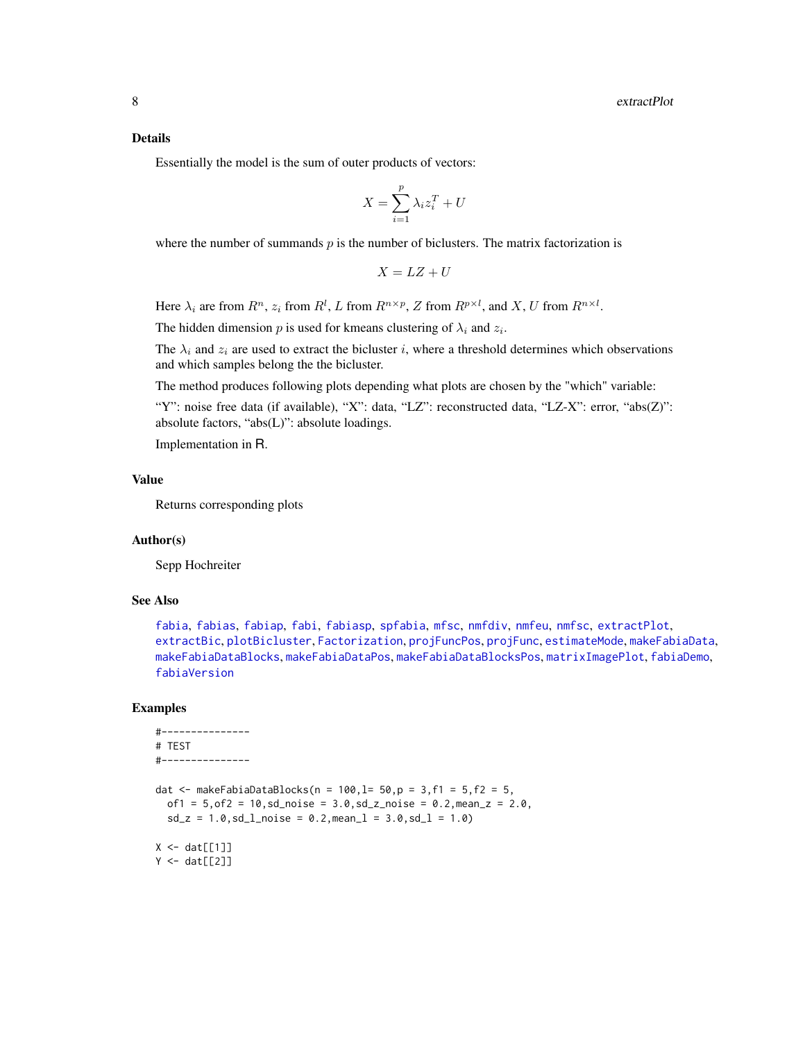#### Details

Essentially the model is the sum of outer products of vectors:

$$
X = \sum_{i=1}^{p} \lambda_i z_i^T + U
$$

where the number of summands  $p$  is the number of biclusters. The matrix factorization is

$$
X = LZ + U
$$

Here  $\lambda_i$  are from  $R^n$ ,  $z_i$  from  $R^l$ , L from  $R^{n \times p}$ , Z from  $R^{p \times l}$ , and X, U from  $R^{n \times l}$ .

The hidden dimension p is used for kmeans clustering of  $\lambda_i$  and  $z_i$ .

The  $\lambda_i$  and  $z_i$  are used to extract the bicluster i, where a threshold determines which observations and which samples belong the the bicluster.

The method produces following plots depending what plots are chosen by the "which" variable:

"Y": noise free data (if available), "X": data, "LZ": reconstructed data, "LZ-X": error, "abs(Z)": absolute factors, "abs(L)": absolute loadings.

Implementation in R.

# Value

Returns corresponding plots

# Author(s)

Sepp Hochreiter

#### See Also

[fabia](#page-12-1), [fabias](#page-26-1), [fabiap](#page-20-1), [fabi](#page-9-1), [fabiasp](#page-33-1), [spfabia](#page-79-1), [mfsc](#page-58-1), [nmfdiv](#page-64-1), [nmfeu](#page-66-1), [nmfsc](#page-68-1), [extractPlot](#page-6-1), [extractBic](#page-3-1), [plotBicluster](#page-70-1), [Factorization](#page-38-1), [projFuncPos](#page-74-1), [projFunc](#page-73-1), [estimateMode](#page-1-1), [makeFabiaData](#page-46-1), [makeFabiaDataBlocks](#page-49-1), [makeFabiaDataPos](#page-54-1), [makeFabiaDataBlocksPos](#page-51-1), [matrixImagePlot](#page-56-1), [fabiaDemo](#page-19-1), [fabiaVersion](#page-37-1)

```
#---------------
# TEST
#---------------
dat <- makeFabiaDataBlocks(n = 100, l = 50, p = 3, f1 = 5, f2 = 5,
  of1 = 5, of2 = 10, sd\_noise = 3.0, sd\_z\_noise = 0.2, mean\_z = 2.0,sd_z = 1.0, sd_lnoise = 0.2, meanl = 3.0, sd_l = 1.0X \leftarrow \text{dat}[[1]]Y \leftarrow \text{dat}[[2]]
```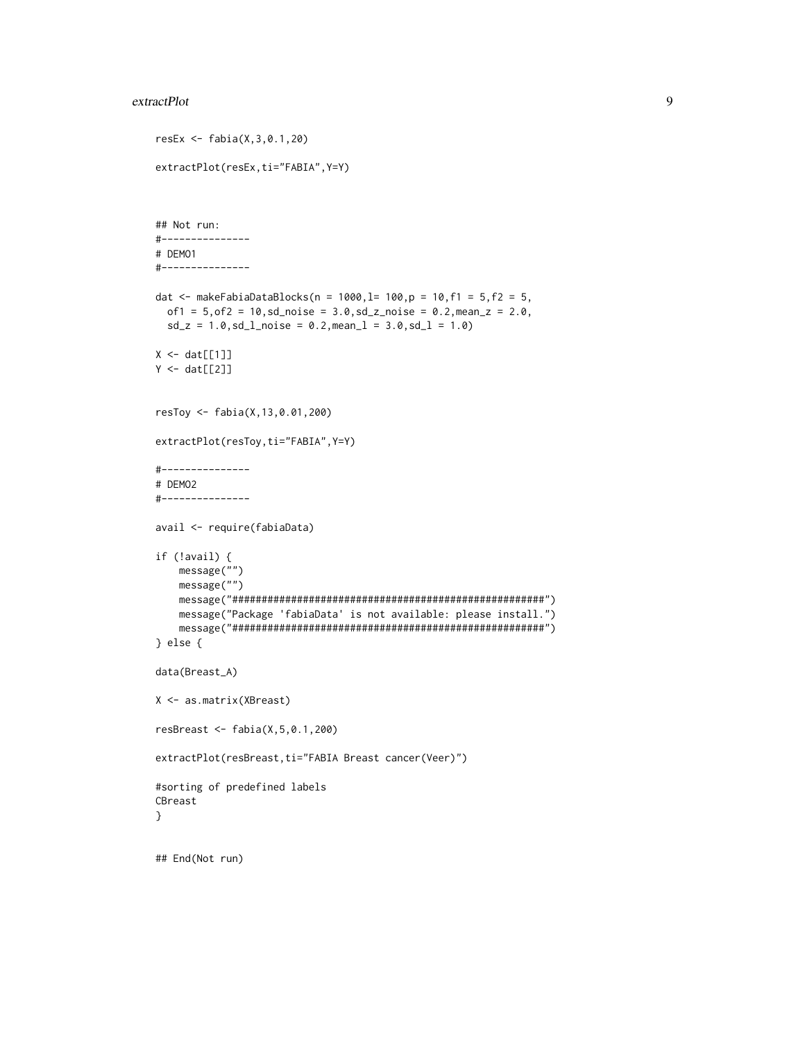#### extractPlot 9

```
resEx <- fabia(X,3,0.1,20)
extractPlot(resEx,ti="FABIA",Y=Y)
## Not run:
#---------------
# DEMO1
#---------------
dat <- makeFabiaDataBlocks(n = 1000, l= 100, p = 10, f1 = 5, f2 = 5,
 of1 = 5, of2 = 10, sd\_noise = 3.0, sd\_z\_noise = 0.2, mean_z = 2.0,sd_z = 1.0, sd_lnoise = 0.2, meanl = 3.0, sd_l = 1.0X \leftarrow \text{dat}[[1]]Y \leftarrow \text{dat}[[2]]resToy <- fabia(X,13,0.01,200)
extractPlot(resToy,ti="FABIA",Y=Y)
#---------------
# DEMO2
#---------------
avail <- require(fabiaData)
if (!avail) {
   message("")
    message("")
    message("#####################################################")
    message("Package 'fabiaData' is not available: please install.")
    message("#####################################################")
} else {
data(Breast_A)
X <- as.matrix(XBreast)
resBreast <- fabia(X,5,0.1,200)
extractPlot(resBreast,ti="FABIA Breast cancer(Veer)")
#sorting of predefined labels
CBreast
}
## End(Not run)
```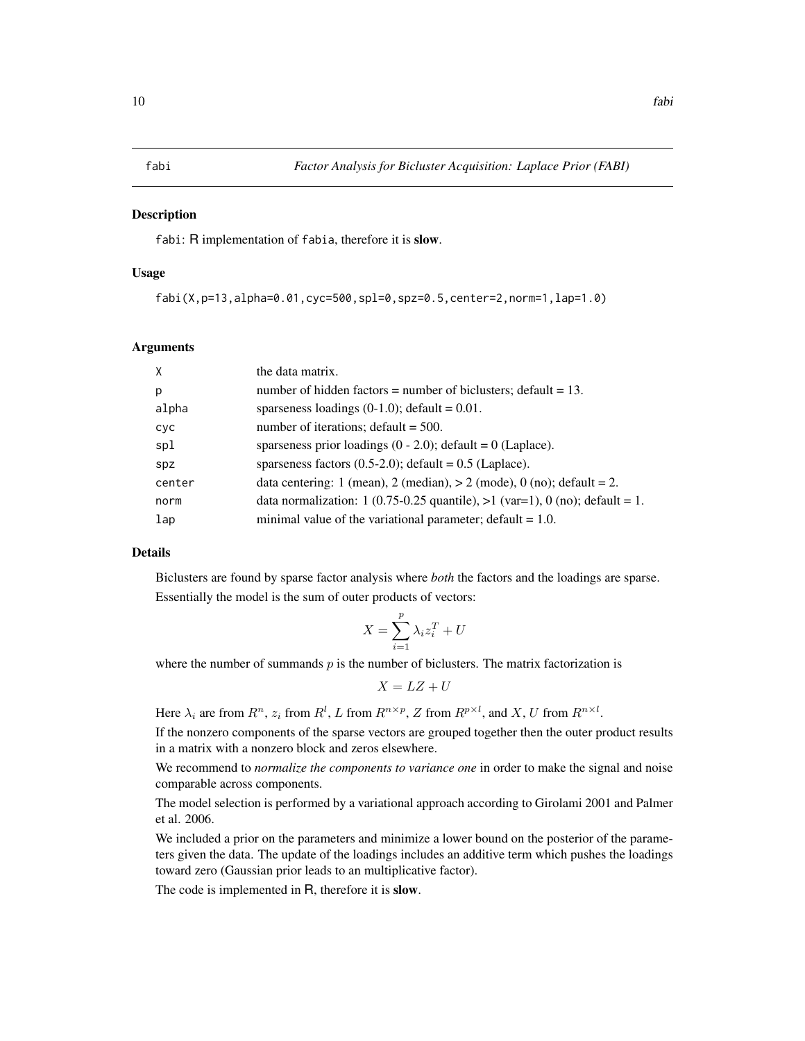<span id="page-9-1"></span><span id="page-9-0"></span>

#### **Description**

fabi: R implementation of fabia, therefore it is slow.

#### Usage

```
fabi(X,p=13,alpha=0.01,cyc=500,spl=0,spz=0.5,center=2,norm=1,lap=1.0)
```
#### Arguments

| X      | the data matrix.                                                               |
|--------|--------------------------------------------------------------------------------|
| p      | number of hidden factors = number of biclusters; default = $13$ .              |
| alpha  | sparseness loadings $(0-1.0)$ ; default = 0.01.                                |
| cyc    | number of iterations; $default = 500$ .                                        |
| spl    | sparseness prior loadings $(0 - 2.0)$ ; default = 0 (Laplace).                 |
| spz    | sparseness factors $(0.5-2.0)$ ; default = 0.5 (Laplace).                      |
| center | data centering: 1 (mean), 2 (median), $> 2$ (mode), 0 (no); default = 2.       |
| norm   | data normalization: 1 (0.75-0.25 quantile), $>1$ (var=1), 0 (no); default = 1. |
| lap    | minimal value of the variational parameter; default $= 1.0$ .                  |

# Details

Biclusters are found by sparse factor analysis where *both* the factors and the loadings are sparse. Essentially the model is the sum of outer products of vectors:

$$
X = \sum_{i=1}^{p} \lambda_i z_i^T + U
$$

where the number of summands  $p$  is the number of biclusters. The matrix factorization is

$$
X = LZ + U
$$

Here  $\lambda_i$  are from  $R^n$ ,  $z_i$  from  $R^l$ , L from  $R^{n \times p}$ , Z from  $R^{p \times l}$ , and X, U from  $R^{n \times l}$ .

If the nonzero components of the sparse vectors are grouped together then the outer product results in a matrix with a nonzero block and zeros elsewhere.

We recommend to *normalize the components to variance one* in order to make the signal and noise comparable across components.

The model selection is performed by a variational approach according to Girolami 2001 and Palmer et al. 2006.

We included a prior on the parameters and minimize a lower bound on the posterior of the parameters given the data. The update of the loadings includes an additive term which pushes the loadings toward zero (Gaussian prior leads to an multiplicative factor).

The code is implemented in R, therefore it is slow.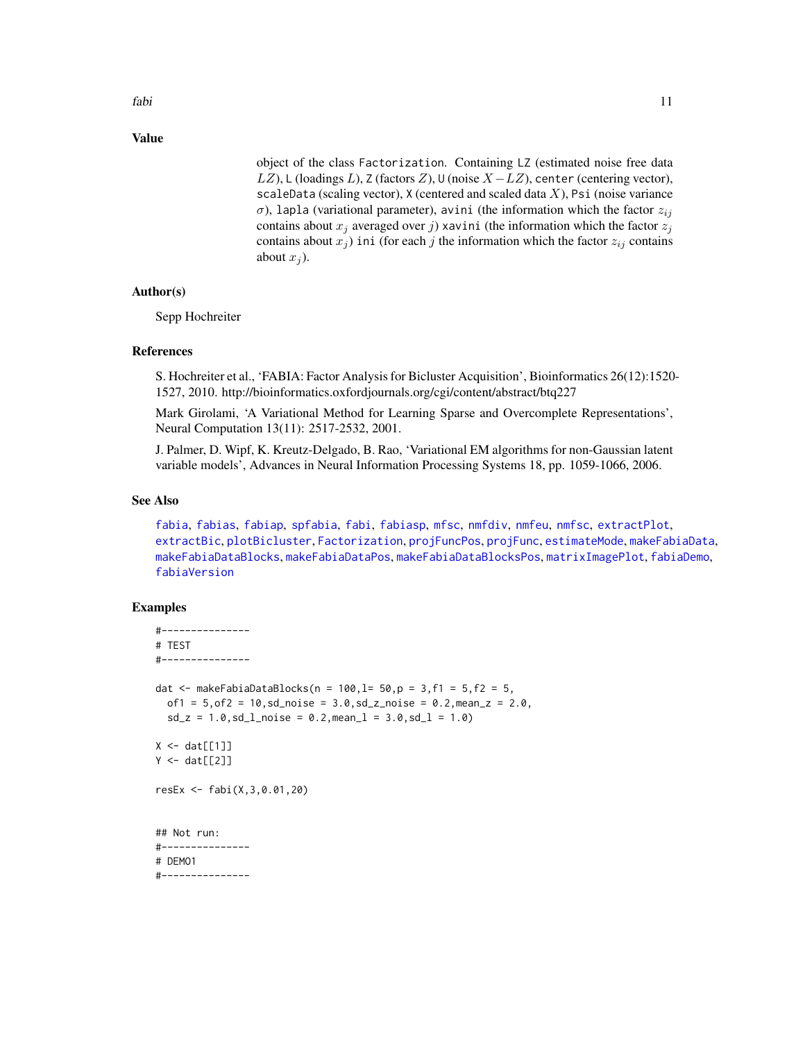fabi **11** 

# Value

object of the class Factorization. Containing LZ (estimated noise free data LZ), L (loadings L), Z (factors Z), U (noise  $X - LZ$ ), center (centering vector), scaleData (scaling vector),  $X$  (centered and scaled data  $X$ ), Psi (noise variance σ), lapla (variational parameter), avini (the information which the factor  $z_{ij}$ contains about  $x_j$  averaged over j) xavini (the information which the factor  $z_j$ contains about  $x_j$ ) ini (for each j the information which the factor  $z_{ij}$  contains about  $x_i$ ).

#### Author(s)

Sepp Hochreiter

#### References

S. Hochreiter et al., 'FABIA: Factor Analysis for Bicluster Acquisition', Bioinformatics 26(12):1520- 1527, 2010. http://bioinformatics.oxfordjournals.org/cgi/content/abstract/btq227

Mark Girolami, 'A Variational Method for Learning Sparse and Overcomplete Representations', Neural Computation 13(11): 2517-2532, 2001.

J. Palmer, D. Wipf, K. Kreutz-Delgado, B. Rao, 'Variational EM algorithms for non-Gaussian latent variable models', Advances in Neural Information Processing Systems 18, pp. 1059-1066, 2006.

#### See Also

[fabia](#page-12-1), [fabias](#page-26-1), [fabiap](#page-20-1), [spfabia](#page-79-1), [fabi](#page-9-1), [fabiasp](#page-33-1), [mfsc](#page-58-1), [nmfdiv](#page-64-1), [nmfeu](#page-66-1), [nmfsc](#page-68-1), [extractPlot](#page-6-1), [extractBic](#page-3-1), [plotBicluster](#page-70-1), [Factorization](#page-38-1), [projFuncPos](#page-74-1), [projFunc](#page-73-1), [estimateMode](#page-1-1), [makeFabiaData](#page-46-1), [makeFabiaDataBlocks](#page-49-1), [makeFabiaDataPos](#page-54-1), [makeFabiaDataBlocksPos](#page-51-1), [matrixImagePlot](#page-56-1), [fabiaDemo](#page-19-1), [fabiaVersion](#page-37-1)

```
#---------------
# TEST
#---------------
dat <- makeFabiaDataBlocks(n = 100, l = 50, p = 3, f1 = 5, f2 = 5,
  of1 = 5, of2 = 10, sd\_noise = 3.0, sd\_z\_noise = 0.2, mean\_z = 2.0,sd_z = 1.0, sd_lnoise = 0.2, meanl = 3.0, sd_l = 1.0X \leftarrow \text{dat}[[1]]Y \leftarrow \text{dat}[[2]]resEx <- fabi(X,3,0.01,20)
## Not run:
#---------------
# DEMO1
#---------------
```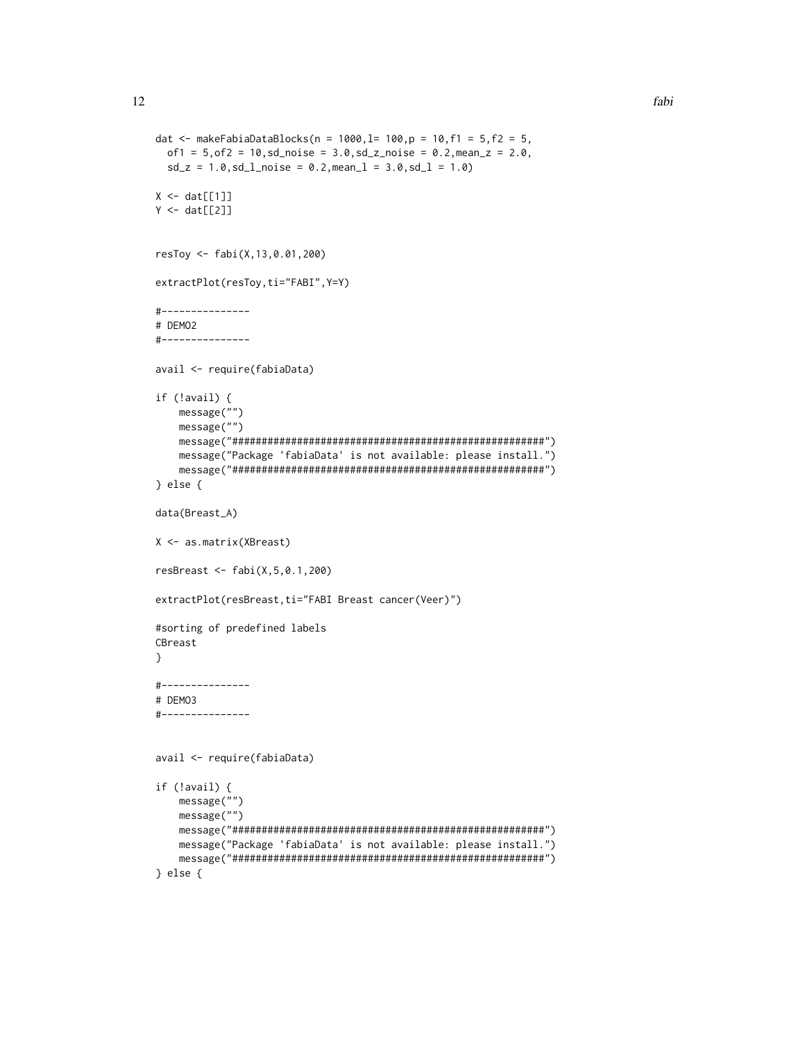```
dat <- makeFabiaDataBlocks(n = 1000, l= 100, p = 10, f1 = 5, f2 = 5,
  of1 = 5, of2 = 10, sd\_noise = 3.0, sd\_z\_noise = 0.2, mean\_z = 2.0,sd_z = 1.0, sd_lnoise = 0.2, meanl = 3.0, sd_l = 1.0X \leftarrow \text{dat}[[1]]Y \leftarrow \text{dat}[[2]]resToy <- fabi(X,13,0.01,200)
extractPlot(resToy,ti="FABI",Y=Y)
#---------------
# DEMO2
#---------------
avail <- require(fabiaData)
if (!avail) {
    message("")
    message("")
    message("#####################################################")
    message("Package 'fabiaData' is not available: please install.")
    message("#####################################################")
} else {
data(Breast_A)
X <- as.matrix(XBreast)
resBreast <- fabi(X,5,0.1,200)
extractPlot(resBreast,ti="FABI Breast cancer(Veer)")
#sorting of predefined labels
CBreast
}
#---------------
# DEMO3
#---------------
avail <- require(fabiaData)
if (!avail) {
    message("")
    message("")
    message("#####################################################")
    message("Package 'fabiaData' is not available: please install.")
    message("#####################################################")
} else {
```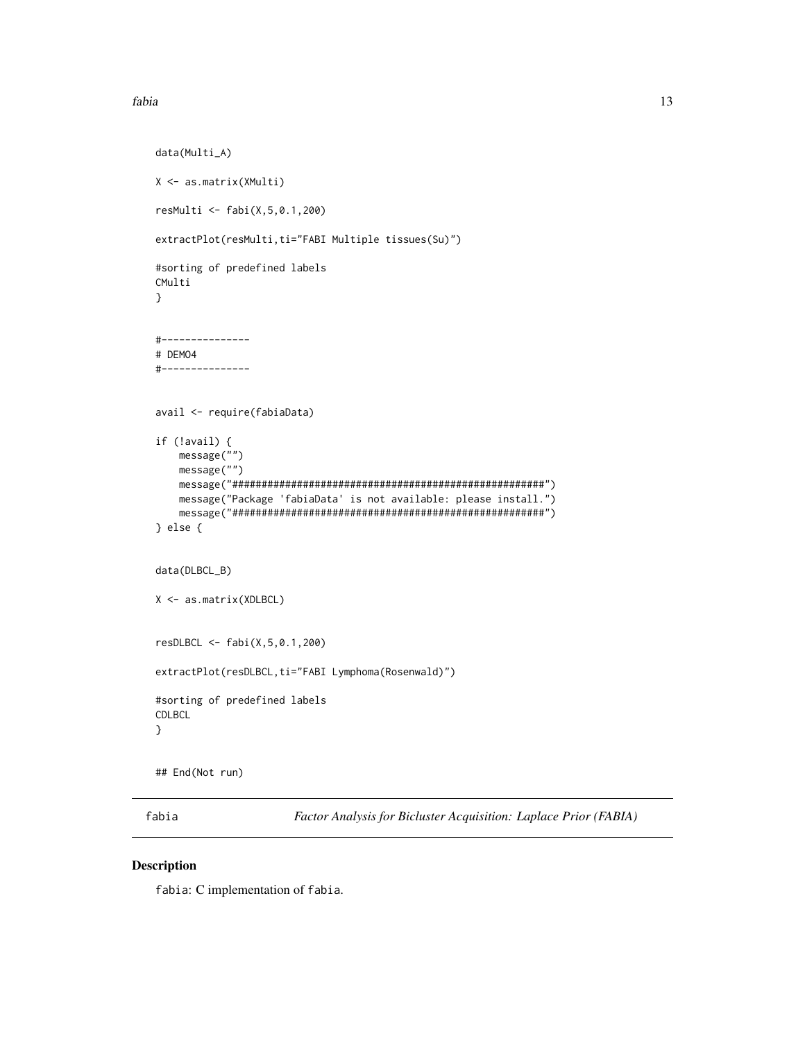```
data(Multi_A)
X <- as.matrix(XMulti)
resMulti <- fabi(X,5,0.1,200)
extractPlot(resMulti,ti="FABI Multiple tissues(Su)")
#sorting of predefined labels
CMulti
}
#---------------
# DEMO4
#---------------
avail <- require(fabiaData)
if (!avail) {
   message("")
   message("")
   message("#####################################################")
   message("Package 'fabiaData' is not available: please install.")
   message("#####################################################")
} else {
data(DLBCL_B)
X <- as.matrix(XDLBCL)
resDLBCL <- fabi(X,5,0.1,200)
extractPlot(resDLBCL,ti="FABI Lymphoma(Rosenwald)")
#sorting of predefined labels
CDLBCL
}
```

```
## End(Not run)
```
<span id="page-12-1"></span>fabia *Factor Analysis for Bicluster Acquisition: Laplace Prior (FABIA)*

#### Description

fabia: C implementation of fabia.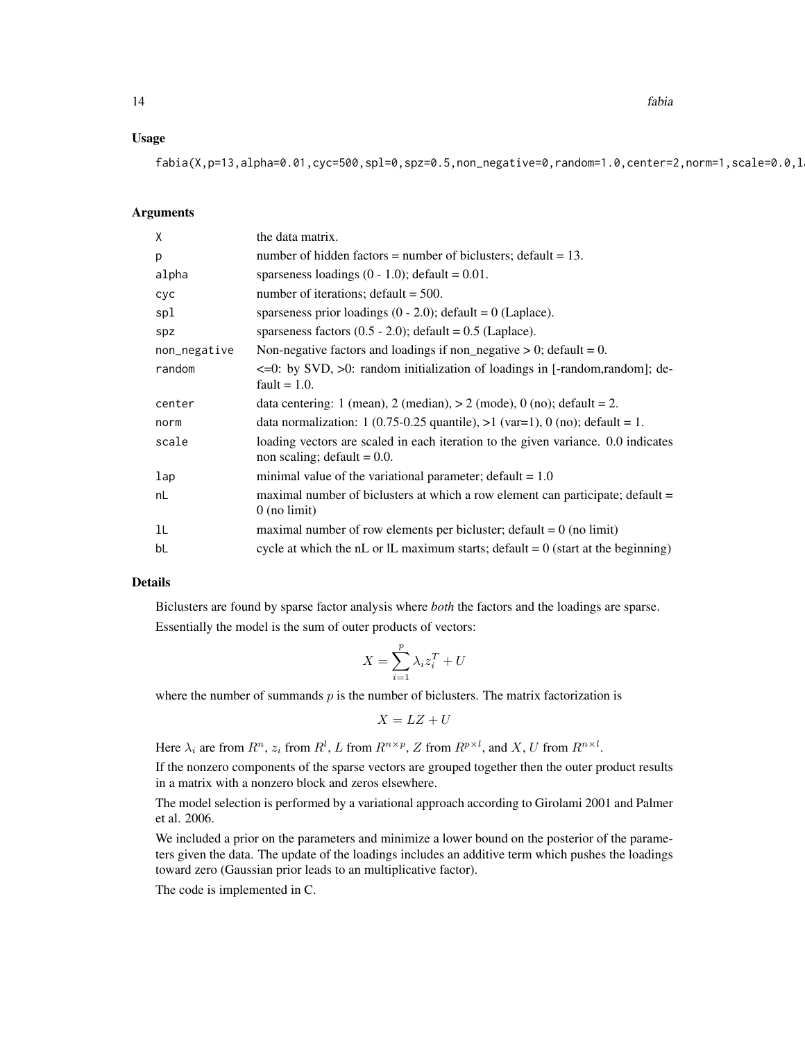#### Usage

 $fabia(X,p=13,alpha=0.01,cyc=500,spl=0,spz=0.5,non-negative=0,random=1.0,center=2,norm=1,scale=0.0,$ 

#### Arguments

| X            | the data matrix.                                                                                                    |
|--------------|---------------------------------------------------------------------------------------------------------------------|
| p            | number of hidden factors = number of biclusters; default = $13$ .                                                   |
| alpha        | sparseness loadings $(0 - 1.0)$ ; default = 0.01.                                                                   |
| cyc          | number of iterations; $default = 500$ .                                                                             |
| spl          | sparseness prior loadings $(0 - 2.0)$ ; default = 0 (Laplace).                                                      |
| spz          | sparseness factors $(0.5 - 2.0)$ ; default = 0.5 (Laplace).                                                         |
| non_negative | Non-negative factors and loadings if non_negative $> 0$ ; default = 0.                                              |
| random       | <= 0: by SVD, > 0: random initialization of loadings in [-random,random]; de-<br>fault = $1.0$ .                    |
| center       | data centering: 1 (mean), 2 (median), $> 2$ (mode), 0 (no); default = 2.                                            |
| norm         | data normalization: 1 (0.75-0.25 quantile), $>1$ (var=1), 0 (no); default = 1.                                      |
| scale        | loading vectors are scaled in each iteration to the given variance. 0.0 indicates<br>non scaling; default $= 0.0$ . |
| lap          | minimal value of the variational parameter; $default = 1.0$                                                         |
| nL           | maximal number of biclusters at which a row element can participate; default =<br>$0$ (no limit)                    |
| 1L           | maximal number of row elements per bicluster; $\text{default} = 0$ (no limit)                                       |
| bL           | cycle at which the nL or IL maximum starts; default $= 0$ (start at the beginning)                                  |

#### Details

Biclusters are found by sparse factor analysis where *both* the factors and the loadings are sparse. Essentially the model is the sum of outer products of vectors:

$$
X = \sum_{i=1}^{p} \lambda_i z_i^T + U
$$

where the number of summands  $p$  is the number of biclusters. The matrix factorization is

$$
X = LZ + U
$$

Here  $\lambda_i$  are from  $R^n$ ,  $z_i$  from  $R^l$ , L from  $R^{n \times p}$ , Z from  $R^{p \times l}$ , and X, U from  $R^{n \times l}$ .

If the nonzero components of the sparse vectors are grouped together then the outer product results in a matrix with a nonzero block and zeros elsewhere.

The model selection is performed by a variational approach according to Girolami 2001 and Palmer et al. 2006.

We included a prior on the parameters and minimize a lower bound on the posterior of the parameters given the data. The update of the loadings includes an additive term which pushes the loadings toward zero (Gaussian prior leads to an multiplicative factor).

The code is implemented in C.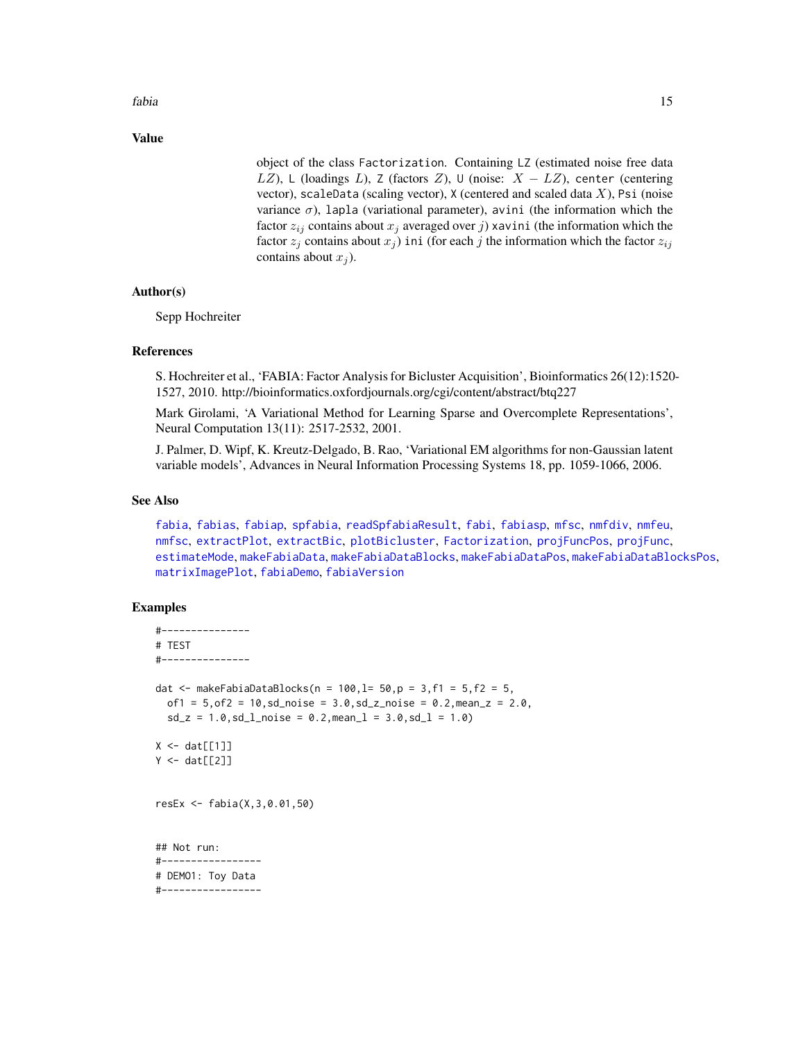Value

object of the class Factorization. Containing LZ (estimated noise free data LZ), L (loadings L), Z (factors Z), U (noise:  $X - LZ$ ), center (centering vector), scaleData (scaling vector),  $X$  (centered and scaled data  $X$ ), Psi (noise variance  $\sigma$ ), lapla (variational parameter), avini (the information which the factor  $z_{ij}$  contains about  $x_j$  averaged over j) xavini (the information which the factor  $z_j$  contains about  $x_j$ ) ini (for each j the information which the factor  $z_{ij}$ contains about  $x_i$ ).

### Author(s)

Sepp Hochreiter

#### References

S. Hochreiter et al., 'FABIA: Factor Analysis for Bicluster Acquisition', Bioinformatics 26(12):1520- 1527, 2010. http://bioinformatics.oxfordjournals.org/cgi/content/abstract/btq227

Mark Girolami, 'A Variational Method for Learning Sparse and Overcomplete Representations', Neural Computation 13(11): 2517-2532, 2001.

J. Palmer, D. Wipf, K. Kreutz-Delgado, B. Rao, 'Variational EM algorithms for non-Gaussian latent variable models', Advances in Neural Information Processing Systems 18, pp. 1059-1066, 2006.

#### See Also

[fabia](#page-12-1), [fabias](#page-26-1), [fabiap](#page-20-1), [spfabia](#page-79-1), [readSpfabiaResult](#page-77-1), [fabi](#page-9-1), [fabiasp](#page-33-1), [mfsc](#page-58-1), [nmfdiv](#page-64-1), [nmfeu](#page-66-1), [nmfsc](#page-68-1), [extractPlot](#page-6-1), [extractBic](#page-3-1), [plotBicluster](#page-70-1), [Factorization](#page-38-1), [projFuncPos](#page-74-1), [projFunc](#page-73-1), [estimateMode](#page-1-1), [makeFabiaData](#page-46-1), [makeFabiaDataBlocks](#page-49-1), [makeFabiaDataPos](#page-54-1), [makeFabiaDataBlocksPos](#page-51-1), [matrixImagePlot](#page-56-1), [fabiaDemo](#page-19-1), [fabiaVersion](#page-37-1)

```
#---------------
# TEST
#---------------
dat \le makeFabiaDataBlocks(n = 100, l= 50, p = 3, f1 = 5, f2 = 5,
  of1 = 5, of2 = 10, sd\_noise = 3.0, sd\_z\_noise = 0.2, mean\_z = 2.0,sd_z = 1.0, sd_lnoise = 0.2, meanl = 3.0, sd_l = 1.0X \leftarrow \text{dat}[[1]]Y \leftarrow \text{dat}[[2]]resEx <- fabia(X,3,0.01,50)
## Not run:
#-----------------
# DEMO1: Toy Data
#-----------------
```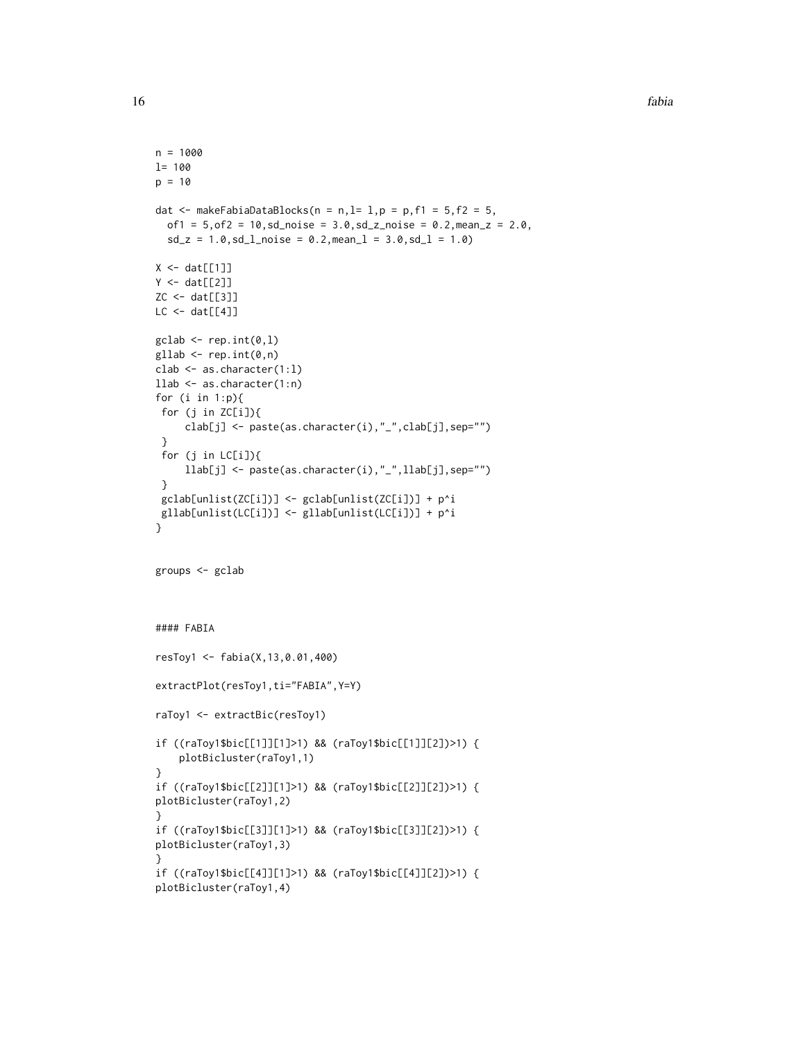```
n = 1000
l= 100
p = 10dat \leq makeFabiaDataBlocks(n = n, l= 1, p = p, f1 = 5, f2 = 5,
  of1 = 5, of2 = 10, sd\_noise = 3.0, sd\_z\_noise = 0.2, mean_z = 2.0,sd_z = 1.0, sd_l_{\text{noise}} = 0.2, mean_l = 3.0, sd_l = 1.0X \leftarrow \text{dat}[[1]]Y \leftarrow \text{dat}[[2]]ZC <- dat[[3]]
LC < - \text{dat}[[4]]\text{gclab} \leftarrow \text{rep.int}(0,1)gllab <- rep.int(0, n)clab <- as.character(1:l)
llab <- as.character(1:n)
for (i in 1:p){
 for (j in ZC[i]){
     clab[j] <- paste(as.character(i),"_",clab[j],sep="")
 }
 for (j in LC[i]){
     llab[j] <- paste(as.character(i),"_",llab[j],sep="")
 }
 gclab[unlist(ZC[i])] <- gclab[unlist(ZC[i])] + p^i
 gllab[unlist(LC[i])] <- gllab[unlist(LC[i])] + p^i
}
groups <- gclab
#### FABIA
resToy1 <- fabia(X,13,0.01,400)
extractPlot(resToy1,ti="FABIA",Y=Y)
raToy1 <- extractBic(resToy1)
if ((raToy1$bic[[1]][1]>1) && (raToy1$bic[[1]][2])>1) {
    plotBicluster(raToy1,1)
}
if ((raToy1$bic[[2]][1]>1) && (raToy1$bic[[2]][2])>1) {
plotBicluster(raToy1,2)
}
if ((raToy1$bic[[3]][1]>1) && (raToy1$bic[[3]][2])>1) {
plotBicluster(raToy1,3)
}
if ((raToy1$bic[[4]][1]>1) && (raToy1$bic[[4]][2])>1) {
plotBicluster(raToy1,4)
```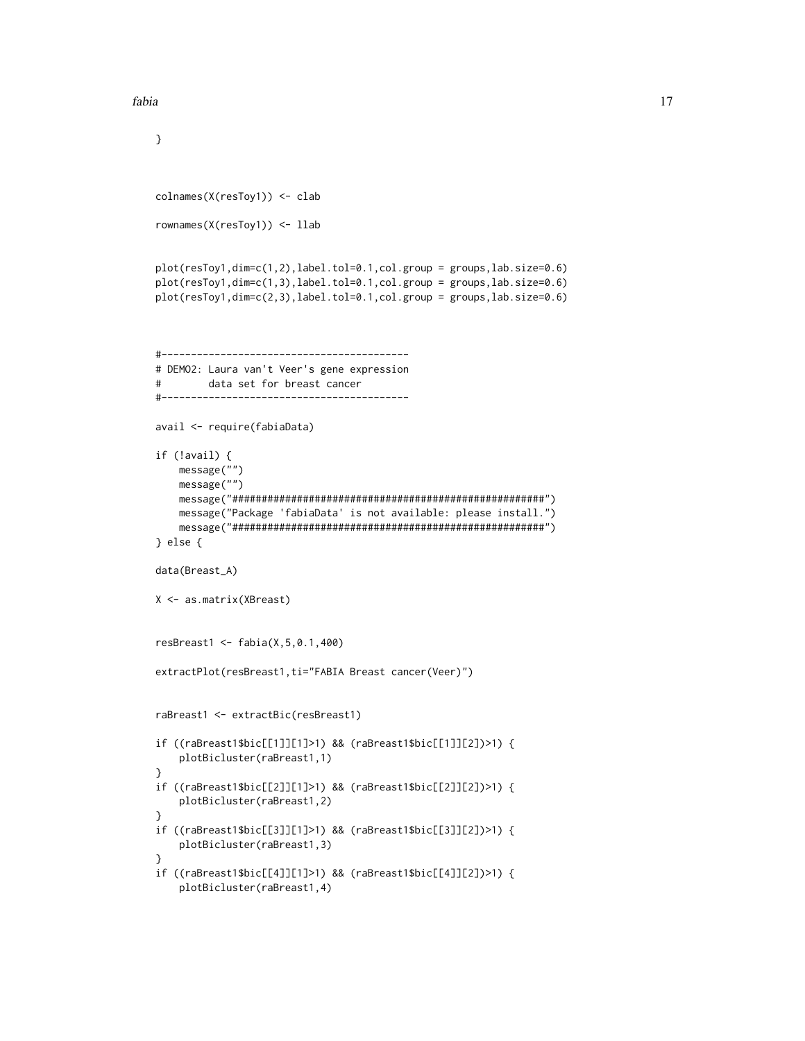}

```
fabia 17
```

```
colnames(X(resToy1)) <- clab
rownames(X(resToy1)) <- llab
plot(resToy1,dim=c(1,2),label.tol=0.1,col.group = groups,lab.size=0.6)
plot(resToy1,dim=c(1,3),label.tol=0.1,col.group = groups,lab.size=0.6)
plot(resToy1,dim=c(2,3),label.tol=0.1,col.group = groups,lab.size=0.6)
#------------------------------------------
# DEMO2: Laura van't Veer's gene expression
# data set for breast cancer
#------------------------------------------
avail <- require(fabiaData)
if (!avail) {
   message("")
   message("")
   message("#####################################################")
   message("Package 'fabiaData' is not available: please install.")
    message("#####################################################")
} else {
data(Breast_A)
X <- as.matrix(XBreast)
resBreast1 <- fabia(X,5,0.1,400)
extractPlot(resBreast1,ti="FABIA Breast cancer(Veer)")
raBreast1 <- extractBic(resBreast1)
if ((raBreast1$bic[[1]][1]>1) && (raBreast1$bic[[1]][2])>1) {
    plotBicluster(raBreast1,1)
}
if ((raBreast1$bic[[2]][1]>1) && (raBreast1$bic[[2]][2])>1) {
   plotBicluster(raBreast1,2)
}
if ((raBreast1$bic[[3]][1]>1) && (raBreast1$bic[[3]][2])>1) {
   plotBicluster(raBreast1,3)
}
if ((raBreast1$bic[[4]][1]>1) && (raBreast1$bic[[4]][2])>1) {
    plotBicluster(raBreast1,4)
```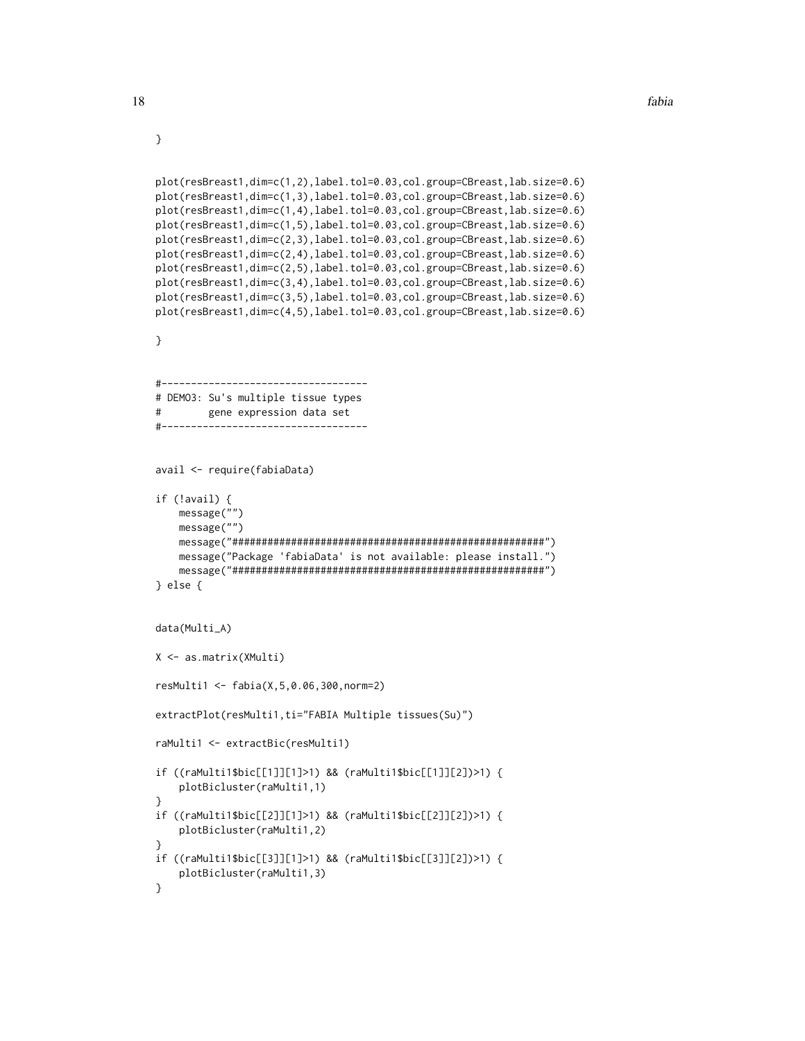```
}
```

```
plot(resBreast1,dim=c(1,2),label.tol=0.03,col.group=CBreast,lab.size=0.6)
plot(resBreast1,dim=c(1,3),label.tol=0.03,col.group=CBreast,lab.size=0.6)
plot(resBreast1,dim=c(1,4),label.tol=0.03,col.group=CBreast,lab.size=0.6)
plot(resBreast1,dim=c(1,5),label.tol=0.03,col.group=CBreast,lab.size=0.6)
plot(resBreast1,dim=c(2,3),label.tol=0.03,col.group=CBreast,lab.size=0.6)
plot(resBreast1,dim=c(2,4),label.tol=0.03,col.group=CBreast,lab.size=0.6)
plot(resBreast1,dim=c(2,5),label.tol=0.03,col.group=CBreast,lab.size=0.6)
plot(resBreast1,dim=c(3,4),label.tol=0.03,col.group=CBreast,lab.size=0.6)
plot(resBreast1,dim=c(3,5),label.tol=0.03,col.group=CBreast,lab.size=0.6)
plot(resBreast1,dim=c(4,5),label.tol=0.03,col.group=CBreast,lab.size=0.6)
}
#-----------------------------------
# DEMO3: Su's multiple tissue types
# gene expression data set
#-----------------------------------
avail <- require(fabiaData)
if (!avail) {
   message("")
   message("")
   message("#####################################################")
   message("Package 'fabiaData' is not available: please install.")
   message("#####################################################")
} else {
data(Multi_A)
X <- as.matrix(XMulti)
resMulti1 <- fabia(X,5,0.06,300,norm=2)
extractPlot(resMulti1,ti="FABIA Multiple tissues(Su)")
raMulti1 <- extractBic(resMulti1)
if ((raMulti1$bic[[1]][1]>1) && (raMulti1$bic[[1]][2])>1) {
    plotBicluster(raMulti1,1)
}
if ((raMulti1$bic[[2]][1]>1) && (raMulti1$bic[[2]][2])>1) {
   plotBicluster(raMulti1,2)
}
if ((raMulti1$bic[[3]][1]>1) && (raMulti1$bic[[3]][2])>1) {
   plotBicluster(raMulti1,3)
}
```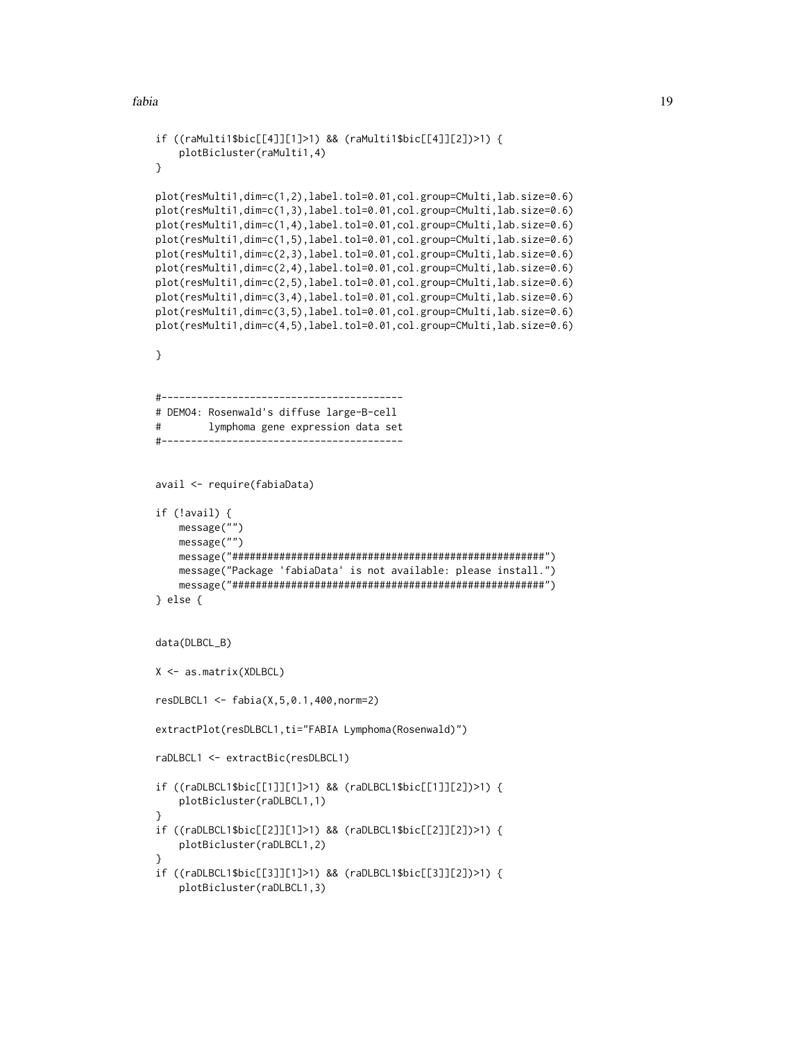```
if ((raMulti1$bic[[4]][1]>1) && (raMulti1$bic[[4]][2])>1) {
    plotBicluster(raMulti1,4)
}
plot(resMulti1,dim=c(1,2),label.tol=0.01,col.group=CMulti,lab.size=0.6)
plot(resMulti1,dim=c(1,3),label.tol=0.01,col.group=CMulti,lab.size=0.6)
plot(resMulti1,dim=c(1,4),label.tol=0.01,col.group=CMulti,lab.size=0.6)
plot(resMulti1,dim=c(1,5),label.tol=0.01,col.group=CMulti,lab.size=0.6)
plot(resMulti1,dim=c(2,3),label.tol=0.01,col.group=CMulti,lab.size=0.6)
plot(resMulti1,dim=c(2,4),label.tol=0.01,col.group=CMulti,lab.size=0.6)
plot(resMulti1,dim=c(2,5),label.tol=0.01,col.group=CMulti,lab.size=0.6)
plot(resMulti1,dim=c(3,4),label.tol=0.01,col.group=CMulti,lab.size=0.6)
plot(resMulti1,dim=c(3,5),label.tol=0.01,col.group=CMulti,lab.size=0.6)
plot(resMulti1,dim=c(4,5),label.tol=0.01,col.group=CMulti,lab.size=0.6)
}
#-----------------------------------------
# DEMO4: Rosenwald's diffuse large-B-cell
# lymphoma gene expression data set
#-----------------------------------------
avail <- require(fabiaData)
if (!avail) {
   message("")
    message("")
    message("#####################################################")
    message("Package 'fabiaData' is not available: please install.")
    message("#####################################################")
} else {
data(DLBCL_B)
X <- as.matrix(XDLBCL)
resDLBCL1 <- fabia(X,5,0.1,400,norm=2)
extractPlot(resDLBCL1,ti="FABIA Lymphoma(Rosenwald)")
raDLBCL1 <- extractBic(resDLBCL1)
if ((raDLBCL1$bic[[1]][1]>1) && (raDLBCL1$bic[[1]][2])>1) {
    plotBicluster(raDLBCL1,1)
}
if ((raDLBCL1$bic[[2]][1]>1) && (raDLBCL1$bic[[2]][2])>1) {
    plotBicluster(raDLBCL1,2)
}
if ((raDLBCL1$bic[[3]][1]>1) && (raDLBCL1$bic[[3]][2])>1) {
    plotBicluster(raDLBCL1,3)
```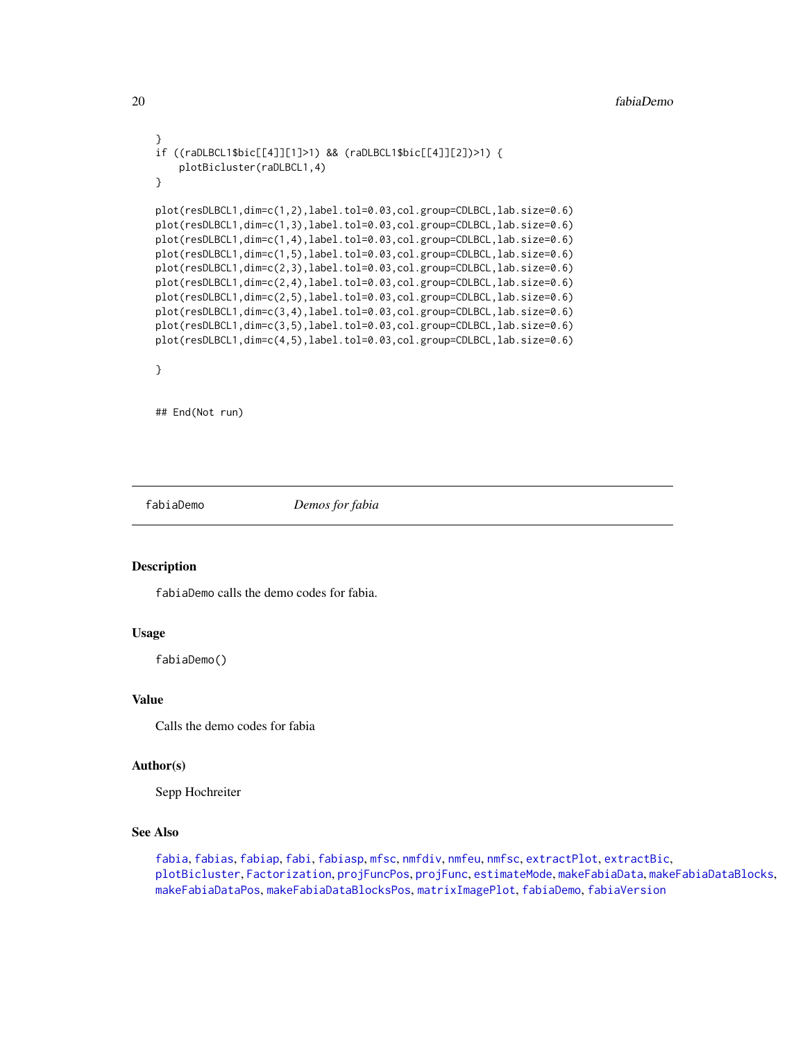```
}
if ((raDLBCL1$bic[[4]][1]>1) && (raDLBCL1$bic[[4]][2])>1) {
   plotBicluster(raDLBCL1,4)
}
plot(resDLBCL1,dim=c(1,2),label.tol=0.03,col.group=CDLBCL,lab.size=0.6)
plot(resDLBCL1,dim=c(1,3),label.tol=0.03,col.group=CDLBCL,lab.size=0.6)
plot(resDLBCL1,dim=c(1,4),label.tol=0.03,col.group=CDLBCL,lab.size=0.6)
plot(resDLBCL1,dim=c(1,5),label.tol=0.03,col.group=CDLBCL,lab.size=0.6)
plot(resDLBCL1,dim=c(2,3),label.tol=0.03,col.group=CDLBCL,lab.size=0.6)
plot(resDLBCL1,dim=c(2,4),label.tol=0.03,col.group=CDLBCL,lab.size=0.6)
plot(resDLBCL1,dim=c(2,5),label.tol=0.03,col.group=CDLBCL,lab.size=0.6)
plot(resDLBCL1,dim=c(3,4),label.tol=0.03,col.group=CDLBCL,lab.size=0.6)
plot(resDLBCL1,dim=c(3,5),label.tol=0.03,col.group=CDLBCL,lab.size=0.6)
plot(resDLBCL1,dim=c(4,5),label.tol=0.03,col.group=CDLBCL,lab.size=0.6)
}
```
## End(Not run)

<span id="page-19-1"></span>

fabiaDemo *Demos for fabia*

#### Description

fabiaDemo calls the demo codes for fabia.

#### Usage

fabiaDemo()

#### Value

Calls the demo codes for fabia

#### Author(s)

Sepp Hochreiter

#### See Also

[fabia](#page-12-1), [fabias](#page-26-1), [fabiap](#page-20-1), [fabi](#page-9-1), [fabiasp](#page-33-1), [mfsc](#page-58-1), [nmfdiv](#page-64-1), [nmfeu](#page-66-1), [nmfsc](#page-68-1), [extractPlot](#page-6-1), [extractBic](#page-3-1), [plotBicluster](#page-70-1), [Factorization](#page-38-1), [projFuncPos](#page-74-1), [projFunc](#page-73-1), [estimateMode](#page-1-1), [makeFabiaData](#page-46-1), [makeFabiaDataBlocks](#page-49-1), [makeFabiaDataPos](#page-54-1), [makeFabiaDataBlocksPos](#page-51-1), [matrixImagePlot](#page-56-1), [fabiaDemo](#page-19-1), [fabiaVersion](#page-37-1)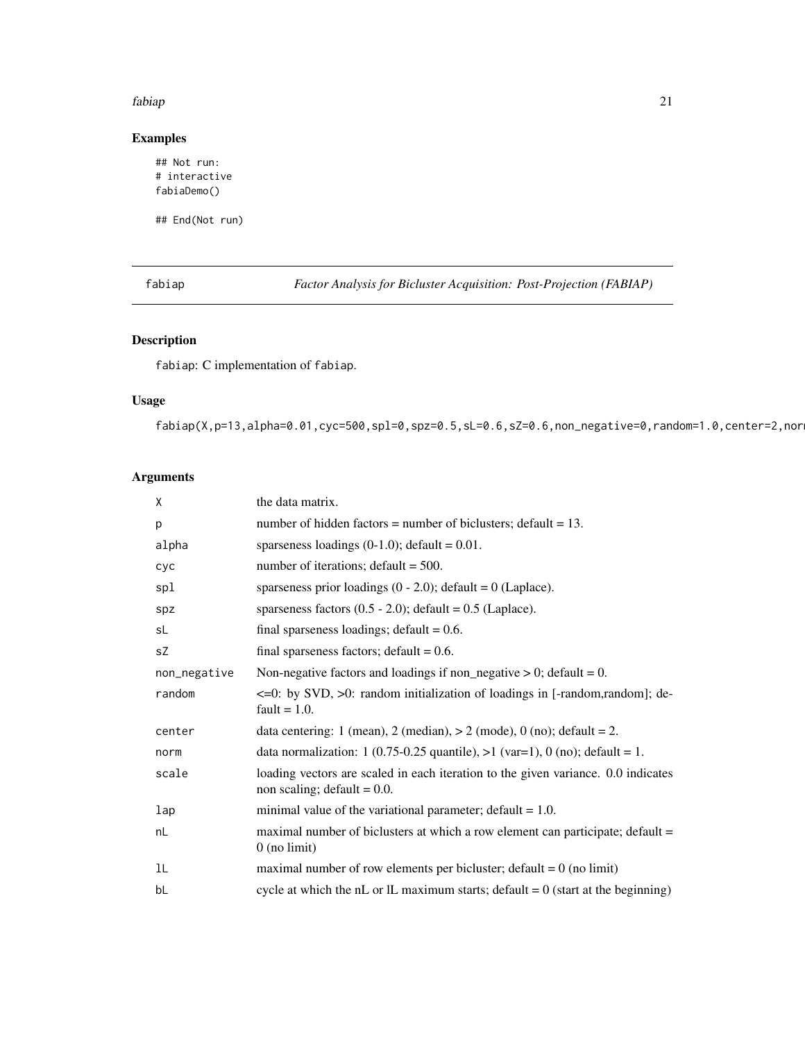# <span id="page-20-0"></span>Examples

## Not run: # interactive fabiaDemo()

## End(Not run)

<span id="page-20-1"></span>fabiap *Factor Analysis for Bicluster Acquisition: Post-Projection (FABIAP)*

# Description

fabiap: C implementation of fabiap.

# Usage

fabiap(X,p=13,alpha=0.01,cyc=500,spl=0,spz=0.5,sL=0.6,sZ=0.6,non\_negative=0,random=1.0,center=2,nor

# Arguments

| X            | the data matrix.                                                                                                    |
|--------------|---------------------------------------------------------------------------------------------------------------------|
| p            | number of hidden factors = number of biclusters; $\delta$ default = 13.                                             |
| alpha        | sparseness loadings $(0-1.0)$ ; default = 0.01.                                                                     |
| cyc          | number of iterations; $\text{default} = 500$ .                                                                      |
| spl          | sparseness prior loadings $(0 - 2.0)$ ; default = 0 (Laplace).                                                      |
| spz          | sparseness factors $(0.5 - 2.0)$ ; default = 0.5 (Laplace).                                                         |
| sL           | final sparseness loadings; $default = 0.6$ .                                                                        |
| sZ           | final sparseness factors; $default = 0.6$ .                                                                         |
| non_negative | Non-negative factors and loadings if non_negative $> 0$ ; default = 0.                                              |
| random       | $\leq$ =0: by SVD, $>$ 0: random initialization of loadings in [-random, random]; de-<br>fault $= 1.0$ .            |
| center       | data centering: 1 (mean), 2 (median), $> 2$ (mode), 0 (no); default = 2.                                            |
| norm         | data normalization: 1 (0.75-0.25 quantile), $>1$ (var=1), 0 (no); default = 1.                                      |
| scale        | loading vectors are scaled in each iteration to the given variance. 0.0 indicates<br>non scaling; $default = 0.0$ . |
| lap          | minimal value of the variational parameter; $default = 1.0$ .                                                       |
| nL           | maximal number of biclusters at which a row element can participate; default =<br>$0$ (no limit)                    |
| 1L           | maximal number of row elements per bicluster; $\text{default} = 0$ (no limit)                                       |
| bL           | cycle at which the nL or IL maximum starts; default = $0$ (start at the beginning)                                  |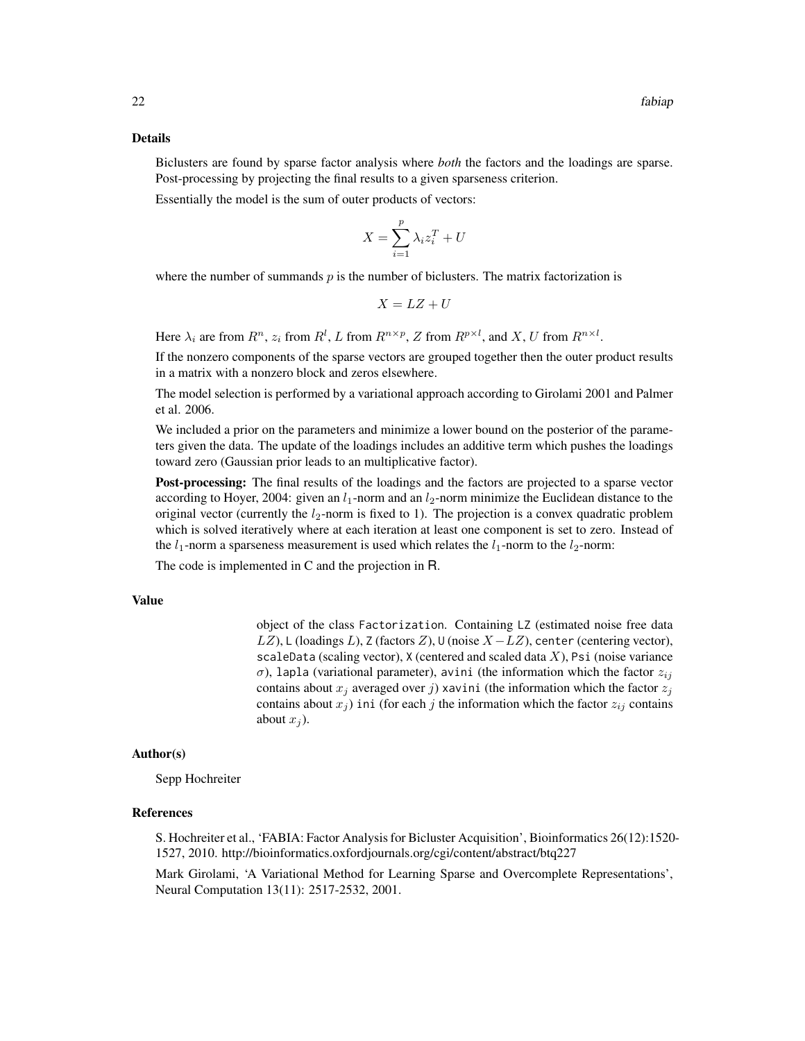#### Details

Biclusters are found by sparse factor analysis where *both* the factors and the loadings are sparse. Post-processing by projecting the final results to a given sparseness criterion.

Essentially the model is the sum of outer products of vectors:

$$
X = \sum_{i=1}^{p} \lambda_i z_i^T + U
$$

where the number of summands  $p$  is the number of biclusters. The matrix factorization is

$$
X = LZ + U
$$

Here  $\lambda_i$  are from  $R^n$ ,  $z_i$  from  $R^l$ , L from  $R^{n \times p}$ , Z from  $R^{p \times l}$ , and X, U from  $R^{n \times l}$ .

If the nonzero components of the sparse vectors are grouped together then the outer product results in a matrix with a nonzero block and zeros elsewhere.

The model selection is performed by a variational approach according to Girolami 2001 and Palmer et al. 2006.

We included a prior on the parameters and minimize a lower bound on the posterior of the parameters given the data. The update of the loadings includes an additive term which pushes the loadings toward zero (Gaussian prior leads to an multiplicative factor).

Post-processing: The final results of the loadings and the factors are projected to a sparse vector according to Hoyer, 2004: given an  $l_1$ -norm and an  $l_2$ -norm minimize the Euclidean distance to the original vector (currently the  $l_2$ -norm is fixed to 1). The projection is a convex quadratic problem which is solved iteratively where at each iteration at least one component is set to zero. Instead of the  $l_1$ -norm a sparseness measurement is used which relates the  $l_1$ -norm to the  $l_2$ -norm:

The code is implemented in C and the projection in R.

#### Value

object of the class Factorization. Containing LZ (estimated noise free data LZ), L (loadings L), Z (factors Z),  $\cup$  (noise  $X - LZ$ ), center (centering vector), scaleData (scaling vector),  $X$  (centered and scaled data  $X$ ), Psi (noise variance σ), lapla (variational parameter), avini (the information which the factor  $z_{ij}$ contains about  $x_i$  averaged over j) xavini (the information which the factor  $z_i$ contains about  $x_j$ ) ini (for each j the information which the factor  $z_{ij}$  contains about  $x_i$ ).

#### Author(s)

Sepp Hochreiter

### **References**

S. Hochreiter et al., 'FABIA: Factor Analysis for Bicluster Acquisition', Bioinformatics 26(12):1520- 1527, 2010. http://bioinformatics.oxfordjournals.org/cgi/content/abstract/btq227

Mark Girolami, 'A Variational Method for Learning Sparse and Overcomplete Representations', Neural Computation 13(11): 2517-2532, 2001.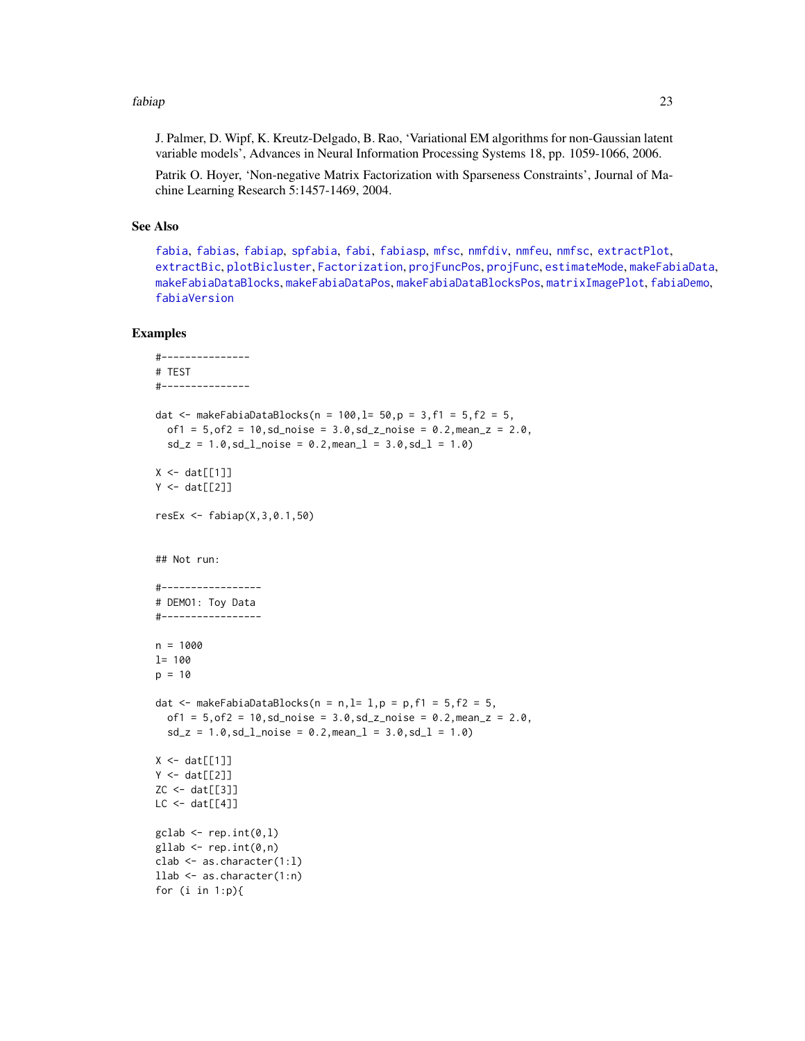J. Palmer, D. Wipf, K. Kreutz-Delgado, B. Rao, 'Variational EM algorithms for non-Gaussian latent variable models', Advances in Neural Information Processing Systems 18, pp. 1059-1066, 2006.

Patrik O. Hoyer, 'Non-negative Matrix Factorization with Sparseness Constraints', Journal of Machine Learning Research 5:1457-1469, 2004.

#### See Also

[fabia](#page-12-1), [fabias](#page-26-1), [fabiap](#page-20-1), [spfabia](#page-79-1), [fabi](#page-9-1), [fabiasp](#page-33-1), [mfsc](#page-58-1), [nmfdiv](#page-64-1), [nmfeu](#page-66-1), [nmfsc](#page-68-1), [extractPlot](#page-6-1), [extractBic](#page-3-1), [plotBicluster](#page-70-1), [Factorization](#page-38-1), [projFuncPos](#page-74-1), [projFunc](#page-73-1), [estimateMode](#page-1-1), [makeFabiaData](#page-46-1), [makeFabiaDataBlocks](#page-49-1), [makeFabiaDataPos](#page-54-1), [makeFabiaDataBlocksPos](#page-51-1), [matrixImagePlot](#page-56-1), [fabiaDemo](#page-19-1), [fabiaVersion](#page-37-1)

```
#---------------
# TEST
#---------------
dat <- makeFabiaDataBlocks(n = 100, l = 50, p = 3, f1 = 5, f2 = 5,
  of1 = 5, of2 = 10, sd\_noise = 3.0, sd\_z\_noise = 0.2, mean_z = 2.0,sd_z = 1.0, sd_lnoise = 0.2, meanl = 3.0, sd_l = 1.0X \leftarrow \text{dat}[[1]]Y \leftarrow \text{dat}[[2]]resEx <- fabiap(X,3,0.1,50)
## Not run:
#-----------------
# DEMO1: Toy Data
#-----------------
n = 1000
l= 100
p = 10dat \leq makeFabiaDataBlocks(n = n, l= 1, p = p, f1 = 5, f2 = 5,
  of1 = 5, of2 = 10, sd\_noise = 3.0, sd\_z\_noise = 0.2, mean_z = 2.0,sd_z = 1.0, sd_lnoise = 0.2, meanl = 3.0, sd_l = 1.0X \leftarrow \text{dat}[[1]]Y \leftarrow \text{dat}[[2]]ZC \leftarrow dat[[3]]LC < - \text{dat}[[4]]\text{gclab} \leftarrow \text{rep.int}(\emptyset, 1)gllab <- rep.int(0, n)clab <- as.character(1:l)
llab <- as.character(1:n)
for (i in 1:p){
```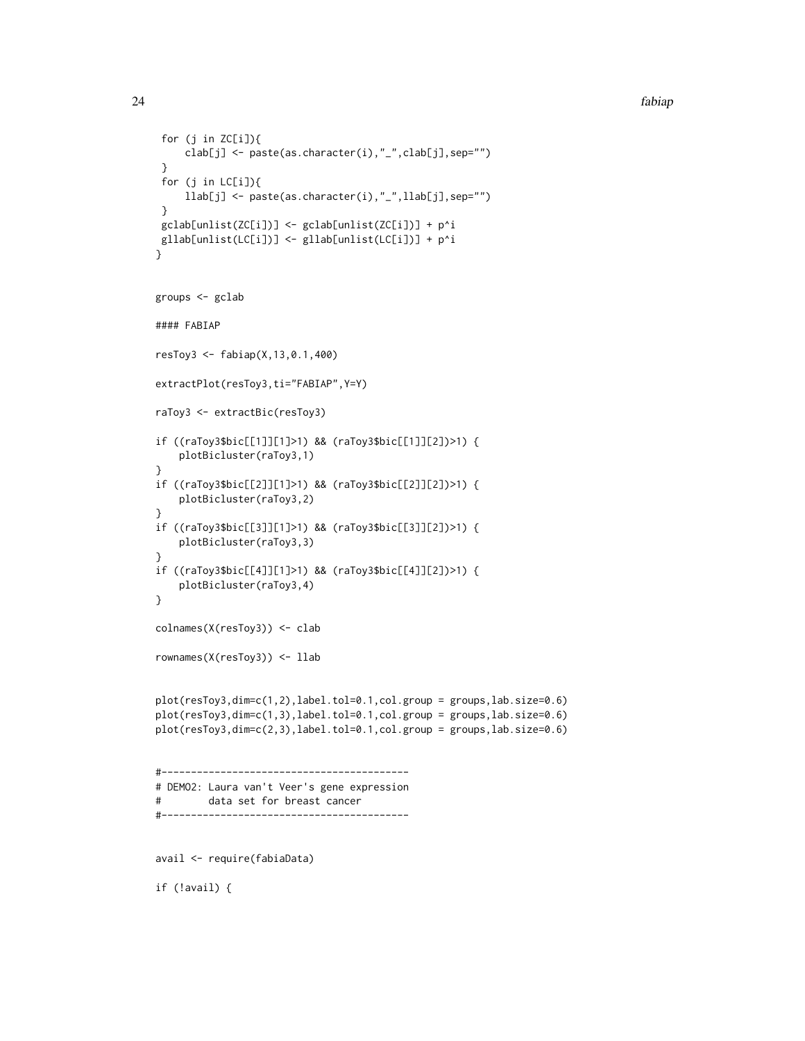```
for (j in ZC[i]]{
     clab[j] <- paste(as.character(i),"_",clab[j],sep="")
 }
 for (j in LC[i]){
     llab[j] <- paste(as.character(i),"_",llab[j],sep="")
 }
 gclab[unlist(ZC[i])] <- gclab[unlist(ZC[i])] + p^i
gllab[unlist(LC[i])] <- gllab[unlist(LC[i])] + p^i
}
groups <- gclab
#### FABIAP
resToy3 <- fabiap(X,13,0.1,400)
extractPlot(resToy3,ti="FABIAP",Y=Y)
raToy3 <- extractBic(resToy3)
if ((raToy3$bic[[1]][1]>1) && (raToy3$bic[[1]][2])>1) {
   plotBicluster(raToy3,1)
}
if ((raToy3$bic[[2]][1]>1) && (raToy3$bic[[2]][2])>1) {
    plotBicluster(raToy3,2)
}
if ((raToy3$bic[[3]][1]>1) && (raToy3$bic[[3]][2])>1) {
   plotBicluster(raToy3,3)
}
if ((raToy3$bic[[4]][1]>1) && (raToy3$bic[[4]][2])>1) {
    plotBicluster(raToy3,4)
}
colnames(X(resToy3)) <- clab
rownames(X(resToy3)) <- llab
plot(resToy3,dim=c(1,2),label.tol=0.1,col.group = groups,lab.size=0.6)
plot(resToy3,dim=c(1,3),label.tol=0.1,col.group = groups,lab.size=0.6)
plot(resToy3,dim=c(2,3),label.tol=0.1,col.group = groups,lab.size=0.6)
#------------------------------------------
# DEMO2: Laura van't Veer's gene expression
# data set for breast cancer
#------------------------------------------
avail <- require(fabiaData)
if (!avail) {
```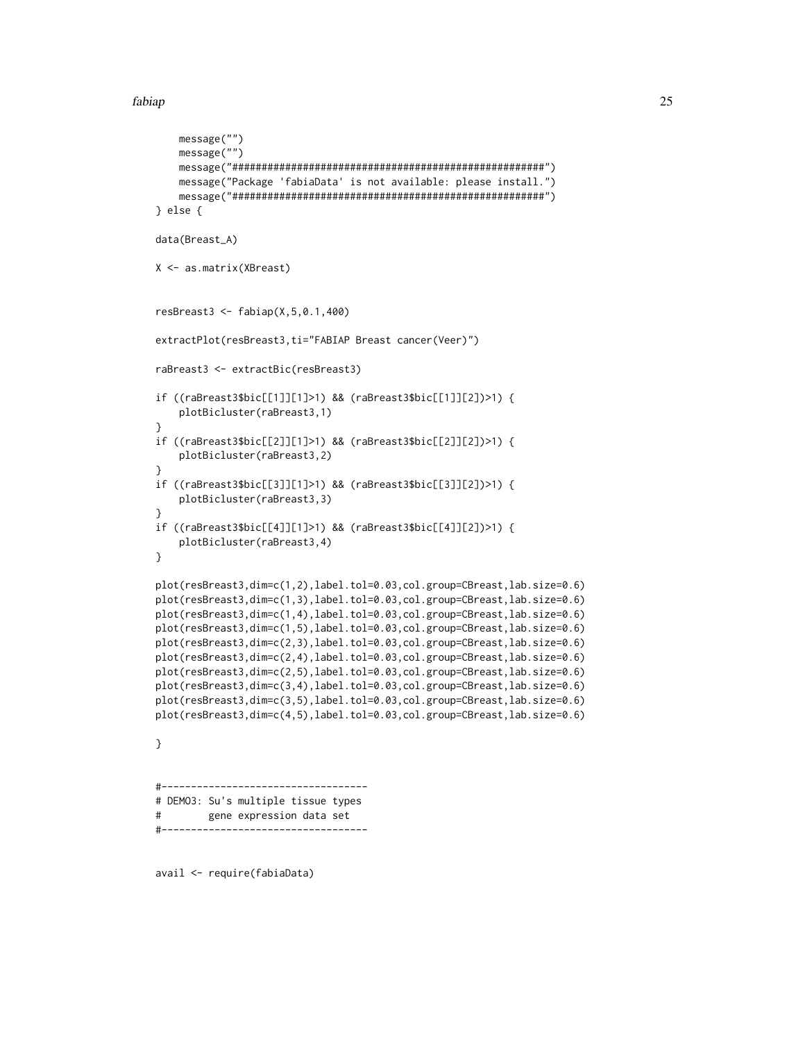```
message("")
   message("")
   message("#####################################################")
   message("Package 'fabiaData' is not available: please install.")
    message("#####################################################")
} else {
data(Breast_A)
X <- as.matrix(XBreast)
resBreast3 <- fabiap(X,5,0.1,400)
extractPlot(resBreast3,ti="FABIAP Breast cancer(Veer)")
raBreast3 <- extractBic(resBreast3)
if ((raBreast3$bic[[1]][1]>1) && (raBreast3$bic[[1]][2])>1) {
    plotBicluster(raBreast3,1)
}
if ((raBreast3$bic[[2]][1]>1) && (raBreast3$bic[[2]][2])>1) {
   plotBicluster(raBreast3,2)
}
if ((raBreast3$bic[[3]][1]>1) && (raBreast3$bic[[3]][2])>1) {
    plotBicluster(raBreast3,3)
}
if ((raBreast3$bic[[4]][1]>1) && (raBreast3$bic[[4]][2])>1) {
   plotBicluster(raBreast3,4)
}
plot(resBreast3,dim=c(1,2),label.tol=0.03,col.group=CBreast,lab.size=0.6)
plot(resBreast3,dim=c(1,3),label.tol=0.03,col.group=CBreast,lab.size=0.6)
plot(resBreast3,dim=c(1,4),label.tol=0.03,col.group=CBreast,lab.size=0.6)
plot(resBreast3,dim=c(1,5),label.tol=0.03,col.group=CBreast,lab.size=0.6)
plot(resBreast3,dim=c(2,3),label.tol=0.03,col.group=CBreast,lab.size=0.6)
plot(resBreast3,dim=c(2,4),label.tol=0.03,col.group=CBreast,lab.size=0.6)
plot(resBreast3,dim=c(2,5),label.tol=0.03,col.group=CBreast,lab.size=0.6)
plot(resBreast3,dim=c(3,4),label.tol=0.03,col.group=CBreast,lab.size=0.6)
plot(resBreast3,dim=c(3,5),label.tol=0.03,col.group=CBreast,lab.size=0.6)
plot(resBreast3,dim=c(4,5),label.tol=0.03,col.group=CBreast,lab.size=0.6)
}
#-----------------------------------
# DEMO3: Su's multiple tissue types
# gene expression data set
#-----------------------------------
```
avail <- require(fabiaData)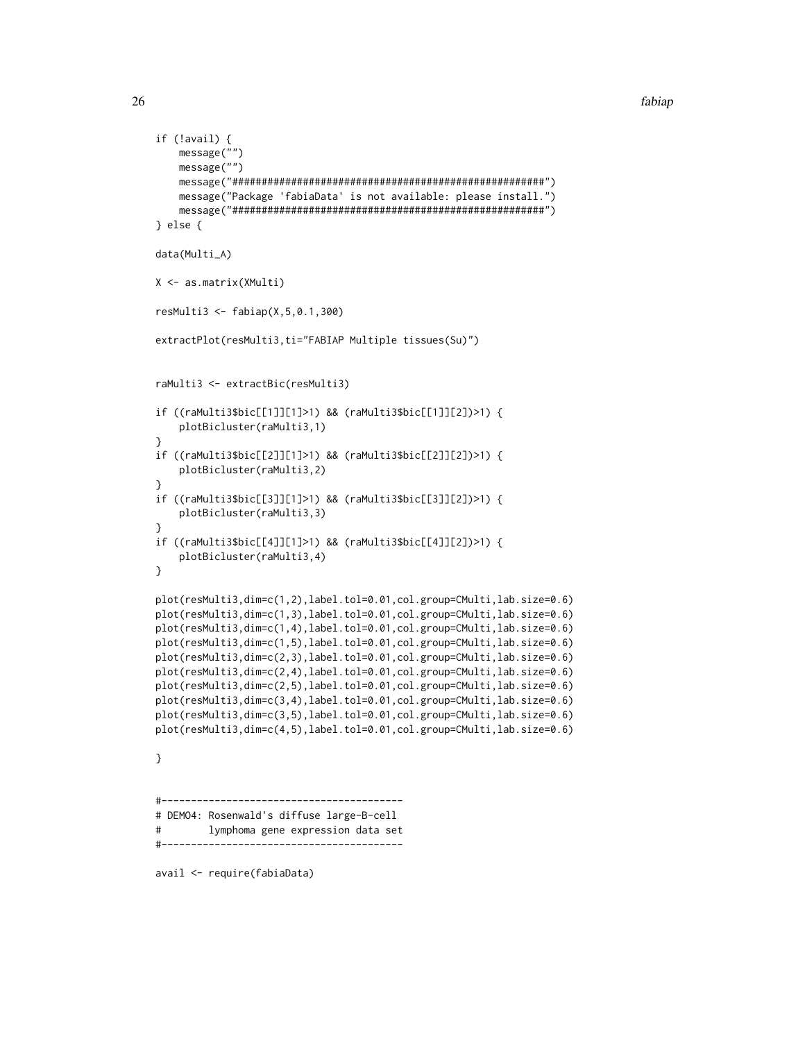```
if (!avail) {
   message("")
   message("")
   message("#####################################################")
   message("Package 'fabiaData' is not available: please install.")
   message("#####################################################")
} else {
data(Multi_A)
X <- as.matrix(XMulti)
resMulti3 <- fabiap(X,5,0.1,300)
extractPlot(resMulti3,ti="FABIAP Multiple tissues(Su)")
raMulti3 <- extractBic(resMulti3)
if ((raMulti3$bic[[1]][1]>1) && (raMulti3$bic[[1]][2])>1) {
    plotBicluster(raMulti3,1)
}
if ((raMulti3$bic[[2]][1]>1) && (raMulti3$bic[[2]][2])>1) {
   plotBicluster(raMulti3,2)
}
if ((raMulti3$bic[[3]][1]>1) && (raMulti3$bic[[3]][2])>1) {
    plotBicluster(raMulti3,3)
}
if ((raMulti3$bic[[4]][1]>1) && (raMulti3$bic[[4]][2])>1) {
   plotBicluster(raMulti3,4)
}
plot(resMulti3,dim=c(1,2),label.tol=0.01,col.group=CMulti,lab.size=0.6)
plot(resMulti3,dim=c(1,3),label.tol=0.01,col.group=CMulti,lab.size=0.6)
plot(resMulti3,dim=c(1,4),label.tol=0.01,col.group=CMulti,lab.size=0.6)
plot(resMulti3,dim=c(1,5),label.tol=0.01,col.group=CMulti,lab.size=0.6)
plot(resMulti3,dim=c(2,3),label.tol=0.01,col.group=CMulti,lab.size=0.6)
plot(resMulti3,dim=c(2,4),label.tol=0.01,col.group=CMulti,lab.size=0.6)
plot(resMulti3,dim=c(2,5),label.tol=0.01,col.group=CMulti,lab.size=0.6)
plot(resMulti3,dim=c(3,4),label.tol=0.01,col.group=CMulti,lab.size=0.6)
plot(resMulti3,dim=c(3,5),label.tol=0.01,col.group=CMulti,lab.size=0.6)
plot(resMulti3,dim=c(4,5),label.tol=0.01,col.group=CMulti,lab.size=0.6)
}
#-----------------------------------------
# DEMO4: Rosenwald's diffuse large-B-cell
# lymphoma gene expression data set
\#-----------
```
avail <- require(fabiaData)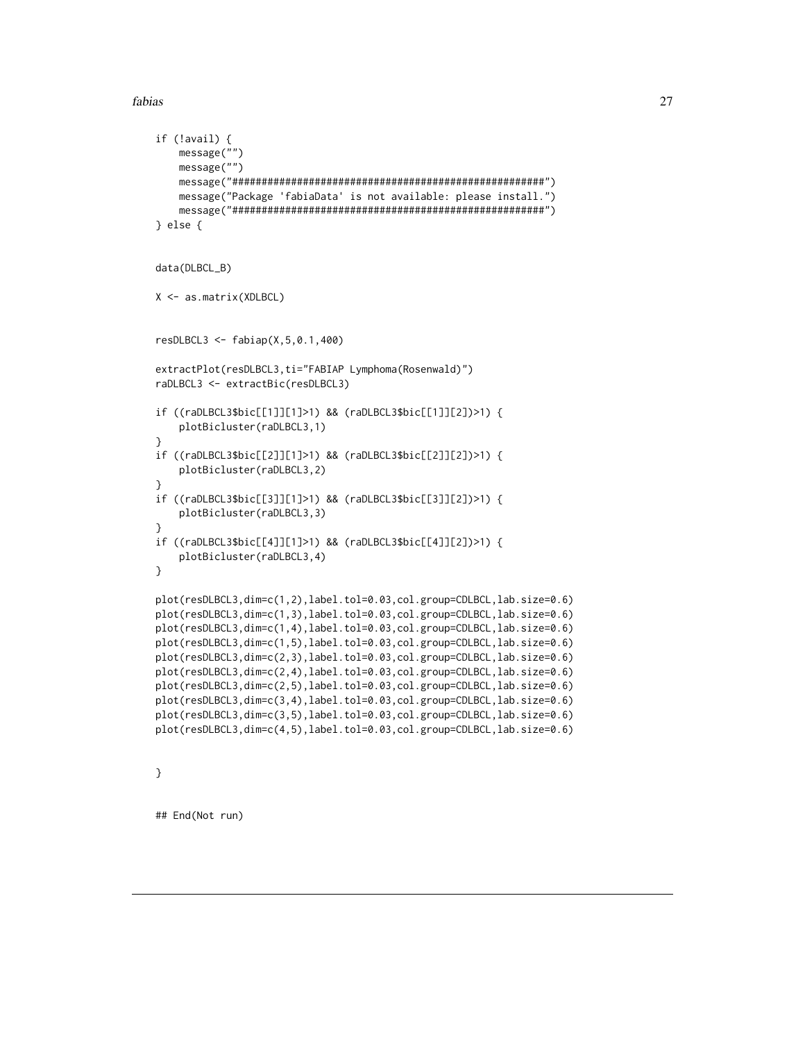```
if (!avail) {
   message("")
   message("")
   message("#####################################################")
   message("Package 'fabiaData' is not available: please install.")
   message("#####################################################")
} else {
data(DLBCL_B)
X <- as.matrix(XDLBCL)
resDLBCL3 <- fabiap(X,5,0.1,400)
extractPlot(resDLBCL3,ti="FABIAP Lymphoma(Rosenwald)")
raDLBCL3 <- extractBic(resDLBCL3)
if ((raDLBCL3$bic[[1]][1]>1) && (raDLBCL3$bic[[1]][2])>1) {
    plotBicluster(raDLBCL3,1)
}
if ((raDLBCL3$bic[[2]][1]>1) && (raDLBCL3$bic[[2]][2])>1) {
   plotBicluster(raDLBCL3,2)
}
if ((raDLBCL3$bic[[3]][1]>1) && (raDLBCL3$bic[[3]][2])>1) {
    plotBicluster(raDLBCL3,3)
}
if ((raDLBCL3$bic[[4]][1]>1) && (raDLBCL3$bic[[4]][2])>1) {
   plotBicluster(raDLBCL3,4)
}
plot(resDLBCL3,dim=c(1,2),label.tol=0.03,col.group=CDLBCL,lab.size=0.6)
plot(resDLBCL3,dim=c(1,3),label.tol=0.03,col.group=CDLBCL,lab.size=0.6)
plot(resDLBCL3,dim=c(1,4),label.tol=0.03,col.group=CDLBCL,lab.size=0.6)
plot(resDLBCL3,dim=c(1,5),label.tol=0.03,col.group=CDLBCL,lab.size=0.6)
plot(resDLBCL3,dim=c(2,3),label.tol=0.03,col.group=CDLBCL,lab.size=0.6)
plot(resDLBCL3,dim=c(2,4),label.tol=0.03,col.group=CDLBCL,lab.size=0.6)
plot(resDLBCL3,dim=c(2,5),label.tol=0.03,col.group=CDLBCL,lab.size=0.6)
plot(resDLBCL3,dim=c(3,4),label.tol=0.03,col.group=CDLBCL,lab.size=0.6)
plot(resDLBCL3,dim=c(3,5),label.tol=0.03,col.group=CDLBCL,lab.size=0.6)
plot(resDLBCL3,dim=c(4,5),label.tol=0.03,col.group=CDLBCL,lab.size=0.6)
```
}

<span id="page-26-1"></span>## End(Not run)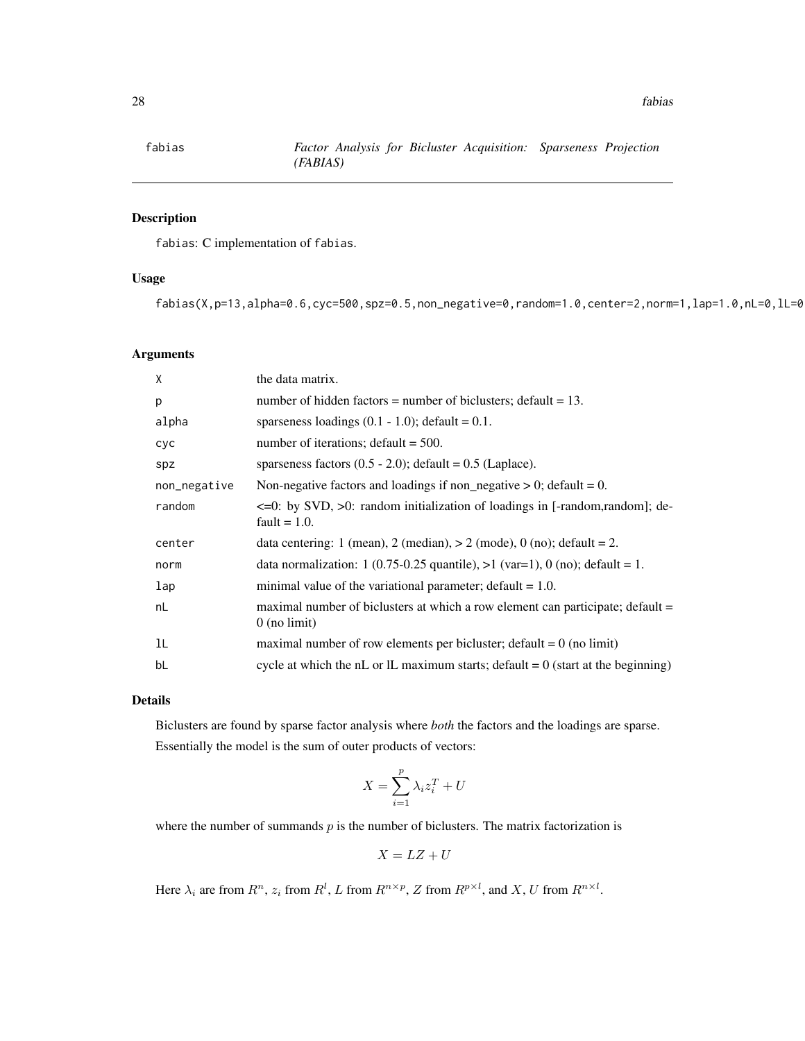# Description

fabias: C implementation of fabias.

#### Usage

fabias(X,p=13,alpha=0.6,cyc=500,spz=0.5,non\_negative=0,random=1.0,center=2,norm=1,lap=1.0,nL=0,lL=0

# Arguments

| X            | the data matrix.                                                                                         |
|--------------|----------------------------------------------------------------------------------------------------------|
| p            | number of hidden factors = number of biclusters; $\delta$ default = 13.                                  |
| alpha        | sparseness loadings $(0.1 - 1.0)$ ; default = 0.1.                                                       |
| <b>CYC</b>   | number of iterations; $default = 500$ .                                                                  |
| spz          | sparseness factors $(0.5 - 2.0)$ ; default = 0.5 (Laplace).                                              |
| non_negative | Non-negative factors and loadings if non_negative $> 0$ ; default = 0.                                   |
| random       | $\leq$ =0: by SVD, $>$ 0: random initialization of loadings in [-random, random]; de-<br>fault $= 1.0$ . |
| center       | data centering: 1 (mean), 2 (median), $> 2$ (mode), 0 (no); default = 2.                                 |
| norm         | data normalization: 1 (0.75-0.25 quantile), $>1$ (var=1), 0 (no); default = 1.                           |
| lap          | minimal value of the variational parameter; default $= 1.0$ .                                            |
| nL           | maximal number of biclusters at which a row element can participate; default =<br>$0$ (no limit)         |
| 1L           | maximal number of row elements per bicluster; default = $0$ (no limit)                                   |
| bL           | cycle at which the nL or lL maximum starts; default = $0$ (start at the beginning)                       |

# Details

Biclusters are found by sparse factor analysis where *both* the factors and the loadings are sparse. Essentially the model is the sum of outer products of vectors:

$$
X = \sum_{i=1}^{p} \lambda_i z_i^T + U
$$

where the number of summands  $p$  is the number of biclusters. The matrix factorization is

$$
X = LZ + U
$$

Here  $\lambda_i$  are from  $R^n$ ,  $z_i$  from  $R^l$ , L from  $R^{n \times p}$ , Z from  $R^{p \times l}$ , and X, U from  $R^{n \times l}$ .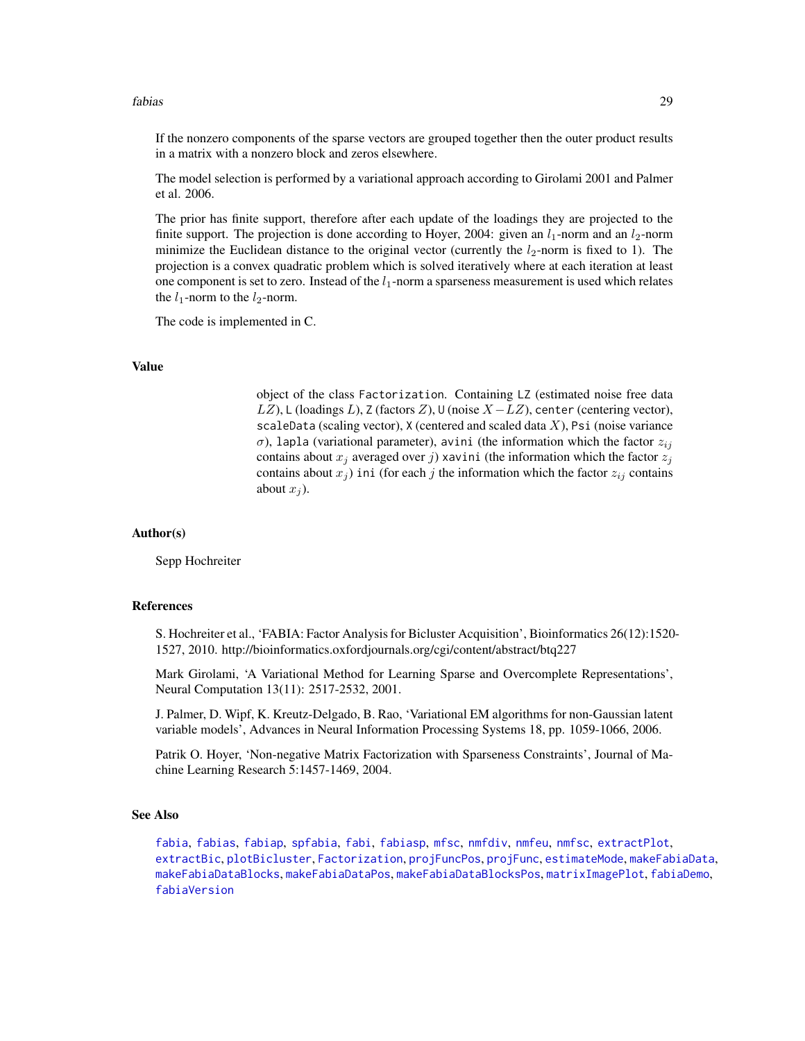If the nonzero components of the sparse vectors are grouped together then the outer product results in a matrix with a nonzero block and zeros elsewhere.

The model selection is performed by a variational approach according to Girolami 2001 and Palmer et al. 2006.

The prior has finite support, therefore after each update of the loadings they are projected to the finite support. The projection is done according to Hoyer, 2004: given an  $l_1$ -norm and an  $l_2$ -norm minimize the Euclidean distance to the original vector (currently the  $l_2$ -norm is fixed to 1). The projection is a convex quadratic problem which is solved iteratively where at each iteration at least one component is set to zero. Instead of the  $l_1$ -norm a sparseness measurement is used which relates the  $l_1$ -norm to the  $l_2$ -norm.

The code is implemented in C.

#### Value

object of the class Factorization. Containing LZ (estimated noise free data LZ), L (loadings L), Z (factors Z), U (noise  $X - LZ$ ), center (centering vector), scaleData (scaling vector),  $X$  (centered and scaled data  $X$ ), Psi (noise variance σ), lapla (variational parameter), avini (the information which the factor  $z_{ij}$ contains about  $x_i$  averaged over j) xavini (the information which the factor  $z_i$ contains about  $x_j$ ) ini (for each j the information which the factor  $z_{ij}$  contains about  $x_i$ ).

#### Author(s)

Sepp Hochreiter

#### References

S. Hochreiter et al., 'FABIA: Factor Analysis for Bicluster Acquisition', Bioinformatics 26(12):1520- 1527, 2010. http://bioinformatics.oxfordjournals.org/cgi/content/abstract/btq227

Mark Girolami, 'A Variational Method for Learning Sparse and Overcomplete Representations', Neural Computation 13(11): 2517-2532, 2001.

J. Palmer, D. Wipf, K. Kreutz-Delgado, B. Rao, 'Variational EM algorithms for non-Gaussian latent variable models', Advances in Neural Information Processing Systems 18, pp. 1059-1066, 2006.

Patrik O. Hoyer, 'Non-negative Matrix Factorization with Sparseness Constraints', Journal of Machine Learning Research 5:1457-1469, 2004.

#### See Also

[fabia](#page-12-1), [fabias](#page-26-1), [fabiap](#page-20-1), [spfabia](#page-79-1), [fabi](#page-9-1), [fabiasp](#page-33-1), [mfsc](#page-58-1), [nmfdiv](#page-64-1), [nmfeu](#page-66-1), [nmfsc](#page-68-1), [extractPlot](#page-6-1), [extractBic](#page-3-1), [plotBicluster](#page-70-1), [Factorization](#page-38-1), [projFuncPos](#page-74-1), [projFunc](#page-73-1), [estimateMode](#page-1-1), [makeFabiaData](#page-46-1), [makeFabiaDataBlocks](#page-49-1), [makeFabiaDataPos](#page-54-1), [makeFabiaDataBlocksPos](#page-51-1), [matrixImagePlot](#page-56-1), [fabiaDemo](#page-19-1), [fabiaVersion](#page-37-1)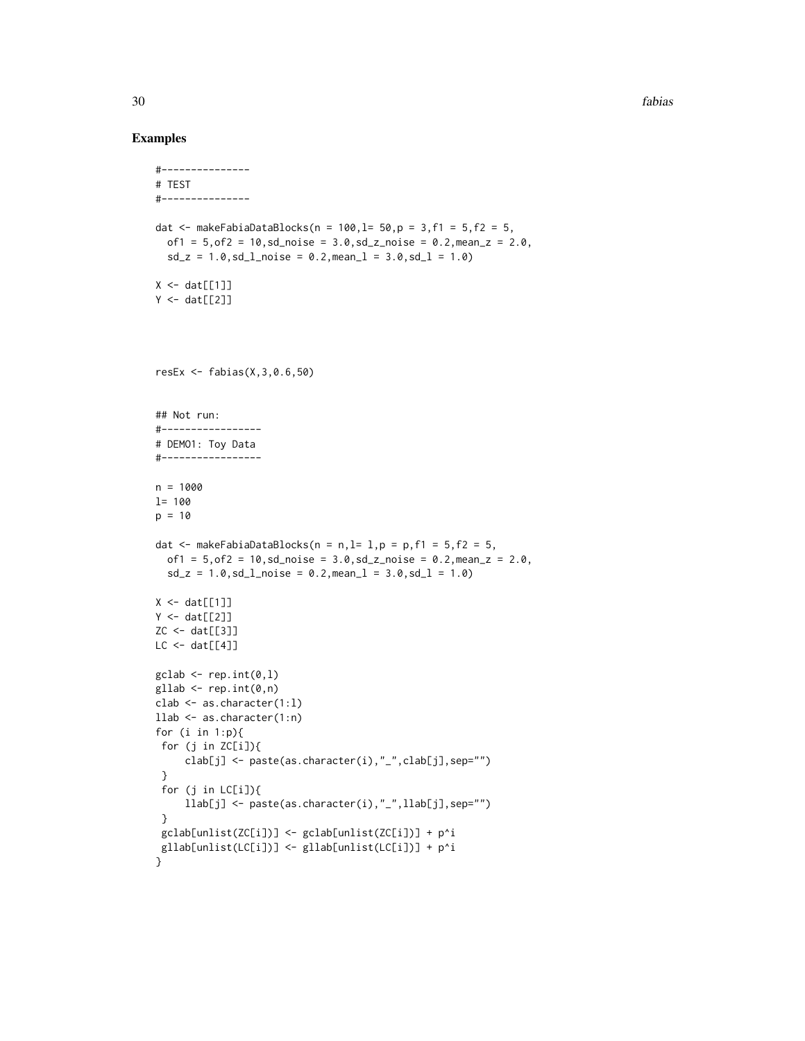```
#---------------
# TEST
#---------------
dat <- makeFabiaDataBlocks(n = 100, l = 50, p = 3, f1 = 5, f2 = 5,
  of1 = 5, of2 = 10, sd\_noise = 3.0, sd\_z\_noise = 0.2, mean_z = 2.0,sd_z = 1.0, sd_lnoise = 0.2, meanl = 3.0, sd_l = 1.0X \leftarrow \text{dat}[[1]]Y \leftarrow \text{dat}[[2]]resEx \leq fabias(X, 3, 0.6, 50)
## Not run:
#-----------------
# DEMO1: Toy Data
#-----------------
n = 1000l= 100
p = 10dat \leq makeFabiaDataBlocks(n = n, l= l, p = p, f1 = 5, f2 = 5,
  of1 = 5, of2 = 10, sd\_noise = 3.0, sd\_z\_noise = 0.2, mean\_z = 2.0,sd_z = 1.0, sd_l_{\text{noise}} = 0.2, mean_l = 3.0, sd_l = 1.0X \leftarrow \text{dat}[[1]]Y \leftarrow \text{dat}[[2]]ZC \leftarrow dat[[3]]LC < - \text{dat}[[4]]\text{gclab} \leftarrow \text{rep.int}(0,1)gllab <- rep.int(0, n)clab \leq as. character(1:1)
llab <- as.character(1:n)
for (i in 1:p){
 for (j in ZC[i]){
     clab[j] <- paste(as.character(i),"_",clab[j],sep="")
 }
 for (j in LC[i]){
     llab[j] <- paste(as.character(i),"_",llab[j],sep="")
 }
 gclab[unlist(ZC[i])] <- gclab[unlist(ZC[i])] + p^i
 gllab[unlist(LC[i])] <- gllab[unlist(LC[i])] + p^i
}
```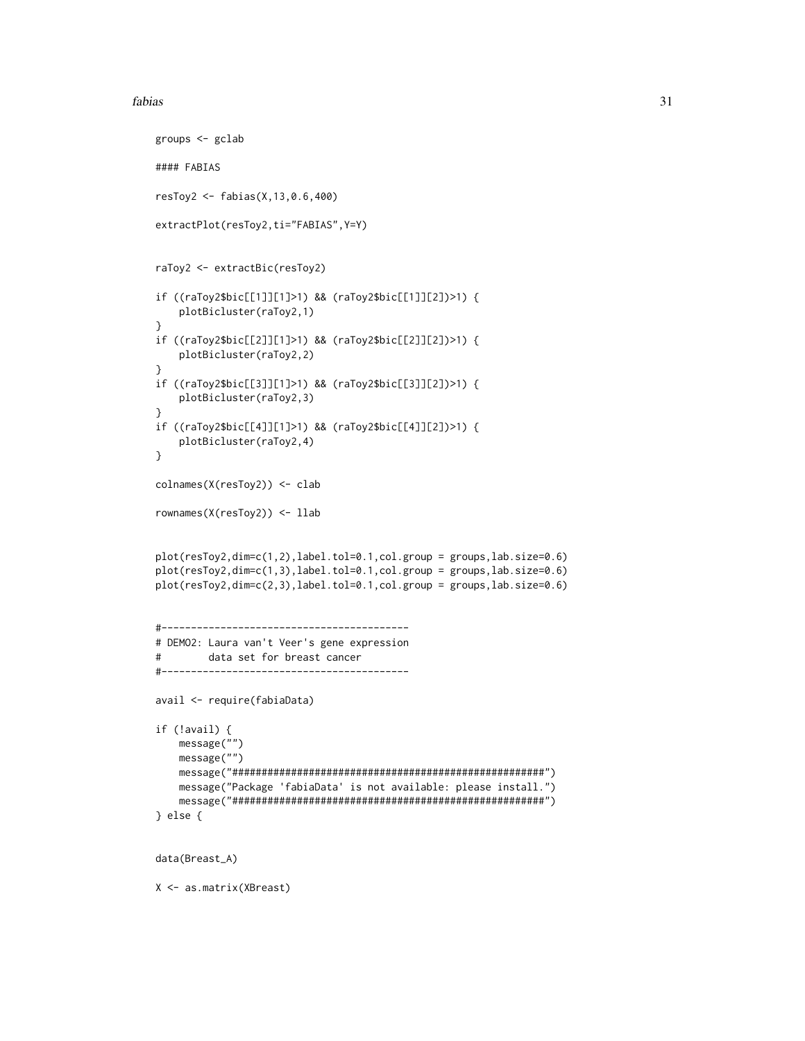```
groups <- gclab
#### FABIAS
resToy2 <- fabias(X,13,0.6,400)
extractPlot(resToy2,ti="FABIAS",Y=Y)
raToy2 <- extractBic(resToy2)
if ((raToy2$bic[[1]][1]>1) && (raToy2$bic[[1]][2])>1) {
    plotBicluster(raToy2,1)
}
if ((raToy2$bic[[2]][1]>1) && (raToy2$bic[[2]][2])>1) {
    plotBicluster(raToy2,2)
}
if ((raToy2$bic[[3]][1]>1) && (raToy2$bic[[3]][2])>1) {
    plotBicluster(raToy2,3)
}
if ((raToy2$bic[[4]][1]>1) && (raToy2$bic[[4]][2])>1) {
   plotBicluster(raToy2,4)
}
colnames(X(resToy2)) <- clab
rownames(X(resToy2)) <- llab
plot(resToy2,dim=c(1,2),label.tol=0.1,col.group = groups,lab.size=0.6)
plot(resToy2,dim=c(1,3),label.tol=0.1,col.group = groups,lab.size=0.6)
plot(resToy2,dim=c(2,3),label.tol=0.1,col.group = groups,lab.size=0.6)
#------------------------------------------
# DEMO2: Laura van't Veer's gene expression
# data set for breast cancer
#------------------------------------------
avail <- require(fabiaData)
if (!avail) {
   message("")
   message("")
   message("#####################################################")
   message("Package 'fabiaData' is not available: please install.")
   message("#####################################################")
} else {
data(Breast_A)
X <- as.matrix(XBreast)
```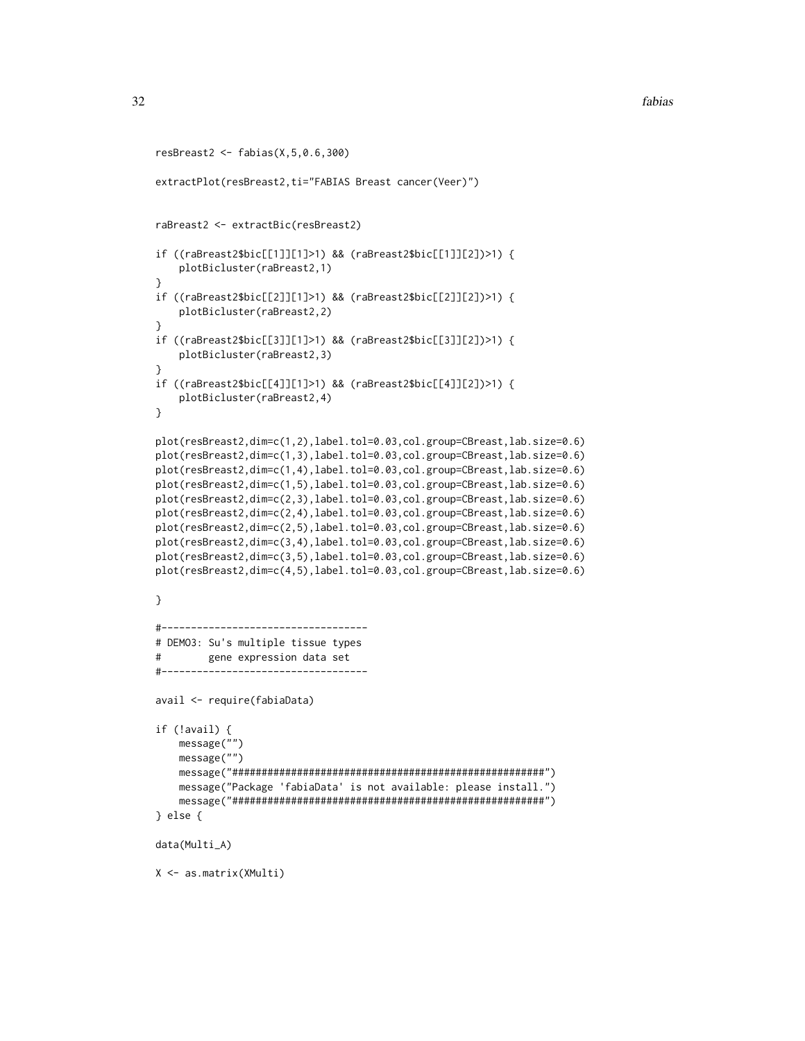```
resBreast2 <- fabias(X,5,0.6,300)
extractPlot(resBreast2,ti="FABIAS Breast cancer(Veer)")
raBreast2 <- extractBic(resBreast2)
if ((raBreast2$bic[[1]][1]>1) && (raBreast2$bic[[1]][2])>1) {
    plotBicluster(raBreast2,1)
}
if ((raBreast2$bic[[2]][1]>1) && (raBreast2$bic[[2]][2])>1) {
    plotBicluster(raBreast2,2)
}
if ((raBreast2$bic[[3]][1]>1) && (raBreast2$bic[[3]][2])>1) {
    plotBicluster(raBreast2,3)
}
if ((raBreast2$bic[[4]][1]>1) && (raBreast2$bic[[4]][2])>1) {
    plotBicluster(raBreast2,4)
}
plot(resBreast2,dim=c(1,2),label.tol=0.03,col.group=CBreast,lab.size=0.6)
plot(resBreast2,dim=c(1,3),label.tol=0.03,col.group=CBreast,lab.size=0.6)
plot(resBreast2,dim=c(1,4),label.tol=0.03,col.group=CBreast,lab.size=0.6)
plot(resBreast2,dim=c(1,5),label.tol=0.03,col.group=CBreast,lab.size=0.6)
plot(resBreast2,dim=c(2,3),label.tol=0.03,col.group=CBreast,lab.size=0.6)
plot(resBreast2,dim=c(2,4),label.tol=0.03,col.group=CBreast,lab.size=0.6)
plot(resBreast2,dim=c(2,5),label.tol=0.03,col.group=CBreast,lab.size=0.6)
plot(resBreast2,dim=c(3,4),label.tol=0.03,col.group=CBreast,lab.size=0.6)
plot(resBreast2,dim=c(3,5),label.tol=0.03,col.group=CBreast,lab.size=0.6)
plot(resBreast2,dim=c(4,5),label.tol=0.03,col.group=CBreast,lab.size=0.6)
}
#-----------------------------------
# DEMO3: Su's multiple tissue types
# gene expression data set
#-----------------------------------
avail <- require(fabiaData)
if (!avail) {
   message("")
    message("")
    message("#####################################################")
    message("Package 'fabiaData' is not available: please install.")
    message("#####################################################")
} else {
data(Multi_A)
X <- as.matrix(XMulti)
```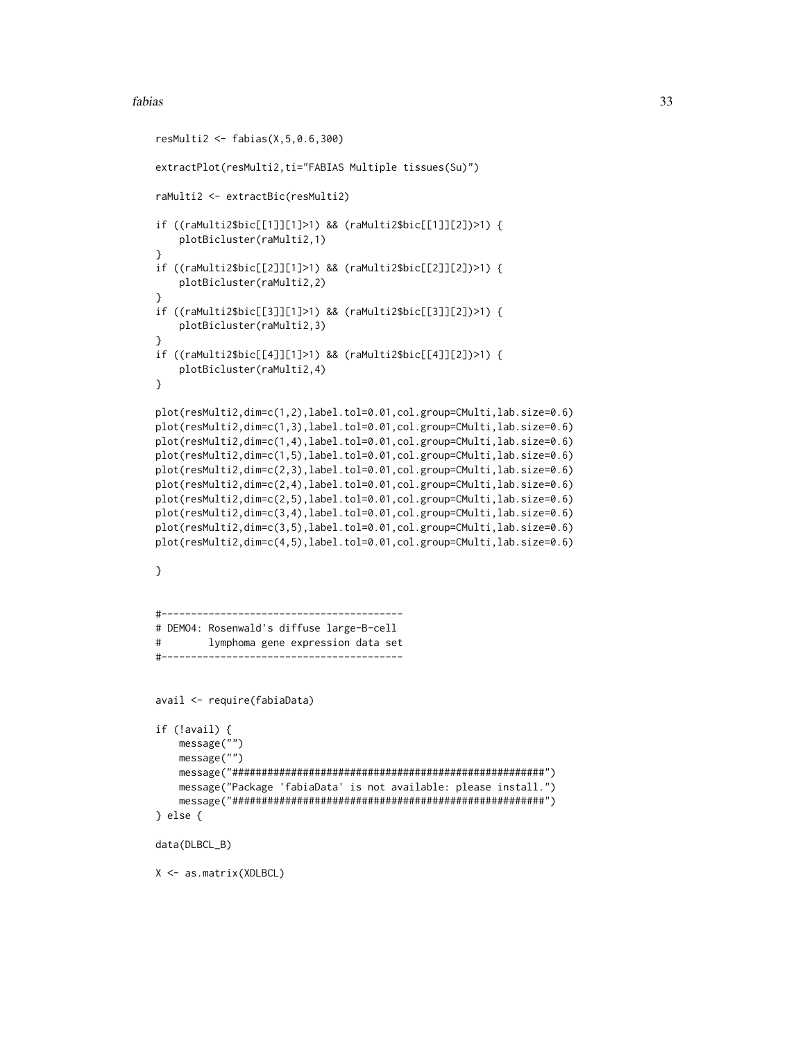```
resMulti2 <- fabias(X,5,0.6,300)
extractPlot(resMulti2,ti="FABIAS Multiple tissues(Su)")
raMulti2 <- extractBic(resMulti2)
if ((raMulti2$bic[[1]][1]>1) && (raMulti2$bic[[1]][2])>1) {
    plotBicluster(raMulti2,1)
}
if ((raMulti2$bic[[2]][1]>1) && (raMulti2$bic[[2]][2])>1) {
    plotBicluster(raMulti2,2)
}
if ((raMulti2$bic[[3]][1]>1) && (raMulti2$bic[[3]][2])>1) {
    plotBicluster(raMulti2,3)
}
if ((raMulti2$bic[[4]][1]>1) && (raMulti2$bic[[4]][2])>1) {
    plotBicluster(raMulti2,4)
}
plot(resMulti2,dim=c(1,2),label.tol=0.01,col.group=CMulti,lab.size=0.6)
plot(resMulti2,dim=c(1,3),label.tol=0.01,col.group=CMulti,lab.size=0.6)
plot(resMulti2,dim=c(1,4),label.tol=0.01,col.group=CMulti,lab.size=0.6)
plot(resMulti2,dim=c(1,5),label.tol=0.01,col.group=CMulti,lab.size=0.6)
plot(resMulti2,dim=c(2,3),label.tol=0.01,col.group=CMulti,lab.size=0.6)
plot(resMulti2,dim=c(2,4),label.tol=0.01,col.group=CMulti,lab.size=0.6)
plot(resMulti2,dim=c(2,5),label.tol=0.01,col.group=CMulti,lab.size=0.6)
plot(resMulti2,dim=c(3,4),label.tol=0.01,col.group=CMulti,lab.size=0.6)
plot(resMulti2,dim=c(3,5),label.tol=0.01,col.group=CMulti,lab.size=0.6)
plot(resMulti2,dim=c(4,5),label.tol=0.01,col.group=CMulti,lab.size=0.6)
}
#-----------------------------------------
# DEMO4: Rosenwald's diffuse large-B-cell
# lymphoma gene expression data set
#-----------------------------------------
avail <- require(fabiaData)
if (!avail) {
   message("")
    message("")
    message("#####################################################")
    message("Package 'fabiaData' is not available: please install.")
    message("#####################################################")
} else {
data(DLBCL_B)
X <- as.matrix(XDLBCL)
```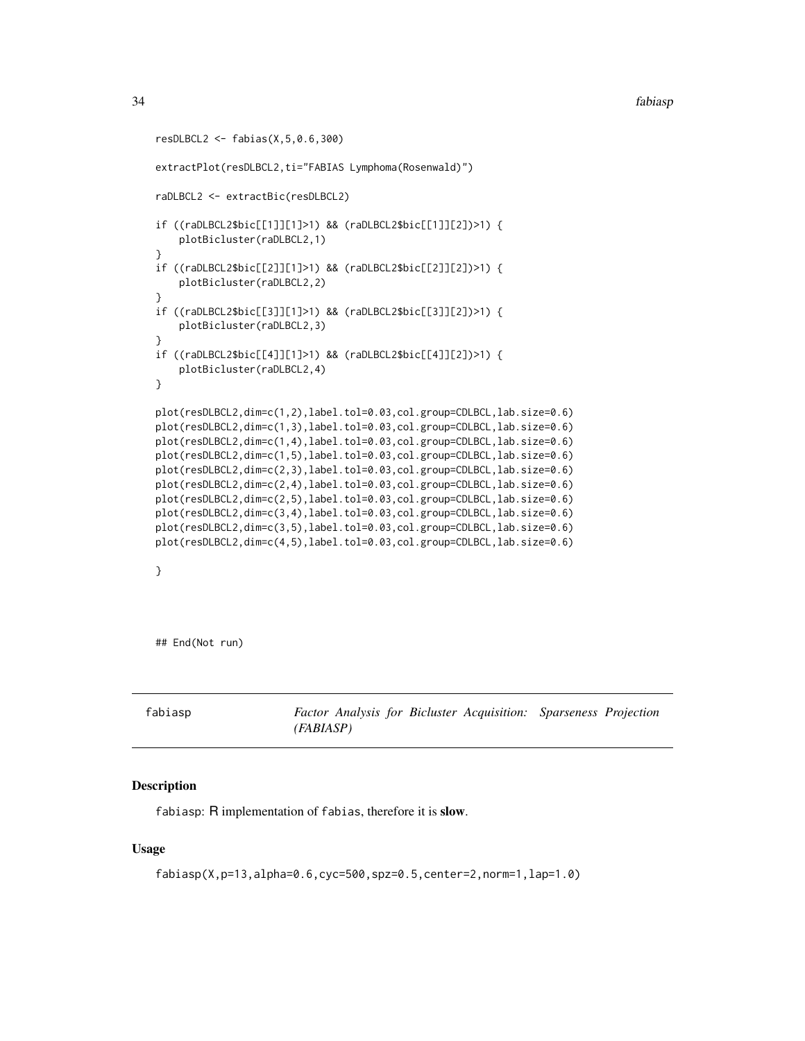```
resDLBCL2 <- fabias(X,5,0.6,300)
extractPlot(resDLBCL2,ti="FABIAS Lymphoma(Rosenwald)")
raDLBCL2 <- extractBic(resDLBCL2)
if ((raDLBCL2$bic[[1]][1]>1) && (raDLBCL2$bic[[1]][2])>1) {
    plotBicluster(raDLBCL2,1)
}
if ((raDLBCL2$bic[[2]][1]>1) && (raDLBCL2$bic[[2]][2])>1) {
   plotBicluster(raDLBCL2,2)
}
if ((raDLBCL2$bic[[3]][1]>1) && (raDLBCL2$bic[[3]][2])>1) {
    plotBicluster(raDLBCL2,3)
}
if ((raDLBCL2$bic[[4]][1]>1) && (raDLBCL2$bic[[4]][2])>1) {
    plotBicluster(raDLBCL2,4)
}
plot(resDLBCL2,dim=c(1,2),label.tol=0.03,col.group=CDLBCL,lab.size=0.6)
plot(resDLBCL2,dim=c(1,3),label.tol=0.03,col.group=CDLBCL,lab.size=0.6)
plot(resDLBCL2,dim=c(1,4),label.tol=0.03,col.group=CDLBCL,lab.size=0.6)
plot(resDLBCL2,dim=c(1,5),label.tol=0.03,col.group=CDLBCL,lab.size=0.6)
plot(resDLBCL2,dim=c(2,3),label.tol=0.03,col.group=CDLBCL,lab.size=0.6)
plot(resDLBCL2,dim=c(2,4),label.tol=0.03,col.group=CDLBCL,lab.size=0.6)
plot(resDLBCL2,dim=c(2,5),label.tol=0.03,col.group=CDLBCL,lab.size=0.6)
plot(resDLBCL2,dim=c(3,4),label.tol=0.03,col.group=CDLBCL,lab.size=0.6)
plot(resDLBCL2,dim=c(3,5),label.tol=0.03,col.group=CDLBCL,lab.size=0.6)
plot(resDLBCL2,dim=c(4,5),label.tol=0.03,col.group=CDLBCL,lab.size=0.6)
```
}

## End(Not run)

<span id="page-33-1"></span>fabiasp *Factor Analysis for Bicluster Acquisition: Sparseness Projection (FABIASP)*

#### Description

fabiasp: R implementation of fabias, therefore it is slow.

#### Usage

fabiasp(X,p=13,alpha=0.6,cyc=500,spz=0.5,center=2,norm=1,lap=1.0)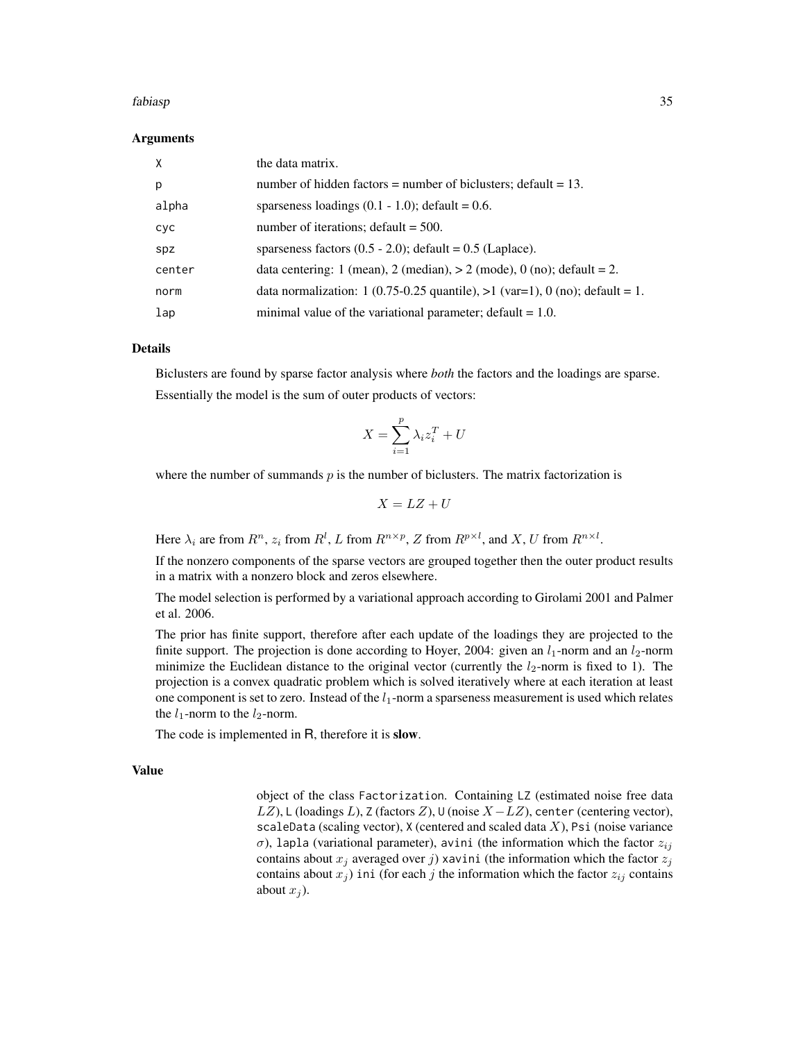#### Arguments

| $\times$   | the data matrix.                                                               |
|------------|--------------------------------------------------------------------------------|
| p          | number of hidden factors = number of biclusters; default = $13$ .              |
| alpha      | sparseness loadings $(0.1 - 1.0)$ ; default = 0.6.                             |
| <b>CYC</b> | number of iterations; $default = 500$ .                                        |
| spz        | sparseness factors $(0.5 - 2.0)$ ; default = 0.5 (Laplace).                    |
| center     | data centering: 1 (mean), 2 (median), $>$ 2 (mode), 0 (no); default = 2.       |
| norm       | data normalization: 1 (0.75-0.25 quantile), $>1$ (var=1), 0 (no); default = 1. |
| 1ap        | minimal value of the variational parameter; default $= 1.0$ .                  |

#### Details

Biclusters are found by sparse factor analysis where *both* the factors and the loadings are sparse. Essentially the model is the sum of outer products of vectors:

$$
X = \sum_{i=1}^{p} \lambda_i z_i^T + U
$$

where the number of summands  $p$  is the number of biclusters. The matrix factorization is

$$
X = LZ + U
$$

Here  $\lambda_i$  are from  $R^n$ ,  $z_i$  from  $R^l$ , L from  $R^{n \times p}$ , Z from  $R^{p \times l}$ , and X, U from  $R^{n \times l}$ .

If the nonzero components of the sparse vectors are grouped together then the outer product results in a matrix with a nonzero block and zeros elsewhere.

The model selection is performed by a variational approach according to Girolami 2001 and Palmer et al. 2006.

The prior has finite support, therefore after each update of the loadings they are projected to the finite support. The projection is done according to Hoyer, 2004: given an  $l_1$ -norm and an  $l_2$ -norm minimize the Euclidean distance to the original vector (currently the  $l_2$ -norm is fixed to 1). The projection is a convex quadratic problem which is solved iteratively where at each iteration at least one component is set to zero. Instead of the  $l_1$ -norm a sparseness measurement is used which relates the  $l_1$ -norm to the  $l_2$ -norm.

The code is implemented in R, therefore it is **slow**.

#### Value

object of the class Factorization. Containing LZ (estimated noise free data LZ), L (loadings L), Z (factors Z),  $\cup$  (noise  $X - LZ$ ), center (centering vector), scaleData (scaling vector),  $X$  (centered and scaled data  $X$ ), Psi (noise variance σ), lapla (variational parameter), avini (the information which the factor  $z_{ii}$ contains about  $x_j$  averaged over j) xavini (the information which the factor  $z_j$ contains about  $x_j$ ) ini (for each j the information which the factor  $z_{ij}$  contains about  $x_i$ ).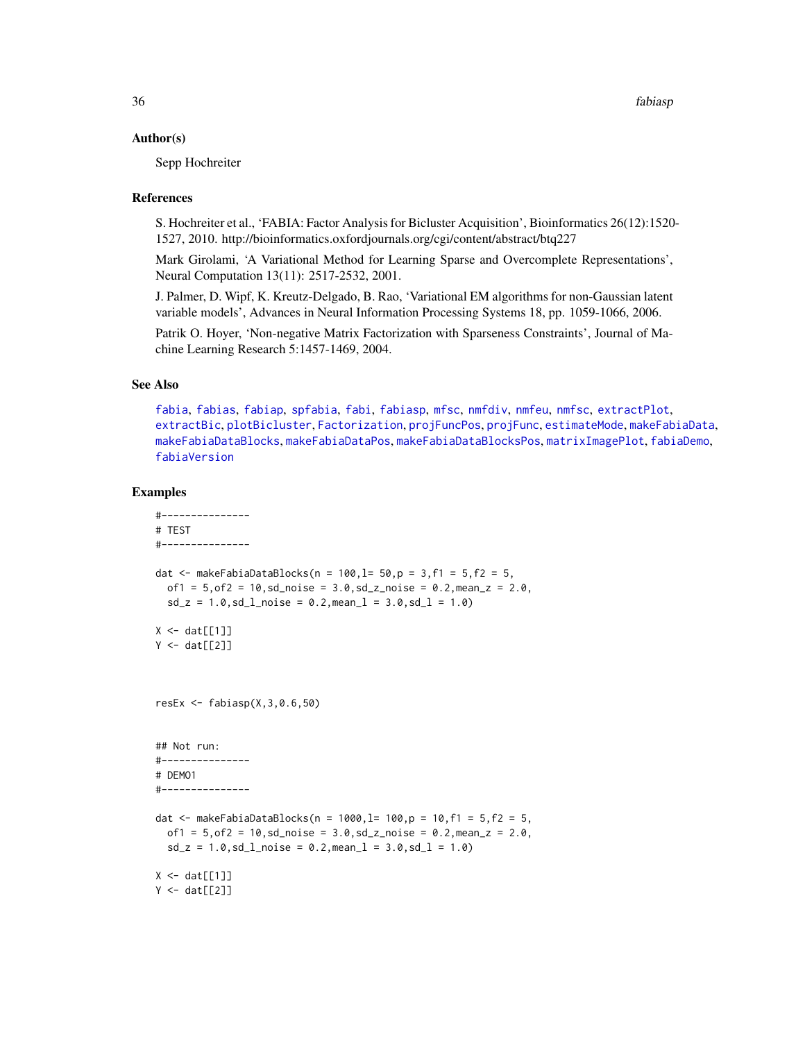#### Author(s)

Sepp Hochreiter

#### References

S. Hochreiter et al., 'FABIA: Factor Analysis for Bicluster Acquisition', Bioinformatics 26(12):1520- 1527, 2010. http://bioinformatics.oxfordjournals.org/cgi/content/abstract/btq227

Mark Girolami, 'A Variational Method for Learning Sparse and Overcomplete Representations', Neural Computation 13(11): 2517-2532, 2001.

J. Palmer, D. Wipf, K. Kreutz-Delgado, B. Rao, 'Variational EM algorithms for non-Gaussian latent variable models', Advances in Neural Information Processing Systems 18, pp. 1059-1066, 2006.

Patrik O. Hoyer, 'Non-negative Matrix Factorization with Sparseness Constraints', Journal of Machine Learning Research 5:1457-1469, 2004.

# See Also

[fabia](#page-12-1), [fabias](#page-26-1), [fabiap](#page-20-1), [spfabia](#page-79-1), [fabi](#page-9-1), [fabiasp](#page-33-1), [mfsc](#page-58-1), [nmfdiv](#page-64-1), [nmfeu](#page-66-1), [nmfsc](#page-68-1), [extractPlot](#page-6-1), [extractBic](#page-3-1), [plotBicluster](#page-70-1), [Factorization](#page-38-1), [projFuncPos](#page-74-1), [projFunc](#page-73-1), [estimateMode](#page-1-1), [makeFabiaData](#page-46-1), [makeFabiaDataBlocks](#page-49-1), [makeFabiaDataPos](#page-54-1), [makeFabiaDataBlocksPos](#page-51-1), [matrixImagePlot](#page-56-1), [fabiaDemo](#page-19-1), [fabiaVersion](#page-37-1)

```
#---------------
# TEST
#---------------
dat <- makeFabiaDataBlocks(n = 100, l = 50, p = 3, f1 = 5, f2 = 5,
  of1 = 5, of2 = 10, sd\_noise = 3.0, sd\_z\_noise = 0.2, mean\_z = 2.0,sd_z = 1.0, sd_lnoise = 0.2, meanl = 3.0, sd_l = 1.0X \leftarrow \text{dat}[[1]]Y \leftarrow \text{dat}[[2]]resEx \leq fabiasp(X, 3, 0.6, 50)## Not run:
#---------------
# DEMO1
#---------------
dat <- makeFabiaDataBlocks(n = 1000, l= 100, p = 10, f1 = 5, f2 = 5,
  of1 = 5, of2 = 10, sd\_noise = 3.0, sd\_z\_noise = 0.2, mean\_z = 2.0,sd_z = 1.0, sd_l<sub>noise</sub> = 0.2, mean<sub>1</sub> = 3.0, sd_l = 1.0)
X \leftarrow \text{dat}[[1]]Y \leftarrow \text{dat}[[2]]
```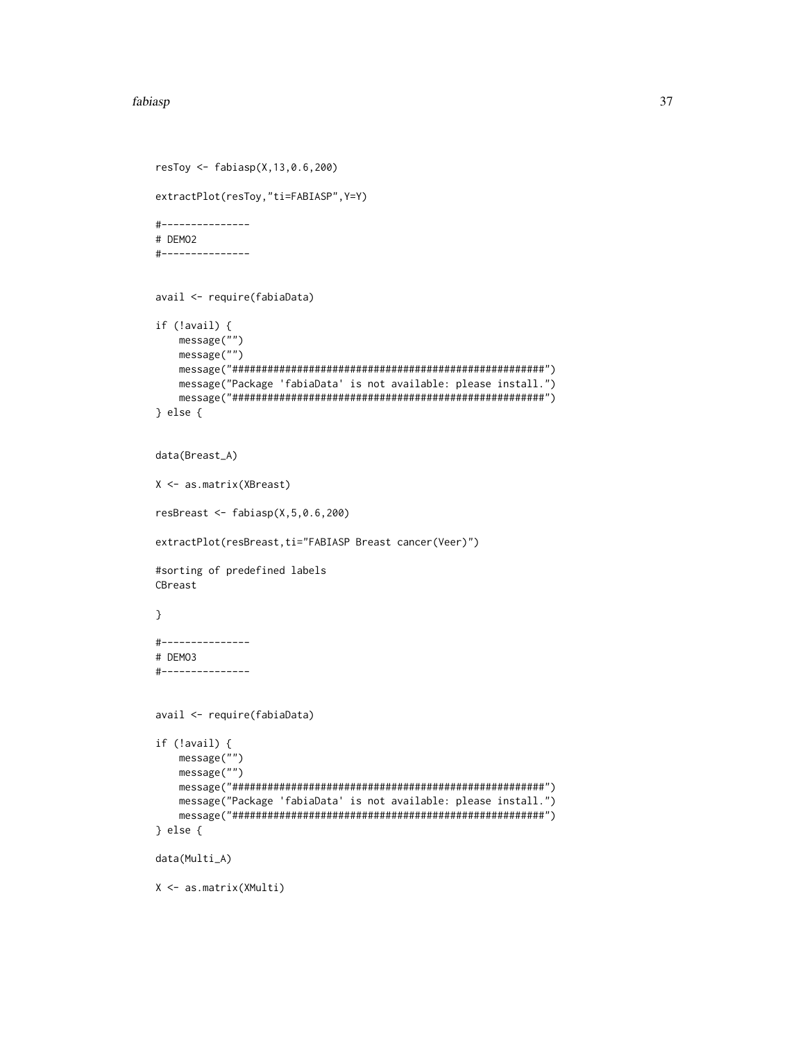#### fabiasp 37

```
resToy <- fabiasp(X,13,0.6,200)
extractPlot(resToy,"ti=FABIASP",Y=Y)
#---------------
# DEMO2
#---------------
avail <- require(fabiaData)
if (!avail) {
   message("")
   message("")
   message("#####################################################")
   message("Package 'fabiaData' is not available: please install.")
   message("#####################################################")
} else {
data(Breast_A)
X <- as.matrix(XBreast)
resBreast <- fabiasp(X,5,0.6,200)
extractPlot(resBreast,ti="FABIASP Breast cancer(Veer)")
#sorting of predefined labels
CBreast
}
#---------------
# DEMO3
#---------------
avail <- require(fabiaData)
if (!avail) {
   message("")
   message("")
   message("#####################################################")
   message("Package 'fabiaData' is not available: please install.")
   message("#####################################################")
} else {
data(Multi_A)
X <- as.matrix(XMulti)
```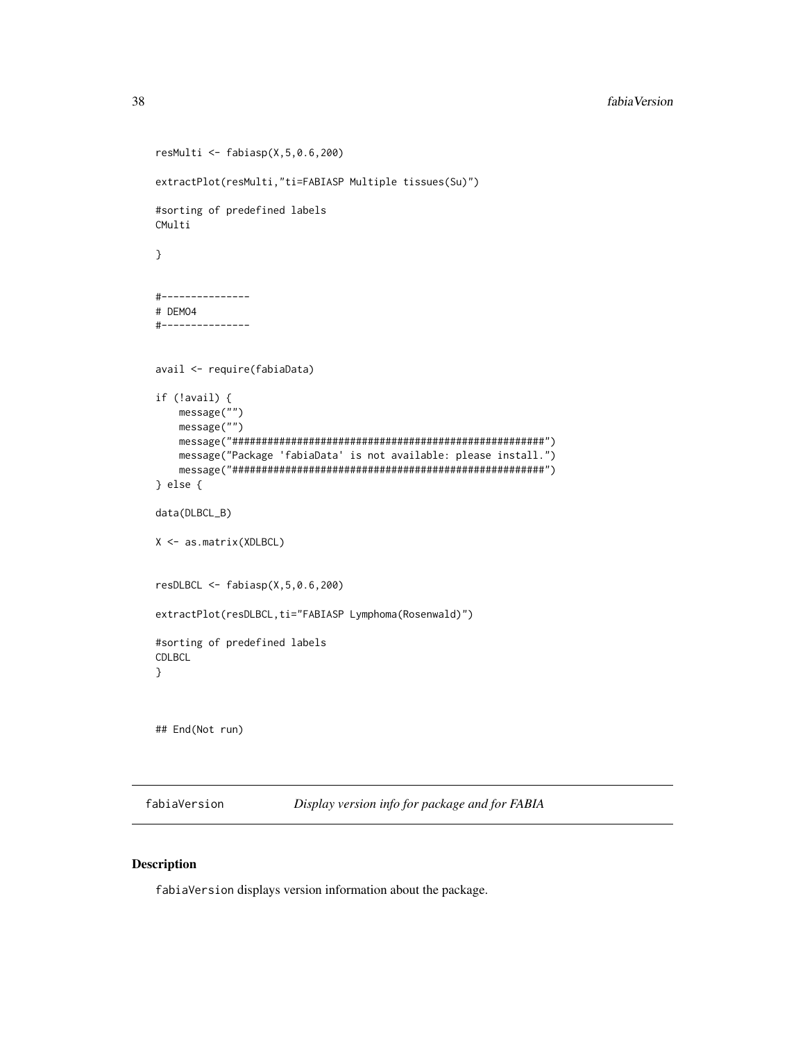```
resMulti <- fabiasp(X,5,0.6,200)
extractPlot(resMulti,"ti=FABIASP Multiple tissues(Su)")
#sorting of predefined labels
CMulti
}
#---------------
# DEMO4
#---------------
avail <- require(fabiaData)
if (!avail) {
   message("")
   message("")
   message("#####################################################")
   message("Package 'fabiaData' is not available: please install.")
   message("#####################################################")
} else {
data(DLBCL_B)
X <- as.matrix(XDLBCL)
resDLBCL <- fabiasp(X,5,0.6,200)
extractPlot(resDLBCL,ti="FABIASP Lymphoma(Rosenwald)")
#sorting of predefined labels
CDLBCL
}
## End(Not run)
```
<span id="page-37-0"></span>fabiaVersion *Display version info for package and for FABIA*

## Description

fabiaVersion displays version information about the package.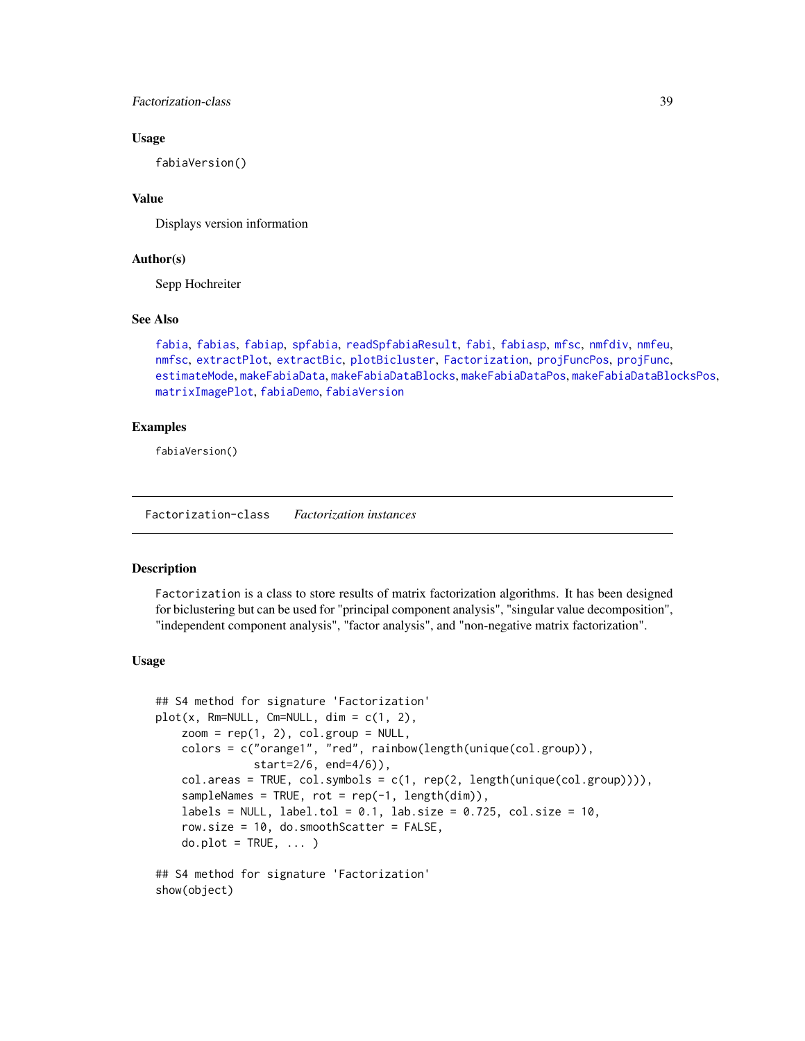Factorization-class 39

## Usage

fabiaVersion()

## Value

Displays version information

## Author(s)

Sepp Hochreiter

## See Also

```
fabia, fabias, fabiap, spfabia, readSpfabiaResult, fabi, fabiasp, mfsc, nmfdiv, nmfeu,
nmfsc, extractPlot, extractBic, plotBicluster, Factorization, projFuncPos, projFunc,
estimateMode, makeFabiaData, makeFabiaDataBlocks, makeFabiaDataPos, makeFabiaDataBlocksPos,
matrixImagePlot, fabiaDemo, fabiaVersion
```
# Examples

fabiaVersion()

<span id="page-38-1"></span>Factorization-class *Factorization instances*

## <span id="page-38-0"></span>Description

Factorization is a class to store results of matrix factorization algorithms. It has been designed for biclustering but can be used for "principal component analysis", "singular value decomposition", "independent component analysis", "factor analysis", and "non-negative matrix factorization".

#### Usage

```
## S4 method for signature 'Factorization'
plot(x, Rm=NULL, Cm=NULL, dim = c(1, 2),zoom = rep(1, 2), col.group = NULL,colors = c("orange1", "red", rainbow(length(unique(col.group)),
               start=2/6, end=4/6)),
    col. areas = TRUE, col. symbols = c(1, rep(2, length(unique(col.group)))),
    sampleNames = TRUE, rot = rep(-1, length(dim)),labels = NULL, label.tol = 0.1, lab.size = 0.725, col.size = 10,
    row.size = 10, do.smoothScatter = FALSE,
    do.plot = TRUE, ...
```
## S4 method for signature 'Factorization' show(object)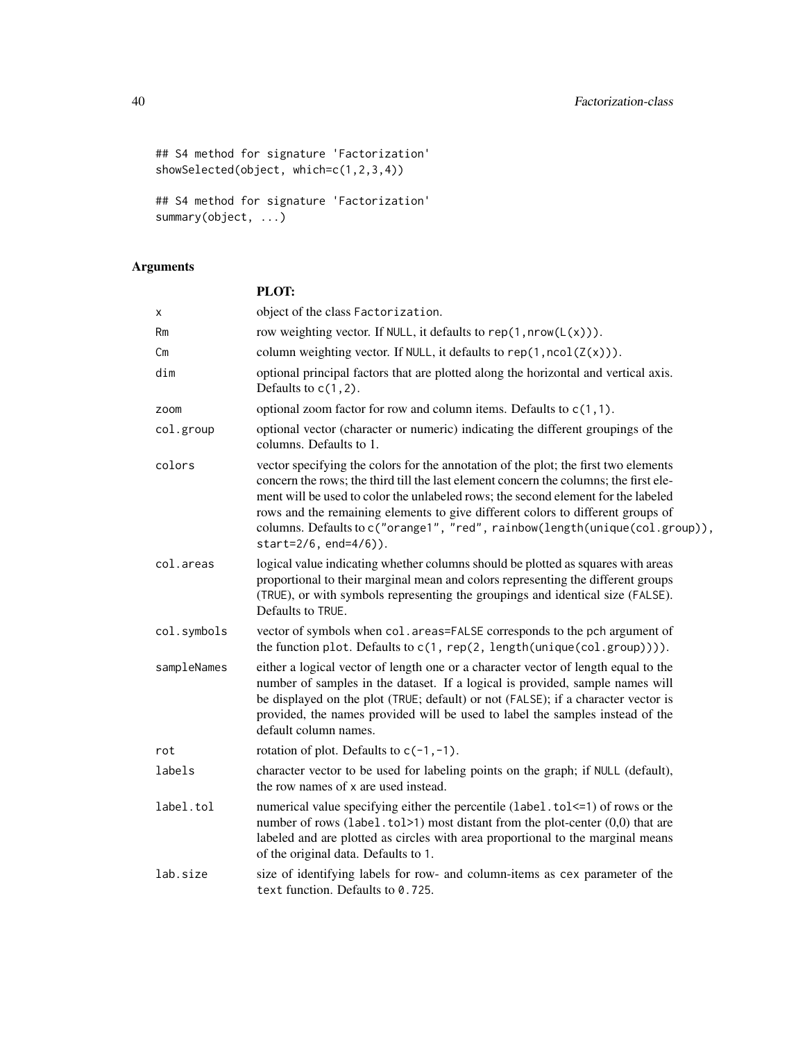```
## S4 method for signature 'Factorization'
showSelected(object, which=c(1,2,3,4))
```
## S4 method for signature 'Factorization' summary(object, ...)

# Arguments

| PLOT: |
|-------|

| х           | object of the class Factorization.                                                                                                                                                                                                                                                                                                                                                                                                                           |
|-------------|--------------------------------------------------------------------------------------------------------------------------------------------------------------------------------------------------------------------------------------------------------------------------------------------------------------------------------------------------------------------------------------------------------------------------------------------------------------|
| Rm          | row weighting vector. If NULL, it defaults to $rep(1, nrow(L(x)))$ .                                                                                                                                                                                                                                                                                                                                                                                         |
| Сm          | column weighting vector. If NULL, it defaults to $rep(1, \text{ncol}(Z(x)))$ .                                                                                                                                                                                                                                                                                                                                                                               |
| dim         | optional principal factors that are plotted along the horizontal and vertical axis.<br>Defaults to $c(1, 2)$ .                                                                                                                                                                                                                                                                                                                                               |
| zoom        | optional zoom factor for row and column items. Defaults to $c(1,1)$ .                                                                                                                                                                                                                                                                                                                                                                                        |
| col.group   | optional vector (character or numeric) indicating the different groupings of the<br>columns. Defaults to 1.                                                                                                                                                                                                                                                                                                                                                  |
| colors      | vector specifying the colors for the annotation of the plot; the first two elements<br>concern the rows; the third till the last element concern the columns; the first ele-<br>ment will be used to color the unlabeled rows; the second element for the labeled<br>rows and the remaining elements to give different colors to different groups of<br>columns. Defaults to c("orange1", "red", rainbow(length(unique(col.group)),<br>start=2/6, end=4/6)). |
| col.areas   | logical value indicating whether columns should be plotted as squares with areas<br>proportional to their marginal mean and colors representing the different groups<br>(TRUE), or with symbols representing the groupings and identical size (FALSE).<br>Defaults to TRUE.                                                                                                                                                                                  |
| col.symbols | vector of symbols when col. areas=FALSE corresponds to the pch argument of<br>the function plot. Defaults to $c(1, rep(2, length(unique(col-group))))$ .                                                                                                                                                                                                                                                                                                     |
| sampleNames | either a logical vector of length one or a character vector of length equal to the<br>number of samples in the dataset. If a logical is provided, sample names will<br>be displayed on the plot (TRUE; default) or not (FALSE); if a character vector is<br>provided, the names provided will be used to label the samples instead of the<br>default column names.                                                                                           |
| rot         | rotation of plot. Defaults to $c(-1, -1)$ .                                                                                                                                                                                                                                                                                                                                                                                                                  |
| labels      | character vector to be used for labeling points on the graph; if NULL (default),<br>the row names of x are used instead.                                                                                                                                                                                                                                                                                                                                     |
| label.tol   | numerical value specifying either the percentile (label.tol <= 1) of rows or the<br>number of rows (label.tol>1) most distant from the plot-center $(0,0)$ that are<br>labeled and are plotted as circles with area proportional to the marginal means<br>of the original data. Defaults to 1.                                                                                                                                                               |
| lab.size    | size of identifying labels for row- and column-items as cex parameter of the<br>text function. Defaults to 0.725.                                                                                                                                                                                                                                                                                                                                            |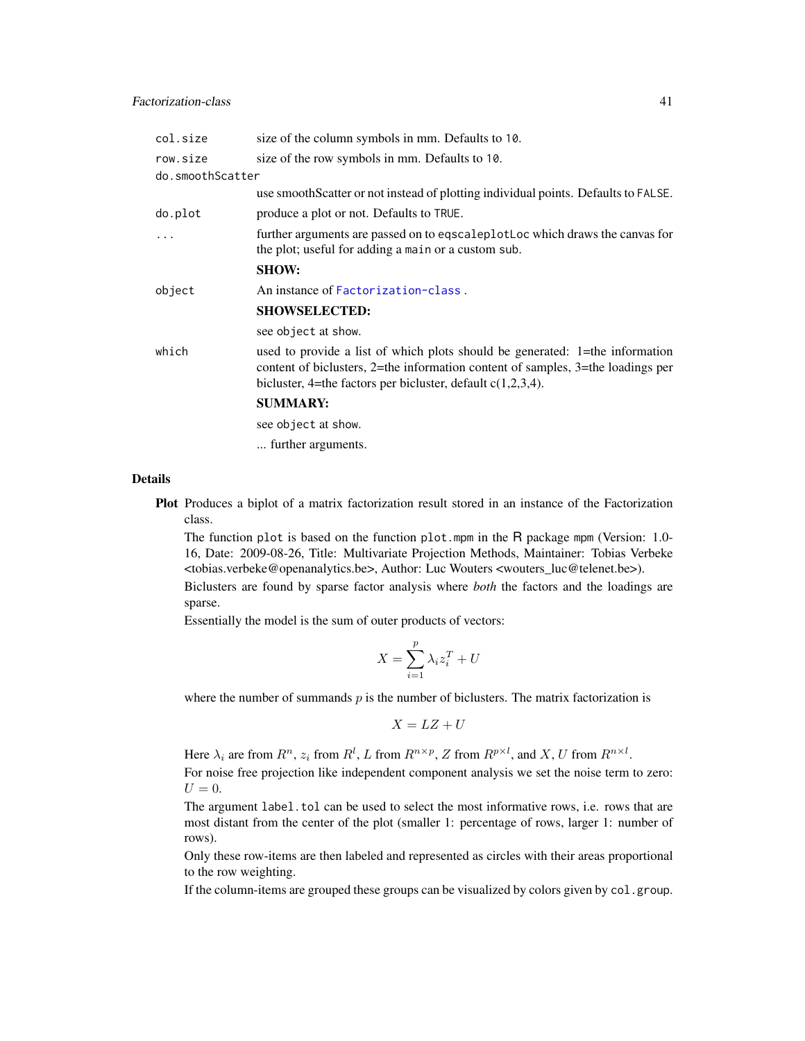| col.size         | size of the column symbols in mm. Defaults to 10.                                                                                                                                                                                       |
|------------------|-----------------------------------------------------------------------------------------------------------------------------------------------------------------------------------------------------------------------------------------|
| row.size         | size of the row symbols in mm. Defaults to 10.                                                                                                                                                                                          |
| do.smoothScatter |                                                                                                                                                                                                                                         |
|                  | use smoothScatter or not instead of plotting individual points. Defaults to FALSE.                                                                                                                                                      |
| do.plot          | produce a plot or not. Defaults to TRUE.                                                                                                                                                                                                |
| $\ddots$         | further arguments are passed on to eqscaleplotLoc which draws the canvas for<br>the plot; useful for adding a main or a custom sub.                                                                                                     |
|                  | <b>SHOW:</b>                                                                                                                                                                                                                            |
| object           | An instance of Factorization-class.                                                                                                                                                                                                     |
|                  | <b>SHOWSELECTED:</b>                                                                                                                                                                                                                    |
|                  | see object at show.                                                                                                                                                                                                                     |
| which            | used to provide a list of which plots should be generated: 1=the information<br>content of biclusters, $2$ =the information content of samples, $3$ =the loadings per<br>bicluster, 4=the factors per bicluster, default $c(1,2,3,4)$ . |
|                  | <b>SUMMARY:</b>                                                                                                                                                                                                                         |
|                  | see object at show.                                                                                                                                                                                                                     |
|                  | further arguments.                                                                                                                                                                                                                      |

#### Details

Plot Produces a biplot of a matrix factorization result stored in an instance of the Factorization class.

The function plot is based on the function plot.mpm in the R package mpm (Version: 1.0- 16, Date: 2009-08-26, Title: Multivariate Projection Methods, Maintainer: Tobias Verbeke <tobias.verbeke@openanalytics.be>, Author: Luc Wouters <wouters\_luc@telenet.be>).

Biclusters are found by sparse factor analysis where *both* the factors and the loadings are sparse.

Essentially the model is the sum of outer products of vectors:

$$
X = \sum_{i=1}^{p} \lambda_i z_i^T + U
$$

where the number of summands  $p$  is the number of biclusters. The matrix factorization is

$$
X = LZ + U
$$

Here  $\lambda_i$  are from  $R^n$ ,  $z_i$  from  $R^l$ , L from  $R^{n \times p}$ , Z from  $R^{p \times l}$ , and X, U from  $R^{n \times l}$ . For noise free projection like independent component analysis we set the noise term to zero:  $U=0.$ 

The argument label.tol can be used to select the most informative rows, i.e. rows that are most distant from the center of the plot (smaller 1: percentage of rows, larger 1: number of rows).

Only these row-items are then labeled and represented as circles with their areas proportional to the row weighting.

If the column-items are grouped these groups can be visualized by colors given by col.group.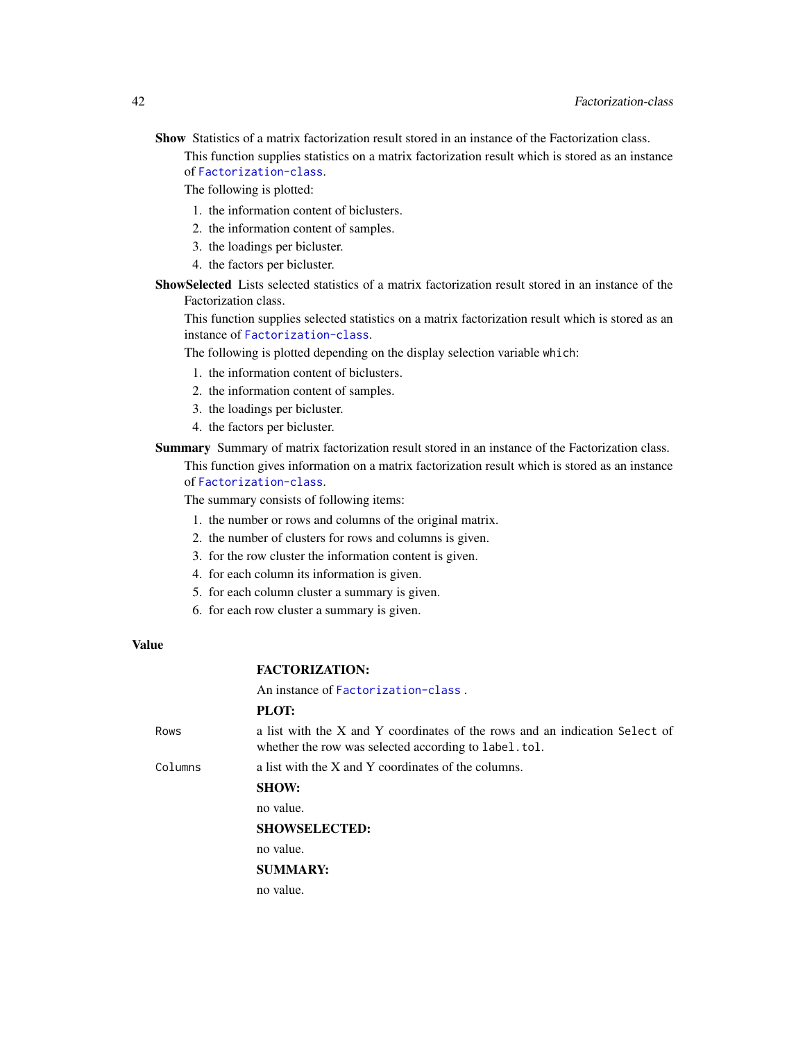Show Statistics of a matrix factorization result stored in an instance of the Factorization class. This function supplies statistics on a matrix factorization result which is stored as an instance of [Factorization-class](#page-38-1).

The following is plotted:

- 1. the information content of biclusters.
- 2. the information content of samples.
- 3. the loadings per bicluster.
- 4. the factors per bicluster.
- ShowSelected Lists selected statistics of a matrix factorization result stored in an instance of the Factorization class.

This function supplies selected statistics on a matrix factorization result which is stored as an instance of [Factorization-class](#page-38-1).

The following is plotted depending on the display selection variable which:

- 1. the information content of biclusters.
- 2. the information content of samples.
- 3. the loadings per bicluster.
- 4. the factors per bicluster.

Summary Summary of matrix factorization result stored in an instance of the Factorization class.

This function gives information on a matrix factorization result which is stored as an instance of [Factorization-class](#page-38-1).

The summary consists of following items:

- 1. the number or rows and columns of the original matrix.
- 2. the number of clusters for rows and columns is given.
- 3. for the row cluster the information content is given.
- 4. for each column its information is given.
- 5. for each column cluster a summary is given.
- 6. for each row cluster a summary is given.

## Value

## FACTORIZATION:

An instance of [Factorization-class](#page-38-1) .

## PLOT:

Rows a list with the X and Y coordinates of the rows and an indication Select of whether the row was selected according to label.tol. Columns a list with the X and Y coordinates of the columns. SHOW: no value. SHOWSELECTED: no value. SUMMARY: no value.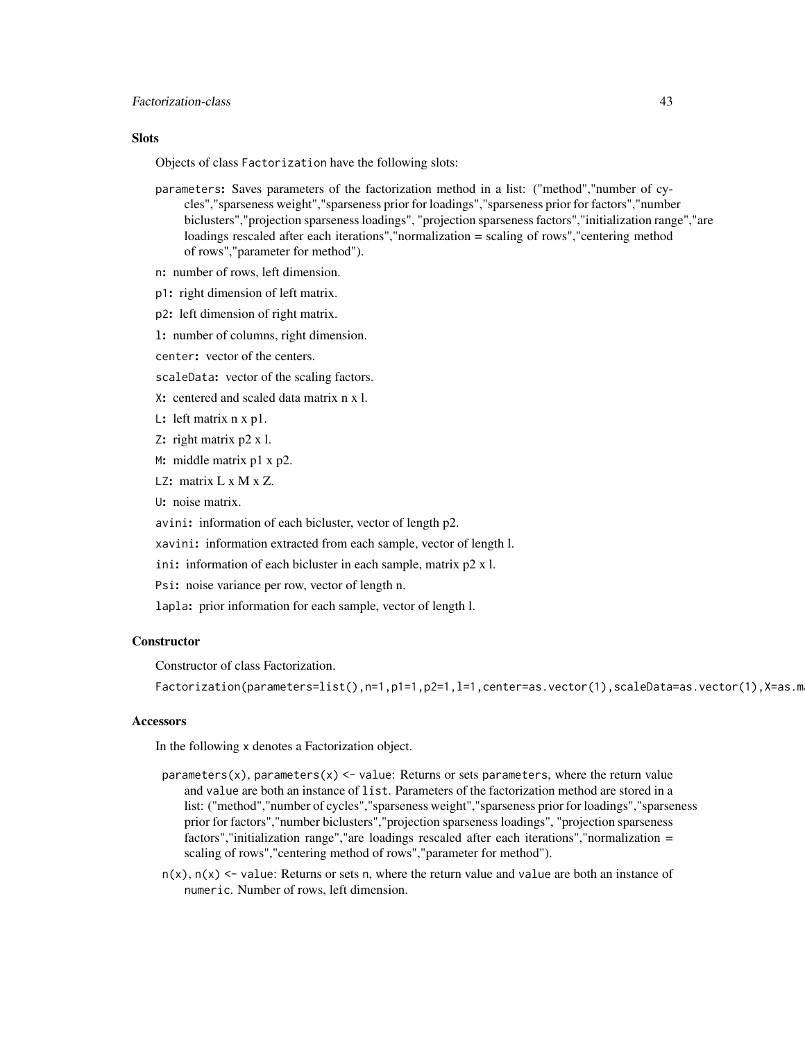## **Slots**

Objects of class Factorization have the following slots:

- parameters: Saves parameters of the factorization method in a list: ("method","number of cycles","sparseness weight","sparseness prior for loadings","sparseness prior for factors","number biclusters","projection sparseness loadings", "projection sparseness factors","initialization range","are loadings rescaled after each iterations","normalization = scaling of rows","centering method of rows","parameter for method").
- n: number of rows, left dimension.
- p1: right dimension of left matrix.
- p2: left dimension of right matrix.
- l: number of columns, right dimension.
- center: vector of the centers.
- scaleData: vector of the scaling factors.
- X: centered and scaled data matrix n x l.
- L: left matrix n x p1.
- Z: right matrix p2 x l.
- M: middle matrix p1 x p2.
- LZ: matrix L x M x Z.

U: noise matrix.

avini: information of each bicluster, vector of length p2.

xavini: information extracted from each sample, vector of length l.

- ini: information of each bicluster in each sample, matrix p2 x l.
- Psi: noise variance per row, vector of length n.
- lapla: prior information for each sample, vector of length l.

## **Constructor**

Constructor of class Factorization.

Factorization(parameters=list(),n=1,p1=1,p2=1,l=1,center=as.vector(1),scaleData=as.vector(1),X=as.m

## Accessors

In the following x denotes a Factorization object.

- parameters $(x)$ , parameters $(x)$  <- value: Returns or sets parameters, where the return value and value are both an instance of list. Parameters of the factorization method are stored in a list: ("method","number of cycles","sparseness weight","sparseness prior for loadings","sparseness prior for factors","number biclusters","projection sparseness loadings", "projection sparseness factors","initialization range","are loadings rescaled after each iterations","normalization = scaling of rows","centering method of rows","parameter for method").
- $n(x)$ ,  $n(x)$  <- value: Returns or sets n, where the return value and value are both an instance of numeric. Number of rows, left dimension.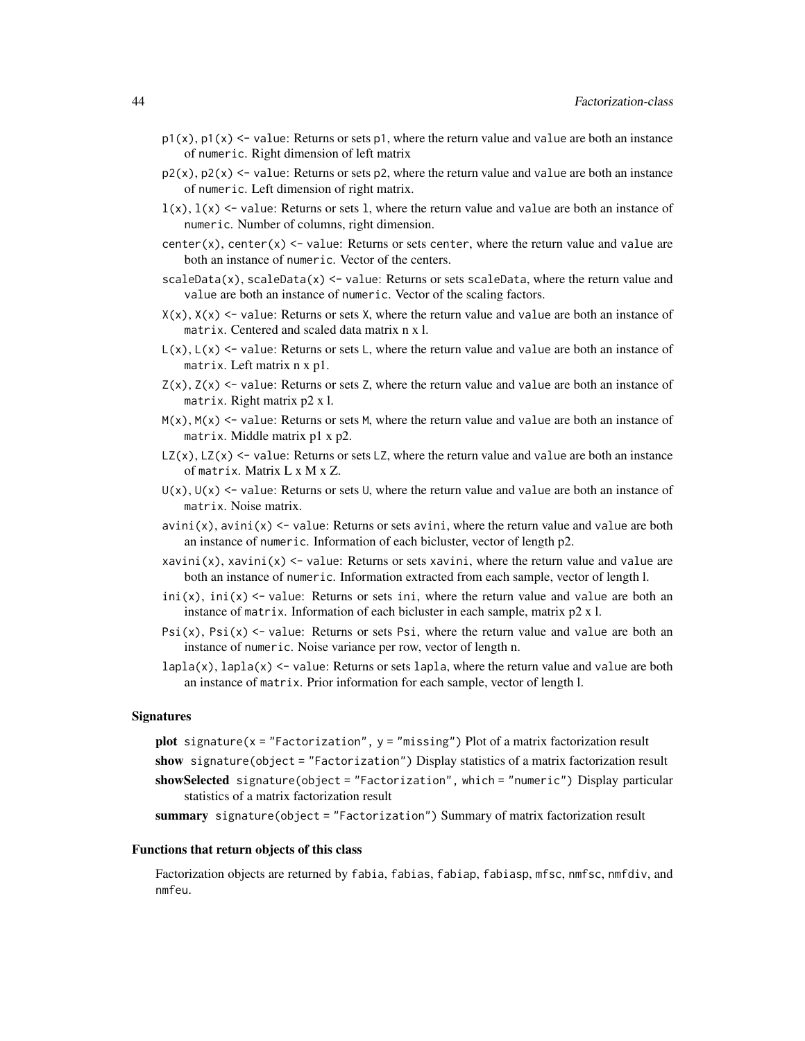- $p1(x)$ ,  $p1(x)$  <- value: Returns or sets p1, where the return value and value are both an instance of numeric. Right dimension of left matrix
- $p2(x)$ ,  $p2(x)$  <- value: Returns or sets p2, where the return value and value are both an instance of numeric. Left dimension of right matrix.
- $l(x)$ ,  $l(x)$  <- value: Returns or sets 1, where the return value and value are both an instance of numeric. Number of columns, right dimension.
- center(x), center(x)  $\le$  value: Returns or sets center, where the return value and value are both an instance of numeric. Vector of the centers.
- $scaleData(x)$ ,  $scaleData(x) < -$  value: Returns or sets scaleData, where the return value and value are both an instance of numeric. Vector of the scaling factors.
- $X(x)$ ,  $X(x)$  <- value: Returns or sets X, where the return value and value are both an instance of matrix. Centered and scaled data matrix n x l.
- $L(x)$ ,  $L(x)$  <- value: Returns or sets L, where the return value and value are both an instance of matrix. Left matrix n x p1.
- $Z(x)$ ,  $Z(x)$  <- value: Returns or sets Z, where the return value and value are both an instance of matrix. Right matrix p2 x l.
- $M(x)$ ,  $M(x)$  <- value: Returns or sets M, where the return value and value are both an instance of matrix. Middle matrix p1 x p2.
- $LZ(x)$ ,  $LZ(x)$  <- value: Returns or sets LZ, where the return value and value are both an instance of matrix. Matrix L x M x Z.
- $U(x)$ ,  $U(x)$  <- value: Returns or sets U, where the return value and value are both an instance of matrix. Noise matrix.
- $a\nu$ ini(x), avini(x) <- value: Returns or sets avini, where the return value and value are both an instance of numeric. Information of each bicluster, vector of length p2.
- xavini(x), xavini(x)  $\le$  value: Returns or sets xavini, where the return value and value are both an instance of numeric. Information extracted from each sample, vector of length l.
- ini(x), ini(x)  $\le$  value: Returns or sets ini, where the return value and value are both an instance of matrix. Information of each bicluster in each sample, matrix p2 x l.
- Psi(x), Psi(x)  $\le$  value: Returns or sets Psi, where the return value and value are both an instance of numeric. Noise variance per row, vector of length n.
- $lapla(x)$ ,  $lapla(x)$  <- value: Returns or sets  $lapla$ , where the return value and value are both an instance of matrix. Prior information for each sample, vector of length l.

#### **Signatures**

plot signature( $x =$  "Factorization",  $y =$  "missing") Plot of a matrix factorization result

- show signature(object = "Factorization") Display statistics of a matrix factorization result
- showSelected signature(object = "Factorization", which = "numeric") Display particular statistics of a matrix factorization result

summary signature(object = "Factorization") Summary of matrix factorization result

#### Functions that return objects of this class

Factorization objects are returned by fabia, fabias, fabiap, fabiasp, mfsc, nmfsc, nmfdiv, and nmfeu.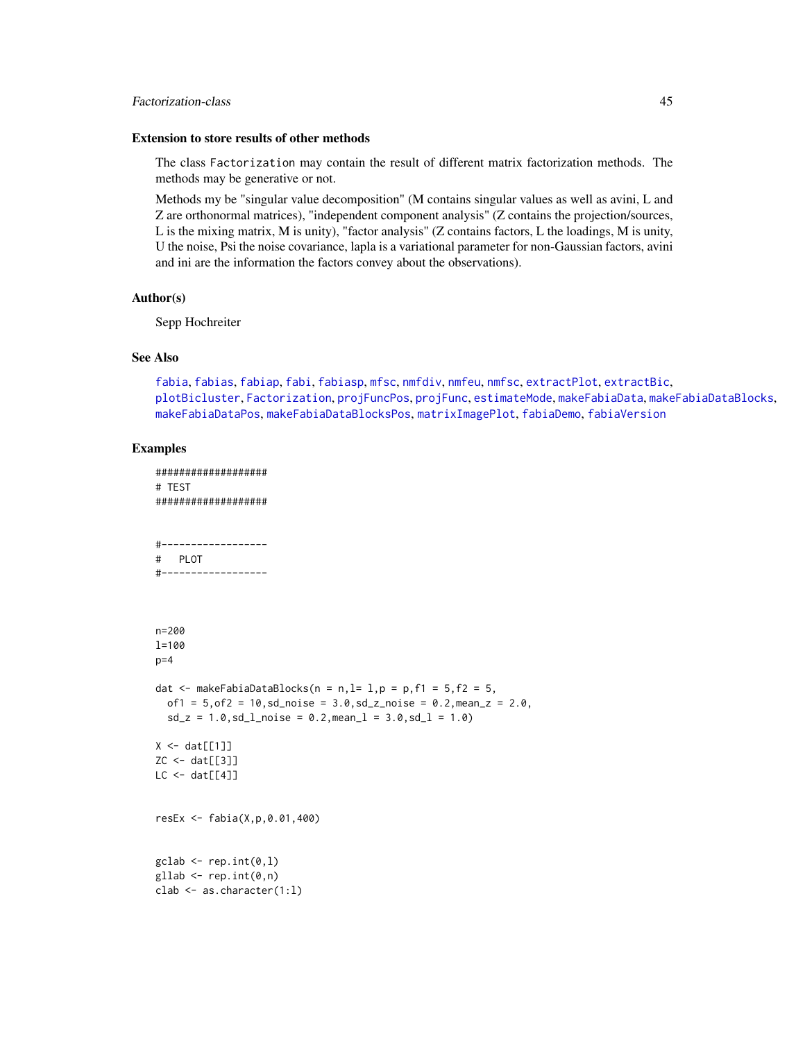## Factorization-class 45

#### Extension to store results of other methods

The class Factorization may contain the result of different matrix factorization methods. The methods may be generative or not.

Methods my be "singular value decomposition" (M contains singular values as well as avini, L and Z are orthonormal matrices), "independent component analysis" (Z contains the projection/sources, L is the mixing matrix, M is unity), "factor analysis" (Z contains factors, L the loadings, M is unity, U the noise, Psi the noise covariance, lapla is a variational parameter for non-Gaussian factors, avini and ini are the information the factors convey about the observations).

### Author(s)

Sepp Hochreiter

### See Also

[fabia](#page-12-0), [fabias](#page-26-0), [fabiap](#page-20-0), [fabi](#page-9-0), [fabiasp](#page-33-0), [mfsc](#page-58-0), [nmfdiv](#page-64-0), [nmfeu](#page-66-0), [nmfsc](#page-68-0), [extractPlot](#page-6-0), [extractBic](#page-3-0), [plotBicluster](#page-70-0), [Factorization](#page-38-0), [projFuncPos](#page-74-0), [projFunc](#page-73-0), [estimateMode](#page-1-0), [makeFabiaData](#page-46-0), [makeFabiaDataBlocks](#page-49-0), [makeFabiaDataPos](#page-54-0), [makeFabiaDataBlocksPos](#page-51-0), [matrixImagePlot](#page-56-0), [fabiaDemo](#page-19-0), [fabiaVersion](#page-37-0)

```
###################
# TEST
###################
#------------------
# PLOT
#------------------
n=200
l=100
p=4dat \leq makeFabiaDataBlocks(n = n, l= 1, p = p, f1 = 5, f2 = 5,
  of1 = 5, of2 = 10, sd\_noise = 3.0, sd\_z\_noise = 0.2, mean\_z = 2.0,sd_z = 1.0, sd_lnoise = 0.2, meanl = 3.0, sd_l = 1.0X \leftarrow \text{dat}[[1]]ZC <- dat[[3]]
LC < - \text{dat}[[4]]resEx <- fabia(X,p,0.01,400)
\text{gclab} \leftarrow \text{rep.int}(0,1)gllab <- rep.int(0, n)clab <- as.character(1:l)
```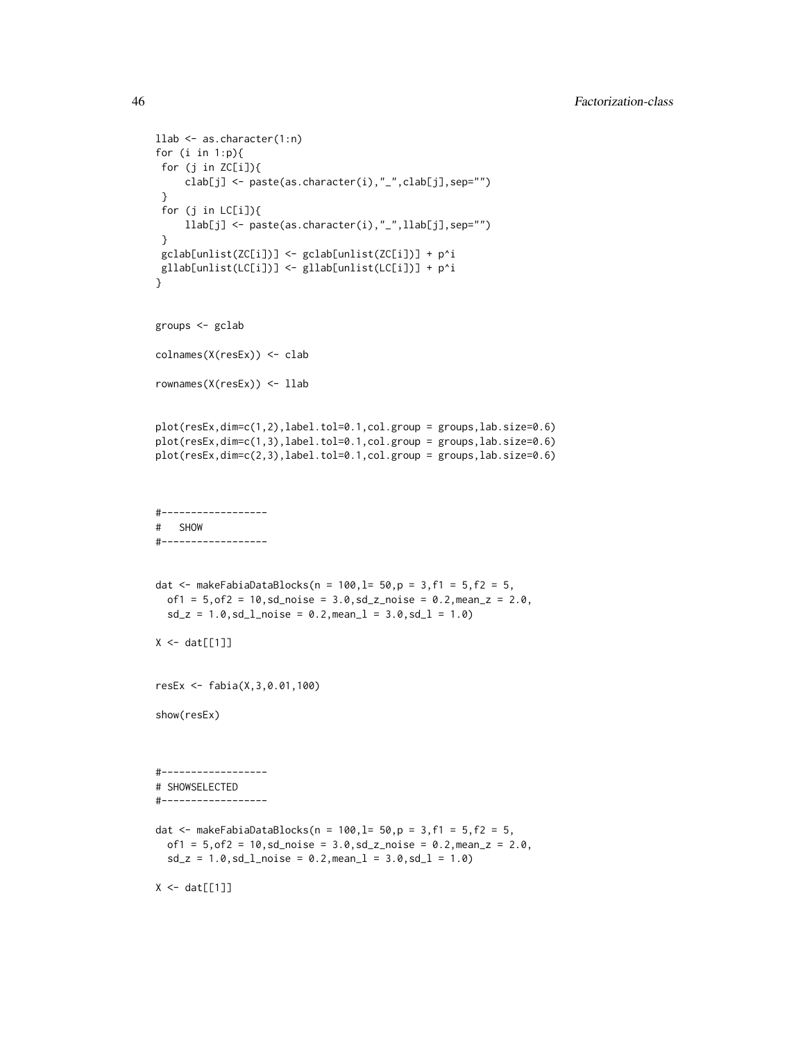```
llab <- as.character(1:n)
for (i in 1:p){
 for (j in ZC[i]){
     clab[j] <- paste(as.character(i),"_",clab[j],sep="")
 }
 for (j in LC[i]){
     llab[j] <- paste(as.character(i),"_",llab[j],sep="")
 }
 gclab[unlist(ZC[i])] <- gclab[unlist(ZC[i])] + p^i
gllab[unlist(LC[i])] <- gllab[unlist(LC[i])] + p^i
}
groups <- gclab
colnames(X(resEx)) <- clab
rownames(X(resEx)) <- llab
plot(resEx,dim=c(1,2),label.tol=0.1,col.group = groups,lab.size=0.6)
plot(resEx,dim=c(1,3),label.tol=0.1,col.group = groups,lab.size=0.6)
plot(resEx,dim=c(2,3),label.tol=0.1,col.group = groups,lab.size=0.6)
#------------------
# SHOW
#------------------
dat <- makeFabiaDataBlocks(n = 100, l= 50, p = 3, f1 = 5, f2 = 5,
  of1 = 5, of2 = 10, sd\_noise = 3.0, sd\_z\_noise = 0.2, mean\_z = 2.0,sd_z = 1.0, sd_l<sub>noise</sub> = 0.2, mean<sub>1</sub> = 3.0, sd_l = 1.0)
X \leftarrow \text{dat}[[1]]resEx <- fabia(X,3,0.01,100)
show(resEx)
#------------------
# SHOWSELECTED
#------------------
dat <- makeFabiaDataBlocks(n = 100, l= 50, p = 3, f1 = 5, f2 = 5,
  of1 = 5, of2 = 10, sd\_noise = 3.0, sd\_noise = 0.2, mean\_z = 2.0,sd_z = 1.0, sd_l<sub>noise</sub> = 0.2, mean<sub>1</sub> = 3.0, sd_l = 1.0)
X \leftarrow \text{dat}[[1]]
```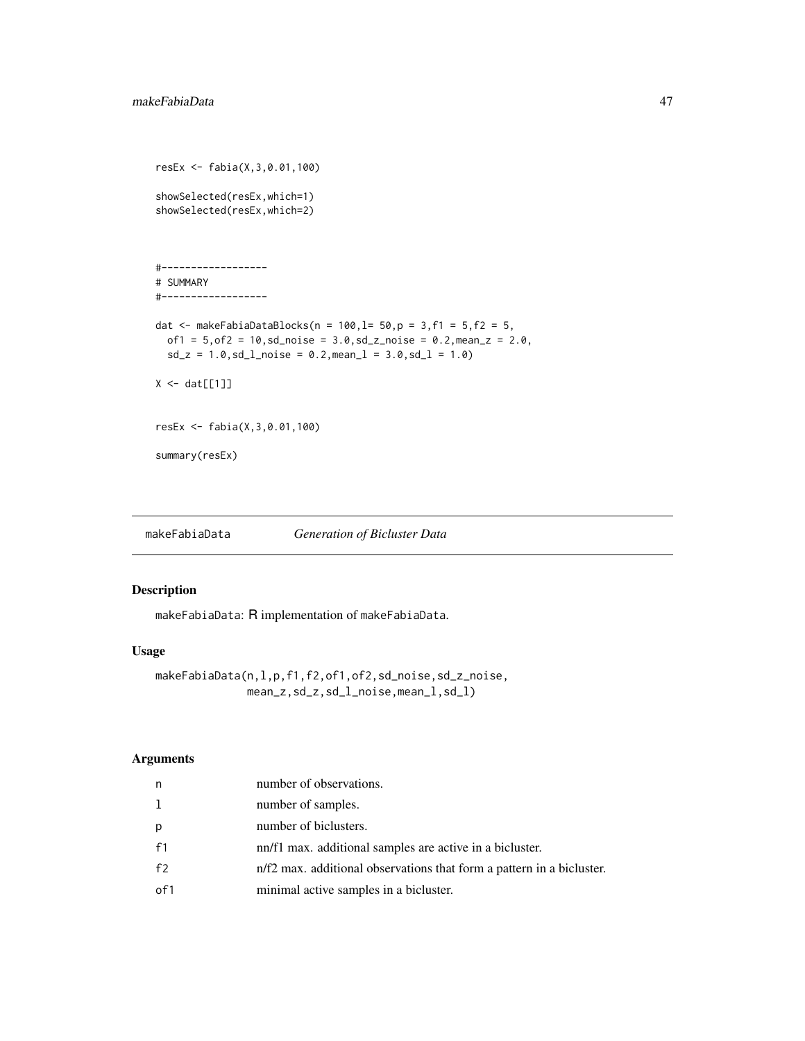```
resEx <- fabia(X,3,0.01,100)
showSelected(resEx,which=1)
showSelected(resEx,which=2)
#------------------
# SUMMARY
#------------------
dat <- makeFabiaDataBlocks(n = 100, l= 50, p = 3, f1 = 5, f2 = 5,
  of1 = 5, of2 = 10, sd\_noise = 3.0, sd\_z\_noise = 0.2, mean\_z = 2.0,sd_z = 1.0, sd_l<sub>no</sub>id_e = 0.2, mean_l = 3.0, sd_l = 1.0X \leftarrow \text{dat}[[1]]resEx <- fabia(X,3,0.01,100)
summary(resEx)
```
<span id="page-46-0"></span>makeFabiaData *Generation of Bicluster Data*

# Description

makeFabiaData: R implementation of makeFabiaData.

## Usage

```
makeFabiaData(n,l,p,f1,f2,of1,of2,sd_noise,sd_z_noise,
              mean_z,sd_z,sd_l_noise,mean_l,sd_l)
```
# Arguments

| n              | number of observations.                                               |
|----------------|-----------------------------------------------------------------------|
| 1              | number of samples.                                                    |
| р              | number of biclusters.                                                 |
| f1             | nn/f1 max. additional samples are active in a bicluster.              |
| f <sub>2</sub> | n/f2 max. additional observations that form a pattern in a bicluster. |
| of1            | minimal active samples in a bicluster.                                |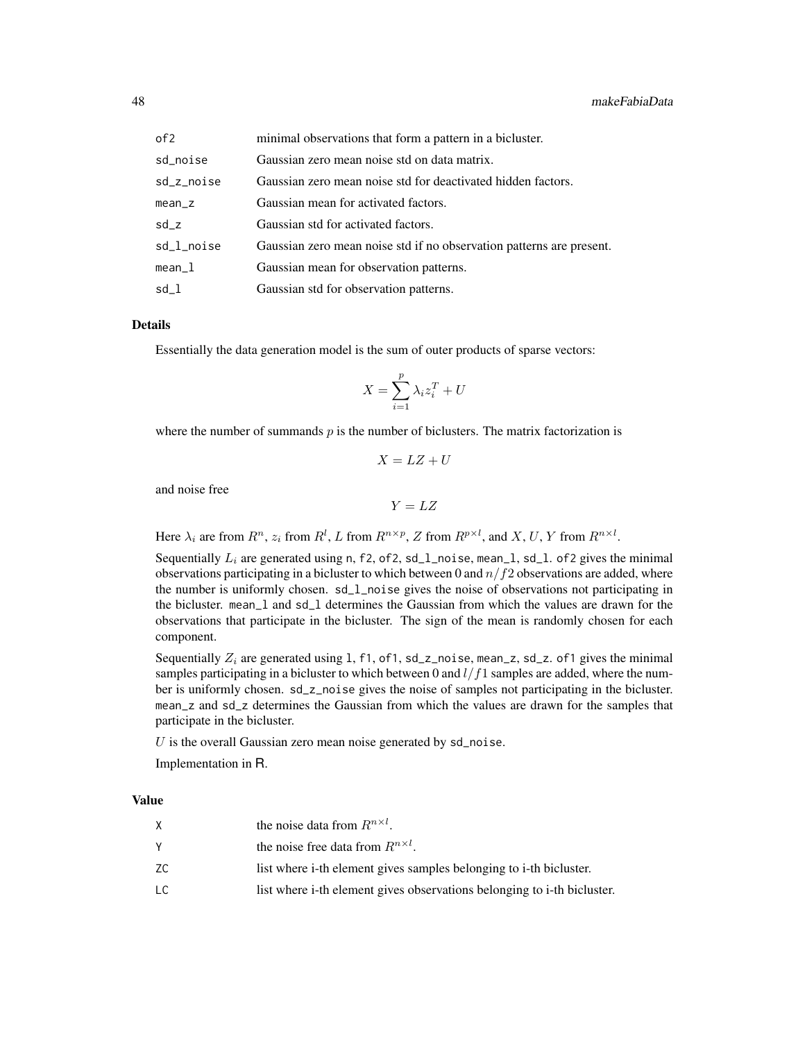| of 2       | minimal observations that form a pattern in a bicluster.             |
|------------|----------------------------------------------------------------------|
| sd_noise   | Gaussian zero mean noise std on data matrix.                         |
| sd_z_noise | Gaussian zero mean noise std for deactivated hidden factors.         |
| mean_z     | Gaussian mean for activated factors.                                 |
| sd z       | Gaussian std for activated factors.                                  |
| sd_l_noise | Gaussian zero mean noise std if no observation patterns are present. |
| mean_l     | Gaussian mean for observation patterns.                              |
| sd l       | Gaussian std for observation patterns.                               |

#### Details

Essentially the data generation model is the sum of outer products of sparse vectors:

$$
X = \sum_{i=1}^{p} \lambda_i z_i^T + U
$$

where the number of summands  $p$  is the number of biclusters. The matrix factorization is

$$
X = LZ + U
$$

and noise free

$$
Y = LZ
$$

Here  $\lambda_i$  are from  $R^n$ ,  $z_i$  from  $R^l$ , L from  $R^{n \times p}$ , Z from  $R^{p \times l}$ , and X, U, Y from  $R^{n \times l}$ .

Sequentially  $L_i$  are generated using n, f2, of2, sd\_1\_noise, mean\_1, sd\_1. of2 gives the minimal observations participating in a bicluster to which between 0 and  $n/f2$  observations are added, where the number is uniformly chosen. sd\_l\_noise gives the noise of observations not participating in the bicluster. mean\_l and sd\_l determines the Gaussian from which the values are drawn for the observations that participate in the bicluster. The sign of the mean is randomly chosen for each component.

Sequentially  $Z_i$  are generated using 1, f1, of1, sd\_z\_noise, mean\_z, sd\_z. of1 gives the minimal samples participating in a bicluster to which between 0 and  $l/f1$  samples are added, where the number is uniformly chosen. sd\_z\_noise gives the noise of samples not participating in the bicluster. mean\_z and sd\_z determines the Gaussian from which the values are drawn for the samples that participate in the bicluster.

 $U$  is the overall Gaussian zero mean noise generated by  $sd\_noise$ .

Implementation in R.

#### Value

|    | the noise data from $R^{n \times l}$ .                                  |
|----|-------------------------------------------------------------------------|
|    | the noise free data from $R^{n \times l}$ .                             |
| ZС | list where i-th element gives samples belonging to i-th bicluster.      |
| LC | list where i-th element gives observations belonging to i-th bicluster. |
|    |                                                                         |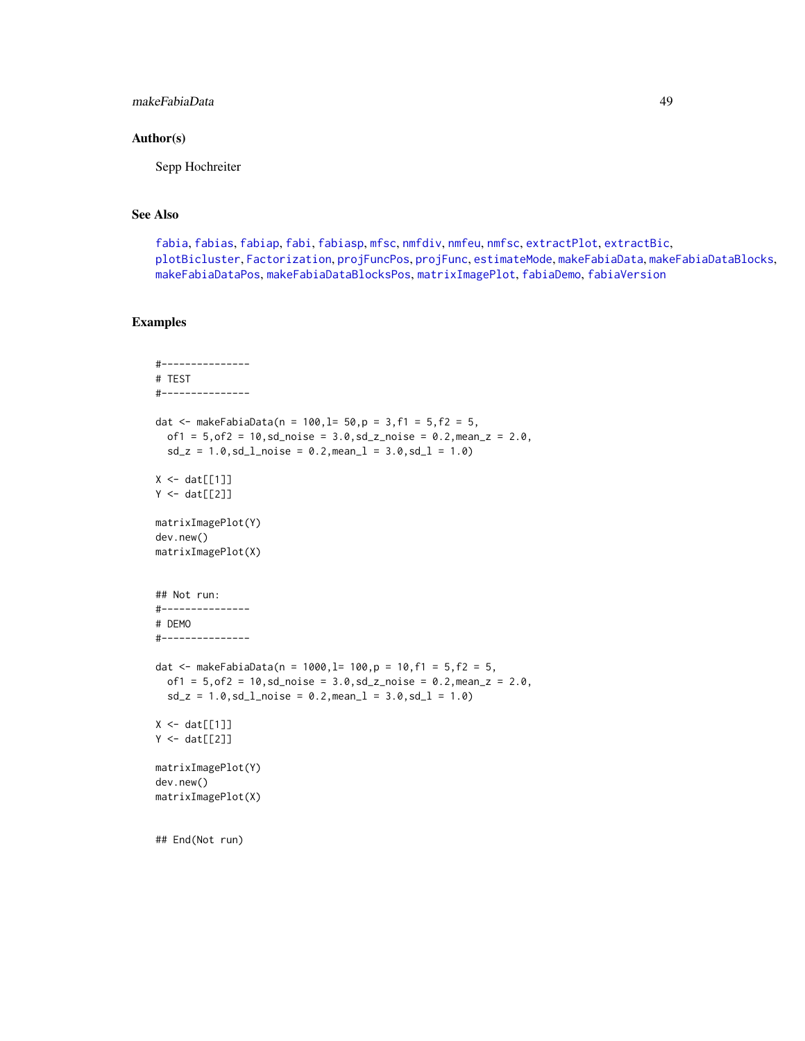## makeFabiaData 49

### Author(s)

Sepp Hochreiter

## See Also

[fabia](#page-12-0), [fabias](#page-26-0), [fabiap](#page-20-0), [fabi](#page-9-0), [fabiasp](#page-33-0), [mfsc](#page-58-0), [nmfdiv](#page-64-0), [nmfeu](#page-66-0), [nmfsc](#page-68-0), [extractPlot](#page-6-0), [extractBic](#page-3-0), [plotBicluster](#page-70-0), [Factorization](#page-38-0), [projFuncPos](#page-74-0), [projFunc](#page-73-0), [estimateMode](#page-1-0), [makeFabiaData](#page-46-0), [makeFabiaDataBlocks](#page-49-0), [makeFabiaDataPos](#page-54-0), [makeFabiaDataBlocksPos](#page-51-0), [matrixImagePlot](#page-56-0), [fabiaDemo](#page-19-0), [fabiaVersion](#page-37-0)

```
#---------------
# TEST
#---------------
dat <- makeFabiaData(n = 100, l= 50, p = 3, f1 = 5, f2 = 5,
  of1 = 5, of2 = 10, sd\_noise = 3.0, sd\_z\_noise = 0.2, mean_z = 2.0,sd_z = 1.0, sd_lnoise = 0.2, meanl = 3.0, sd_l = 1.0X \leftarrow \text{dat}[[1]]Y \leftarrow \text{dat}[[2]]matrixImagePlot(Y)
dev.new()
matrixImagePlot(X)
## Not run:
#---------------
# DEMO
#---------------
dat <- makeFabiaData(n = 1000, l= 100, p = 10, f1 = 5, f2 = 5,
  of1 = 5, of2 = 10, sd\_noise = 3.0, sd\_z\_noise = 0.2, mean\_z = 2.0,sd_z = 1.0, sd_l_{\text{noise}} = 0.2, mean_l = 3.0, sd_l = 1.0X \leftarrow \text{dat}[[1]]Y \leftarrow \text{dat}[[2]]matrixImagePlot(Y)
dev.new()
matrixImagePlot(X)
## End(Not run)
```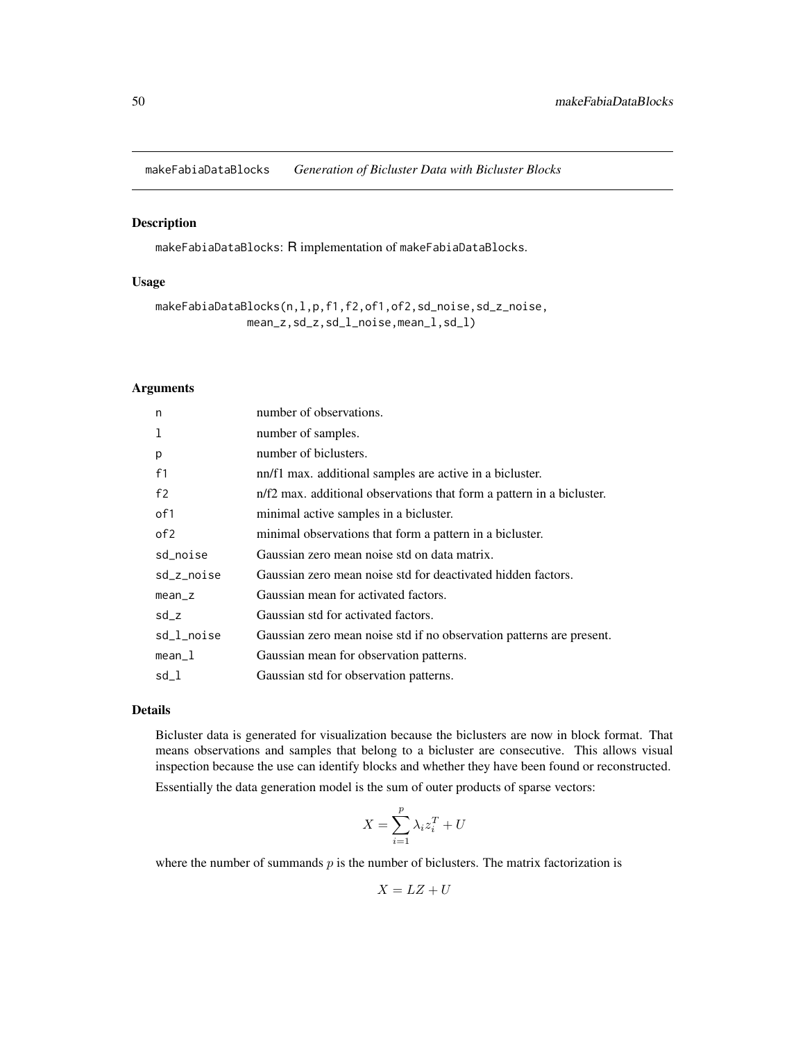<span id="page-49-0"></span>makeFabiaDataBlocks *Generation of Bicluster Data with Bicluster Blocks*

### Description

makeFabiaDataBlocks: R implementation of makeFabiaDataBlocks.

# Usage

makeFabiaDataBlocks(n,l,p,f1,f2,of1,of2,sd\_noise,sd\_z\_noise, mean\_z,sd\_z,sd\_l\_noise,mean\_l,sd\_l)

### Arguments

| n               | number of observations.                                               |
|-----------------|-----------------------------------------------------------------------|
| 1               | number of samples.                                                    |
| p               | number of biclusters.                                                 |
| f <sub>1</sub>  | nn/f1 max. additional samples are active in a bicluster.              |
| f <sub>2</sub>  | n/f2 max. additional observations that form a pattern in a bicluster. |
| of 1            | minimal active samples in a bicluster.                                |
| of <sub>2</sub> | minimal observations that form a pattern in a bicluster.              |
| sd_noise        | Gaussian zero mean noise std on data matrix.                          |
| sd_z_noise      | Gaussian zero mean noise std for deactivated hidden factors.          |
| $mean_z$        | Gaussian mean for activated factors.                                  |
| $sd_z$          | Gaussian std for activated factors.                                   |
| sd_l_noise      | Gaussian zero mean noise std if no observation patterns are present.  |
| $mean_1$        | Gaussian mean for observation patterns.                               |
| sd_l            | Gaussian std for observation patterns.                                |
|                 |                                                                       |

## Details

Bicluster data is generated for visualization because the biclusters are now in block format. That means observations and samples that belong to a bicluster are consecutive. This allows visual inspection because the use can identify blocks and whether they have been found or reconstructed.

Essentially the data generation model is the sum of outer products of sparse vectors:

$$
X = \sum_{i=1}^{p} \lambda_i z_i^T + U
$$

where the number of summands  $p$  is the number of biclusters. The matrix factorization is

$$
X = LZ + U
$$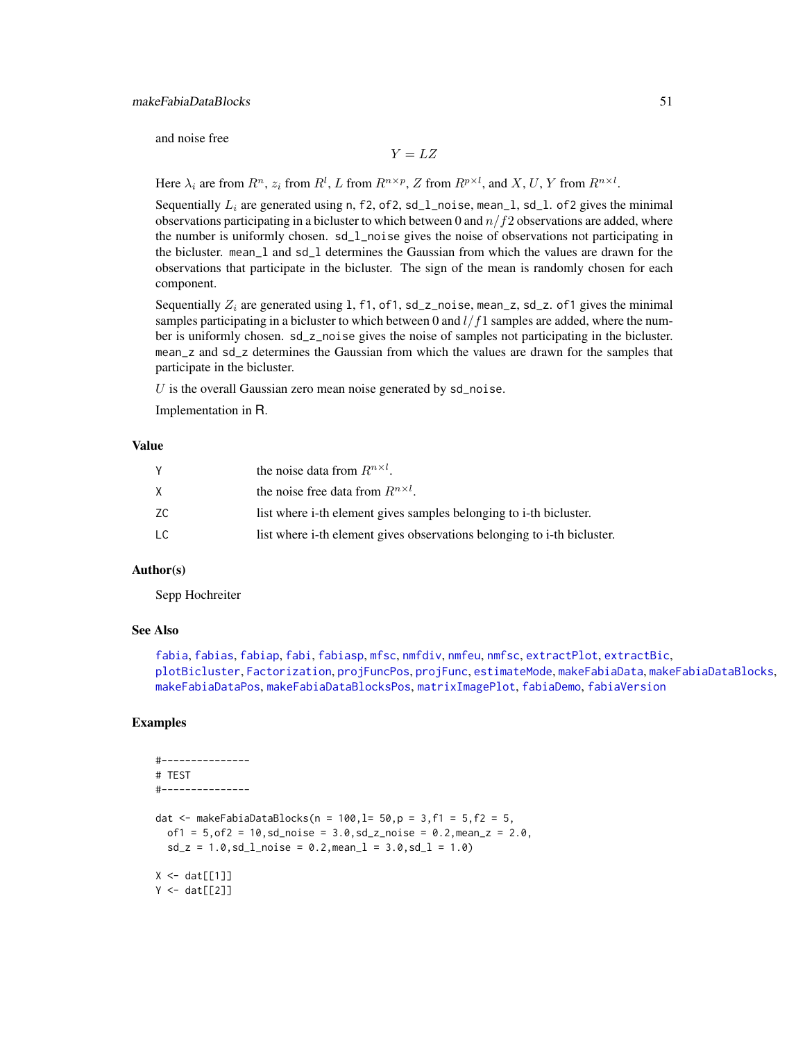and noise free

$$
Y = LZ
$$

Here  $\lambda_i$  are from  $R^n$ ,  $z_i$  from  $R^l$ , L from  $R^{n \times p}$ , Z from  $R^{p \times l}$ , and X, U, Y from  $R^{n \times l}$ .

Sequentially  $L_i$  are generated using n, f2, of2, sd\_1\_noise, mean\_1, sd\_1. of2 gives the minimal observations participating in a bicluster to which between 0 and  $n/f2$  observations are added, where the number is uniformly chosen. sd\_l\_noise gives the noise of observations not participating in the bicluster. mean\_l and sd\_l determines the Gaussian from which the values are drawn for the observations that participate in the bicluster. The sign of the mean is randomly chosen for each component.

Sequentially  $Z_i$  are generated using 1, f1, of1, sd\_z\_noise, mean\_z, sd\_z. of1 gives the minimal samples participating in a bicluster to which between 0 and  $l/f1$  samples are added, where the number is uniformly chosen. sd\_z\_noise gives the noise of samples not participating in the bicluster. mean\_z and sd\_z determines the Gaussian from which the values are drawn for the samples that participate in the bicluster.

 $U$  is the overall Gaussian zero mean noise generated by  $sd\_noise$ .

Implementation in R.

### Value

|     | the noise data from $R^{n \times l}$ .                                  |
|-----|-------------------------------------------------------------------------|
| X   | the noise free data from $R^{n \times l}$ .                             |
| ZC. | list where i-th element gives samples belonging to i-th bicluster.      |
| LC. | list where i-th element gives observations belonging to i-th bicluster. |

## Author(s)

Sepp Hochreiter

## See Also

```
fabia, fabias, fabiap, fabi, fabiasp, mfsc, nmfdiv, nmfeu, nmfsc, extractPlot, extractBic,
plotBicluster, Factorization, projFuncPos, projFunc, estimateMode, makeFabiaData, makeFabiaDataBlocks,
makeFabiaDataPos, makeFabiaDataBlocksPos, matrixImagePlot, fabiaDemo, fabiaVersion
```

```
#---------------
# TEST
#---------------
dat <- makeFabiaDataBlocks(n = 100, l = 50, p = 3, f1 = 5, f2 = 5,
  of1 = 5, of2 = 10, sd\_noise = 3.0, sd\_z\_noise = 0.2, mean\_z = 2.0,sd_z = 1.0, sd_l<sub>noise</sub> = 0.2, mean<sub>1</sub> = 3.0, sd_l = 1.0)
X \leftarrow \text{dat}[[1]]Y \leftarrow \text{dat}[[2]]
```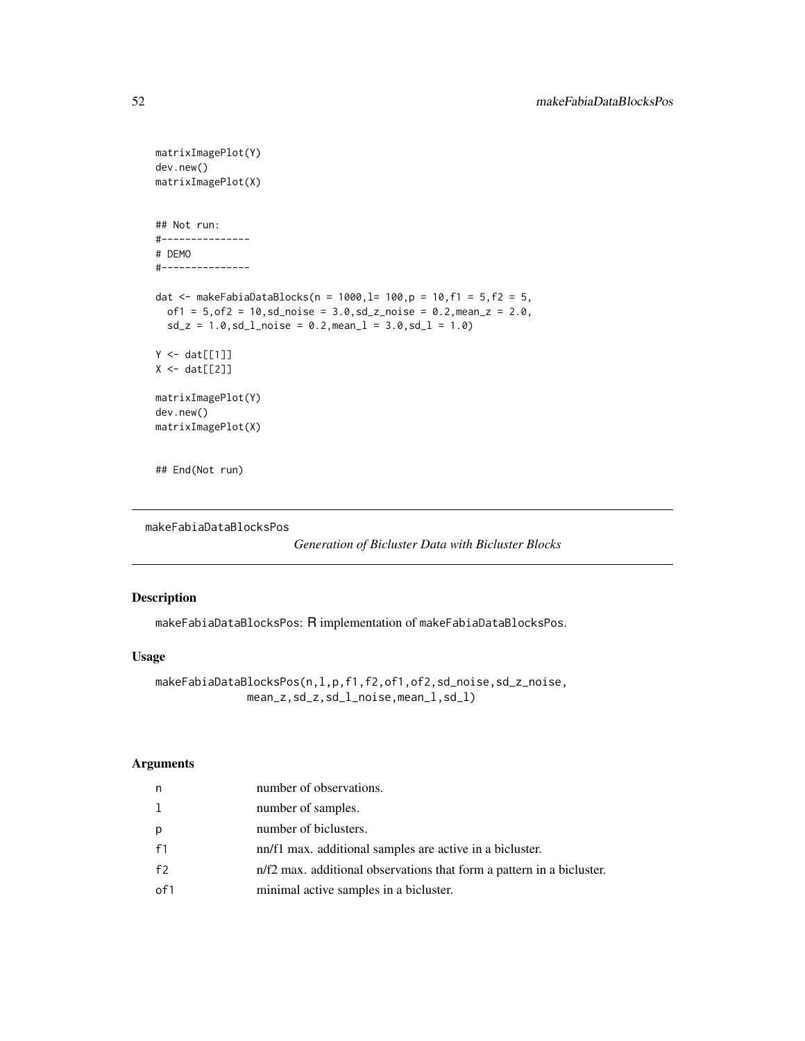```
matrixImagePlot(Y)
dev.new()
matrixImagePlot(X)
## Not run:
#---------------
# DEMO
#---------------
dat <- makeFabiaDataBlocks(n = 1000,l= 100,p = 10,f1 = 5,f2 = 5,
  of1 = 5, of2 = 10, sd\_noise = 3.0, sd\_z\_noise = 0.2, mean_z = 2.0,sd_z = 1.0, sd_l<sub>no</sub>id_e = 0.2, mean_l = 3.0, sd_l = 1.0Y \leftarrow \text{dat}[[1]]X \leftarrow \text{dat}[[2]]matrixImagePlot(Y)
dev.new()
matrixImagePlot(X)
```
## End(Not run)

```
makeFabiaDataBlocksPos
```

```
Generation of Bicluster Data with Bicluster Blocks
```
# Description

makeFabiaDataBlocksPos: R implementation of makeFabiaDataBlocksPos.

## Usage

```
makeFabiaDataBlocksPos(n,l,p,f1,f2,of1,of2,sd_noise,sd_z_noise,
              mean_z,sd_z,sd_l_noise,mean_l,sd_l)
```
### Arguments

| n              | number of observations.                                               |
|----------------|-----------------------------------------------------------------------|
| 1              | number of samples.                                                    |
| p              | number of biclusters.                                                 |
| f <sub>1</sub> | nn/f1 max. additional samples are active in a bicluster.              |
| f <sub>2</sub> | n/f2 max. additional observations that form a pattern in a bicluster. |
| of1            | minimal active samples in a bicluster.                                |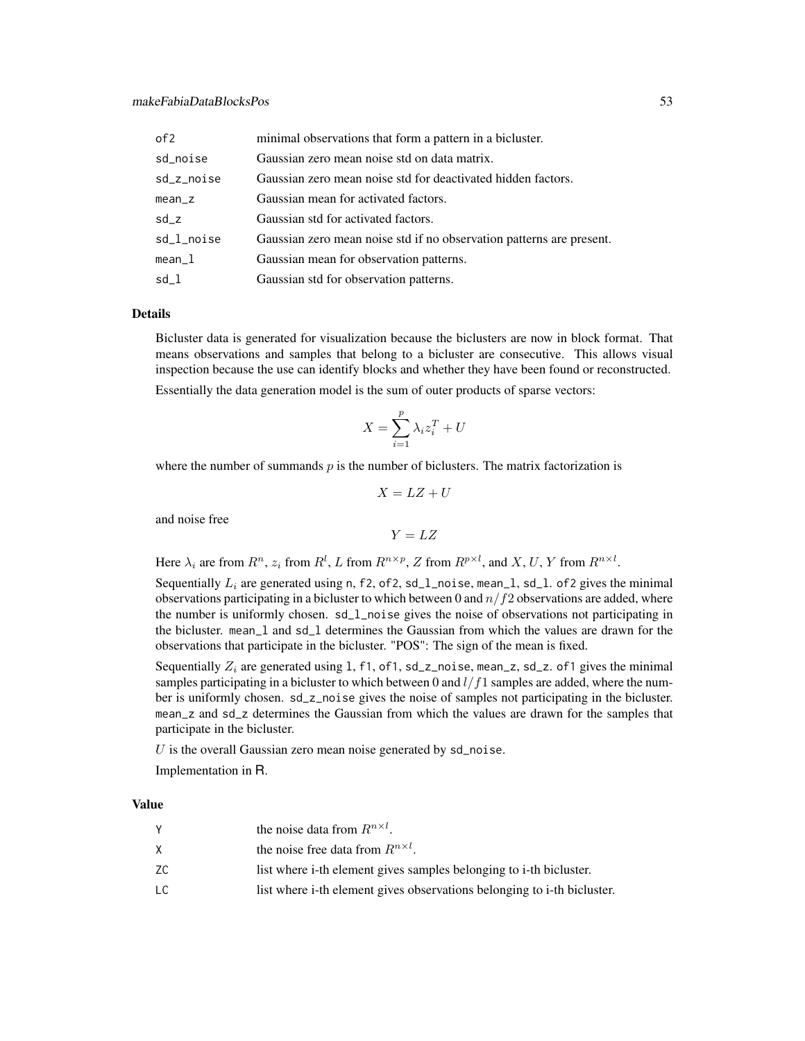| of <sub>2</sub> | minimal observations that form a pattern in a bicluster.             |
|-----------------|----------------------------------------------------------------------|
| sd_noise        | Gaussian zero mean noise std on data matrix.                         |
| sd_z_noise      | Gaussian zero mean noise std for deactivated hidden factors.         |
| $mean_z$        | Gaussian mean for activated factors.                                 |
| $sd_z$          | Gaussian std for activated factors.                                  |
| sd_l_noise      | Gaussian zero mean noise std if no observation patterns are present. |
| $mean_1$        | Gaussian mean for observation patterns.                              |
| sd l            | Gaussian std for observation patterns.                               |

## Details

Bicluster data is generated for visualization because the biclusters are now in block format. That means observations and samples that belong to a bicluster are consecutive. This allows visual inspection because the use can identify blocks and whether they have been found or reconstructed.

Essentially the data generation model is the sum of outer products of sparse vectors:

$$
X = \sum_{i=1}^{p} \lambda_i z_i^T + U
$$

where the number of summands  $p$  is the number of biclusters. The matrix factorization is

$$
X = LZ + U
$$

and noise free

 $Y = LZ$ 

Here  $\lambda_i$  are from  $R^n$ ,  $z_i$  from  $R^l$ , L from  $R^{n \times p}$ , Z from  $R^{p \times l}$ , and X, U, Y from  $R^{n \times l}$ .

Sequentially  $L_i$  are generated using n, f2, of2, sd\_1\_noise, mean\_1, sd\_1. of2 gives the minimal observations participating in a bicluster to which between 0 and  $n/f2$  observations are added, where the number is uniformly chosen. sd\_l\_noise gives the noise of observations not participating in the bicluster. mean\_l and sd\_l determines the Gaussian from which the values are drawn for the observations that participate in the bicluster. "POS": The sign of the mean is fixed.

Sequentially  $Z_i$  are generated using 1, f1, of1, sd\_z\_noise, mean\_z, sd\_z. of1 gives the minimal samples participating in a bicluster to which between 0 and  $l/f1$  samples are added, where the number is uniformly chosen. sd\_z\_noise gives the noise of samples not participating in the bicluster. mean\_z and sd\_z determines the Gaussian from which the values are drawn for the samples that participate in the bicluster.

 $U$  is the overall Gaussian zero mean noise generated by  $sd\_noise$ .

Implementation in R.

### Value

|    | the noise data from $R^{n \times l}$ .                                  |
|----|-------------------------------------------------------------------------|
| X. | the noise free data from $R^{n \times l}$ .                             |
| ZС | list where i-th element gives samples belonging to i-th bicluster.      |
| LC | list where i-th element gives observations belonging to i-th bicluster. |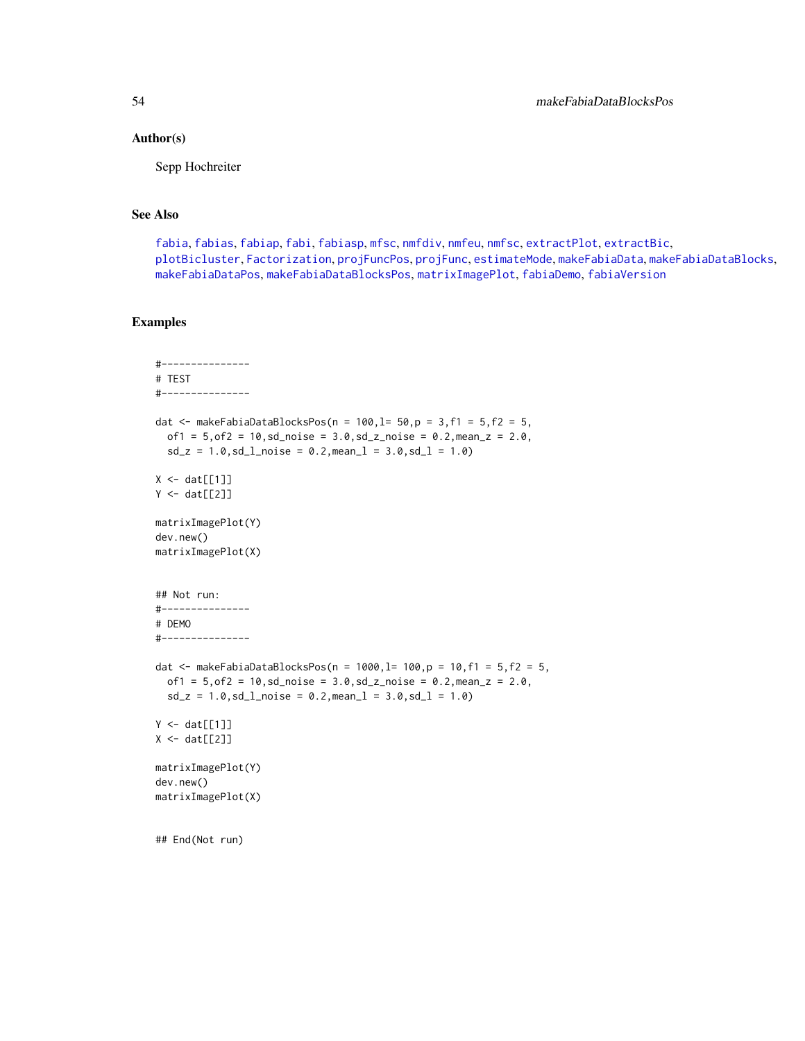### Author(s)

Sepp Hochreiter

## See Also

[fabia](#page-12-0), [fabias](#page-26-0), [fabiap](#page-20-0), [fabi](#page-9-0), [fabiasp](#page-33-0), [mfsc](#page-58-0), [nmfdiv](#page-64-0), [nmfeu](#page-66-0), [nmfsc](#page-68-0), [extractPlot](#page-6-0), [extractBic](#page-3-0), [plotBicluster](#page-70-0), [Factorization](#page-38-0), [projFuncPos](#page-74-0), [projFunc](#page-73-0), [estimateMode](#page-1-0), [makeFabiaData](#page-46-0), [makeFabiaDataBlocks](#page-49-0), [makeFabiaDataPos](#page-54-0), [makeFabiaDataBlocksPos](#page-51-0), [matrixImagePlot](#page-56-0), [fabiaDemo](#page-19-0), [fabiaVersion](#page-37-0)

```
#---------------
# TEST
#---------------
dat <- makeFabiaDataBlocksPos(n = 100, l= 50, p = 3, f1 = 5, f2 = 5,
  of1 = 5, of2 = 10, sd\_noise = 3.0, sd\_z\_noise = 0.2, mean_z = 2.0,sd_z = 1.0, sd_lnoise = 0.2, meanl = 3.0, sd_l = 1.0X \leftarrow \text{dat}[[1]]Y \leftarrow \text{dat}[[2]]matrixImagePlot(Y)
dev.new()
matrixImagePlot(X)
## Not run:
#---------------
# DEMO
#---------------
dat <- makeFabiaDataBlocksPos(n = 1000, l= 100, p = 10, f1 = 5, f2 = 5,
  of1 = 5, of2 = 10, sd\_noise = 3.0, sd\_z\_noise = 0.2, mean\_z = 2.0,sd_z = 1.0, sd_l_{\text{noise}} = 0.2, mean_l = 3.0, sd_l = 1.0Y \leftarrow \text{dat}[[1]]X \leftarrow \text{dat}[[2]]matrixImagePlot(Y)
dev.new()
matrixImagePlot(X)
## End(Not run)
```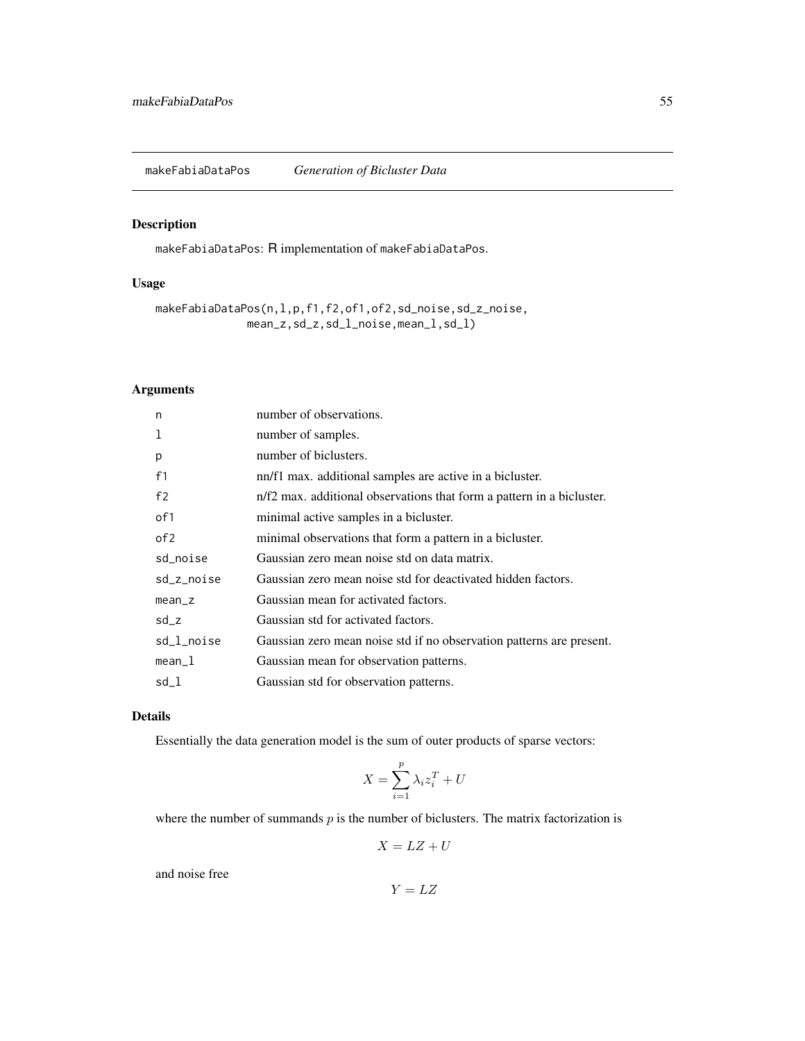<span id="page-54-0"></span>makeFabiaDataPos *Generation of Bicluster Data*

# Description

makeFabiaDataPos: R implementation of makeFabiaDataPos.

# Usage

makeFabiaDataPos(n,l,p,f1,f2,of1,of2,sd\_noise,sd\_z\_noise, mean\_z,sd\_z,sd\_l\_noise,mean\_l,sd\_l)

# Arguments

| n               | number of observations.                                               |
|-----------------|-----------------------------------------------------------------------|
|                 | number of samples.                                                    |
| p               | number of biclusters.                                                 |
| f1              | nn/f1 max. additional samples are active in a bicluster.              |
| f2              | n/f2 max. additional observations that form a pattern in a bicluster. |
| of 1            | minimal active samples in a bicluster.                                |
| of <sub>2</sub> | minimal observations that form a pattern in a bicluster.              |
| sd_noise        | Gaussian zero mean noise std on data matrix.                          |
| sd_z_noise      | Gaussian zero mean noise std for deactivated hidden factors.          |
| $mean_z$        | Gaussian mean for activated factors.                                  |
| $sd_z$          | Gaussian std for activated factors.                                   |
| sd_l_noise      | Gaussian zero mean noise std if no observation patterns are present.  |
| $mean_1$        | Gaussian mean for observation patterns.                               |
| sd_l            | Gaussian std for observation patterns.                                |

# Details

Essentially the data generation model is the sum of outer products of sparse vectors:

$$
X = \sum_{i=1}^{p} \lambda_i z_i^T + U
$$

where the number of summands  $p$  is the number of biclusters. The matrix factorization is

$$
X = LZ + U
$$

and noise free

$$
Y = LZ
$$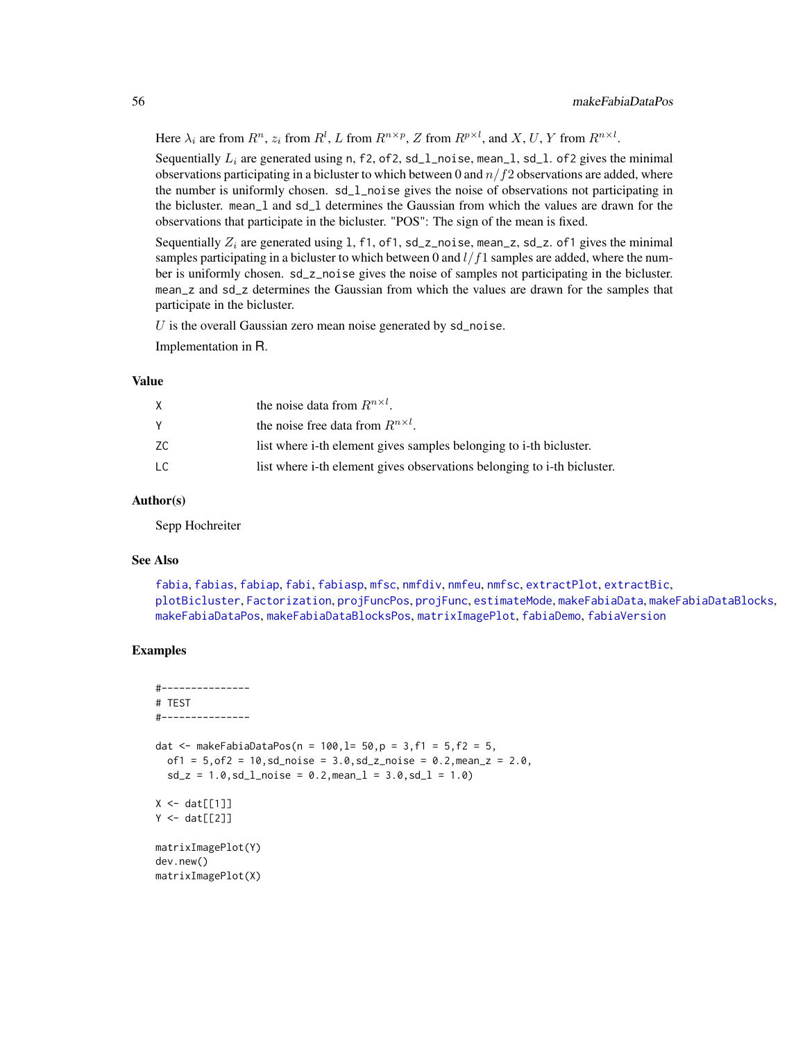Here  $\lambda_i$  are from  $R^n$ ,  $z_i$  from  $R^l$ , L from  $R^{n \times p}$ , Z from  $R^{p \times l}$ , and X, U, Y from  $R^{n \times l}$ .

Sequentially  $L_i$  are generated using n, f2, of2, sd\_1\_noise, mean\_1, sd\_1. of2 gives the minimal observations participating in a bicluster to which between 0 and  $n/f2$  observations are added, where the number is uniformly chosen. sd\_l\_noise gives the noise of observations not participating in the bicluster. mean\_l and sd\_l determines the Gaussian from which the values are drawn for the observations that participate in the bicluster. "POS": The sign of the mean is fixed.

Sequentially  $Z_i$  are generated using 1, f1, of1, sd\_z\_noise, mean\_z, sd\_z. of1 gives the minimal samples participating in a bicluster to which between 0 and  $l/f1$  samples are added, where the number is uniformly chosen. sd\_z\_noise gives the noise of samples not participating in the bicluster. mean\_z and sd\_z determines the Gaussian from which the values are drawn for the samples that participate in the bicluster.

 $U$  is the overall Gaussian zero mean noise generated by  $sd\_noise$ .

Implementation in R.

## Value

|    | the noise data from $R^{n \times l}$ .                                  |
|----|-------------------------------------------------------------------------|
|    | the noise free data from $R^{n \times l}$ .                             |
| ZС | list where i-th element gives samples belonging to i-th bicluster.      |
| LC | list where i-th element gives observations belonging to i-th bicluster. |

## Author(s)

Sepp Hochreiter

## See Also

[fabia](#page-12-0), [fabias](#page-26-0), [fabiap](#page-20-0), [fabi](#page-9-0), [fabiasp](#page-33-0), [mfsc](#page-58-0), [nmfdiv](#page-64-0), [nmfeu](#page-66-0), [nmfsc](#page-68-0), [extractPlot](#page-6-0), [extractBic](#page-3-0), [plotBicluster](#page-70-0), [Factorization](#page-38-0), [projFuncPos](#page-74-0), [projFunc](#page-73-0), [estimateMode](#page-1-0), [makeFabiaData](#page-46-0), [makeFabiaDataBlocks](#page-49-0), [makeFabiaDataPos](#page-54-0), [makeFabiaDataBlocksPos](#page-51-0), [matrixImagePlot](#page-56-0), [fabiaDemo](#page-19-0), [fabiaVersion](#page-37-0)

```
#---------------
# TEST
#---------------
dat <- makeFabiaDataPos(n = 100, l = 50, p = 3, f1 = 5, f2 = 5,
  of1 = 5, of2 = 10, sd\_noise = 3.0, sd\_z\_noise = 0.2, mean\_z = 2.0,sd_z = 1.0, sd_l<sub>noise</sub> = 0.2, mean<sub>1</sub> = 3.0, sd_l = 1.0)
X \leftarrow \text{dat}[[1]]Y \leftarrow \text{dat}[[2]]matrixImagePlot(Y)
dev.new()
matrixImagePlot(X)
```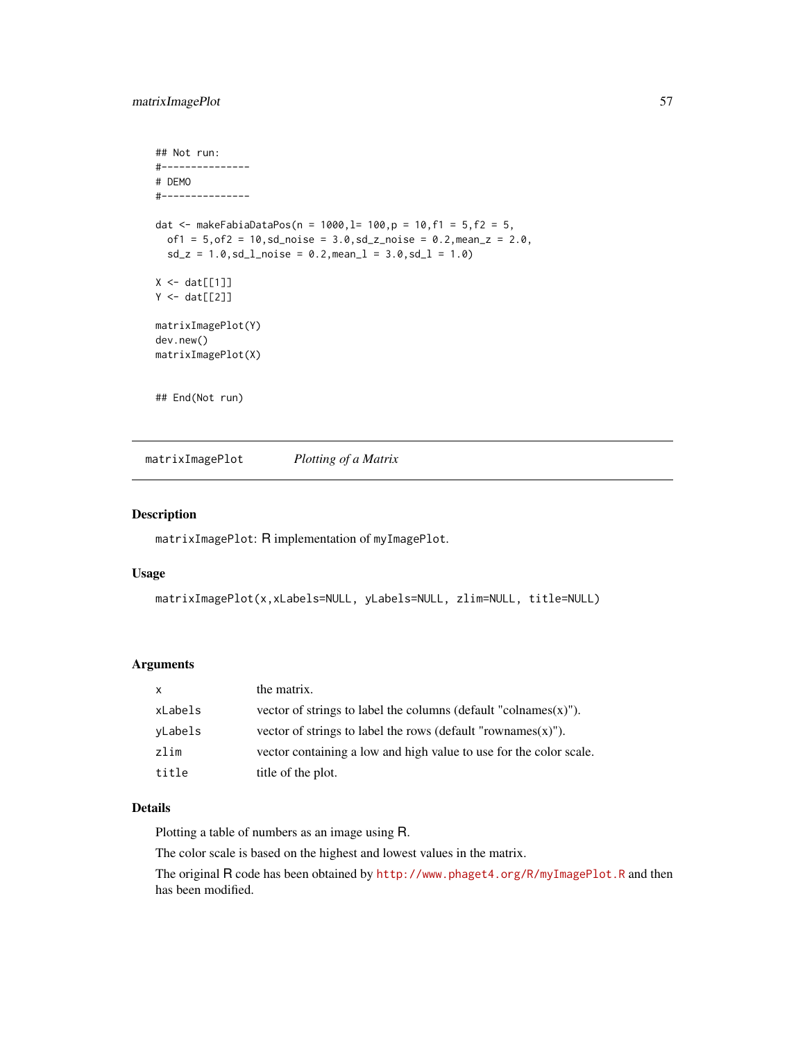# matrixImagePlot 57

```
## Not run:
#---------------
# DEMO
#---------------
dat <- makeFabiaDataPos(n = 1000, l= 100, p = 10, f1 = 5, f2 = 5,
  of1 = 5, of2 = 10, sd\_noise = 3.0, sd\_z\_noise = 0.2, mean\_z = 2.0,sd_z = 1.0, sd_l<sub>noise</sub> = 0.2, mean<sub>1</sub> = 3.0, sd_l = 1.0)
X \leftarrow \text{dat}[[1]]Y \leftarrow \text{dat}[[2]]matrixImagePlot(Y)
dev.new()
matrixImagePlot(X)
## End(Not run)
```
<span id="page-56-0"></span>matrixImagePlot *Plotting of a Matrix*

## Description

matrixImagePlot: R implementation of myImagePlot.

#### Usage

```
matrixImagePlot(x,xLabels=NULL, yLabels=NULL, zlim=NULL, title=NULL)
```
## Arguments

| $\times$ | the matrix.                                                         |
|----------|---------------------------------------------------------------------|
| xLabels  | vector of strings to label the columns (default "colnames $(x)$ "). |
| yLabels  | vector of strings to label the rows (default "rownames $(x)$ ").    |
| zlim     | vector containing a low and high value to use for the color scale.  |
| title    | title of the plot.                                                  |

## Details

Plotting a table of numbers as an image using R.

The color scale is based on the highest and lowest values in the matrix.

The original R code has been obtained by <http://www.phaget4.org/R/myImagePlot.R> and then has been modified.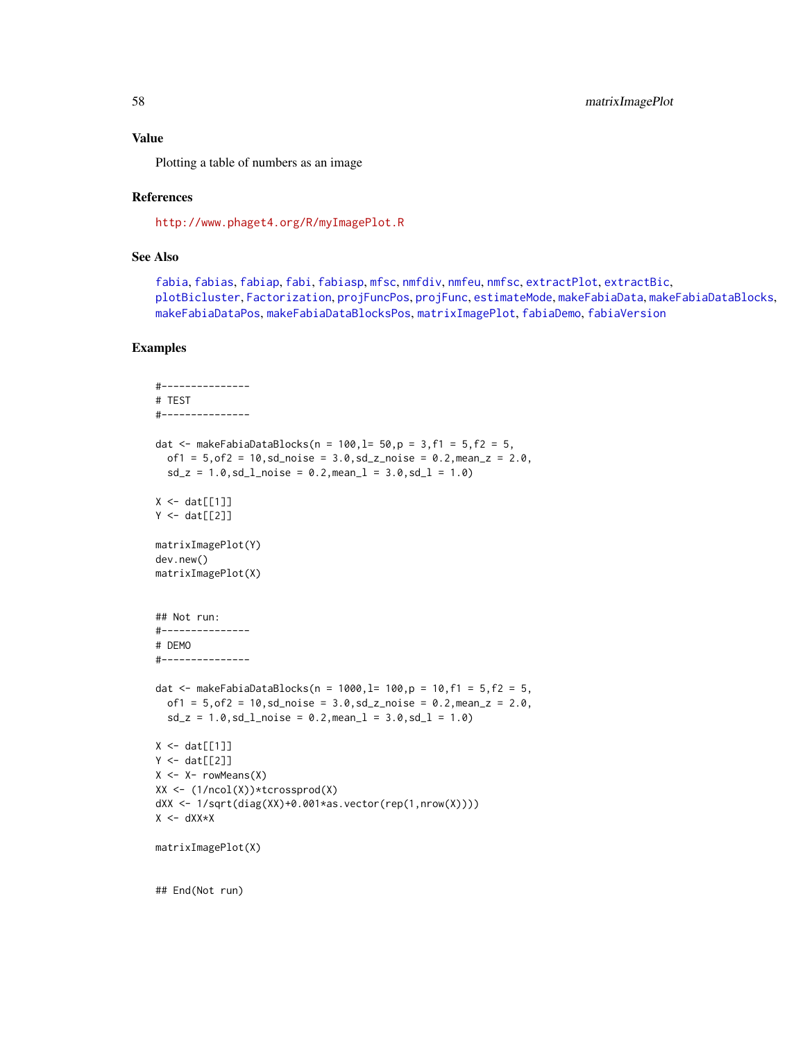#### Value

Plotting a table of numbers as an image

#### References

<http://www.phaget4.org/R/myImagePlot.R>

## See Also

[fabia](#page-12-0), [fabias](#page-26-0), [fabiap](#page-20-0), [fabi](#page-9-0), [fabiasp](#page-33-0), [mfsc](#page-58-0), [nmfdiv](#page-64-0), [nmfeu](#page-66-0), [nmfsc](#page-68-0), [extractPlot](#page-6-0), [extractBic](#page-3-0), [plotBicluster](#page-70-0), [Factorization](#page-38-0), [projFuncPos](#page-74-0), [projFunc](#page-73-0), [estimateMode](#page-1-0), [makeFabiaData](#page-46-0), [makeFabiaDataBlocks](#page-49-0), [makeFabiaDataPos](#page-54-0), [makeFabiaDataBlocksPos](#page-51-0), [matrixImagePlot](#page-56-0), [fabiaDemo](#page-19-0), [fabiaVersion](#page-37-0)

```
#---------------
# TEST
#---------------
dat \leq makeFabiaDataBlocks(n = 100, l= 50, p = 3, f1 = 5, f2 = 5,
  of1 = 5, of2 = 10, sd\_noise = 3.0, sd\_z\_noise = 0.2, mean\_z = 2.0,sd_z = 1.0, sd_l noise = 0.2, meanl = 3.0, sd_l = 1.0)
X \leftarrow \text{dat}[[1]]Y \leftarrow \text{dat}[[2]]matrixImagePlot(Y)
dev.new()
matrixImagePlot(X)
## Not run:
#---------------
# DEMO
#---------------
dat <- makeFabiaDataBlocks(n = 1000,l= 100,p = 10,f1 = 5,f2 = 5,
  of1 = 5, of2 = 10, sd\_noise = 3.0, sd\_z\_noise = 0.2, mean\_z = 2.0,sd_z = 1.0, sd_lnoise = 0.2, meanl = 3.0, sd_l = 1.0X \leftarrow \text{dat}[[1]]Y \leftarrow \text{dat}[[2]]X \leftarrow X- rowMeans(X)XX <- (1/ncol(X))*tcrossprod(X)
dXX <- 1/sqrt(diag(XX)+0.001*as.vector(rep(1,nrow(X))))
X \leftarrow dXX*XmatrixImagePlot(X)
## End(Not run)
```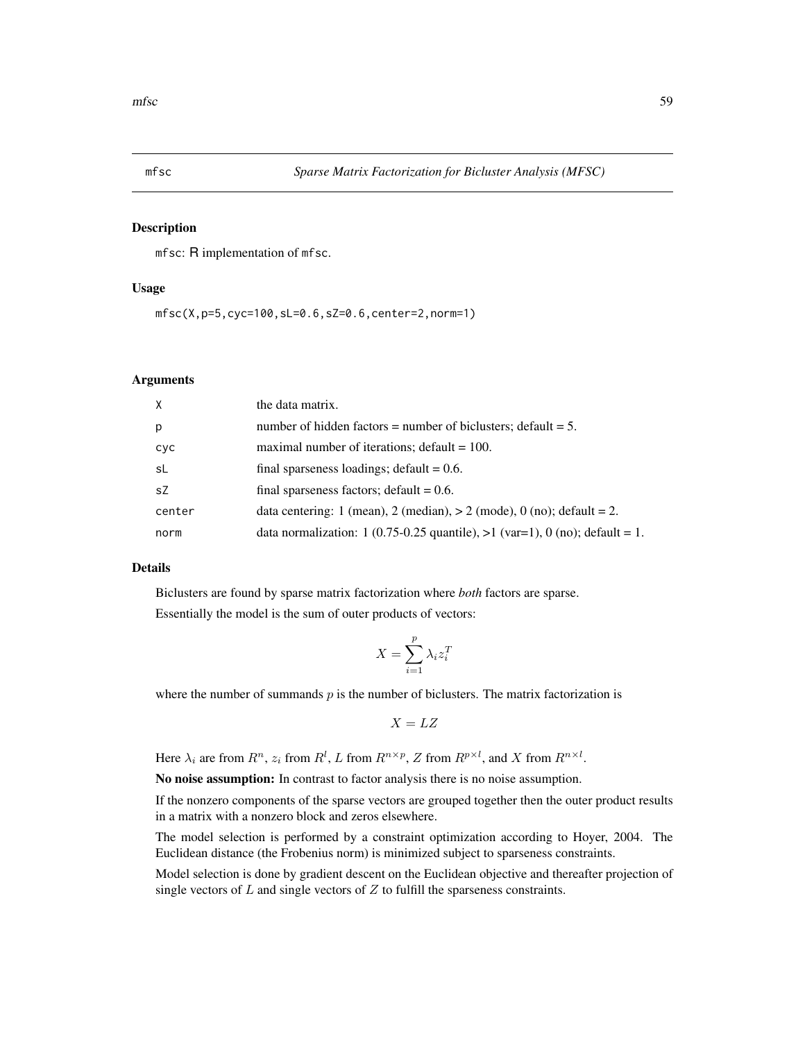<span id="page-58-0"></span>

## Description

mfsc: R implementation of mfsc.

# Usage

mfsc(X,p=5,cyc=100,sL=0.6,sZ=0.6,center=2,norm=1)

## Arguments

| $\mathsf{X}$ | the data matrix.                                                               |
|--------------|--------------------------------------------------------------------------------|
| p            | number of hidden factors = number of biclusters; default = $5$ .               |
| cyc          | maximal number of iterations; $default = 100$ .                                |
| sL           | final sparseness loadings; default $= 0.6$ .                                   |
| sZ           | final sparseness factors; default $= 0.6$ .                                    |
| center       | data centering: 1 (mean), 2 (median), $> 2$ (mode), 0 (no); default = 2.       |
| norm         | data normalization: 1 (0.75-0.25 quantile), $>1$ (var=1), 0 (no); default = 1. |

### Details

Biclusters are found by sparse matrix factorization where *both* factors are sparse. Essentially the model is the sum of outer products of vectors:

$$
X = \sum_{i=1}^{p} \lambda_i z_i^T
$$

where the number of summands  $p$  is the number of biclusters. The matrix factorization is

$$
X = LZ
$$

Here  $\lambda_i$  are from  $R^n$ ,  $z_i$  from  $R^l$ , L from  $R^{n \times p}$ , Z from  $R^{p \times l}$ , and X from  $R^{n \times l}$ .

No noise assumption: In contrast to factor analysis there is no noise assumption.

If the nonzero components of the sparse vectors are grouped together then the outer product results in a matrix with a nonzero block and zeros elsewhere.

The model selection is performed by a constraint optimization according to Hoyer, 2004. The Euclidean distance (the Frobenius norm) is minimized subject to sparseness constraints.

Model selection is done by gradient descent on the Euclidean objective and thereafter projection of single vectors of  $L$  and single vectors of  $Z$  to fulfill the sparseness constraints.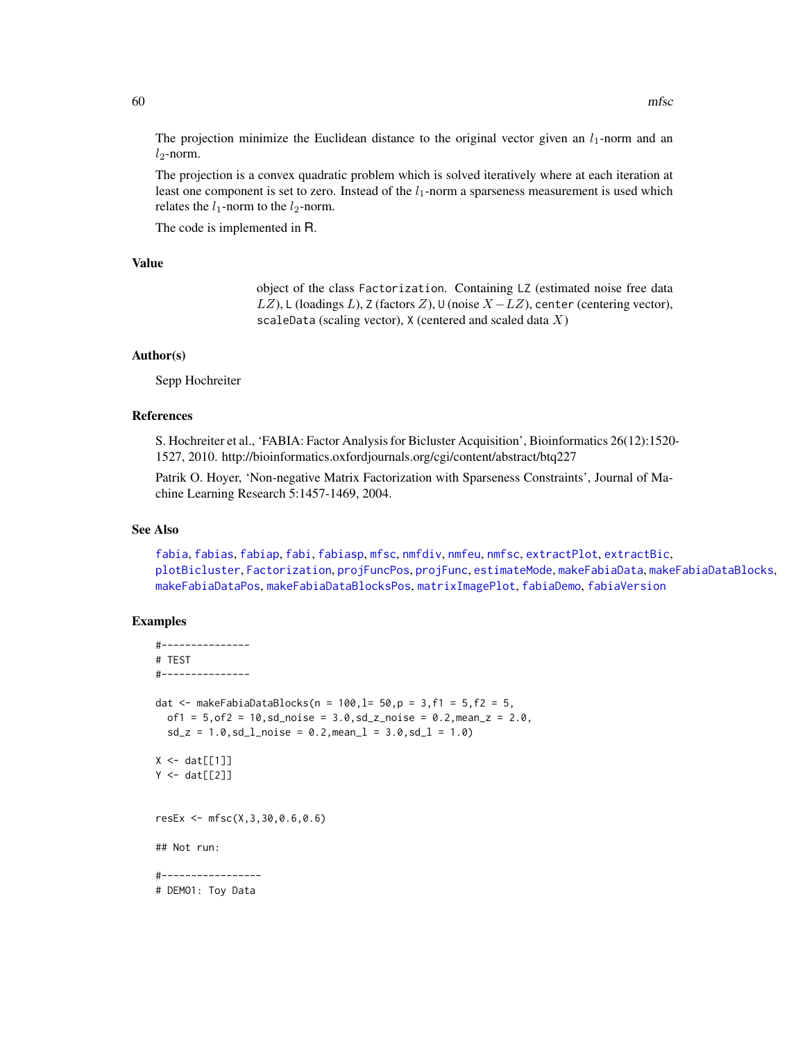The projection minimize the Euclidean distance to the original vector given an  $l_1$ -norm and an  $l_2$ -norm.

The projection is a convex quadratic problem which is solved iteratively where at each iteration at least one component is set to zero. Instead of the  $l_1$ -norm a sparseness measurement is used which relates the  $l_1$ -norm to the  $l_2$ -norm.

The code is implemented in R.

## Value

object of the class Factorization. Containing LZ (estimated noise free data LZ), L (loadings L), Z (factors Z), U (noise  $X - LZ$ ), center (centering vector), scaleData (scaling vector),  $X$  (centered and scaled data  $X$ )

### Author(s)

Sepp Hochreiter

## References

S. Hochreiter et al., 'FABIA: Factor Analysis for Bicluster Acquisition', Bioinformatics 26(12):1520- 1527, 2010. http://bioinformatics.oxfordjournals.org/cgi/content/abstract/btq227

Patrik O. Hoyer, 'Non-negative Matrix Factorization with Sparseness Constraints', Journal of Machine Learning Research 5:1457-1469, 2004.

### See Also

[fabia](#page-12-0), [fabias](#page-26-0), [fabiap](#page-20-0), [fabi](#page-9-0), [fabiasp](#page-33-0), [mfsc](#page-58-0), [nmfdiv](#page-64-0), [nmfeu](#page-66-0), [nmfsc](#page-68-0), [extractPlot](#page-6-0), [extractBic](#page-3-0), [plotBicluster](#page-70-0), [Factorization](#page-38-0), [projFuncPos](#page-74-0), [projFunc](#page-73-0), [estimateMode](#page-1-0), [makeFabiaData](#page-46-0), [makeFabiaDataBlocks](#page-49-0), [makeFabiaDataPos](#page-54-0), [makeFabiaDataBlocksPos](#page-51-0), [matrixImagePlot](#page-56-0), [fabiaDemo](#page-19-0), [fabiaVersion](#page-37-0)

```
#---------------
# TEST
#---------------
dat <- makeFabiaDataBlocks(n = 100, l = 50, p = 3, f1 = 5, f2 = 5,
  of1 = 5, of2 = 10, sd\_noise = 3.0, sd\_z\_noise = 0.2, mean_z = 2.0,sd_z = 1.0, sd_lnoise = 0.2, meanl = 3.0, sd_l = 1.0X \leftarrow \text{dat}[[1]]Y \leftarrow \text{dat}[[2]]resEx <- mfsc(X,3,30,0.6,0.6)
## Not run:
#-----------------
# DEMO1: Toy Data
```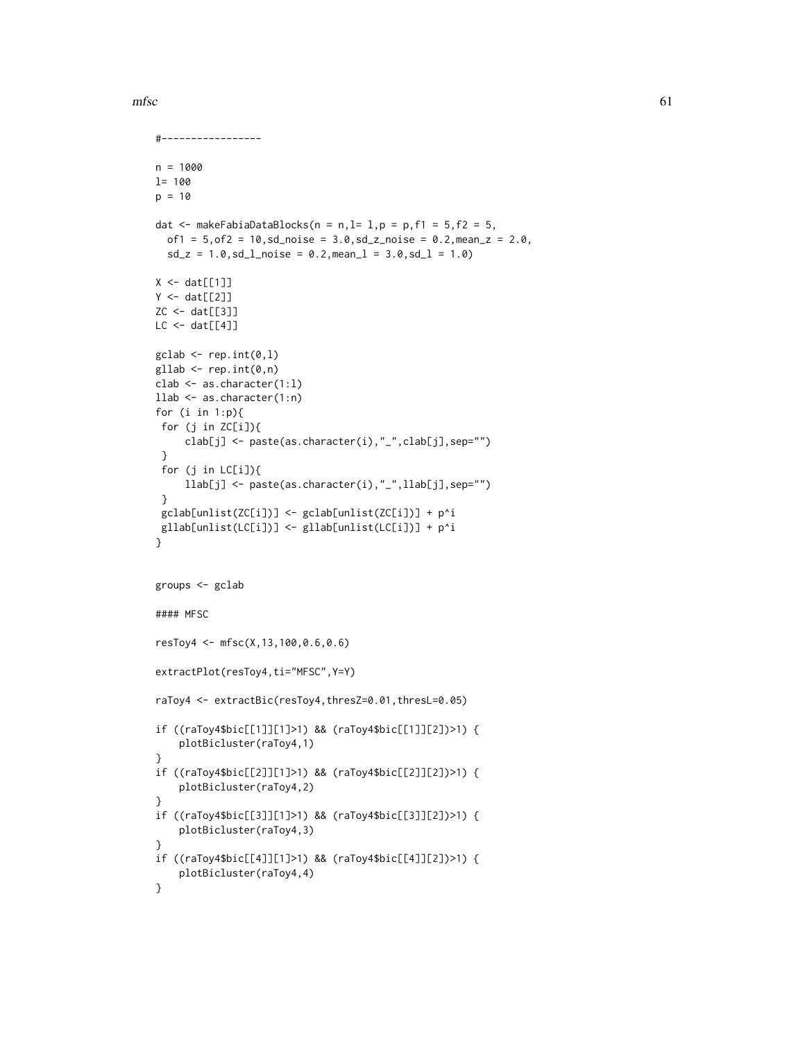```
mfsc61
```

```
#-----------------
n = 1000
l= 100
p = 10dat \leq makeFabiaDataBlocks(n = n, l= 1, p = p, f1 = 5, f2 = 5,
  of1 = 5, of2 = 10, sd\_noise = 3.0, sd\_z\_noise = 0.2, mean\_z = 2.0,sd_z = 1.0, sd_l<sub>noise</sub> = 0.2, mean<sub>1</sub> = 3.0, sd_l = 1.0)
X \leftarrow \text{dat}[[1]]Y \leftarrow \text{dat}[[2]]ZC <- dat[[3]]
LC < - \text{dat}[[4]]\text{gclab} \leftarrow \text{rep.int}(0,1)gllab <- rep.int(0, n)clab <- as.character(1:l)
llab <- as.character(1:n)
for (i in 1:p){
 for (j in ZC[i]){
     clab[j] <- paste(as.character(i),"_",clab[j],sep="")
 }
 for (j in LC[i]){
     llab[j] <- paste(as.character(i),"_",llab[j],sep="")
 }
 gclab[unlist(ZC[i])] <- gclab[unlist(ZC[i])] + p^i
 gllab[unlist(LC[i])] <- gllab[unlist(LC[i])] + p^i
}
groups <- gclab
#### MFSC
resToy4 <- mfsc(X,13,100,0.6,0.6)
extractPlot(resToy4,ti="MFSC",Y=Y)
raToy4 <- extractBic(resToy4,thresZ=0.01,thresL=0.05)
if ((raToy4$bic[[1]][1]>1) && (raToy4$bic[[1]][2])>1) {
    plotBicluster(raToy4,1)
}
if ((raToy4$bic[[2]][1]>1) && (raToy4$bic[[2]][2])>1) {
    plotBicluster(raToy4,2)
}
if ((raToy4$bic[[3]][1]>1) && (raToy4$bic[[3]][2])>1) {
    plotBicluster(raToy4,3)
}
if ((raToy4$bic[[4]][1]>1) && (raToy4$bic[[4]][2])>1) {
    plotBicluster(raToy4,4)
}
```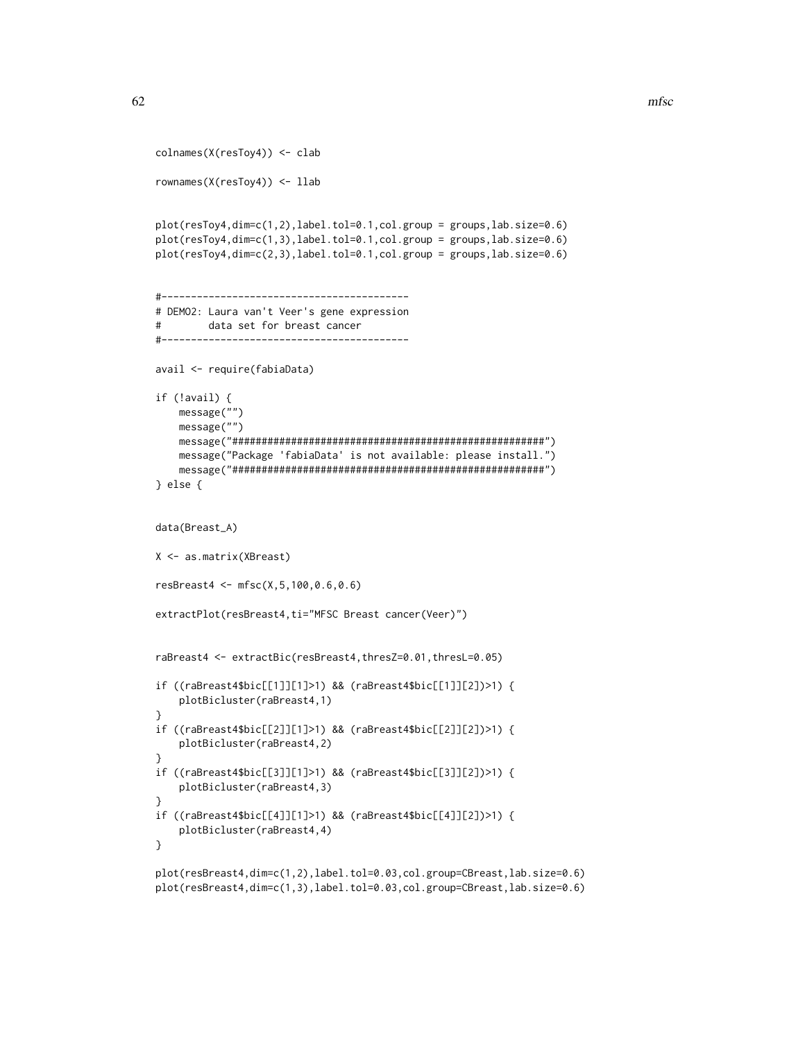```
colnames(X(resToy4)) <- clab
rownames(X(resToy4)) <- llab
plot(resToy4,dim=c(1,2),label.tol=0.1,col.group = groups,lab.size=0.6)
plot(resToy4,dim=c(1,3),label.tol=0.1,col.group = groups,lab.size=0.6)
plot(resToy4,dim=c(2,3),label.tol=0.1,col.group = groups,lab.size=0.6)
#------------------------------------------
# DEMO2: Laura van't Veer's gene expression
# data set for breast cancer
#------------------------------------------
avail <- require(fabiaData)
if (!avail) {
   message("")
   message("")
   message("#####################################################")
   message("Package 'fabiaData' is not available: please install.")
    message("#####################################################")
} else {
data(Breast_A)
X <- as.matrix(XBreast)
resBreast4 <- mfsc(X,5,100,0.6,0.6)
extractPlot(resBreast4,ti="MFSC Breast cancer(Veer)")
raBreast4 <- extractBic(resBreast4,thresZ=0.01,thresL=0.05)
if ((raBreast4$bic[[1]][1]>1) && (raBreast4$bic[[1]][2])>1) {
    plotBicluster(raBreast4,1)
}
if ((raBreast4$bic[[2]][1]>1) && (raBreast4$bic[[2]][2])>1) {
    plotBicluster(raBreast4,2)
}
if ((raBreast4$bic[[3]][1]>1) && (raBreast4$bic[[3]][2])>1) {
    plotBicluster(raBreast4,3)
}
if ((raBreast4$bic[[4]][1]>1) && (raBreast4$bic[[4]][2])>1) {
    plotBicluster(raBreast4,4)
}
plot(resBreast4,dim=c(1,2),label.tol=0.03,col.group=CBreast,lab.size=0.6)
```
plot(resBreast4,dim=c(1,3),label.tol=0.03,col.group=CBreast,lab.size=0.6)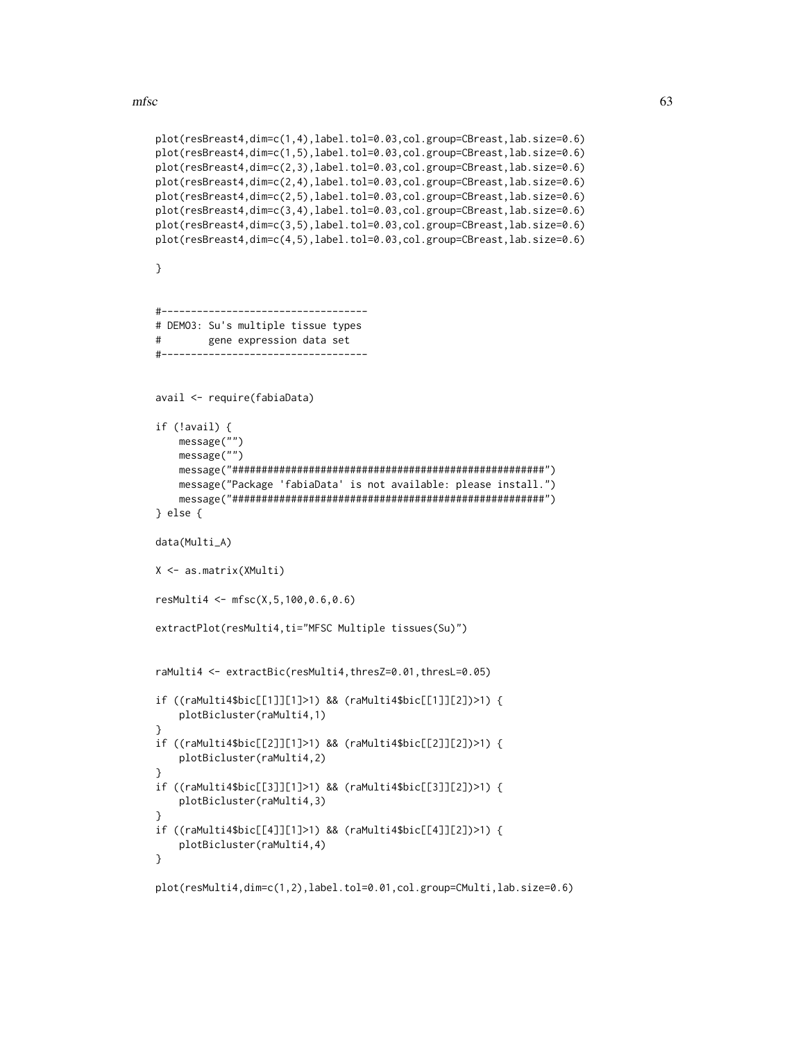$m$ fsc $63$ 

```
plot(resBreast4,dim=c(1,4),label.tol=0.03,col.group=CBreast,lab.size=0.6)
plot(resBreast4,dim=c(1,5),label.tol=0.03,col.group=CBreast,lab.size=0.6)
plot(resBreast4,dim=c(2,3),label.tol=0.03,col.group=CBreast,lab.size=0.6)
plot(resBreast4,dim=c(2,4),label.tol=0.03,col.group=CBreast,lab.size=0.6)
plot(resBreast4,dim=c(2,5),label.tol=0.03,col.group=CBreast,lab.size=0.6)
plot(resBreast4,dim=c(3,4),label.tol=0.03,col.group=CBreast,lab.size=0.6)
plot(resBreast4,dim=c(3,5),label.tol=0.03,col.group=CBreast,lab.size=0.6)
plot(resBreast4,dim=c(4,5),label.tol=0.03,col.group=CBreast,lab.size=0.6)
}
#-----------------------------------
# DEMO3: Su's multiple tissue types
# gene expression data set
#-----------------------------------
avail <- require(fabiaData)
if (!avail) {
   message("")
   message("")
   message("#####################################################")
    message("Package 'fabiaData' is not available: please install.")
    message("#####################################################")
} else {
data(Multi_A)
X <- as.matrix(XMulti)
resMulti4 <- mfsc(X,5,100,0.6,0.6)
extractPlot(resMulti4,ti="MFSC Multiple tissues(Su)")
raMulti4 <- extractBic(resMulti4,thresZ=0.01,thresL=0.05)
if ((raMulti4$bic[[1]][1]>1) && (raMulti4$bic[[1]][2])>1) {
    plotBicluster(raMulti4,1)
}
if ((raMulti4$bic[[2]][1]>1) && (raMulti4$bic[[2]][2])>1) {
    plotBicluster(raMulti4,2)
}
if ((raMulti4$bic[[3]][1]>1) && (raMulti4$bic[[3]][2])>1) {
    plotBicluster(raMulti4,3)
}
if ((raMulti4$bic[[4]][1]>1) && (raMulti4$bic[[4]][2])>1) {
    plotBicluster(raMulti4,4)
}
```

```
plot(resMulti4,dim=c(1,2),label.tol=0.01,col.group=CMulti,lab.size=0.6)
```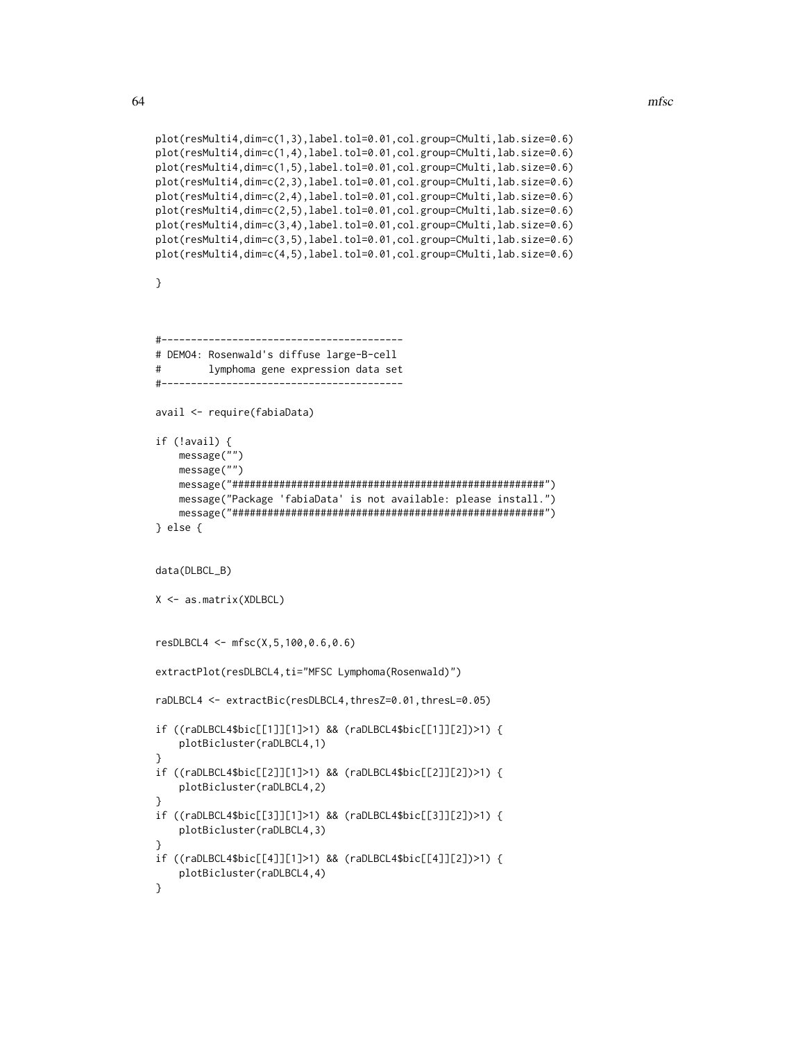```
plot(resMulti4,dim=c(1,3),label.tol=0.01,col.group=CMulti,lab.size=0.6)
plot(resMulti4,dim=c(1,4),label.tol=0.01,col.group=CMulti,lab.size=0.6)
plot(resMulti4,dim=c(1,5),label.tol=0.01,col.group=CMulti,lab.size=0.6)
plot(resMulti4,dim=c(2,3),label.tol=0.01,col.group=CMulti,lab.size=0.6)
plot(resMulti4,dim=c(2,4),label.tol=0.01,col.group=CMulti,lab.size=0.6)
plot(resMulti4,dim=c(2,5),label.tol=0.01,col.group=CMulti,lab.size=0.6)
plot(resMulti4,dim=c(3,4),label.tol=0.01,col.group=CMulti,lab.size=0.6)
plot(resMulti4,dim=c(3,5),label.tol=0.01,col.group=CMulti,lab.size=0.6)
plot(resMulti4,dim=c(4,5),label.tol=0.01,col.group=CMulti,lab.size=0.6)
}
#-----------------------------------------
# DEMO4: Rosenwald's diffuse large-B-cell
# lymphoma gene expression data set
#-----------------------------------------
avail <- require(fabiaData)
if (!avail) {
   message("")
   message("")
   message("#####################################################")
    message("Package 'fabiaData' is not available: please install.")
    message("#####################################################")
} else {
data(DLBCL_B)
X <- as.matrix(XDLBCL)
resDLBCL4 <- mfsc(X,5,100,0.6,0.6)
extractPlot(resDLBCL4,ti="MFSC Lymphoma(Rosenwald)")
raDLBCL4 <- extractBic(resDLBCL4,thresZ=0.01,thresL=0.05)
if ((raDLBCL4$bic[[1]][1]>1) && (raDLBCL4$bic[[1]][2])>1) {
    plotBicluster(raDLBCL4,1)
}
if ((raDLBCL4$bic[[2]][1]>1) && (raDLBCL4$bic[[2]][2])>1) {
    plotBicluster(raDLBCL4,2)
}
if ((raDLBCL4$bic[[3]][1]>1) && (raDLBCL4$bic[[3]][2])>1) {
    plotBicluster(raDLBCL4,3)
}
if ((raDLBCL4$bic[[4]][1]>1) && (raDLBCL4$bic[[4]][2])>1) {
    plotBicluster(raDLBCL4,4)
}
```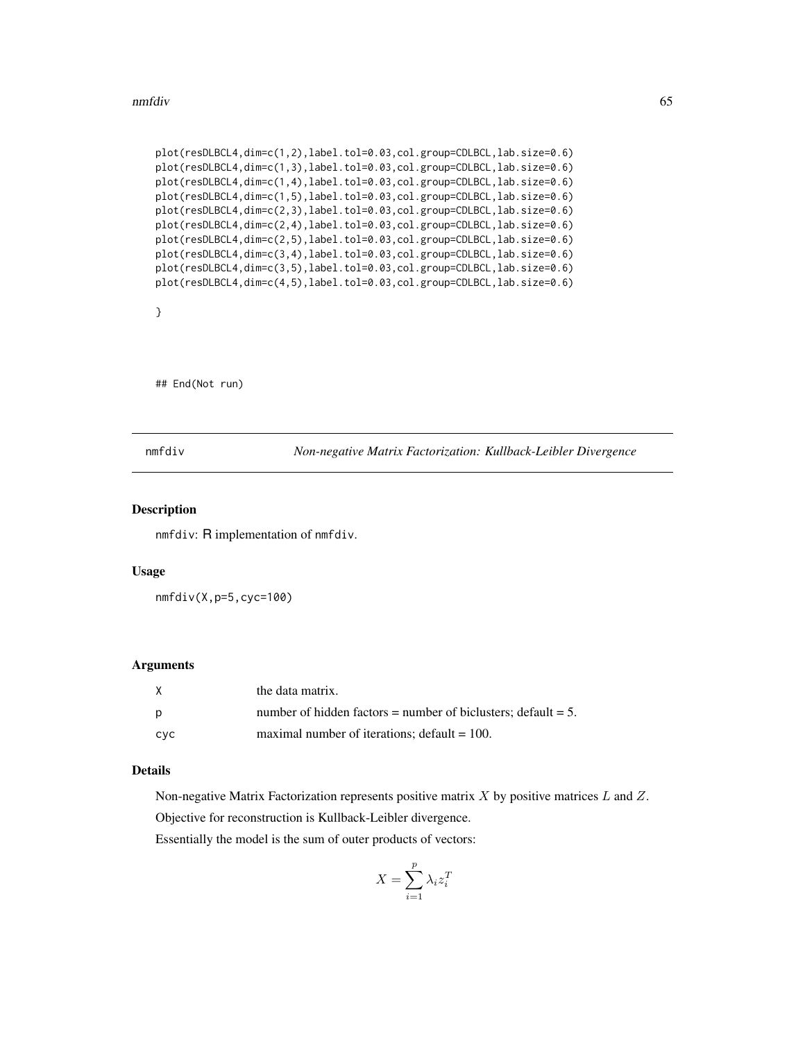#### nmfdiv 65

```
plot(resDLBCL4,dim=c(1,2),label.tol=0.03,col.group=CDLBCL,lab.size=0.6)
plot(resDLBCL4,dim=c(1,3),label.tol=0.03,col.group=CDLBCL,lab.size=0.6)
plot(resDLBCL4,dim=c(1,4),label.tol=0.03,col.group=CDLBCL,lab.size=0.6)
plot(resDLBCL4,dim=c(1,5),label.tol=0.03,col.group=CDLBCL,lab.size=0.6)
plot(resDLBCL4,dim=c(2,3),label.tol=0.03,col.group=CDLBCL,lab.size=0.6)
plot(resDLBCL4,dim=c(2,4),label.tol=0.03,col.group=CDLBCL,lab.size=0.6)
plot(resDLBCL4,dim=c(2,5),label.tol=0.03,col.group=CDLBCL,lab.size=0.6)
plot(resDLBCL4,dim=c(3,4),label.tol=0.03,col.group=CDLBCL,lab.size=0.6)
plot(resDLBCL4,dim=c(3,5),label.tol=0.03,col.group=CDLBCL,lab.size=0.6)
plot(resDLBCL4,dim=c(4,5),label.tol=0.03,col.group=CDLBCL,lab.size=0.6)
```

```
}
```
## End(Not run)

<span id="page-64-0"></span>

nmfdiv *Non-negative Matrix Factorization: Kullback-Leibler Divergence*

### Description

nmfdiv: R implementation of nmfdiv.

#### Usage

nmfdiv(X,p=5,cyc=100)

### Arguments

| X   | the data matrix.                                                 |
|-----|------------------------------------------------------------------|
| p   | number of hidden factors = number of biclusters; default = $5$ . |
| cvc | maximal number of iterations: $\delta$ default = 100.            |

## Details

Non-negative Matrix Factorization represents positive matrix  $X$  by positive matrices  $L$  and  $Z$ . Objective for reconstruction is Kullback-Leibler divergence.

Essentially the model is the sum of outer products of vectors:

$$
X = \sum_{i=1}^{p} \lambda_i z_i^T
$$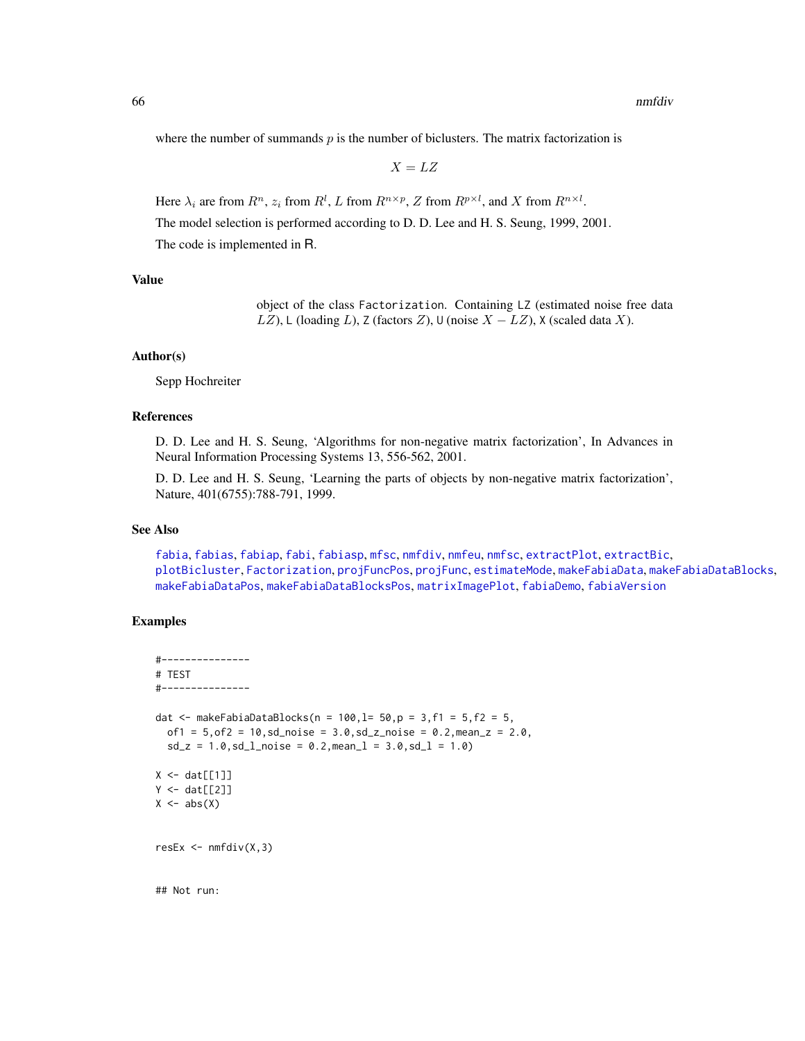where the number of summands  $p$  is the number of biclusters. The matrix factorization is

 $X = LZ$ 

Here  $\lambda_i$  are from  $R^n$ ,  $z_i$  from  $R^l$ , L from  $R^{n \times p}$ , Z from  $R^{p \times l}$ , and X from  $R^{n \times l}$ .

The model selection is performed according to D. D. Lee and H. S. Seung, 1999, 2001.

The code is implemented in R.

## Value

object of the class Factorization. Containing LZ (estimated noise free data LZ), L (loading L), Z (factors Z), U (noise  $X - LZ$ ), X (scaled data X).

### Author(s)

Sepp Hochreiter

## References

D. D. Lee and H. S. Seung, 'Algorithms for non-negative matrix factorization', In Advances in Neural Information Processing Systems 13, 556-562, 2001.

D. D. Lee and H. S. Seung, 'Learning the parts of objects by non-negative matrix factorization', Nature, 401(6755):788-791, 1999.

### See Also

[fabia](#page-12-0), [fabias](#page-26-0), [fabiap](#page-20-0), [fabi](#page-9-0), [fabiasp](#page-33-0), [mfsc](#page-58-0), [nmfdiv](#page-64-0), [nmfeu](#page-66-0), [nmfsc](#page-68-0), [extractPlot](#page-6-0), [extractBic](#page-3-0), [plotBicluster](#page-70-0), [Factorization](#page-38-0), [projFuncPos](#page-74-0), [projFunc](#page-73-0), [estimateMode](#page-1-0), [makeFabiaData](#page-46-0), [makeFabiaDataBlocks](#page-49-0), [makeFabiaDataPos](#page-54-0), [makeFabiaDataBlocksPos](#page-51-0), [matrixImagePlot](#page-56-0), [fabiaDemo](#page-19-0), [fabiaVersion](#page-37-0)

# Examples

```
#---------------
# TEST
#---------------
dat <- makeFabiaDataBlocks(n = 100, l = 50, p = 3, f1 = 5, f2 = 5,
  of1 = 5, of2 = 10, sd\_noise = 3.0, sd\_z\_noise = 0.2, mean\_z = 2.0,sd_z = 1.0, sd_lnoise = 0.2, meanl = 3.0, sd_l = 1.0X \leftarrow \text{dat}[[1]]Y \leftarrow \text{dat}[[2]]X \leftarrow abs(X)resEx \leq nmfdiv(X,3)
```
## Not run: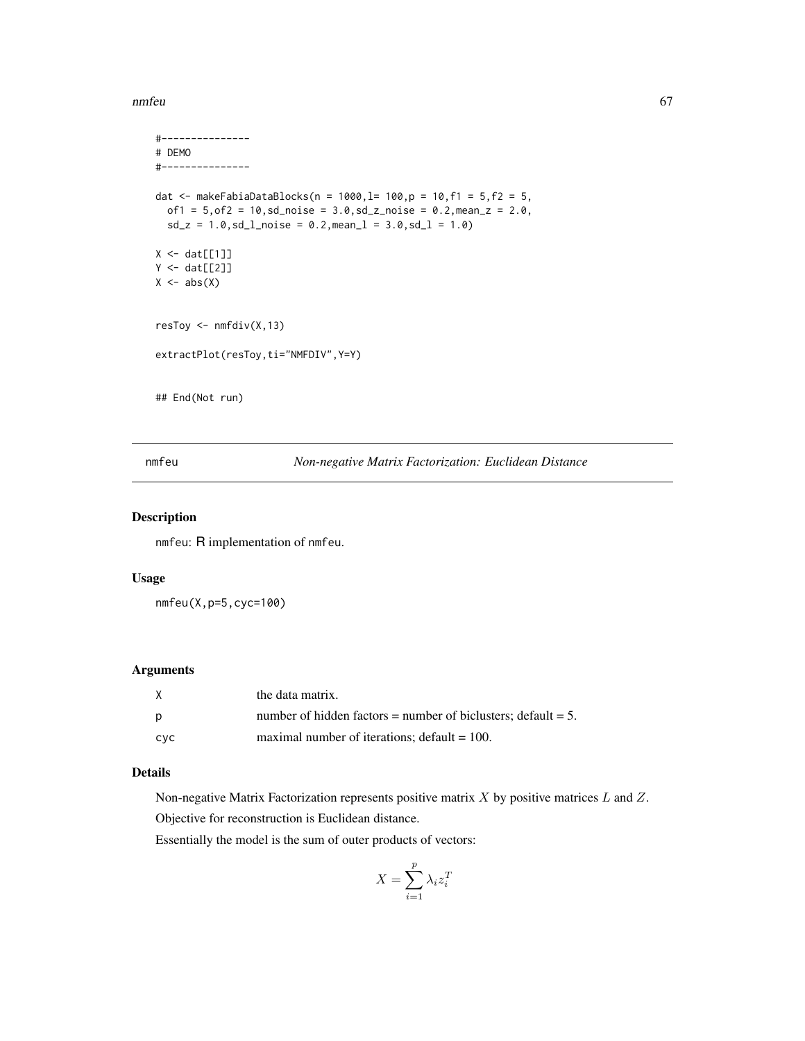#### nmfeu $\qquad \qquad \qquad 67$

```
#---------------
# DEMO
#---------------
dat <- makeFabiaDataBlocks(n = 1000, l= 100, p = 10, f1 = 5, f2 = 5,
  of1 = 5, of2 = 10, sd\_noise = 3.0, sd\_z\_noise = 0.2, mean\_z = 2.0,sd_z = 1.0, sd_l<sub>noise</sub> = 0.2, mean<sub>1</sub> = 3.0, sd_l = 1.0)
X \leftarrow \text{dat}[[1]]Y \leftarrow \text{dat}[[2]]X \leftarrow abs(X)resToy \leq nmfdiv(X,13)
extractPlot(resToy,ti="NMFDIV",Y=Y)
## End(Not run)
```
<span id="page-66-0"></span>nmfeu *Non-negative Matrix Factorization: Euclidean Distance*

## Description

nmfeu: R implementation of nmfeu.

## Usage

nmfeu(X,p=5,cyc=100)

# Arguments

| X   | the data matrix.                                                       |
|-----|------------------------------------------------------------------------|
| p   | number of hidden factors = number of biclusters: $\delta$ default = 5. |
| cyc | maximal number of iterations; $default = 100$ .                        |

## Details

Non-negative Matrix Factorization represents positive matrix  $X$  by positive matrices  $L$  and  $Z$ .

Objective for reconstruction is Euclidean distance.

Essentially the model is the sum of outer products of vectors:

$$
X = \sum_{i=1}^{p} \lambda_i z_i^T
$$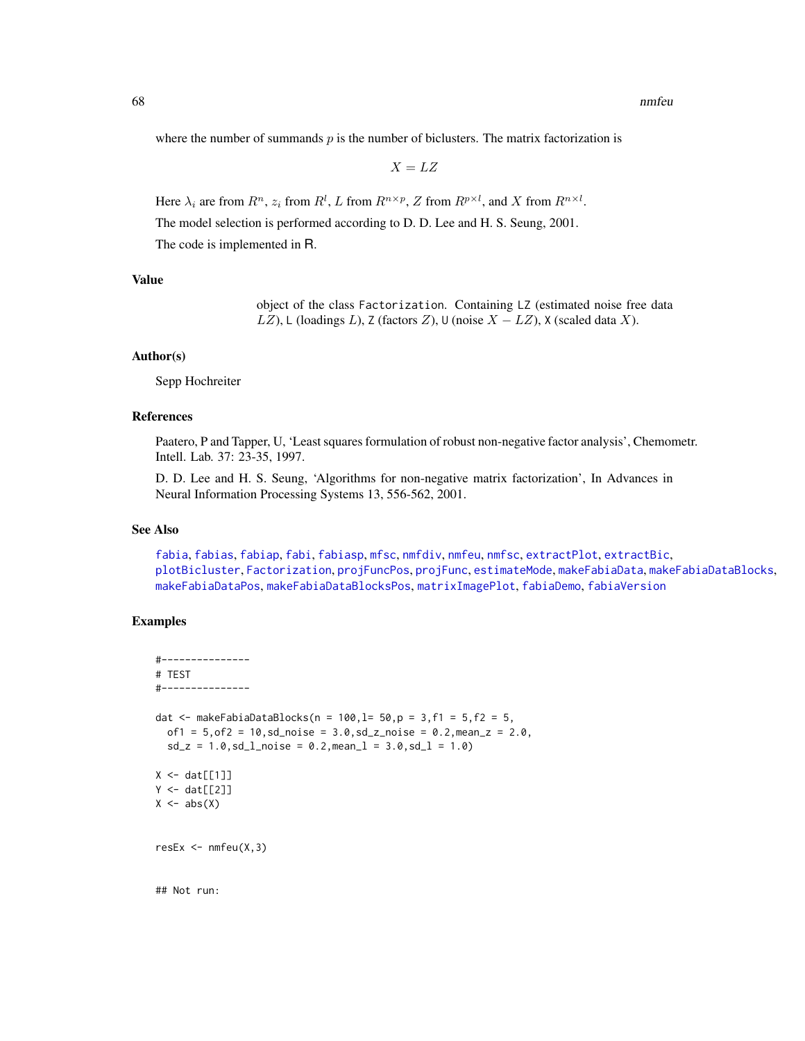where the number of summands  $p$  is the number of biclusters. The matrix factorization is

 $X = LZ$ 

Here  $\lambda_i$  are from  $R^n$ ,  $z_i$  from  $R^l$ , L from  $R^{n \times p}$ , Z from  $R^{p \times l}$ , and X from  $R^{n \times l}$ .

The model selection is performed according to D. D. Lee and H. S. Seung, 2001.

The code is implemented in R.

## Value

object of the class Factorization. Containing LZ (estimated noise free data LZ), L (loadings L), Z (factors Z), ∪ (noise  $X - LZ$ ), X (scaled data X).

### Author(s)

Sepp Hochreiter

## References

Paatero, P and Tapper, U, 'Least squares formulation of robust non-negative factor analysis', Chemometr. Intell. Lab. 37: 23-35, 1997.

D. D. Lee and H. S. Seung, 'Algorithms for non-negative matrix factorization', In Advances in Neural Information Processing Systems 13, 556-562, 2001.

#### See Also

[fabia](#page-12-0), [fabias](#page-26-0), [fabiap](#page-20-0), [fabi](#page-9-0), [fabiasp](#page-33-0), [mfsc](#page-58-0), [nmfdiv](#page-64-0), [nmfeu](#page-66-0), [nmfsc](#page-68-0), [extractPlot](#page-6-0), [extractBic](#page-3-0), [plotBicluster](#page-70-0), [Factorization](#page-38-0), [projFuncPos](#page-74-0), [projFunc](#page-73-0), [estimateMode](#page-1-0), [makeFabiaData](#page-46-0), [makeFabiaDataBlocks](#page-49-0), [makeFabiaDataPos](#page-54-0), [makeFabiaDataBlocksPos](#page-51-0), [matrixImagePlot](#page-56-0), [fabiaDemo](#page-19-0), [fabiaVersion](#page-37-0)

# Examples

## Not run:

```
#---------------
# TEST
#---------------
dat <- makeFabiaDataBlocks(n = 100, l = 50, p = 3, f1 = 5, f2 = 5,
  of1 = 5, of2 = 10, sd\_noise = 3.0, sd\_z\_noise = 0.2, mean\_z = 2.0,sd_z = 1.0, sd_lnoise = 0.2, meanl = 3.0, sd_l = 1.0X \leftarrow \text{dat}[[1]]Y \leftarrow \text{dat}[[2]]X \leftarrow abs(X)resEx \leq mfeu(X, 3)
```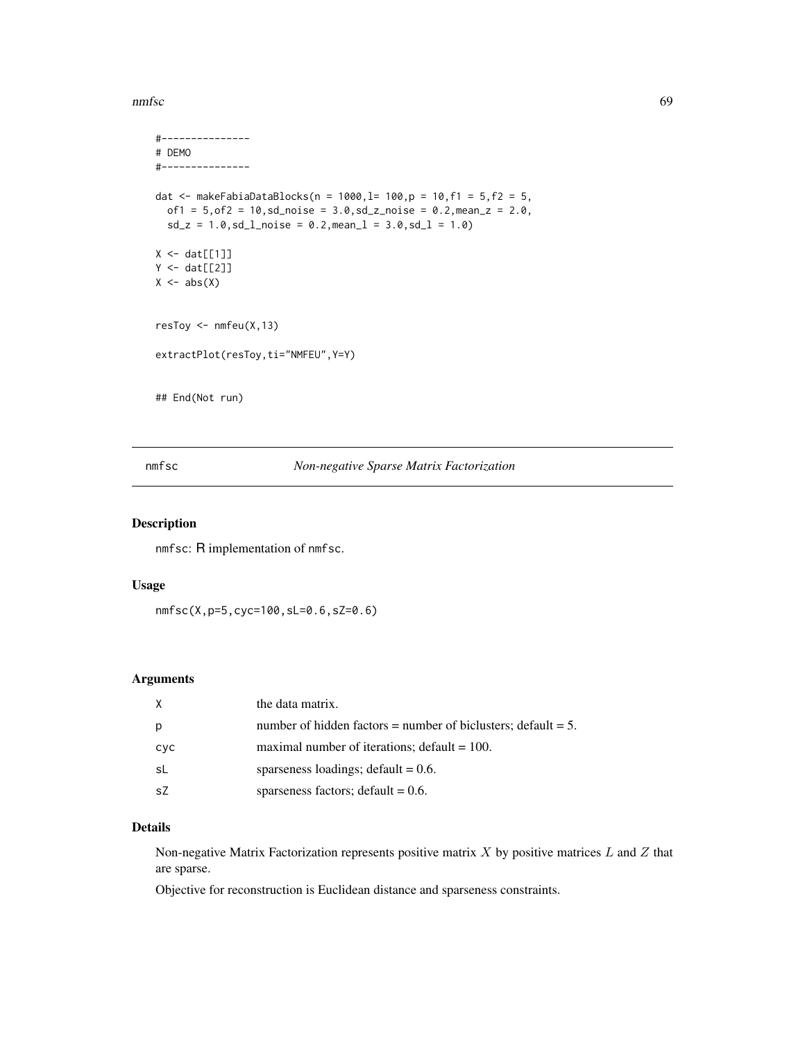nmfsc 69

```
#---------------
# DEMO
#---------------
dat <- makeFabiaDataBlocks(n = 1000, l= 100, p = 10, f1 = 5, f2 = 5,
  of1 = 5, of2 = 10, sd\_noise = 3.0, sd\_noise = 0.2, mean\_z = 2.0,sd_z = 1.0, sd_l<sub>noise</sub> = 0.2, mean<sub>1</sub> = 3.0, sd_l = 1.0)
X \leftarrow \text{dat}[[1]]Y \leftarrow \text{dat}[[2]]X \leftarrow abs(X)resToy \leq nmfeu(X, 13)extractPlot(resToy,ti="NMFEU",Y=Y)
## End(Not run)
```
## <span id="page-68-0"></span>nmfsc *Non-negative Sparse Matrix Factorization*

## Description

nmfsc: R implementation of nmfsc.

## Usage

```
nmfsc(X,p=5,cyc=100,sL=0.6,sZ=0.6)
```
## Arguments

| X   | the data matrix.                                                 |
|-----|------------------------------------------------------------------|
| p   | number of hidden factors = number of biclusters; default = $5$ . |
| cyc | maximal number of iterations; $default = 100$ .                  |
| -sL | sparseness loadings; $default = 0.6$ .                           |
| .sZ | sparseness factors; $\text{default} = 0.6$ .                     |

## Details

Non-negative Matrix Factorization represents positive matrix  $X$  by positive matrices  $L$  and  $Z$  that are sparse.

Objective for reconstruction is Euclidean distance and sparseness constraints.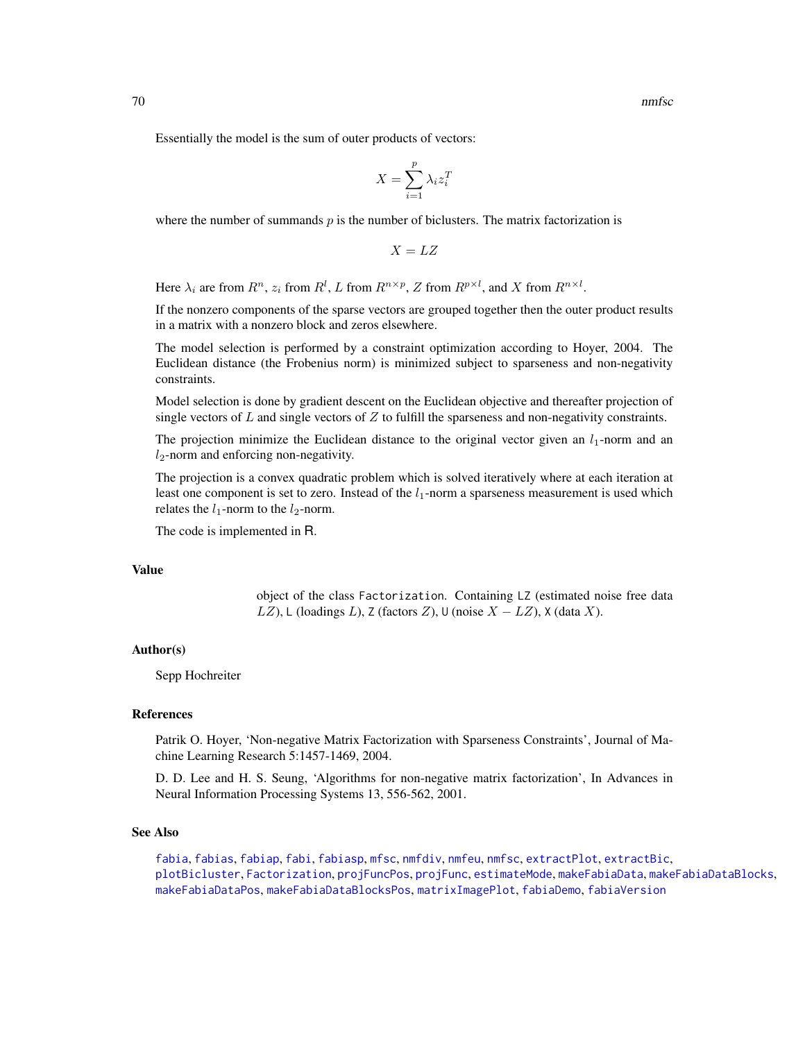Essentially the model is the sum of outer products of vectors:

$$
X = \sum_{i=1}^{p} \lambda_i z_i^T
$$

where the number of summands  $p$  is the number of biclusters. The matrix factorization is

 $X = LZ$ 

Here  $\lambda_i$  are from  $R^n$ ,  $z_i$  from  $R^l$ , L from  $R^{n \times p}$ , Z from  $R^{p \times l}$ , and X from  $R^{n \times l}$ .

If the nonzero components of the sparse vectors are grouped together then the outer product results in a matrix with a nonzero block and zeros elsewhere.

The model selection is performed by a constraint optimization according to Hoyer, 2004. The Euclidean distance (the Frobenius norm) is minimized subject to sparseness and non-negativity constraints.

Model selection is done by gradient descent on the Euclidean objective and thereafter projection of single vectors of  $L$  and single vectors of  $Z$  to fulfill the sparseness and non-negativity constraints.

The projection minimize the Euclidean distance to the original vector given an  $l_1$ -norm and an  $l_2$ -norm and enforcing non-negativity.

The projection is a convex quadratic problem which is solved iteratively where at each iteration at least one component is set to zero. Instead of the  $l_1$ -norm a sparseness measurement is used which relates the  $l_1$ -norm to the  $l_2$ -norm.

The code is implemented in R.

## Value

object of the class Factorization. Containing LZ (estimated noise free data LZ), L (loadings L), Z (factors Z), U (noise  $X - LZ$ ), X (data X).

## Author(s)

Sepp Hochreiter

### References

Patrik O. Hoyer, 'Non-negative Matrix Factorization with Sparseness Constraints', Journal of Machine Learning Research 5:1457-1469, 2004.

D. D. Lee and H. S. Seung, 'Algorithms for non-negative matrix factorization', In Advances in Neural Information Processing Systems 13, 556-562, 2001.

#### See Also

[fabia](#page-12-0), [fabias](#page-26-0), [fabiap](#page-20-0), [fabi](#page-9-0), [fabiasp](#page-33-0), [mfsc](#page-58-0), [nmfdiv](#page-64-0), [nmfeu](#page-66-0), [nmfsc](#page-68-0), [extractPlot](#page-6-0), [extractBic](#page-3-0), [plotBicluster](#page-70-0), [Factorization](#page-38-0), [projFuncPos](#page-74-0), [projFunc](#page-73-0), [estimateMode](#page-1-0), [makeFabiaData](#page-46-0), [makeFabiaDataBlocks](#page-49-0), [makeFabiaDataPos](#page-54-0), [makeFabiaDataBlocksPos](#page-51-0), [matrixImagePlot](#page-56-0), [fabiaDemo](#page-19-0), [fabiaVersion](#page-37-0)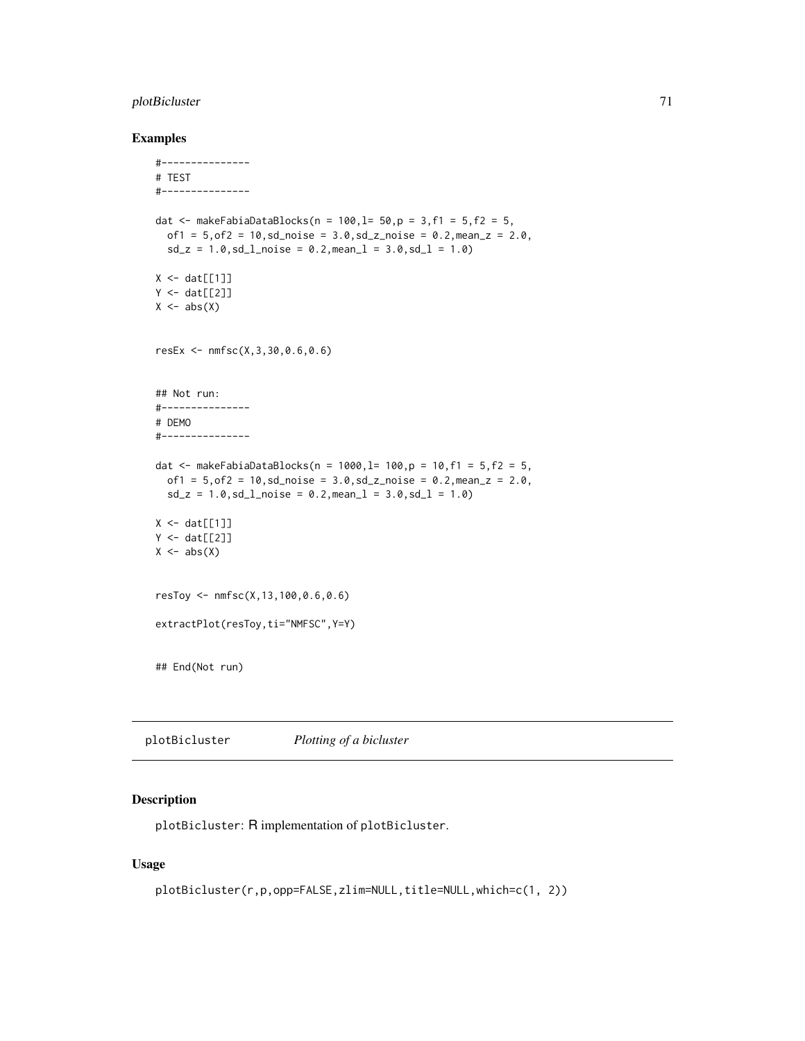# plotBicluster 71

## Examples

```
#---------------
# TEST
#---------------
dat <- makeFabiaDataBlocks(n = 100, l = 50, p = 3, f1 = 5, f2 = 5,
  of1 = 5, of2 = 10, sd\_noise = 3.0, sd\_z\_noise = 0.2, mean\_z = 2.0,sd_z = 1.0, sd_lnoise = 0.2, meanl = 3.0, sd_l = 1.0X \leftarrow \text{dat}[[1]]Y \leftarrow \text{dat}[[2]]X \leftarrow abs(X)resEx <- nmfsc(X,3,30,0.6,0.6)
## Not run:
#---------------
# DEMO
#---------------
dat <- makeFabiaDataBlocks(n = 1000, l= 100, p = 10, f1 = 5, f2 = 5,
  of1 = 5, of2 = 10, sd\_noise = 3.0, sd\_z\_noise = 0.2, mean\_z = 2.0,sd_z = 1.0, sd_l_{\text{non}} = 0.2, mean_l = 3.0, sd_l = 1.0X \leftarrow \text{dat}[[1]]Y \leftarrow \text{dat}[[2]]X \leftarrow abs(X)resToy <- nmfsc(X,13,100,0.6,0.6)
extractPlot(resToy,ti="NMFSC",Y=Y)
## End(Not run)
```
<span id="page-70-0"></span>plotBicluster *Plotting of a bicluster*

## Description

plotBicluster: R implementation of plotBicluster.

## Usage

```
plotBicluster(r,p,opp=FALSE,zlim=NULL,title=NULL,which=c(1, 2))
```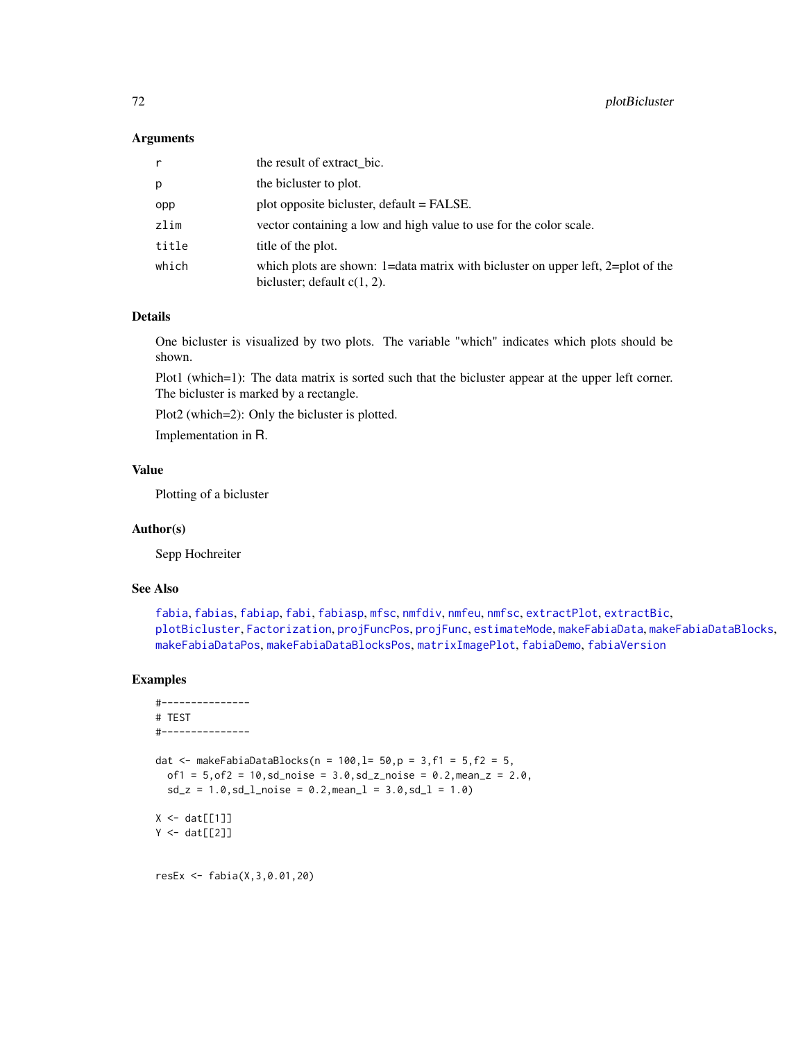### **Arguments**

| r     | the result of extract bic.                                                                                         |
|-------|--------------------------------------------------------------------------------------------------------------------|
| р     | the bicluster to plot.                                                                                             |
| opp   | plot opposite bicluster, default = FALSE.                                                                          |
| zlim  | vector containing a low and high value to use for the color scale.                                                 |
| title | title of the plot.                                                                                                 |
| which | which plots are shown: 1=data matrix with bicluster on upper left, 2=plot of the<br>bicluster; default $c(1, 2)$ . |

## Details

One bicluster is visualized by two plots. The variable "which" indicates which plots should be shown.

Plot1 (which=1): The data matrix is sorted such that the bicluster appear at the upper left corner. The bicluster is marked by a rectangle.

Plot2 (which=2): Only the bicluster is plotted.

Implementation in R.

# Value

Plotting of a bicluster

### Author(s)

Sepp Hochreiter

## See Also

[fabia](#page-12-0), [fabias](#page-26-0), [fabiap](#page-20-0), [fabi](#page-9-0), [fabiasp](#page-33-0), [mfsc](#page-58-0), [nmfdiv](#page-64-0), [nmfeu](#page-66-0), [nmfsc](#page-68-0), [extractPlot](#page-6-0), [extractBic](#page-3-0), [plotBicluster](#page-70-0), [Factorization](#page-38-0), [projFuncPos](#page-74-0), [projFunc](#page-73-0), [estimateMode](#page-1-0), [makeFabiaData](#page-46-0), [makeFabiaDataBlocks](#page-49-0), [makeFabiaDataPos](#page-54-0), [makeFabiaDataBlocksPos](#page-51-0), [matrixImagePlot](#page-56-0), [fabiaDemo](#page-19-0), [fabiaVersion](#page-37-0)

```
#---------------
# TEST
#---------------
dat <- makeFabiaDataBlocks(n = 100, l= 50, p = 3, f1 = 5, f2 = 5,
  of1 = 5, of2 = 10, sd\_noise = 3.0, sd\_z\_noise = 0.2, mean\_z = 2.0,sd_z = 1.0, sd_l<sub>noise</sub> = 0.2, mean<sub>1</sub> = 3.0, sd_l = 1.0)
X \leftarrow \text{dat}[[1]]Y \leftarrow \text{dat}[[2]]resEx <- fabia(X,3,0.01,20)
```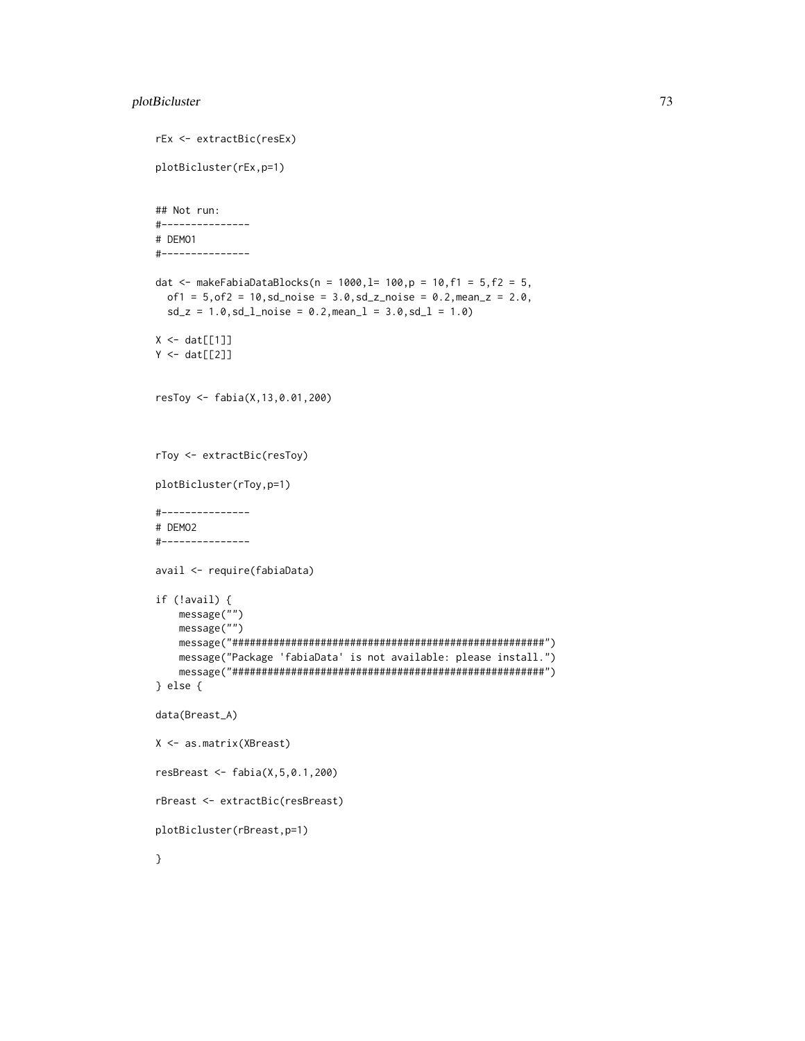# plotBicluster 73

```
rEx <- extractBic(resEx)
plotBicluster(rEx,p=1)
## Not run:
#---------------
# DEMO1
#---------------
dat <- makeFabiaDataBlocks(n = 1000,l= 100,p = 10,f1 = 5,f2 = 5,
 of1 = 5, of2 = 10, sd\_noise = 3.0, sd\_z\_noise = 0.2, mean_z = 2.0,sd_z = 1.0, sd_lnoise = 0.2, meanl = 3.0, sd_l = 1.0X \leftarrow \text{dat}[[1]]Y \leftarrow \text{dat}[[2]]resToy <- fabia(X,13,0.01,200)
rToy <- extractBic(resToy)
plotBicluster(rToy,p=1)
#---------------
# DEMO2
#---------------
avail <- require(fabiaData)
if (!avail) {
    message("")
    message("")
    message("#####################################################")
    message("Package 'fabiaData' is not available: please install.")
    message("#####################################################")
} else {
data(Breast_A)
X <- as.matrix(XBreast)
resBreast <- fabia(X,5,0.1,200)
rBreast <- extractBic(resBreast)
plotBicluster(rBreast,p=1)
}
```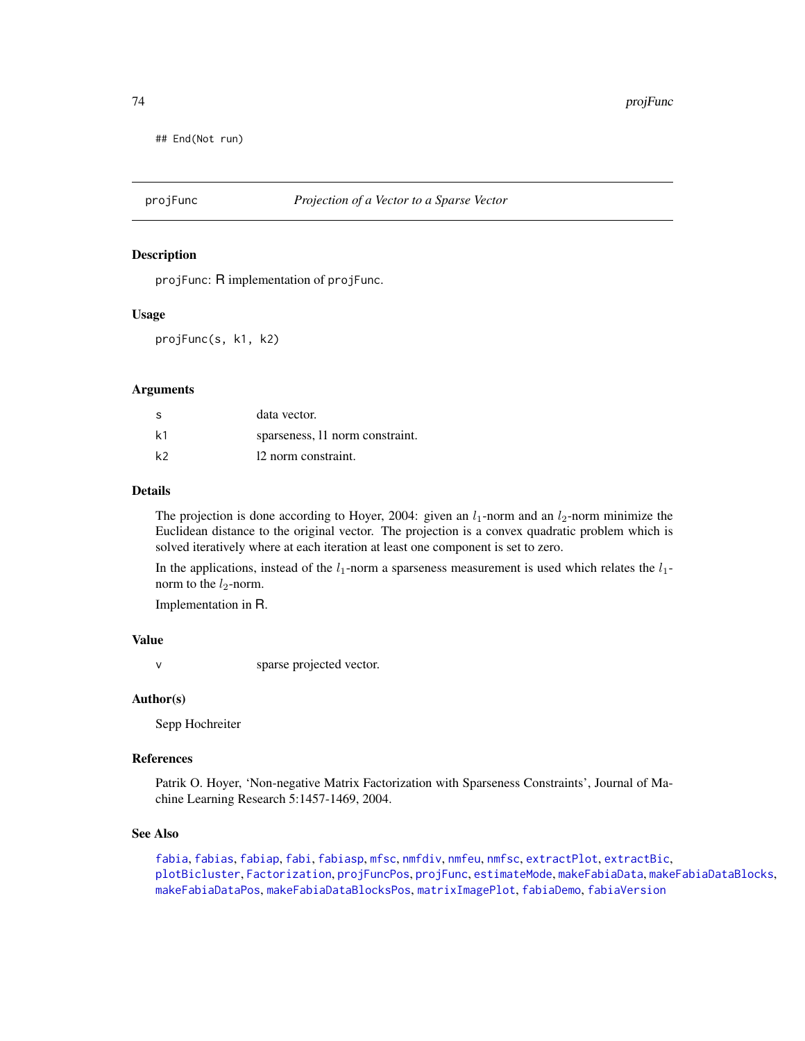<span id="page-73-1"></span>## End(Not run)

<span id="page-73-0"></span>

#### **Description**

projFunc: R implementation of projFunc.

#### Usage

projFunc(s, k1, k2)

# Arguments

| S  | data vector.                    |
|----|---------------------------------|
| k1 | sparseness, 11 norm constraint. |
| k2 | 12 norm constraint.             |

#### Details

The projection is done according to Hoyer, 2004: given an  $l_1$ -norm and an  $l_2$ -norm minimize the Euclidean distance to the original vector. The projection is a convex quadratic problem which is solved iteratively where at each iteration at least one component is set to zero.

In the applications, instead of the  $l_1$ -norm a sparseness measurement is used which relates the  $l_1$ norm to the  $l_2$ -norm.

Implementation in R.

# Value

v sparse projected vector.

#### Author(s)

Sepp Hochreiter

# References

Patrik O. Hoyer, 'Non-negative Matrix Factorization with Sparseness Constraints', Journal of Machine Learning Research 5:1457-1469, 2004.

# See Also

[fabia](#page-12-0), [fabias](#page-26-0), [fabiap](#page-20-0), [fabi](#page-9-0), [fabiasp](#page-33-0), [mfsc](#page-58-0), [nmfdiv](#page-64-0), [nmfeu](#page-66-0), [nmfsc](#page-68-0), [extractPlot](#page-6-0), [extractBic](#page-3-0), [plotBicluster](#page-70-0), [Factorization](#page-38-0), [projFuncPos](#page-74-0), [projFunc](#page-73-0), [estimateMode](#page-1-0), [makeFabiaData](#page-46-0), [makeFabiaDataBlocks](#page-49-0), [makeFabiaDataPos](#page-54-0), [makeFabiaDataBlocksPos](#page-51-0), [matrixImagePlot](#page-56-0), [fabiaDemo](#page-19-0), [fabiaVersion](#page-37-0)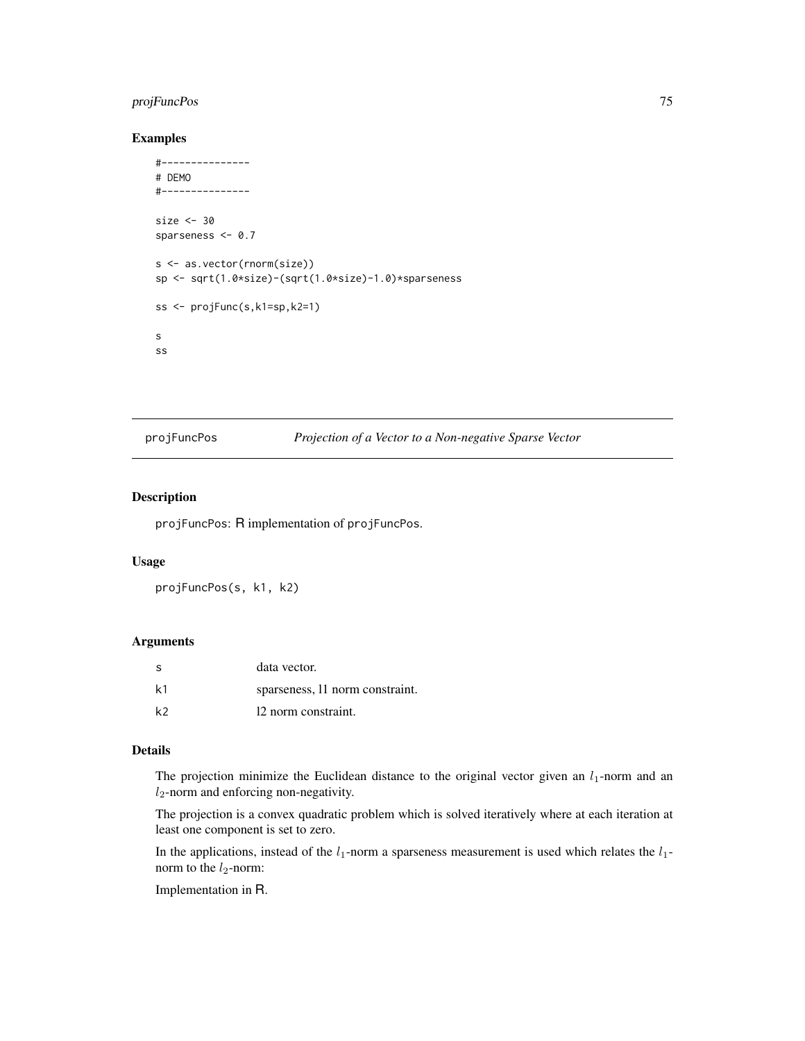# <span id="page-74-1"></span>projFuncPos 75

# Examples

```
#---------------
# DEMO
#---------------
size <- 30
sparseness <- 0.7
s <- as.vector(rnorm(size))
sp <- sqrt(1.0*size)-(sqrt(1.0*size)-1.0)*sparseness
ss <- projFunc(s,k1=sp,k2=1)
s
ss
```
<span id="page-74-0"></span>projFuncPos *Projection of a Vector to a Non-negative Sparse Vector*

# Description

projFuncPos: R implementation of projFuncPos.

#### Usage

projFuncPos(s, k1, k2)

#### Arguments

| -S             | data vector.                    |
|----------------|---------------------------------|
| k <sub>1</sub> | sparseness, 11 norm constraint. |
| k <sub>2</sub> | 12 norm constraint.             |

#### Details

The projection minimize the Euclidean distance to the original vector given an  $l_1$ -norm and an  $l_2$ -norm and enforcing non-negativity.

The projection is a convex quadratic problem which is solved iteratively where at each iteration at least one component is set to zero.

In the applications, instead of the  $l_1$ -norm a sparseness measurement is used which relates the  $l_1$ norm to the  $l_2$ -norm:

Implementation in R.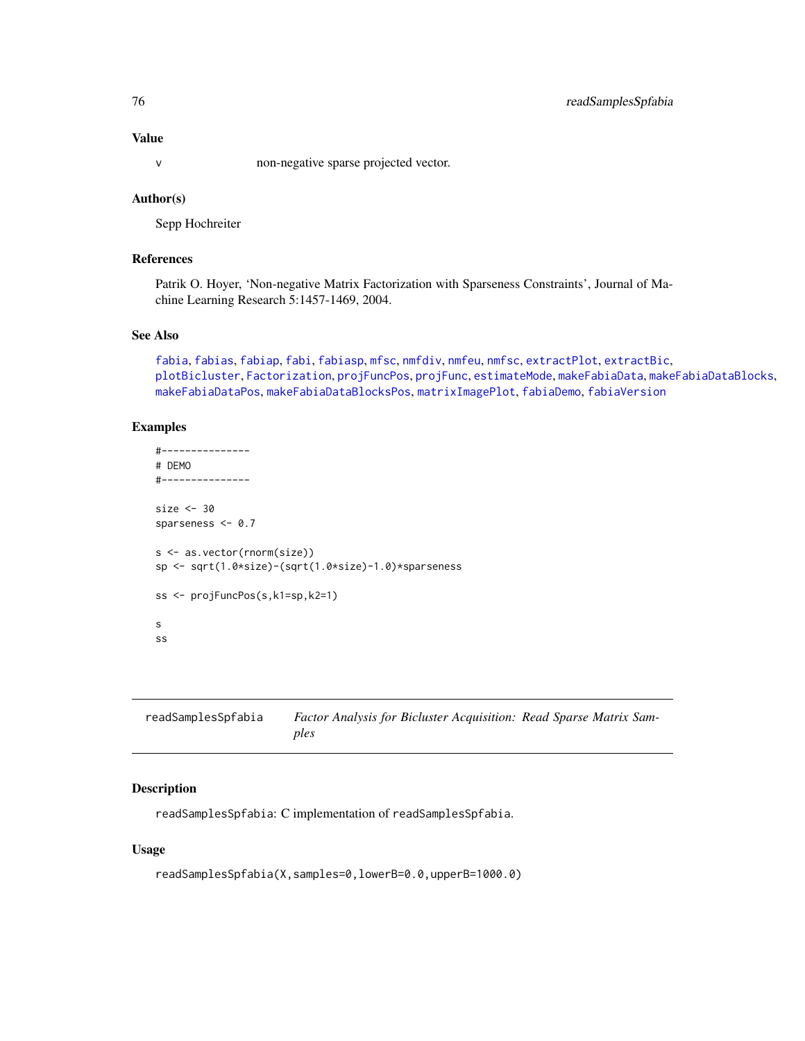# <span id="page-75-1"></span>Value

v non-negative sparse projected vector.

# Author(s)

Sepp Hochreiter

# References

Patrik O. Hoyer, 'Non-negative Matrix Factorization with Sparseness Constraints', Journal of Machine Learning Research 5:1457-1469, 2004.

## See Also

```
fabia, fabias, fabiap, fabi, fabiasp, mfsc, nmfdiv, nmfeu, nmfsc, extractPlot, extractBic,
plotBicluster, Factorization, projFuncPos, projFunc, estimateMode, makeFabiaData, makeFabiaDataBlocks,
makeFabiaDataPos, makeFabiaDataBlocksPos, matrixImagePlot, fabiaDemo, fabiaVersion
```
# Examples

```
#---------------
# DEMO
#---------------
size <- 30
sparseness <- 0.7
s <- as.vector(rnorm(size))
sp <- sqrt(1.0*size)-(sqrt(1.0*size)-1.0)*sparseness
ss <- projFuncPos(s,k1=sp,k2=1)
s
ss
```
<span id="page-75-0"></span>

| readSamplesSpfabia | Factor Analysis for Bicluster Acquisition: Read Sparse Matrix Sam- |
|--------------------|--------------------------------------------------------------------|
|                    | ples                                                               |

# Description

readSamplesSpfabia: C implementation of readSamplesSpfabia.

#### Usage

```
readSamplesSpfabia(X,samples=0,lowerB=0.0,upperB=1000.0)
```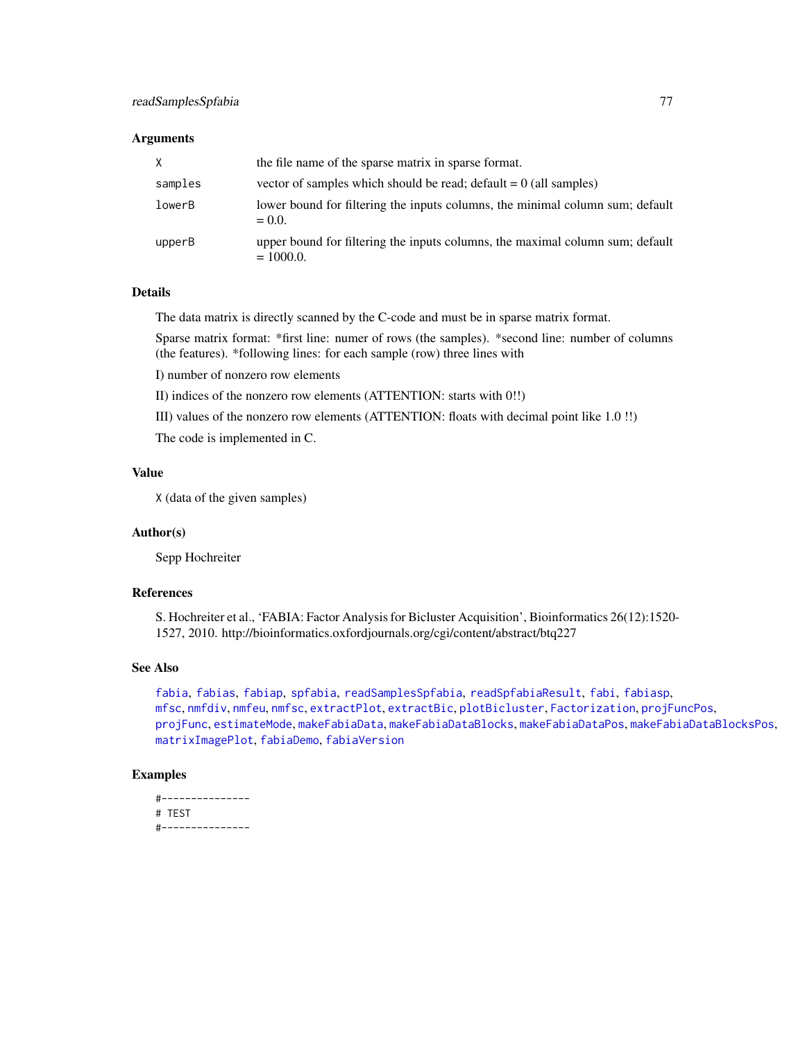#### <span id="page-76-0"></span>Arguments

| X       | the file name of the sparse matrix in sparse format.                                          |
|---------|-----------------------------------------------------------------------------------------------|
| samples | vector of samples which should be read; $\text{default} = 0$ (all samples)                    |
| lowerB  | lower bound for filtering the inputs columns, the minimal column sum; default<br>$= 0.0.$     |
| upperB  | upper bound for filtering the inputs columns, the maximal column sum; default<br>$= 1000.0$ . |

# Details

The data matrix is directly scanned by the C-code and must be in sparse matrix format.

Sparse matrix format: \*first line: numer of rows (the samples). \*second line: number of columns (the features). \*following lines: for each sample (row) three lines with

I) number of nonzero row elements

II) indices of the nonzero row elements (ATTENTION: starts with 0!!)

III) values of the nonzero row elements (ATTENTION: floats with decimal point like 1.0 !!)

The code is implemented in C.

# Value

X (data of the given samples)

#### Author(s)

Sepp Hochreiter

# References

S. Hochreiter et al., 'FABIA: Factor Analysis for Bicluster Acquisition', Bioinformatics 26(12):1520- 1527, 2010. http://bioinformatics.oxfordjournals.org/cgi/content/abstract/btq227

# See Also

[fabia](#page-12-0), [fabias](#page-26-0), [fabiap](#page-20-0), [spfabia](#page-79-0), [readSamplesSpfabia](#page-75-0), [readSpfabiaResult](#page-77-0), [fabi](#page-9-0), [fabiasp](#page-33-0), [mfsc](#page-58-0), [nmfdiv](#page-64-0), [nmfeu](#page-66-0), [nmfsc](#page-68-0), [extractPlot](#page-6-0), [extractBic](#page-3-0), [plotBicluster](#page-70-0), [Factorization](#page-38-0), [projFuncPos](#page-74-0), [projFunc](#page-73-0), [estimateMode](#page-1-0), [makeFabiaData](#page-46-0), [makeFabiaDataBlocks](#page-49-0), [makeFabiaDataPos](#page-54-0), [makeFabiaDataBlocksPos](#page-51-0), [matrixImagePlot](#page-56-0), [fabiaDemo](#page-19-0), [fabiaVersion](#page-37-0)

## Examples

```
#---------------
# TEST
#---------------
```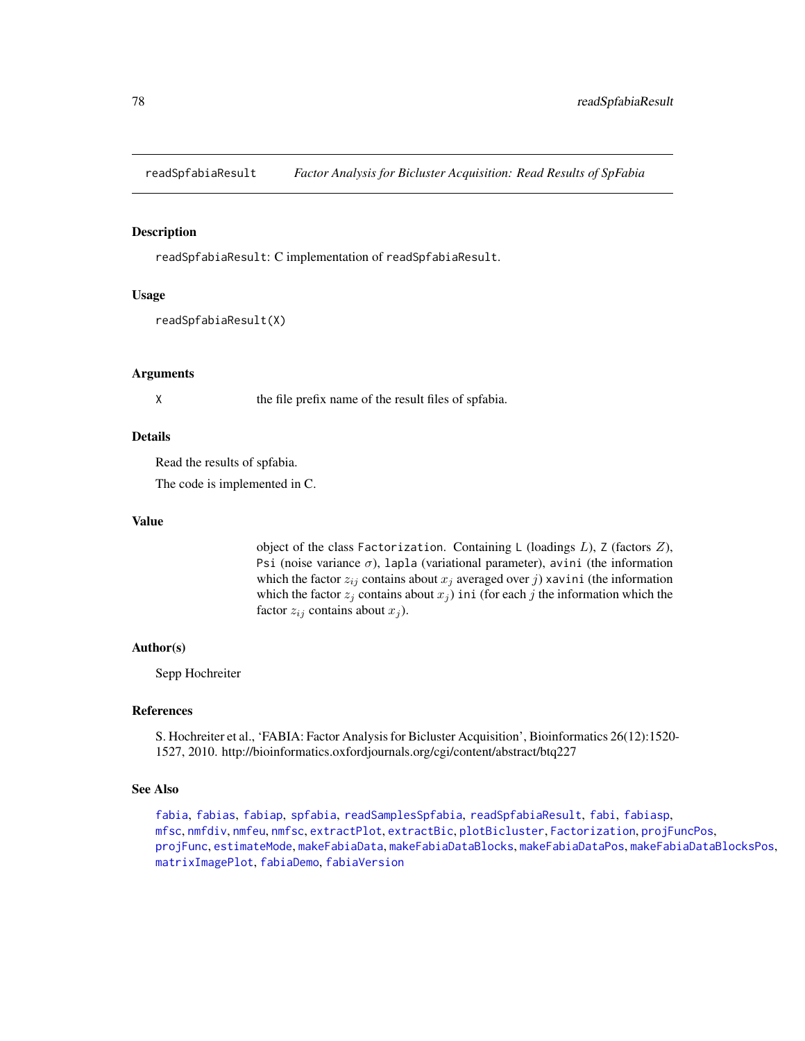<span id="page-77-1"></span><span id="page-77-0"></span>readSpfabiaResult *Factor Analysis for Bicluster Acquisition: Read Results of SpFabia*

## **Description**

readSpfabiaResult: C implementation of readSpfabiaResult.

#### Usage

```
readSpfabiaResult(X)
```
#### Arguments

X the file prefix name of the result files of spfabia.

#### Details

Read the results of spfabia.

The code is implemented in C.

#### Value

object of the class Factorization. Containing L (loadings  $L$ ), Z (factors  $Z$ ), Psi (noise variance  $\sigma$ ), lapla (variational parameter), avini (the information which the factor  $z_{ij}$  contains about  $x_j$  averaged over j) xavini (the information which the factor  $z_j$  contains about  $x_j$ ) ini (for each j the information which the factor  $z_{ij}$  contains about  $x_j$ ).

## Author(s)

Sepp Hochreiter

#### References

S. Hochreiter et al., 'FABIA: Factor Analysis for Bicluster Acquisition', Bioinformatics 26(12):1520- 1527, 2010. http://bioinformatics.oxfordjournals.org/cgi/content/abstract/btq227

# See Also

[fabia](#page-12-0), [fabias](#page-26-0), [fabiap](#page-20-0), [spfabia](#page-79-0), [readSamplesSpfabia](#page-75-0), [readSpfabiaResult](#page-77-0), [fabi](#page-9-0), [fabiasp](#page-33-0), [mfsc](#page-58-0), [nmfdiv](#page-64-0), [nmfeu](#page-66-0), [nmfsc](#page-68-0), [extractPlot](#page-6-0), [extractBic](#page-3-0), [plotBicluster](#page-70-0), [Factorization](#page-38-0), [projFuncPos](#page-74-0), [projFunc](#page-73-0), [estimateMode](#page-1-0), [makeFabiaData](#page-46-0), [makeFabiaDataBlocks](#page-49-0), [makeFabiaDataPos](#page-54-0), [makeFabiaDataBlocksPos](#page-51-0), [matrixImagePlot](#page-56-0), [fabiaDemo](#page-19-0), [fabiaVersion](#page-37-0)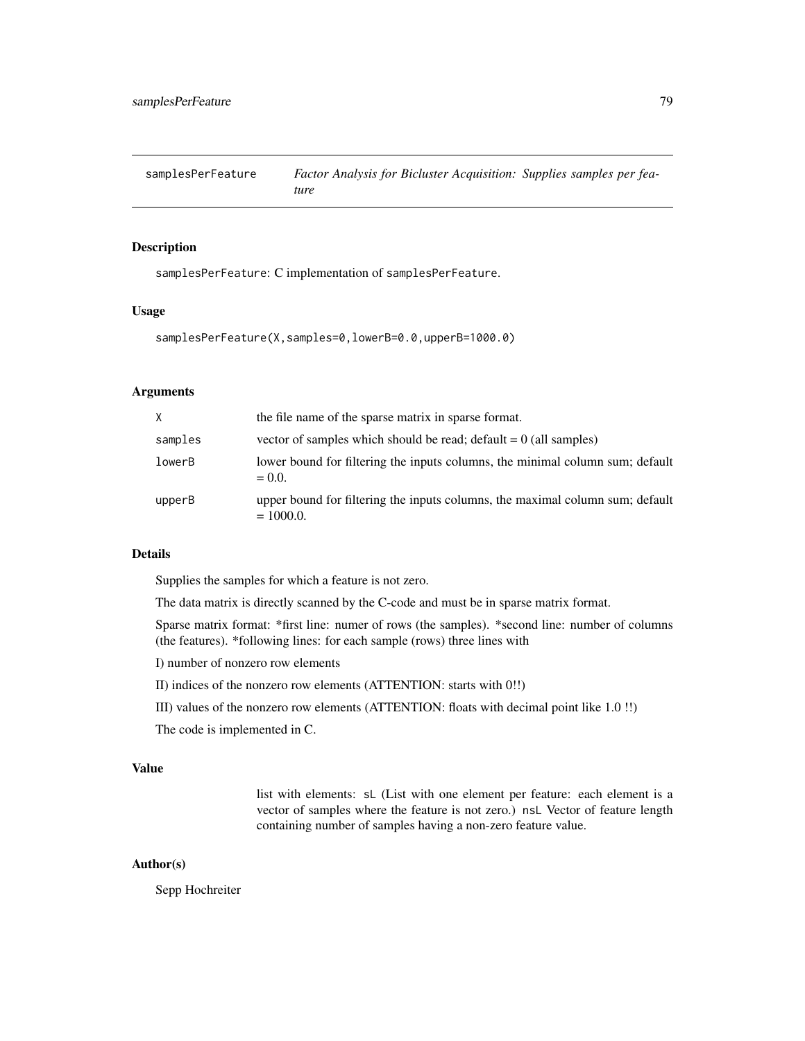<span id="page-78-1"></span><span id="page-78-0"></span>samplesPerFeature *Factor Analysis for Bicluster Acquisition: Supplies samples per feature*

# Description

samplesPerFeature: C implementation of samplesPerFeature.

#### Usage

samplesPerFeature(X,samples=0,lowerB=0.0,upperB=1000.0)

# Arguments

| $\times$ | the file name of the sparse matrix in sparse format.                                          |
|----------|-----------------------------------------------------------------------------------------------|
| samples  | vector of samples which should be read; $default = 0$ (all samples)                           |
| lowerB   | lower bound for filtering the inputs columns, the minimal column sum; default<br>$= 0.0$ .    |
| upperB   | upper bound for filtering the inputs columns, the maximal column sum; default<br>$= 1000.0$ . |

#### Details

Supplies the samples for which a feature is not zero.

The data matrix is directly scanned by the C-code and must be in sparse matrix format.

Sparse matrix format: \*first line: numer of rows (the samples). \*second line: number of columns (the features). \*following lines: for each sample (rows) three lines with

- I) number of nonzero row elements
- II) indices of the nonzero row elements (ATTENTION: starts with 0!!)
- III) values of the nonzero row elements (ATTENTION: floats with decimal point like 1.0 !!)

The code is implemented in C.

# Value

list with elements: sL (List with one element per feature: each element is a vector of samples where the feature is not zero.) nsL Vector of feature length containing number of samples having a non-zero feature value.

#### Author(s)

Sepp Hochreiter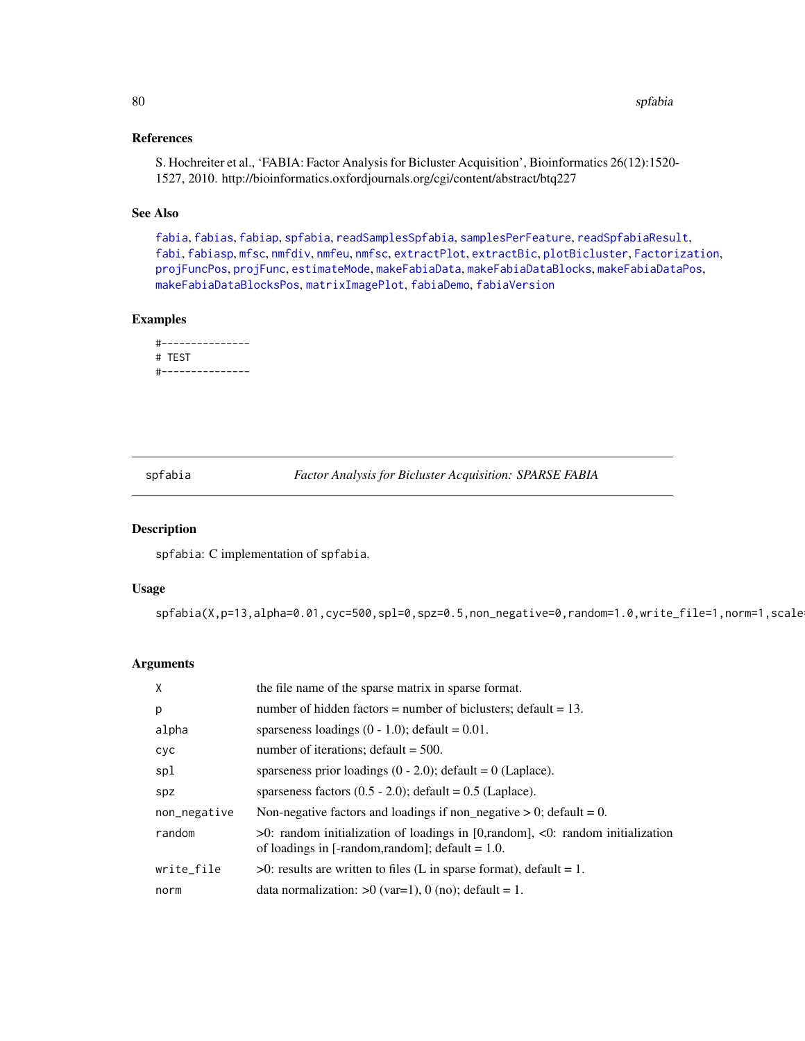# <span id="page-79-1"></span>References

S. Hochreiter et al., 'FABIA: Factor Analysis for Bicluster Acquisition', Bioinformatics 26(12):1520- 1527, 2010. http://bioinformatics.oxfordjournals.org/cgi/content/abstract/btq227

# See Also

[fabia](#page-12-0), [fabias](#page-26-0), [fabiap](#page-20-0), [spfabia](#page-79-0), [readSamplesSpfabia](#page-75-0), [samplesPerFeature](#page-78-0), [readSpfabiaResult](#page-77-0), [fabi](#page-9-0), [fabiasp](#page-33-0), [mfsc](#page-58-0), [nmfdiv](#page-64-0), [nmfeu](#page-66-0), [nmfsc](#page-68-0), [extractPlot](#page-6-0), [extractBic](#page-3-0), [plotBicluster](#page-70-0), [Factorization](#page-38-0), [projFuncPos](#page-74-0), [projFunc](#page-73-0), [estimateMode](#page-1-0), [makeFabiaData](#page-46-0), [makeFabiaDataBlocks](#page-49-0), [makeFabiaDataPos](#page-54-0), [makeFabiaDataBlocksPos](#page-51-0), [matrixImagePlot](#page-56-0), [fabiaDemo](#page-19-0), [fabiaVersion](#page-37-0)

# Examples

```
#---------------
# TEST
#---------------
```
<span id="page-79-0"></span>spfabia *Factor Analysis for Bicluster Acquisition: SPARSE FABIA*

# Description

spfabia: C implementation of spfabia.

# Usage

spfabia(X,p=13,alpha=0.01,cyc=500,spl=0,spz=0.5,non\_negative=0,random=1.0,write\_file=1,norm=1,scale

#### Arguments

| X            | the file name of the sparse matrix in sparse format.                                                                                      |
|--------------|-------------------------------------------------------------------------------------------------------------------------------------------|
| p            | number of hidden factors = number of biclusters; default = $13$ .                                                                         |
| alpha        | sparseness loadings $(0 - 1.0)$ ; default = 0.01.                                                                                         |
| cyc          | number of iterations; $\text{default} = 500$ .                                                                                            |
| spl          | sparseness prior loadings $(0 - 2.0)$ ; default = 0 (Laplace).                                                                            |
| spz          | sparseness factors $(0.5 - 2.0)$ ; default = 0.5 (Laplace).                                                                               |
| non_negative | Non-negative factors and loadings if non_negative $> 0$ ; default = 0.                                                                    |
| random       | $>0$ : random initialization of loadings in [0, random], <0: random initialization<br>of loadings in [-random, random]; default = $1.0$ . |
| write_file   | $>0$ : results are written to files (L in sparse format), default = 1.                                                                    |
| norm         | data normalization: $>0$ (var=1), 0 (no); default = 1.                                                                                    |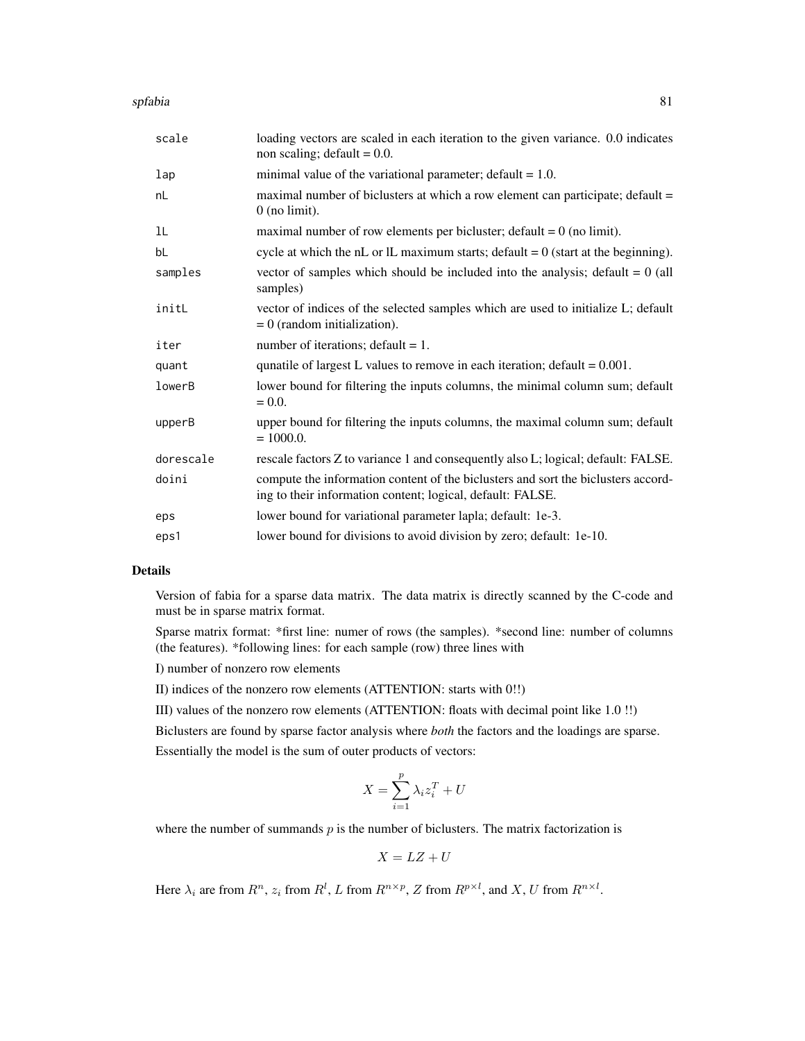| scale     | loading vectors are scaled in each iteration to the given variance. 0.0 indicates<br>non scaling; default = $0.0$ .                             |
|-----------|-------------------------------------------------------------------------------------------------------------------------------------------------|
| 1ap       | minimal value of the variational parameter; $\delta$ default = 1.0.                                                                             |
| nL        | maximal number of biclusters at which a row element can participate; default =<br>$0$ (no limit).                                               |
| ıL        | maximal number of row elements per bicluster; $default = 0$ (no limit).                                                                         |
| bL        | cycle at which the nL or lL maximum starts; $default = 0$ (start at the beginning).                                                             |
| samples   | vector of samples which should be included into the analysis; default $= 0$ (all<br>samples)                                                    |
| initL     | vector of indices of the selected samples which are used to initialize L; default<br>$= 0$ (random initialization).                             |
| iter      | number of iterations; $default = 1$ .                                                                                                           |
| quant     | qunatile of largest L values to remove in each iteration; $default = 0.001$ .                                                                   |
| lowerB    | lower bound for filtering the inputs columns, the minimal column sum; default<br>$= 0.0.$                                                       |
| upperB    | upper bound for filtering the inputs columns, the maximal column sum; default<br>$= 1000.0.$                                                    |
| dorescale | rescale factors Z to variance 1 and consequently also L; logical; default: FALSE.                                                               |
| doini     | compute the information content of the biclusters and sort the biclusters accord-<br>ing to their information content; logical, default: FALSE. |
| eps       | lower bound for variational parameter lapla; default: 1e-3.                                                                                     |
| eps1      | lower bound for divisions to avoid division by zero; default: 1e-10.                                                                            |

# Details

Version of fabia for a sparse data matrix. The data matrix is directly scanned by the C-code and must be in sparse matrix format.

Sparse matrix format: \*first line: numer of rows (the samples). \*second line: number of columns (the features). \*following lines: for each sample (row) three lines with

I) number of nonzero row elements

II) indices of the nonzero row elements (ATTENTION: starts with 0!!)

III) values of the nonzero row elements (ATTENTION: floats with decimal point like 1.0 !!)

Biclusters are found by sparse factor analysis where *both* the factors and the loadings are sparse.

Essentially the model is the sum of outer products of vectors:

$$
X = \sum_{i=1}^{p} \lambda_i z_i^T + U
$$

where the number of summands  $p$  is the number of biclusters. The matrix factorization is

$$
X = LZ + U
$$

Here  $\lambda_i$  are from  $R^n$ ,  $z_i$  from  $R^l$ , L from  $R^{n \times p}$ , Z from  $R^{p \times l}$ , and X, U from  $R^{n \times l}$ .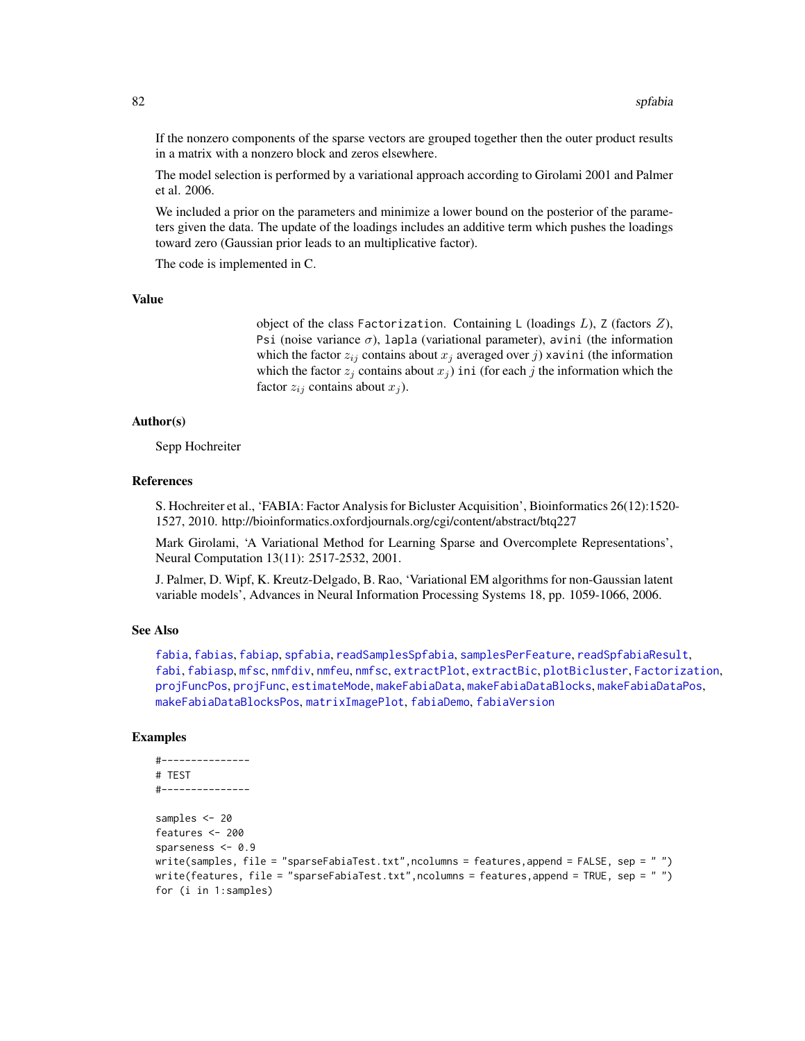If the nonzero components of the sparse vectors are grouped together then the outer product results in a matrix with a nonzero block and zeros elsewhere.

The model selection is performed by a variational approach according to Girolami 2001 and Palmer et al. 2006.

We included a prior on the parameters and minimize a lower bound on the posterior of the parameters given the data. The update of the loadings includes an additive term which pushes the loadings toward zero (Gaussian prior leads to an multiplicative factor).

The code is implemented in C.

#### Value

object of the class Factorization. Containing  $L$  (loadings  $L$ ),  $Z$  (factors  $Z$ ), Psi (noise variance  $\sigma$ ), lapla (variational parameter), avini (the information which the factor  $z_{ij}$  contains about  $x_j$  averaged over j) xavini (the information which the factor  $z_j$  contains about  $x_j$ ) ini (for each j the information which the factor  $z_{ij}$  contains about  $x_j$ ).

## Author(s)

Sepp Hochreiter

#### References

S. Hochreiter et al., 'FABIA: Factor Analysis for Bicluster Acquisition', Bioinformatics 26(12):1520- 1527, 2010. http://bioinformatics.oxfordjournals.org/cgi/content/abstract/btq227

Mark Girolami, 'A Variational Method for Learning Sparse and Overcomplete Representations', Neural Computation 13(11): 2517-2532, 2001.

J. Palmer, D. Wipf, K. Kreutz-Delgado, B. Rao, 'Variational EM algorithms for non-Gaussian latent variable models', Advances in Neural Information Processing Systems 18, pp. 1059-1066, 2006.

#### See Also

[fabia](#page-12-0), [fabias](#page-26-0), [fabiap](#page-20-0), [spfabia](#page-79-0), [readSamplesSpfabia](#page-75-0), [samplesPerFeature](#page-78-0), [readSpfabiaResult](#page-77-0), [fabi](#page-9-0), [fabiasp](#page-33-0), [mfsc](#page-58-0), [nmfdiv](#page-64-0), [nmfeu](#page-66-0), [nmfsc](#page-68-0), [extractPlot](#page-6-0), [extractBic](#page-3-0), [plotBicluster](#page-70-0), [Factorization](#page-38-0), [projFuncPos](#page-74-0), [projFunc](#page-73-0), [estimateMode](#page-1-0), [makeFabiaData](#page-46-0), [makeFabiaDataBlocks](#page-49-0), [makeFabiaDataPos](#page-54-0), [makeFabiaDataBlocksPos](#page-51-0), [matrixImagePlot](#page-56-0), [fabiaDemo](#page-19-0), [fabiaVersion](#page-37-0)

#### Examples

```
#---------------
# TEST
#---------------
samples <- 20
features <- 200
sparseness <-0.9write(samples, file = "sparseFabiaTest.txt", ncolumns = features, append = FALSE, sep = "")
write(features, file = "sparseFabiaTest.txt", ncolumns = features, append = TRUE, sep = "")
for (i in 1:samples)
```
<span id="page-81-0"></span>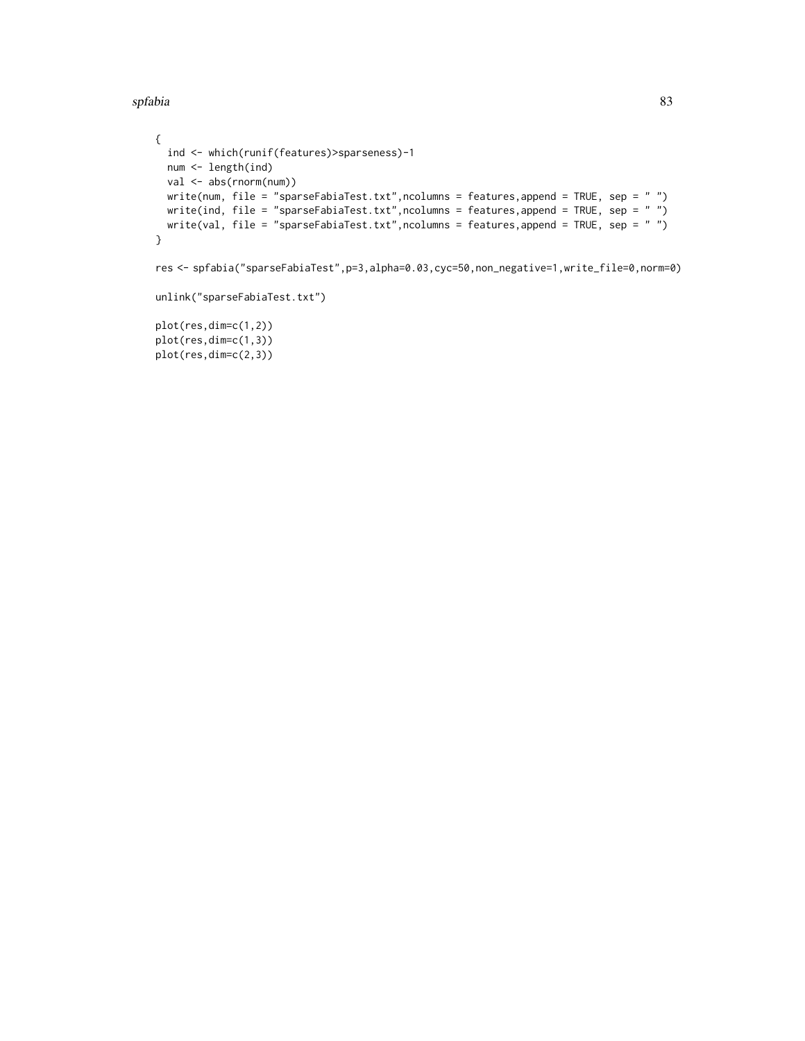```
{
  ind <- which(runif(features)>sparseness)-1
  num <- length(ind)
  val <- abs(rnorm(num))
  write(num, file = "sparseFabiaTest.txt", ncolumns = features, append = TRUE, sep = "")
  write(ind, file = "sparseFabiaTest.txt", ncolumns = features, append = TRUE, sep = " ")
  write(val, file = "sparseFabiaTest.txt", ncolumns = features, append = TRUE, sep = " ")
}
```
res <- spfabia("sparseFabiaTest",p=3,alpha=0.03,cyc=50,non\_negative=1,write\_file=0,norm=0)

```
unlink("sparseFabiaTest.txt")
```
plot(res,dim=c(1,2)) plot(res,dim=c(1,3)) plot(res,dim=c(2,3))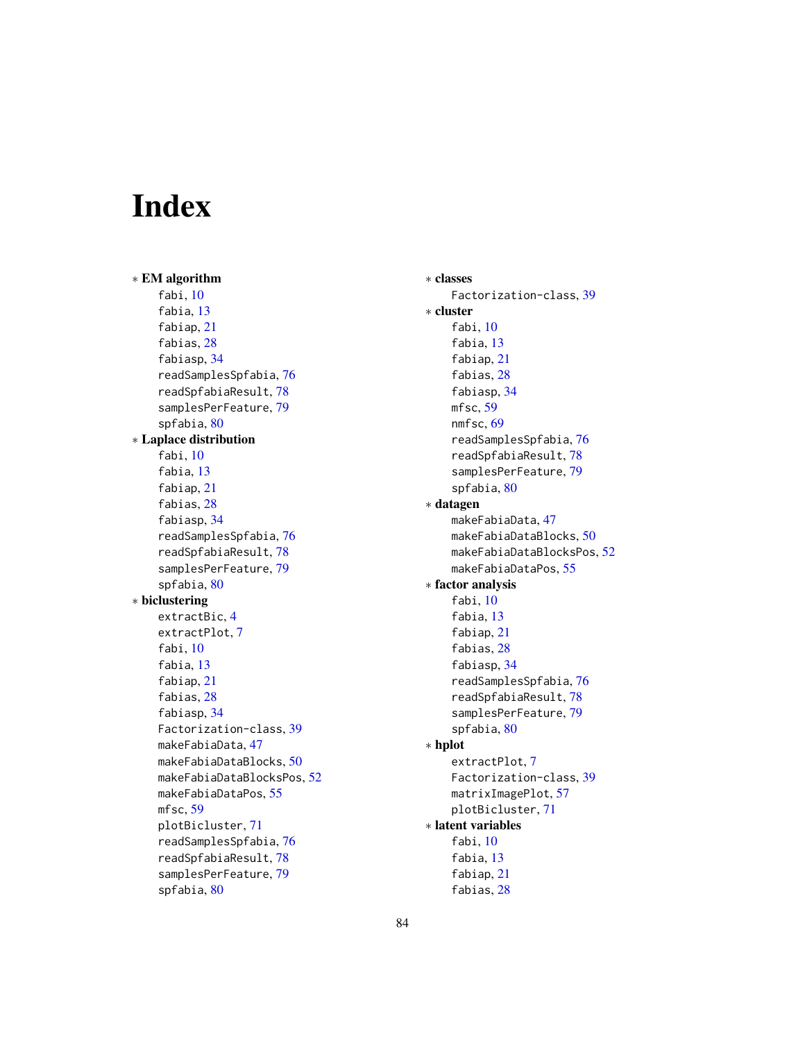# Index

∗ EM algorithm fabi, [10](#page-9-1) fabia, [13](#page-12-1) fabiap, [21](#page-20-1) fabias, [28](#page-27-0) fabiasp, [34](#page-33-1) readSamplesSpfabia, [76](#page-75-1) readSpfabiaResult, [78](#page-77-1) samplesPerFeature, [79](#page-78-1) spfabia, [80](#page-79-1) ∗ Laplace distribution fabi, [10](#page-9-1) fabia, [13](#page-12-1) fabiap, [21](#page-20-1) fabias, [28](#page-27-0) fabiasp, [34](#page-33-1) readSamplesSpfabia, [76](#page-75-1) readSpfabiaResult, [78](#page-77-1) samplesPerFeature, [79](#page-78-1) spfabia, [80](#page-79-1) ∗ biclustering extractBic, [4](#page-3-1) extractPlot, [7](#page-6-1) fabi, [10](#page-9-1) fabia, [13](#page-12-1) fabiap, [21](#page-20-1) fabias, [28](#page-27-0) fabiasp, [34](#page-33-1) Factorization-class, [39](#page-38-1) makeFabiaData, [47](#page-46-1) makeFabiaDataBlocks, [50](#page-49-1) makeFabiaDataBlocksPos, [52](#page-51-1) makeFabiaDataPos, [55](#page-54-1) mfsc, [59](#page-58-1) plotBicluster, [71](#page-70-1) readSamplesSpfabia, [76](#page-75-1) readSpfabiaResult, [78](#page-77-1) samplesPerFeature, [79](#page-78-1) spfabia, [80](#page-79-1)

∗ classes Factorization-class, [39](#page-38-1) ∗ cluster fabi, [10](#page-9-1) fabia, [13](#page-12-1) fabiap, [21](#page-20-1) fabias, [28](#page-27-0) fabiasp, [34](#page-33-1) mfsc, [59](#page-58-1) nmfsc, [69](#page-68-1) readSamplesSpfabia, [76](#page-75-1) readSpfabiaResult, [78](#page-77-1) samplesPerFeature, [79](#page-78-1) spfabia, [80](#page-79-1) ∗ datagen makeFabiaData, [47](#page-46-1) makeFabiaDataBlocks, [50](#page-49-1) makeFabiaDataBlocksPos, [52](#page-51-1) makeFabiaDataPos, [55](#page-54-1) ∗ factor analysis fabi, [10](#page-9-1) fabia, [13](#page-12-1) fabiap, [21](#page-20-1) fabias, [28](#page-27-0) fabiasp, [34](#page-33-1) readSamplesSpfabia, [76](#page-75-1) readSpfabiaResult, [78](#page-77-1) samplesPerFeature, [79](#page-78-1) spfabia, [80](#page-79-1) ∗ hplot extractPlot, [7](#page-6-1) Factorization-class, [39](#page-38-1) matrixImagePlot, [57](#page-56-1) plotBicluster, [71](#page-70-1) ∗ latent variables fabi, [10](#page-9-1) fabia, [13](#page-12-1) fabiap, [21](#page-20-1) fabias, [28](#page-27-0)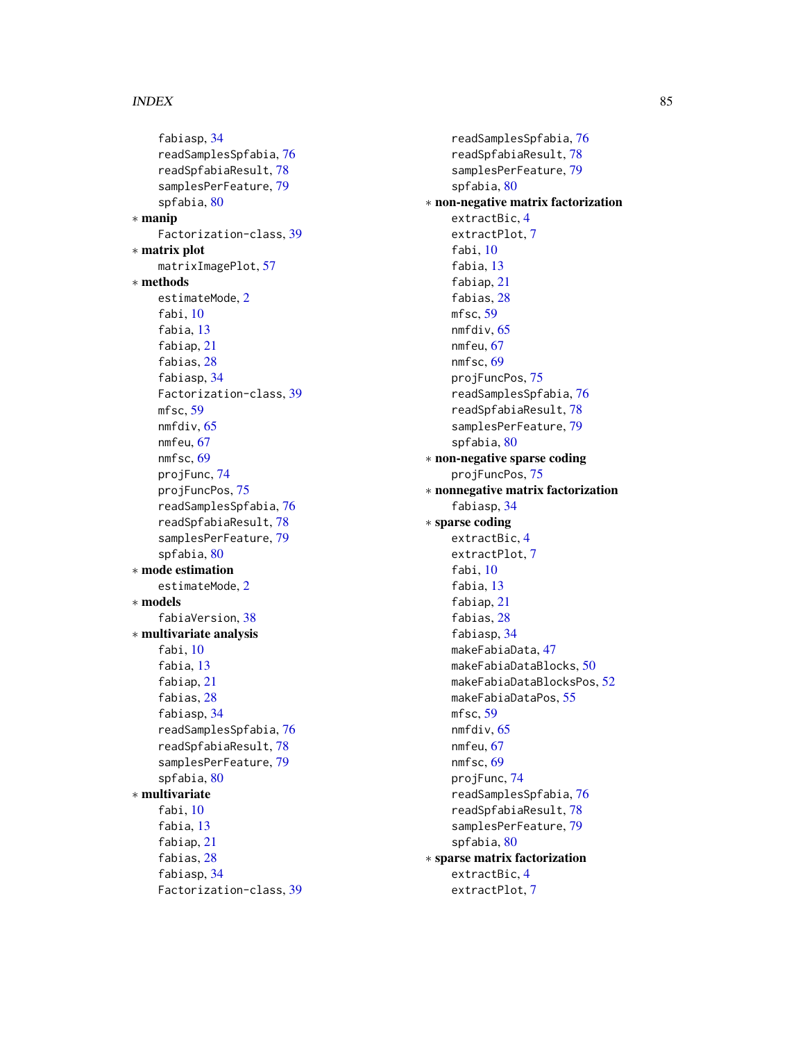fabiasp, [34](#page-33-1) readSamplesSpfabia, [76](#page-75-1) readSpfabiaResult, [78](#page-77-1) samplesPerFeature, [79](#page-78-1) spfabia, [80](#page-79-1) ∗ manip Factorization-class, [39](#page-38-1) ∗ matrix plot matrixImagePlot, [57](#page-56-1) ∗ methods estimateMode, [2](#page-1-1) fabi, [10](#page-9-1) fabia, [13](#page-12-1) fabiap, [21](#page-20-1) fabias, [28](#page-27-0) fabiasp, [34](#page-33-1) Factorization-class, [39](#page-38-1) mfsc, [59](#page-58-1) nmfdiv, [65](#page-64-1) nmfeu, [67](#page-66-1) nmfsc, [69](#page-68-1) projFunc, [74](#page-73-1) projFuncPos, [75](#page-74-1) readSamplesSpfabia, [76](#page-75-1) readSpfabiaResult, [78](#page-77-1) samplesPerFeature, [79](#page-78-1) spfabia, [80](#page-79-1) ∗ mode estimation estimateMode, [2](#page-1-1) ∗ models fabiaVersion, [38](#page-37-1) ∗ multivariate analysis fabi, [10](#page-9-1) fabia, [13](#page-12-1) fabiap, [21](#page-20-1) fabias, [28](#page-27-0) fabiasp, [34](#page-33-1) readSamplesSpfabia, [76](#page-75-1) readSpfabiaResult, [78](#page-77-1) samplesPerFeature, [79](#page-78-1) spfabia, [80](#page-79-1) ∗ multivariate fabi, [10](#page-9-1) fabia, [13](#page-12-1) fabiap, [21](#page-20-1) fabias, [28](#page-27-0) fabiasp, [34](#page-33-1) Factorization-class, [39](#page-38-1)

readSamplesSpfabia, [76](#page-75-1) readSpfabiaResult, [78](#page-77-1) samplesPerFeature, [79](#page-78-1) spfabia, [80](#page-79-1) ∗ non-negative matrix factorization extractBic, [4](#page-3-1) extractPlot, [7](#page-6-1) fabi, [10](#page-9-1) fabia, [13](#page-12-1) fabiap, [21](#page-20-1) fabias, [28](#page-27-0) mfsc, [59](#page-58-1) nmfdiv, [65](#page-64-1) nmfeu, [67](#page-66-1) nmfsc, [69](#page-68-1) projFuncPos, [75](#page-74-1) readSamplesSpfabia, [76](#page-75-1) readSpfabiaResult, [78](#page-77-1) samplesPerFeature, [79](#page-78-1) spfabia, [80](#page-79-1) ∗ non-negative sparse coding projFuncPos, [75](#page-74-1) ∗ nonnegative matrix factorization fabiasp, [34](#page-33-1) ∗ sparse coding extractBic, [4](#page-3-1) extractPlot, [7](#page-6-1) fabi, [10](#page-9-1) fabia, [13](#page-12-1) fabiap, [21](#page-20-1) fabias, [28](#page-27-0) fabiasp, [34](#page-33-1) makeFabiaData, [47](#page-46-1) makeFabiaDataBlocks, [50](#page-49-1) makeFabiaDataBlocksPos, [52](#page-51-1) makeFabiaDataPos, [55](#page-54-1) mfsc, [59](#page-58-1) nmfdiv, [65](#page-64-1) nmfeu, [67](#page-66-1) nmfsc, [69](#page-68-1) projFunc, [74](#page-73-1) readSamplesSpfabia, [76](#page-75-1) readSpfabiaResult, [78](#page-77-1) samplesPerFeature, [79](#page-78-1) spfabia, [80](#page-79-1) ∗ sparse matrix factorization extractBic, [4](#page-3-1) extractPlot, [7](#page-6-1)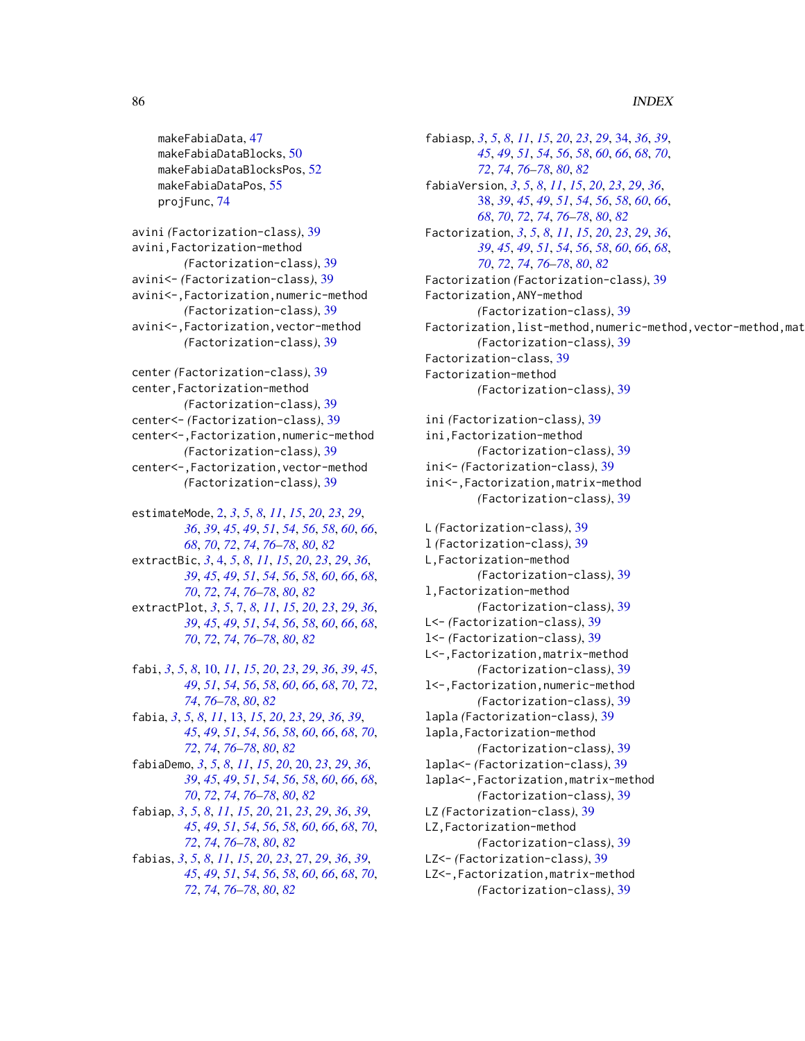makeFabiaData, [47](#page-46-1) makeFabiaDataBlocks, [50](#page-49-1) makeFabiaDataBlocksPos, [52](#page-51-1) makeFabiaDataPos, [55](#page-54-1) projFunc, [74](#page-73-1)

avini *(*Factorization-class*)*, [39](#page-38-1) avini,Factorization-method *(*Factorization-class*)*, [39](#page-38-1) avini<- *(*Factorization-class*)*, [39](#page-38-1) avini<-,Factorization,numeric-method *(*Factorization-class*)*, [39](#page-38-1) avini<-,Factorization,vector-method *(*Factorization-class*)*, [39](#page-38-1)

center *(*Factorization-class*)*, [39](#page-38-1) center,Factorization-method *(*Factorization-class*)*, [39](#page-38-1) center<- *(*Factorization-class*)*, [39](#page-38-1) center<-,Factorization,numeric-method *(*Factorization-class*)*, [39](#page-38-1) center<-,Factorization,vector-method *(*Factorization-class*)*, [39](#page-38-1)

estimateMode, [2,](#page-1-1) *[3](#page-2-0)*, *[5](#page-4-0)*, *[8](#page-7-0)*, *[11](#page-10-0)*, *[15](#page-14-0)*, *[20](#page-19-1)*, *[23](#page-22-0)*, *[29](#page-28-0)*, *[36](#page-35-0)*, *[39](#page-38-1)*, *[45](#page-44-0)*, *[49](#page-48-0)*, *[51](#page-50-0)*, *[54](#page-53-0)*, *[56](#page-55-0)*, *[58](#page-57-0)*, *[60](#page-59-0)*, *[66](#page-65-0)*, *[68](#page-67-0)*, *[70](#page-69-0)*, *[72](#page-71-0)*, *[74](#page-73-1)*, *[76–](#page-75-1)[78](#page-77-1)*, *[80](#page-79-1)*, *[82](#page-81-0)*

extractBic, *[3](#page-2-0)*, [4,](#page-3-1) *[5](#page-4-0)*, *[8](#page-7-0)*, *[11](#page-10-0)*, *[15](#page-14-0)*, *[20](#page-19-1)*, *[23](#page-22-0)*, *[29](#page-28-0)*, *[36](#page-35-0)*, *[39](#page-38-1)*, *[45](#page-44-0)*, *[49](#page-48-0)*, *[51](#page-50-0)*, *[54](#page-53-0)*, *[56](#page-55-0)*, *[58](#page-57-0)*, *[60](#page-59-0)*, *[66](#page-65-0)*, *[68](#page-67-0)*, *[70](#page-69-0)*, *[72](#page-71-0)*, *[74](#page-73-1)*, *[76–](#page-75-1)[78](#page-77-1)*, *[80](#page-79-1)*, *[82](#page-81-0)*

extractPlot, *[3](#page-2-0)*, *[5](#page-4-0)*, [7,](#page-6-1) *[8](#page-7-0)*, *[11](#page-10-0)*, *[15](#page-14-0)*, *[20](#page-19-1)*, *[23](#page-22-0)*, *[29](#page-28-0)*, *[36](#page-35-0)*, *[39](#page-38-1)*, *[45](#page-44-0)*, *[49](#page-48-0)*, *[51](#page-50-0)*, *[54](#page-53-0)*, *[56](#page-55-0)*, *[58](#page-57-0)*, *[60](#page-59-0)*, *[66](#page-65-0)*, *[68](#page-67-0)*, *[70](#page-69-0)*, *[72](#page-71-0)*, *[74](#page-73-1)*, *[76–](#page-75-1)[78](#page-77-1)*, *[80](#page-79-1)*, *[82](#page-81-0)*

fabi, *[3](#page-2-0)*, *[5](#page-4-0)*, *[8](#page-7-0)*, [10,](#page-9-1) *[11](#page-10-0)*, *[15](#page-14-0)*, *[20](#page-19-1)*, *[23](#page-22-0)*, *[29](#page-28-0)*, *[36](#page-35-0)*, *[39](#page-38-1)*, *[45](#page-44-0)*, *[49](#page-48-0)*, *[51](#page-50-0)*, *[54](#page-53-0)*, *[56](#page-55-0)*, *[58](#page-57-0)*, *[60](#page-59-0)*, *[66](#page-65-0)*, *[68](#page-67-0)*, *[70](#page-69-0)*, *[72](#page-71-0)*, *[74](#page-73-1)*, *[76](#page-75-1)[–78](#page-77-1)*, *[80](#page-79-1)*, *[82](#page-81-0)*

fabia, *[3](#page-2-0)*, *[5](#page-4-0)*, *[8](#page-7-0)*, *[11](#page-10-0)*, [13,](#page-12-1) *[15](#page-14-0)*, *[20](#page-19-1)*, *[23](#page-22-0)*, *[29](#page-28-0)*, *[36](#page-35-0)*, *[39](#page-38-1)*, *[45](#page-44-0)*, *[49](#page-48-0)*, *[51](#page-50-0)*, *[54](#page-53-0)*, *[56](#page-55-0)*, *[58](#page-57-0)*, *[60](#page-59-0)*, *[66](#page-65-0)*, *[68](#page-67-0)*, *[70](#page-69-0)*, *[72](#page-71-0)*, *[74](#page-73-1)*, *[76](#page-75-1)[–78](#page-77-1)*, *[80](#page-79-1)*, *[82](#page-81-0)*

fabiaDemo, *[3](#page-2-0)*, *[5](#page-4-0)*, *[8](#page-7-0)*, *[11](#page-10-0)*, *[15](#page-14-0)*, *[20](#page-19-1)*, [20,](#page-19-1) *[23](#page-22-0)*, *[29](#page-28-0)*, *[36](#page-35-0)*, *[39](#page-38-1)*, *[45](#page-44-0)*, *[49](#page-48-0)*, *[51](#page-50-0)*, *[54](#page-53-0)*, *[56](#page-55-0)*, *[58](#page-57-0)*, *[60](#page-59-0)*, *[66](#page-65-0)*, *[68](#page-67-0)*, *[70](#page-69-0)*, *[72](#page-71-0)*, *[74](#page-73-1)*, *[76–](#page-75-1)[78](#page-77-1)*, *[80](#page-79-1)*, *[82](#page-81-0)*

fabiap, *[3](#page-2-0)*, *[5](#page-4-0)*, *[8](#page-7-0)*, *[11](#page-10-0)*, *[15](#page-14-0)*, *[20](#page-19-1)*, [21,](#page-20-1) *[23](#page-22-0)*, *[29](#page-28-0)*, *[36](#page-35-0)*, *[39](#page-38-1)*, *[45](#page-44-0)*, *[49](#page-48-0)*, *[51](#page-50-0)*, *[54](#page-53-0)*, *[56](#page-55-0)*, *[58](#page-57-0)*, *[60](#page-59-0)*, *[66](#page-65-0)*, *[68](#page-67-0)*, *[70](#page-69-0)*, *[72](#page-71-0)*, *[74](#page-73-1)*, *[76](#page-75-1)[–78](#page-77-1)*, *[80](#page-79-1)*, *[82](#page-81-0)*

fabias, *[3](#page-2-0)*, *[5](#page-4-0)*, *[8](#page-7-0)*, *[11](#page-10-0)*, *[15](#page-14-0)*, *[20](#page-19-1)*, *[23](#page-22-0)*, [27,](#page-26-1) *[29](#page-28-0)*, *[36](#page-35-0)*, *[39](#page-38-1)*, *[45](#page-44-0)*, *[49](#page-48-0)*, *[51](#page-50-0)*, *[54](#page-53-0)*, *[56](#page-55-0)*, *[58](#page-57-0)*, *[60](#page-59-0)*, *[66](#page-65-0)*, *[68](#page-67-0)*, *[70](#page-69-0)*, *[72](#page-71-0)*, *[74](#page-73-1)*, *[76](#page-75-1)[–78](#page-77-1)*, *[80](#page-79-1)*, *[82](#page-81-0)*

fabiasp, *[3](#page-2-0)*, *[5](#page-4-0)*, *[8](#page-7-0)*, *[11](#page-10-0)*, *[15](#page-14-0)*, *[20](#page-19-1)*, *[23](#page-22-0)*, *[29](#page-28-0)*, [34,](#page-33-1) *[36](#page-35-0)*, *[39](#page-38-1)*, *[45](#page-44-0)*, *[49](#page-48-0)*, *[51](#page-50-0)*, *[54](#page-53-0)*, *[56](#page-55-0)*, *[58](#page-57-0)*, *[60](#page-59-0)*, *[66](#page-65-0)*, *[68](#page-67-0)*, *[70](#page-69-0)*, *[72](#page-71-0)*, *[74](#page-73-1)*, *[76](#page-75-1)[–78](#page-77-1)*, *[80](#page-79-1)*, *[82](#page-81-0)* fabiaVersion, *[3](#page-2-0)*, *[5](#page-4-0)*, *[8](#page-7-0)*, *[11](#page-10-0)*, *[15](#page-14-0)*, *[20](#page-19-1)*, *[23](#page-22-0)*, *[29](#page-28-0)*, *[36](#page-35-0)*, [38,](#page-37-1) *[39](#page-38-1)*, *[45](#page-44-0)*, *[49](#page-48-0)*, *[51](#page-50-0)*, *[54](#page-53-0)*, *[56](#page-55-0)*, *[58](#page-57-0)*, *[60](#page-59-0)*, *[66](#page-65-0)*, *[68](#page-67-0)*, *[70](#page-69-0)*, *[72](#page-71-0)*, *[74](#page-73-1)*, *[76](#page-75-1)[–78](#page-77-1)*, *[80](#page-79-1)*, *[82](#page-81-0)* Factorization, *[3](#page-2-0)*, *[5](#page-4-0)*, *[8](#page-7-0)*, *[11](#page-10-0)*, *[15](#page-14-0)*, *[20](#page-19-1)*, *[23](#page-22-0)*, *[29](#page-28-0)*, *[36](#page-35-0)*, *[39](#page-38-1)*, *[45](#page-44-0)*, *[49](#page-48-0)*, *[51](#page-50-0)*, *[54](#page-53-0)*, *[56](#page-55-0)*, *[58](#page-57-0)*, *[60](#page-59-0)*, *[66](#page-65-0)*, *[68](#page-67-0)*, *[70](#page-69-0)*, *[72](#page-71-0)*, *[74](#page-73-1)*, *[76](#page-75-1)[–78](#page-77-1)*, *[80](#page-79-1)*, *[82](#page-81-0)* Factorization *(*Factorization-class*)*, [39](#page-38-1) Factorization,ANY-method *(*Factorization-class*)*, [39](#page-38-1) Factorization,list-method,numeric-method,vector-method,mat *(*Factorization-class*)*, [39](#page-38-1) Factorization-class, [39](#page-38-1) Factorization-method *(*Factorization-class*)*, [39](#page-38-1)

ini *(*Factorization-class*)*, [39](#page-38-1) ini,Factorization-method *(*Factorization-class*)*, [39](#page-38-1) ini<- *(*Factorization-class*)*, [39](#page-38-1) ini<-,Factorization,matrix-method *(*Factorization-class*)*, [39](#page-38-1)

L *(*Factorization-class*)*, [39](#page-38-1) l *(*Factorization-class*)*, [39](#page-38-1) L,Factorization-method *(*Factorization-class*)*, [39](#page-38-1) l,Factorization-method *(*Factorization-class*)*, [39](#page-38-1) L<- *(*Factorization-class*)*, [39](#page-38-1) l<- *(*Factorization-class*)*, [39](#page-38-1) L<-,Factorization,matrix-method *(*Factorization-class*)*, [39](#page-38-1) l<-,Factorization,numeric-method *(*Factorization-class*)*, [39](#page-38-1) lapla *(*Factorization-class*)*, [39](#page-38-1) lapla,Factorization-method *(*Factorization-class*)*, [39](#page-38-1) lapla<- *(*Factorization-class*)*, [39](#page-38-1) lapla<-,Factorization,matrix-method *(*Factorization-class*)*, [39](#page-38-1) LZ *(*Factorization-class*)*, [39](#page-38-1) LZ,Factorization-method *(*Factorization-class*)*, [39](#page-38-1) LZ<- *(*Factorization-class*)*, [39](#page-38-1)

LZ<-,Factorization,matrix-method *(*Factorization-class*)*, [39](#page-38-1)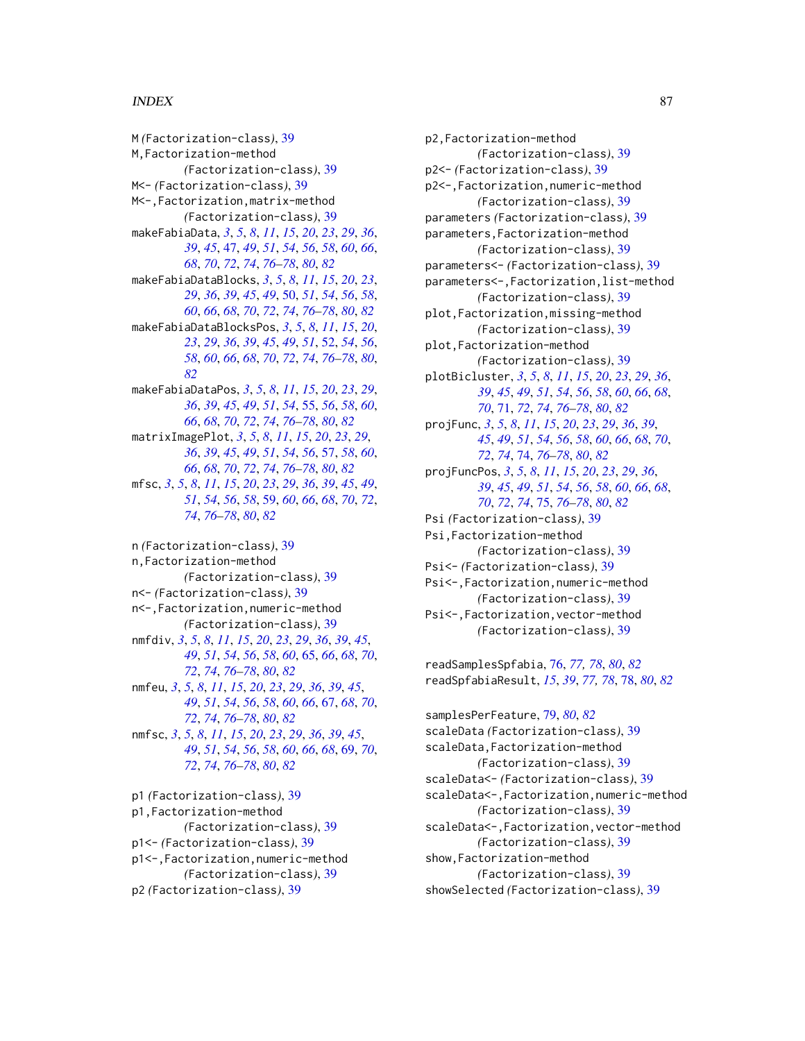M *(*Factorization-class*)*, [39](#page-38-1) M,Factorization-method *(*Factorization-class*)*, [39](#page-38-1) M<- *(*Factorization-class*)*, [39](#page-38-1) M<-,Factorization,matrix-method *(*Factorization-class*)*, [39](#page-38-1) makeFabiaData, *[3](#page-2-0)*, *[5](#page-4-0)*, *[8](#page-7-0)*, *[11](#page-10-0)*, *[15](#page-14-0)*, *[20](#page-19-1)*, *[23](#page-22-0)*, *[29](#page-28-0)*, *[36](#page-35-0)*, *[39](#page-38-1)*, *[45](#page-44-0)*, [47,](#page-46-1) *[49](#page-48-0)*, *[51](#page-50-0)*, *[54](#page-53-0)*, *[56](#page-55-0)*, *[58](#page-57-0)*, *[60](#page-59-0)*, *[66](#page-65-0)*, *[68](#page-67-0)*, *[70](#page-69-0)*, *[72](#page-71-0)*, *[74](#page-73-1)*, *[76–](#page-75-1)[78](#page-77-1)*, *[80](#page-79-1)*, *[82](#page-81-0)* makeFabiaDataBlocks, *[3](#page-2-0)*, *[5](#page-4-0)*, *[8](#page-7-0)*, *[11](#page-10-0)*, *[15](#page-14-0)*, *[20](#page-19-1)*, *[23](#page-22-0)*, *[29](#page-28-0)*, *[36](#page-35-0)*, *[39](#page-38-1)*, *[45](#page-44-0)*, *[49](#page-48-0)*, [50,](#page-49-1) *[51](#page-50-0)*, *[54](#page-53-0)*, *[56](#page-55-0)*, *[58](#page-57-0)*, *[60](#page-59-0)*, *[66](#page-65-0)*, *[68](#page-67-0)*, *[70](#page-69-0)*, *[72](#page-71-0)*, *[74](#page-73-1)*, *[76–](#page-75-1)[78](#page-77-1)*, *[80](#page-79-1)*, *[82](#page-81-0)* makeFabiaDataBlocksPos, *[3](#page-2-0)*, *[5](#page-4-0)*, *[8](#page-7-0)*, *[11](#page-10-0)*, *[15](#page-14-0)*, *[20](#page-19-1)*, *[23](#page-22-0)*, *[29](#page-28-0)*, *[36](#page-35-0)*, *[39](#page-38-1)*, *[45](#page-44-0)*, *[49](#page-48-0)*, *[51](#page-50-0)*, [52,](#page-51-1) *[54](#page-53-0)*, *[56](#page-55-0)*, *[58](#page-57-0)*, *[60](#page-59-0)*, *[66](#page-65-0)*, *[68](#page-67-0)*, *[70](#page-69-0)*, *[72](#page-71-0)*, *[74](#page-73-1)*, *[76–](#page-75-1)[78](#page-77-1)*, *[80](#page-79-1)*, *[82](#page-81-0)* makeFabiaDataPos, *[3](#page-2-0)*, *[5](#page-4-0)*, *[8](#page-7-0)*, *[11](#page-10-0)*, *[15](#page-14-0)*, *[20](#page-19-1)*, *[23](#page-22-0)*, *[29](#page-28-0)*, *[36](#page-35-0)*, *[39](#page-38-1)*, *[45](#page-44-0)*, *[49](#page-48-0)*, *[51](#page-50-0)*, *[54](#page-53-0)*, [55,](#page-54-1) *[56](#page-55-0)*, *[58](#page-57-0)*, *[60](#page-59-0)*, *[66](#page-65-0)*, *[68](#page-67-0)*, *[70](#page-69-0)*, *[72](#page-71-0)*, *[74](#page-73-1)*, *[76–](#page-75-1)[78](#page-77-1)*, *[80](#page-79-1)*, *[82](#page-81-0)* matrixImagePlot, *[3](#page-2-0)*, *[5](#page-4-0)*, *[8](#page-7-0)*, *[11](#page-10-0)*, *[15](#page-14-0)*, *[20](#page-19-1)*, *[23](#page-22-0)*, *[29](#page-28-0)*, *[36](#page-35-0)*, *[39](#page-38-1)*, *[45](#page-44-0)*, *[49](#page-48-0)*, *[51](#page-50-0)*, *[54](#page-53-0)*, *[56](#page-55-0)*, [57,](#page-56-1) *[58](#page-57-0)*, *[60](#page-59-0)*, *[66](#page-65-0)*, *[68](#page-67-0)*, *[70](#page-69-0)*, *[72](#page-71-0)*, *[74](#page-73-1)*, *[76–](#page-75-1)[78](#page-77-1)*, *[80](#page-79-1)*, *[82](#page-81-0)* mfsc, *[3](#page-2-0)*, *[5](#page-4-0)*, *[8](#page-7-0)*, *[11](#page-10-0)*, *[15](#page-14-0)*, *[20](#page-19-1)*, *[23](#page-22-0)*, *[29](#page-28-0)*, *[36](#page-35-0)*, *[39](#page-38-1)*, *[45](#page-44-0)*, *[49](#page-48-0)*, *[51](#page-50-0)*, *[54](#page-53-0)*, *[56](#page-55-0)*, *[58](#page-57-0)*, [59,](#page-58-1) *[60](#page-59-0)*, *[66](#page-65-0)*, *[68](#page-67-0)*, *[70](#page-69-0)*, *[72](#page-71-0)*, *[74](#page-73-1)*, *[76](#page-75-1)[–78](#page-77-1)*, *[80](#page-79-1)*, *[82](#page-81-0)*

n *(*Factorization-class*)*, [39](#page-38-1) n,Factorization-method *(*Factorization-class*)*, [39](#page-38-1) n<- *(*Factorization-class*)*, [39](#page-38-1) n<-,Factorization,numeric-method *(*Factorization-class*)*, [39](#page-38-1) nmfdiv, *[3](#page-2-0)*, *[5](#page-4-0)*, *[8](#page-7-0)*, *[11](#page-10-0)*, *[15](#page-14-0)*, *[20](#page-19-1)*, *[23](#page-22-0)*, *[29](#page-28-0)*, *[36](#page-35-0)*, *[39](#page-38-1)*, *[45](#page-44-0)*, *[49](#page-48-0)*, *[51](#page-50-0)*, *[54](#page-53-0)*, *[56](#page-55-0)*, *[58](#page-57-0)*, *[60](#page-59-0)*, [65,](#page-64-1) *[66](#page-65-0)*, *[68](#page-67-0)*, *[70](#page-69-0)*, *[72](#page-71-0)*, *[74](#page-73-1)*, *[76](#page-75-1)[–78](#page-77-1)*, *[80](#page-79-1)*, *[82](#page-81-0)* nmfeu, *[3](#page-2-0)*, *[5](#page-4-0)*, *[8](#page-7-0)*, *[11](#page-10-0)*, *[15](#page-14-0)*, *[20](#page-19-1)*, *[23](#page-22-0)*, *[29](#page-28-0)*, *[36](#page-35-0)*, *[39](#page-38-1)*, *[45](#page-44-0)*, *[49](#page-48-0)*, *[51](#page-50-0)*, *[54](#page-53-0)*, *[56](#page-55-0)*, *[58](#page-57-0)*, *[60](#page-59-0)*, *[66](#page-65-0)*, [67,](#page-66-1) *[68](#page-67-0)*, *[70](#page-69-0)*, *[72](#page-71-0)*, *[74](#page-73-1)*, *[76](#page-75-1)[–78](#page-77-1)*, *[80](#page-79-1)*, *[82](#page-81-0)* nmfsc, *[3](#page-2-0)*, *[5](#page-4-0)*, *[8](#page-7-0)*, *[11](#page-10-0)*, *[15](#page-14-0)*, *[20](#page-19-1)*, *[23](#page-22-0)*, *[29](#page-28-0)*, *[36](#page-35-0)*, *[39](#page-38-1)*, *[45](#page-44-0)*, *[49](#page-48-0)*, *[51](#page-50-0)*, *[54](#page-53-0)*, *[56](#page-55-0)*, *[58](#page-57-0)*, *[60](#page-59-0)*, *[66](#page-65-0)*, *[68](#page-67-0)*, [69,](#page-68-1) *[70](#page-69-0)*, *[72](#page-71-0)*, *[74](#page-73-1)*, *[76](#page-75-1)[–78](#page-77-1)*, *[80](#page-79-1)*, *[82](#page-81-0)* p1 *(*Factorization-class*)*, [39](#page-38-1) p1,Factorization-method

*(*Factorization-class*)*, [39](#page-38-1) p1<- *(*Factorization-class*)*, [39](#page-38-1) p1<-,Factorization,numeric-method *(*Factorization-class*)*, [39](#page-38-1) p2 *(*Factorization-class*)*, [39](#page-38-1)

p2,Factorization-method *(*Factorization-class*)*, [39](#page-38-1) p2<- *(*Factorization-class*)*, [39](#page-38-1) p2<-,Factorization,numeric-method *(*Factorization-class*)*, [39](#page-38-1) parameters *(*Factorization-class*)*, [39](#page-38-1) parameters,Factorization-method *(*Factorization-class*)*, [39](#page-38-1) parameters<- *(*Factorization-class*)*, [39](#page-38-1) parameters<-,Factorization,list-method *(*Factorization-class*)*, [39](#page-38-1) plot,Factorization,missing-method *(*Factorization-class*)*, [39](#page-38-1) plot,Factorization-method *(*Factorization-class*)*, [39](#page-38-1) plotBicluster, *[3](#page-2-0)*, *[5](#page-4-0)*, *[8](#page-7-0)*, *[11](#page-10-0)*, *[15](#page-14-0)*, *[20](#page-19-1)*, *[23](#page-22-0)*, *[29](#page-28-0)*, *[36](#page-35-0)*, *[39](#page-38-1)*, *[45](#page-44-0)*, *[49](#page-48-0)*, *[51](#page-50-0)*, *[54](#page-53-0)*, *[56](#page-55-0)*, *[58](#page-57-0)*, *[60](#page-59-0)*, *[66](#page-65-0)*, *[68](#page-67-0)*, *[70](#page-69-0)*, [71,](#page-70-1) *[72](#page-71-0)*, *[74](#page-73-1)*, *[76](#page-75-1)[–78](#page-77-1)*, *[80](#page-79-1)*, *[82](#page-81-0)* projFunc, *[3](#page-2-0)*, *[5](#page-4-0)*, *[8](#page-7-0)*, *[11](#page-10-0)*, *[15](#page-14-0)*, *[20](#page-19-1)*, *[23](#page-22-0)*, *[29](#page-28-0)*, *[36](#page-35-0)*, *[39](#page-38-1)*, *[45](#page-44-0)*, *[49](#page-48-0)*, *[51](#page-50-0)*, *[54](#page-53-0)*, *[56](#page-55-0)*, *[58](#page-57-0)*, *[60](#page-59-0)*, *[66](#page-65-0)*, *[68](#page-67-0)*, *[70](#page-69-0)*, *[72](#page-71-0)*, *[74](#page-73-1)*, [74,](#page-73-1) *[76](#page-75-1)[–78](#page-77-1)*, *[80](#page-79-1)*, *[82](#page-81-0)* projFuncPos, *[3](#page-2-0)*, *[5](#page-4-0)*, *[8](#page-7-0)*, *[11](#page-10-0)*, *[15](#page-14-0)*, *[20](#page-19-1)*, *[23](#page-22-0)*, *[29](#page-28-0)*, *[36](#page-35-0)*, *[39](#page-38-1)*, *[45](#page-44-0)*, *[49](#page-48-0)*, *[51](#page-50-0)*, *[54](#page-53-0)*, *[56](#page-55-0)*, *[58](#page-57-0)*, *[60](#page-59-0)*, *[66](#page-65-0)*, *[68](#page-67-0)*, *[70](#page-69-0)*, *[72](#page-71-0)*, *[74](#page-73-1)*, [75,](#page-74-1) *[76](#page-75-1)[–78](#page-77-1)*, *[80](#page-79-1)*, *[82](#page-81-0)* Psi *(*Factorization-class*)*, [39](#page-38-1) Psi,Factorization-method *(*Factorization-class*)*, [39](#page-38-1) Psi<- *(*Factorization-class*)*, [39](#page-38-1) Psi<-,Factorization,numeric-method *(*Factorization-class*)*, [39](#page-38-1) Psi<-,Factorization,vector-method *(*Factorization-class*)*, [39](#page-38-1)

readSamplesSpfabia, [76,](#page-75-1) *[77,](#page-76-0) [78](#page-77-1)*, *[80](#page-79-1)*, *[82](#page-81-0)* readSpfabiaResult, *[15](#page-14-0)*, *[39](#page-38-1)*, *[77,](#page-76-0) [78](#page-77-1)*, [78,](#page-77-1) *[80](#page-79-1)*, *[82](#page-81-0)*

samplesPerFeature, [79,](#page-78-1) *[80](#page-79-1)*, *[82](#page-81-0)* scaleData *(*Factorization-class*)*, [39](#page-38-1) scaleData,Factorization-method *(*Factorization-class*)*, [39](#page-38-1) scaleData<- *(*Factorization-class*)*, [39](#page-38-1) scaleData<-,Factorization,numeric-method *(*Factorization-class*)*, [39](#page-38-1) scaleData<-,Factorization,vector-method *(*Factorization-class*)*, [39](#page-38-1) show,Factorization-method *(*Factorization-class*)*, [39](#page-38-1) showSelected *(*Factorization-class*)*, [39](#page-38-1)